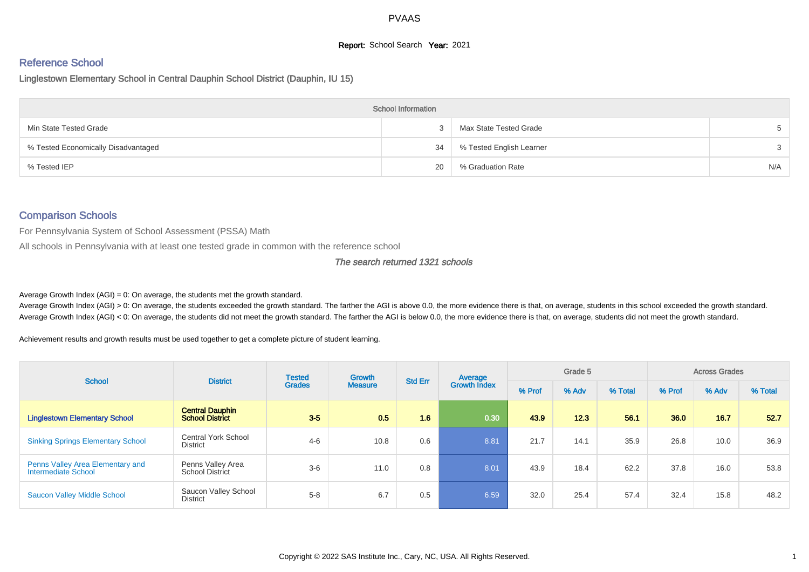# **Report:** School Search **Year:** 2021

# Reference School

Linglestown Elementary School in Central Dauphin School District (Dauphin, IU 15)

|                                     | <b>School Information</b> |                             |       |
|-------------------------------------|---------------------------|-----------------------------|-------|
| Min State Tested Grade              |                           | Max State Tested Grade      | $5 -$ |
| % Tested Economically Disadvantaged |                           | 34 % Tested English Learner | 3     |
| % Tested IEP                        | 20                        | % Graduation Rate           | N/A   |

#### Comparison Schools

For Pennsylvania System of School Assessment (PSSA) Math

All schools in Pennsylvania with at least one tested grade in common with the reference school

#### The search returned 1321 schools

Average Growth Index  $(AGI) = 0$ : On average, the students met the growth standard.

Average Growth Index (AGI) > 0: On average, the students exceeded the growth standard. The farther the AGI is above 0.0, the more evidence there is that, on average, students in this school exceeded the growth standard. Average Growth Index (AGI) < 0: On average, the students did not meet the growth standard. The farther the AGI is below 0.0, the more evidence there is that, on average, students did not meet the growth standard.

Achievement results and growth results must be used together to get a complete picture of student learning.

| <b>School</b>                                           | <b>District</b>                                  | <b>Tested</b> | Growth         | <b>Std Err</b> | Average             |        | Grade 5 |         |        | <b>Across Grades</b> |         |
|---------------------------------------------------------|--------------------------------------------------|---------------|----------------|----------------|---------------------|--------|---------|---------|--------|----------------------|---------|
|                                                         |                                                  | <b>Grades</b> | <b>Measure</b> |                | <b>Growth Index</b> | % Prof | % Adv   | % Total | % Prof | % Adv                | % Total |
| <b>Linglestown Elementary School</b>                    | <b>Central Dauphin</b><br><b>School District</b> | $3-5$         | 0.5            | 1.6            | 0.30                | 43.9   | 12.3    | 56.1    | 36.0   | 16.7                 | 52.7    |
| <b>Sinking Springs Elementary School</b>                | <b>Central York School</b><br><b>District</b>    | $4 - 6$       | 10.8           | 0.6            | 8.81                | 21.7   | 14.1    | 35.9    | 26.8   | 10.0                 | 36.9    |
| Penns Valley Area Elementary and<br>Intermediate School | Penns Valley Area<br><b>School District</b>      | $3-6$         | 11.0           | 0.8            | 8.01                | 43.9   | 18.4    | 62.2    | 37.8   | 16.0                 | 53.8    |
| <b>Saucon Valley Middle School</b>                      | Saucon Valley School<br>District                 | $5 - 8$       | 6.7            | 0.5            | 6.59                | 32.0   | 25.4    | 57.4    | 32.4   | 15.8                 | 48.2    |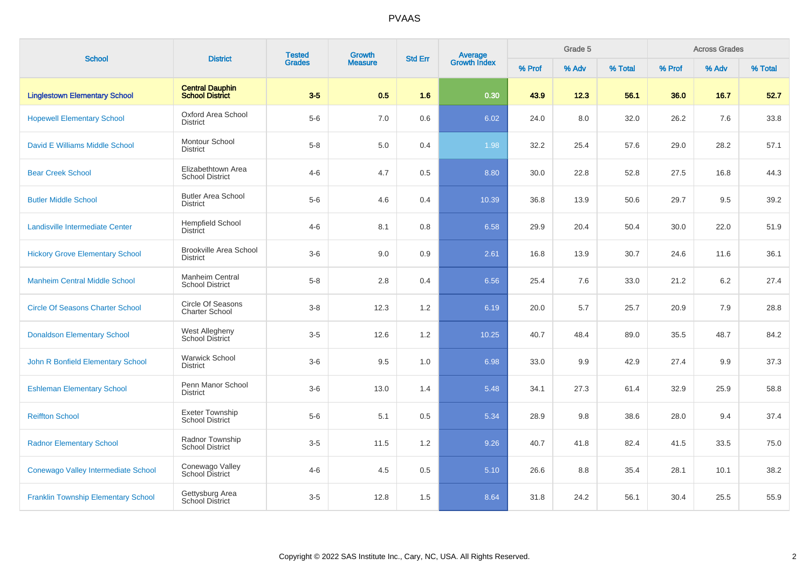|                                            | <b>District</b>                                  | <b>Tested</b> | Growth         | <b>Std Err</b> |                                |        | Grade 5 |         |        | <b>Across Grades</b> |         |
|--------------------------------------------|--------------------------------------------------|---------------|----------------|----------------|--------------------------------|--------|---------|---------|--------|----------------------|---------|
| <b>School</b>                              |                                                  | <b>Grades</b> | <b>Measure</b> |                | <b>Average</b><br>Growth Index | % Prof | % Adv   | % Total | % Prof | % Adv                | % Total |
| <b>Linglestown Elementary School</b>       | <b>Central Dauphin</b><br><b>School District</b> | $3-5$         | 0.5            | 1.6            | 0.30                           | 43.9   | 12.3    | 56.1    | 36.0   | 16.7                 | 52.7    |
| <b>Hopewell Elementary School</b>          | Oxford Area School<br><b>District</b>            | $5-6$         | 7.0            | 0.6            | 6.02                           | 24.0   | 8.0     | 32.0    | 26.2   | 7.6                  | 33.8    |
| David E Williams Middle School             | Montour School<br><b>District</b>                | $5-8$         | 5.0            | 0.4            | 1.98                           | 32.2   | 25.4    | 57.6    | 29.0   | 28.2                 | 57.1    |
| <b>Bear Creek School</b>                   | Elizabethtown Area<br><b>School District</b>     | $4 - 6$       | 4.7            | 0.5            | 8.80                           | 30.0   | 22.8    | 52.8    | 27.5   | 16.8                 | 44.3    |
| <b>Butler Middle School</b>                | <b>Butler Area School</b><br><b>District</b>     | $5-6$         | 4.6            | 0.4            | 10.39                          | 36.8   | 13.9    | 50.6    | 29.7   | 9.5                  | 39.2    |
| <b>Landisville Intermediate Center</b>     | <b>Hempfield School</b><br><b>District</b>       | $4 - 6$       | 8.1            | 0.8            | 6.58                           | 29.9   | 20.4    | 50.4    | 30.0   | 22.0                 | 51.9    |
| <b>Hickory Grove Elementary School</b>     | <b>Brookville Area School</b><br><b>District</b> | $3-6$         | 9.0            | 0.9            | 2.61                           | 16.8   | 13.9    | 30.7    | 24.6   | 11.6                 | 36.1    |
| <b>Manheim Central Middle School</b>       | Manheim Central<br><b>School District</b>        | $5-8$         | 2.8            | 0.4            | 6.56                           | 25.4   | 7.6     | 33.0    | 21.2   | 6.2                  | 27.4    |
| <b>Circle Of Seasons Charter School</b>    | Circle Of Seasons<br><b>Charter School</b>       | $3-8$         | 12.3           | 1.2            | 6.19                           | 20.0   | 5.7     | 25.7    | 20.9   | 7.9                  | 28.8    |
| <b>Donaldson Elementary School</b>         | West Allegheny<br>School District                | $3-5$         | 12.6           | $1.2\,$        | 10.25                          | 40.7   | 48.4    | 89.0    | 35.5   | 48.7                 | 84.2    |
| John R Bonfield Elementary School          | <b>Warwick School</b><br><b>District</b>         | $3-6$         | 9.5            | 1.0            | 6.98                           | 33.0   | 9.9     | 42.9    | 27.4   | 9.9                  | 37.3    |
| <b>Eshleman Elementary School</b>          | Penn Manor School<br><b>District</b>             | $3-6$         | 13.0           | 1.4            | 5.48                           | 34.1   | 27.3    | 61.4    | 32.9   | 25.9                 | 58.8    |
| <b>Reiffton School</b>                     | <b>Exeter Township</b><br><b>School District</b> | $5-6$         | 5.1            | 0.5            | 5.34                           | 28.9   | 9.8     | 38.6    | 28.0   | 9.4                  | 37.4    |
| <b>Radnor Elementary School</b>            | Radnor Township<br><b>School District</b>        | $3-5$         | 11.5           | 1.2            | 9.26                           | 40.7   | 41.8    | 82.4    | 41.5   | 33.5                 | 75.0    |
| Conewago Valley Intermediate School        | Conewago Valley<br>School District               | $4 - 6$       | 4.5            | 0.5            | 5.10                           | 26.6   | 8.8     | 35.4    | 28.1   | 10.1                 | 38.2    |
| <b>Franklin Township Elementary School</b> | Gettysburg Area<br>School District               | $3-5$         | 12.8           | 1.5            | 8.64                           | 31.8   | 24.2    | 56.1    | 30.4   | 25.5                 | 55.9    |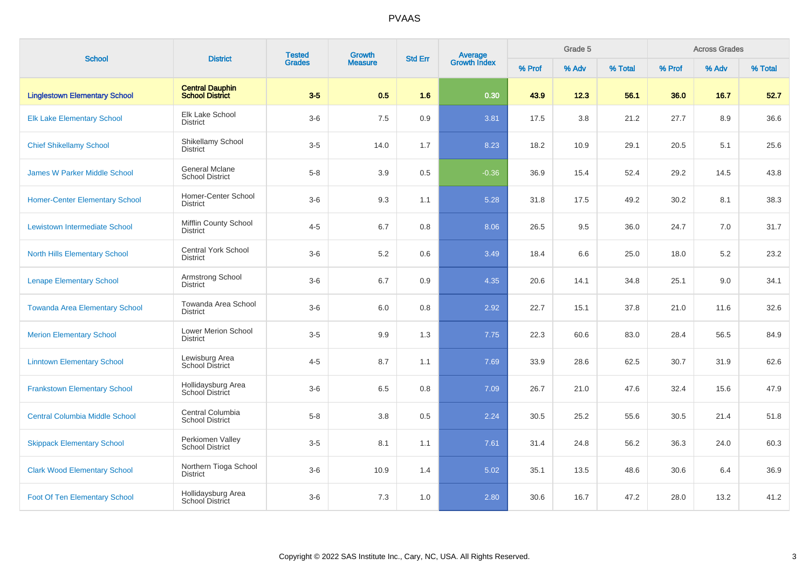| <b>School</b>                         | <b>District</b>                                  | <b>Tested</b> | Growth         | <b>Std Err</b> |                                |        | Grade 5 |         |        | <b>Across Grades</b> |         |
|---------------------------------------|--------------------------------------------------|---------------|----------------|----------------|--------------------------------|--------|---------|---------|--------|----------------------|---------|
|                                       |                                                  | <b>Grades</b> | <b>Measure</b> |                | <b>Average</b><br>Growth Index | % Prof | % Adv   | % Total | % Prof | % Adv                | % Total |
| <b>Linglestown Elementary School</b>  | <b>Central Dauphin</b><br><b>School District</b> | $3-5$         | 0.5            | 1.6            | 0.30                           | 43.9   | 12.3    | 56.1    | 36.0   | 16.7                 | 52.7    |
| <b>Elk Lake Elementary School</b>     | Elk Lake School<br><b>District</b>               | $3-6$         | 7.5            | $0.9\,$        | 3.81                           | 17.5   | 3.8     | 21.2    | 27.7   | 8.9                  | 36.6    |
| <b>Chief Shikellamy School</b>        | Shikellamy School<br><b>District</b>             | $3-5$         | 14.0           | 1.7            | 8.23                           | 18.2   | 10.9    | 29.1    | 20.5   | 5.1                  | 25.6    |
| <b>James W Parker Middle School</b>   | <b>General Mclane</b><br><b>School District</b>  | $5-8$         | 3.9            | 0.5            | $-0.36$                        | 36.9   | 15.4    | 52.4    | 29.2   | 14.5                 | 43.8    |
| <b>Homer-Center Elementary School</b> | Homer-Center School<br><b>District</b>           | $3-6$         | 9.3            | 1.1            | 5.28                           | 31.8   | 17.5    | 49.2    | 30.2   | 8.1                  | 38.3    |
| <b>Lewistown Intermediate School</b>  | Mifflin County School<br><b>District</b>         | $4 - 5$       | 6.7            | 0.8            | 8.06                           | 26.5   | 9.5     | 36.0    | 24.7   | 7.0                  | 31.7    |
| <b>North Hills Elementary School</b>  | <b>Central York School</b><br><b>District</b>    | $3-6$         | 5.2            | 0.6            | 3.49                           | 18.4   | 6.6     | 25.0    | 18.0   | 5.2                  | 23.2    |
| <b>Lenape Elementary School</b>       | Armstrong School<br><b>District</b>              | $3-6$         | 6.7            | 0.9            | 4.35                           | 20.6   | 14.1    | 34.8    | 25.1   | 9.0                  | 34.1    |
| <b>Towanda Area Elementary School</b> | Towanda Area School<br><b>District</b>           | $3-6$         | 6.0            | 0.8            | 2.92                           | 22.7   | 15.1    | 37.8    | 21.0   | 11.6                 | 32.6    |
| <b>Merion Elementary School</b>       | <b>Lower Merion School</b><br><b>District</b>    | $3-5$         | 9.9            | 1.3            | 7.75                           | 22.3   | 60.6    | 83.0    | 28.4   | 56.5                 | 84.9    |
| <b>Linntown Elementary School</b>     | Lewisburg Area<br><b>School District</b>         | $4 - 5$       | 8.7            | 1.1            | 7.69                           | 33.9   | 28.6    | 62.5    | 30.7   | 31.9                 | 62.6    |
| <b>Frankstown Elementary School</b>   | Hollidaysburg Area<br>School District            | $3-6$         | 6.5            | 0.8            | 7.09                           | 26.7   | 21.0    | 47.6    | 32.4   | 15.6                 | 47.9    |
| <b>Central Columbia Middle School</b> | Central Columbia<br>School District              | $5-8$         | 3.8            | 0.5            | 2.24                           | 30.5   | 25.2    | 55.6    | 30.5   | 21.4                 | 51.8    |
| <b>Skippack Elementary School</b>     | Perkiomen Valley<br><b>School District</b>       | $3-5$         | 8.1            | 1.1            | 7.61                           | 31.4   | 24.8    | 56.2    | 36.3   | 24.0                 | 60.3    |
| <b>Clark Wood Elementary School</b>   | Northern Tioga School<br>District                | $3-6$         | 10.9           | 1.4            | 5.02                           | 35.1   | 13.5    | 48.6    | 30.6   | 6.4                  | 36.9    |
| <b>Foot Of Ten Elementary School</b>  | Hollidaysburg Area<br>School District            | $3-6$         | 7.3            | 1.0            | 2.80                           | 30.6   | 16.7    | 47.2    | 28.0   | 13.2                 | 41.2    |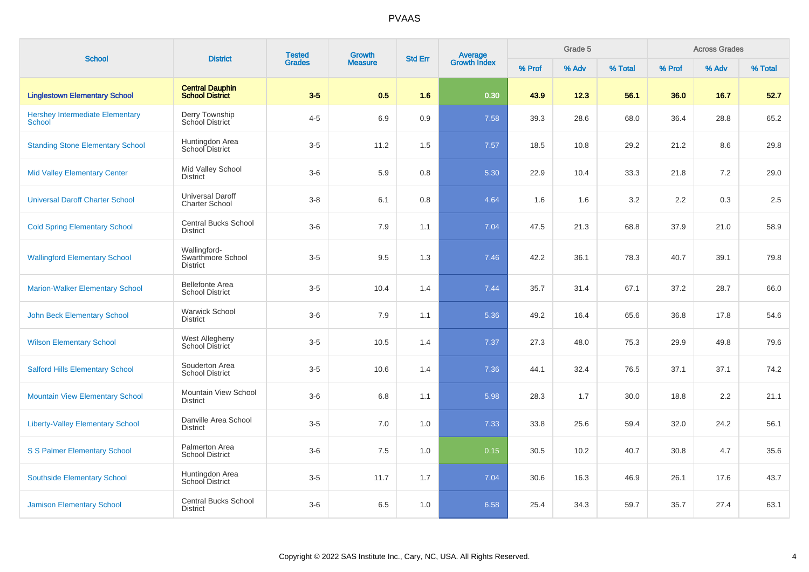| <b>School</b>                                           | <b>District</b>                                      | <b>Tested</b> | Growth         | <b>Std Err</b> |                                |        | Grade 5 |         |        | <b>Across Grades</b> |         |
|---------------------------------------------------------|------------------------------------------------------|---------------|----------------|----------------|--------------------------------|--------|---------|---------|--------|----------------------|---------|
|                                                         |                                                      | <b>Grades</b> | <b>Measure</b> |                | <b>Average</b><br>Growth Index | % Prof | % Adv   | % Total | % Prof | % Adv                | % Total |
| <b>Linglestown Elementary School</b>                    | <b>Central Dauphin</b><br><b>School District</b>     | $3-5$         | 0.5            | 1.6            | 0.30                           | 43.9   | 12.3    | 56.1    | 36.0   | 16.7                 | 52.7    |
| <b>Hershey Intermediate Elementary</b><br><b>School</b> | Derry Township<br>School District                    | $4 - 5$       | 6.9            | 0.9            | 7.58                           | 39.3   | 28.6    | 68.0    | 36.4   | 28.8                 | 65.2    |
| <b>Standing Stone Elementary School</b>                 | Huntingdon Area<br>School District                   | $3-5$         | 11.2           | 1.5            | 7.57                           | 18.5   | 10.8    | 29.2    | 21.2   | 8.6                  | 29.8    |
| <b>Mid Valley Elementary Center</b>                     | Mid Valley School<br><b>District</b>                 | $3-6$         | 5.9            | 0.8            | 5.30                           | 22.9   | 10.4    | 33.3    | 21.8   | 7.2                  | 29.0    |
| <b>Universal Daroff Charter School</b>                  | <b>Universal Daroff</b><br><b>Charter School</b>     | $3-8$         | 6.1            | 0.8            | 4.64                           | 1.6    | 1.6     | 3.2     | 2.2    | 0.3                  | 2.5     |
| <b>Cold Spring Elementary School</b>                    | <b>Central Bucks School</b><br><b>District</b>       | $3-6$         | 7.9            | 1.1            | 7.04                           | 47.5   | 21.3    | 68.8    | 37.9   | 21.0                 | 58.9    |
| <b>Wallingford Elementary School</b>                    | Wallingford-<br>Swarthmore School<br><b>District</b> | $3-5$         | 9.5            | 1.3            | 7.46                           | 42.2   | 36.1    | 78.3    | 40.7   | 39.1                 | 79.8    |
| <b>Marion-Walker Elementary School</b>                  | <b>Bellefonte Area</b><br><b>School District</b>     | $3-5$         | 10.4           | 1.4            | 7.44                           | 35.7   | 31.4    | 67.1    | 37.2   | 28.7                 | 66.0    |
| <b>John Beck Elementary School</b>                      | <b>Warwick School</b><br><b>District</b>             | $3-6$         | 7.9            | 1.1            | 5.36                           | 49.2   | 16.4    | 65.6    | 36.8   | 17.8                 | 54.6    |
| <b>Wilson Elementary School</b>                         | West Allegheny<br>School District                    | $3-5$         | 10.5           | 1.4            | 7.37                           | 27.3   | 48.0    | 75.3    | 29.9   | 49.8                 | 79.6    |
| <b>Salford Hills Elementary School</b>                  | Souderton Area<br><b>School District</b>             | $3-5$         | 10.6           | 1.4            | 7.36                           | 44.1   | 32.4    | 76.5    | 37.1   | 37.1                 | 74.2    |
| <b>Mountain View Elementary School</b>                  | Mountain View School<br><b>District</b>              | $3-6$         | 6.8            | 1.1            | 5.98                           | 28.3   | 1.7     | 30.0    | 18.8   | 2.2                  | 21.1    |
| <b>Liberty-Valley Elementary School</b>                 | Danville Area School<br><b>District</b>              | $3-5$         | 7.0            | 1.0            | 7.33                           | 33.8   | 25.6    | 59.4    | 32.0   | 24.2                 | 56.1    |
| <b>S S Palmer Elementary School</b>                     | Palmerton Area<br><b>School District</b>             | $3-6$         | 7.5            | 1.0            | 0.15                           | 30.5   | 10.2    | 40.7    | 30.8   | 4.7                  | 35.6    |
| <b>Southside Elementary School</b>                      | Huntingdon Area<br>School District                   | $3-5$         | 11.7           | 1.7            | 7.04                           | 30.6   | 16.3    | 46.9    | 26.1   | 17.6                 | 43.7    |
| <b>Jamison Elementary School</b>                        | <b>Central Bucks School</b><br><b>District</b>       | $3-6$         | 6.5            | 1.0            | 6.58                           | 25.4   | 34.3    | 59.7    | 35.7   | 27.4                 | 63.1    |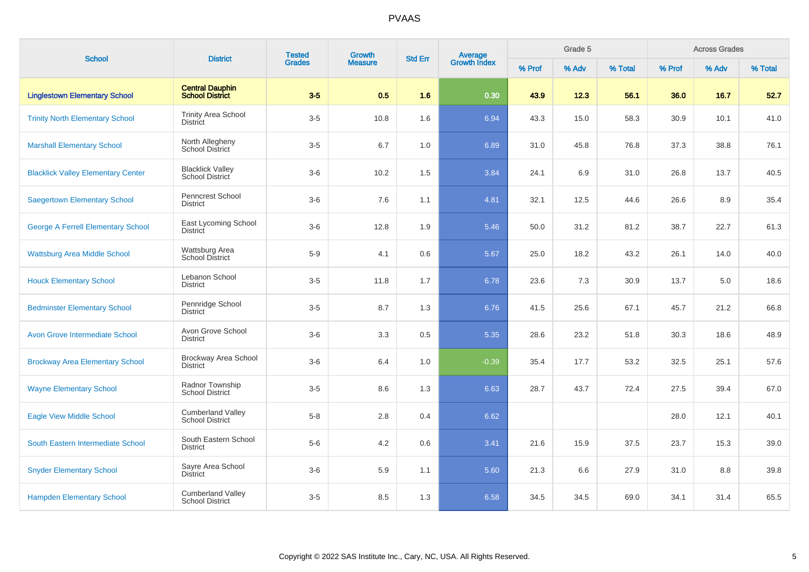| <b>School</b>                             | <b>District</b>                                    | <b>Tested</b> | Growth         | <b>Std Err</b> |                                |        | Grade 5 |         |        | <b>Across Grades</b> |         |
|-------------------------------------------|----------------------------------------------------|---------------|----------------|----------------|--------------------------------|--------|---------|---------|--------|----------------------|---------|
|                                           |                                                    | <b>Grades</b> | <b>Measure</b> |                | <b>Average</b><br>Growth Index | % Prof | % Adv   | % Total | % Prof | % Adv                | % Total |
| <b>Linglestown Elementary School</b>      | <b>Central Dauphin</b><br><b>School District</b>   | $3-5$         | 0.5            | 1.6            | 0.30                           | 43.9   | 12.3    | 56.1    | 36.0   | 16.7                 | 52.7    |
| <b>Trinity North Elementary School</b>    | <b>Trinity Area School</b><br><b>District</b>      | $3-5$         | 10.8           | 1.6            | 6.94                           | 43.3   | 15.0    | 58.3    | 30.9   | 10.1                 | 41.0    |
| <b>Marshall Elementary School</b>         | North Allegheny<br>School District                 | $3-5$         | 6.7            | 1.0            | 6.89                           | 31.0   | 45.8    | 76.8    | 37.3   | 38.8                 | 76.1    |
| <b>Blacklick Valley Elementary Center</b> | <b>Blacklick Valley</b><br>School District         | $3-6$         | 10.2           | 1.5            | 3.84                           | 24.1   | 6.9     | 31.0    | 26.8   | 13.7                 | 40.5    |
| <b>Saegertown Elementary School</b>       | Penncrest School<br><b>District</b>                | $3-6$         | 7.6            | 1.1            | 4.81                           | 32.1   | 12.5    | 44.6    | 26.6   | 8.9                  | 35.4    |
| <b>George A Ferrell Elementary School</b> | East Lycoming School<br><b>District</b>            | $3-6$         | 12.8           | 1.9            | 5.46                           | 50.0   | 31.2    | 81.2    | 38.7   | 22.7                 | 61.3    |
| <b>Wattsburg Area Middle School</b>       | Wattsburg Area<br>School District                  | $5-9$         | 4.1            | 0.6            | 5.67                           | 25.0   | 18.2    | 43.2    | 26.1   | 14.0                 | 40.0    |
| <b>Houck Elementary School</b>            | Lebanon School<br><b>District</b>                  | $3-5$         | 11.8           | 1.7            | 6.78                           | 23.6   | 7.3     | 30.9    | 13.7   | 5.0                  | 18.6    |
| <b>Bedminster Elementary School</b>       | Pennridge School<br><b>District</b>                | $3-5$         | 8.7            | 1.3            | 6.76                           | 41.5   | 25.6    | 67.1    | 45.7   | 21.2                 | 66.8    |
| <b>Avon Grove Intermediate School</b>     | Avon Grove School<br><b>District</b>               | $3-6$         | 3.3            | 0.5            | 5.35                           | 28.6   | 23.2    | 51.8    | 30.3   | 18.6                 | 48.9    |
| <b>Brockway Area Elementary School</b>    | <b>Brockway Area School</b><br><b>District</b>     | $3-6$         | 6.4            | 1.0            | $-0.39$                        | 35.4   | 17.7    | 53.2    | 32.5   | 25.1                 | 57.6    |
| <b>Wayne Elementary School</b>            | Radnor Township<br><b>School District</b>          | $3-5$         | 8.6            | 1.3            | 6.63                           | 28.7   | 43.7    | 72.4    | 27.5   | 39.4                 | 67.0    |
| <b>Eagle View Middle School</b>           | <b>Cumberland Valley</b><br><b>School District</b> | $5 - 8$       | 2.8            | 0.4            | 6.62                           |        |         |         | 28.0   | 12.1                 | 40.1    |
| South Eastern Intermediate School         | South Eastern School<br><b>District</b>            | $5-6$         | 4.2            | 0.6            | 3.41                           | 21.6   | 15.9    | 37.5    | 23.7   | 15.3                 | 39.0    |
| <b>Snyder Elementary School</b>           | Sayre Area School<br><b>District</b>               | $3-6$         | 5.9            | 1.1            | 5.60                           | 21.3   | 6.6     | 27.9    | 31.0   | 8.8                  | 39.8    |
| <b>Hampden Elementary School</b>          | <b>Cumberland Valley</b><br><b>School District</b> | $3-5$         | 8.5            | 1.3            | 6.58                           | 34.5   | 34.5    | 69.0    | 34.1   | 31.4                 | 65.5    |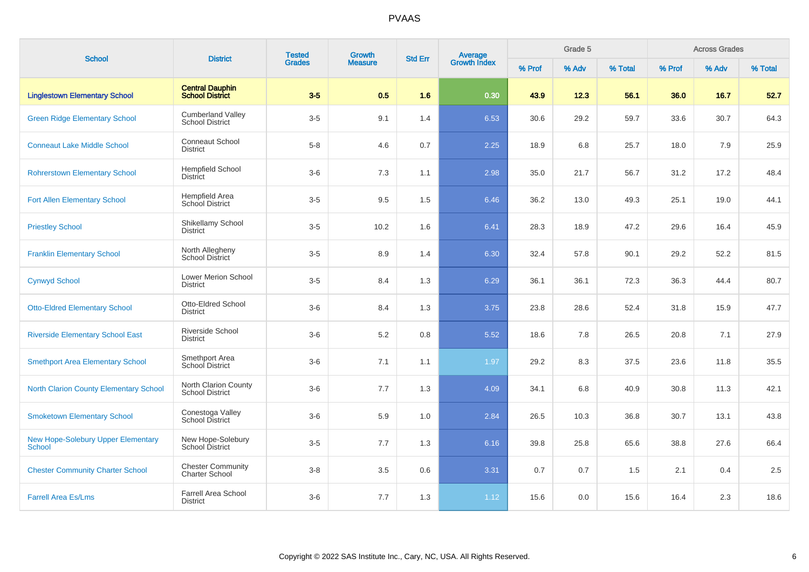| <b>School</b>                                              | <b>District</b>                                    | <b>Tested</b> | Growth         | <b>Std Err</b> |                                |        | Grade 5 |         |        | <b>Across Grades</b> |         |
|------------------------------------------------------------|----------------------------------------------------|---------------|----------------|----------------|--------------------------------|--------|---------|---------|--------|----------------------|---------|
|                                                            |                                                    | <b>Grades</b> | <b>Measure</b> |                | <b>Average</b><br>Growth Index | % Prof | % Adv   | % Total | % Prof | % Adv                | % Total |
| <b>Linglestown Elementary School</b>                       | <b>Central Dauphin</b><br><b>School District</b>   | $3-5$         | 0.5            | 1.6            | 0.30                           | 43.9   | 12.3    | 56.1    | 36.0   | 16.7                 | 52.7    |
| <b>Green Ridge Elementary School</b>                       | <b>Cumberland Valley</b><br><b>School District</b> | $3-5$         | 9.1            | 1.4            | 6.53                           | 30.6   | 29.2    | 59.7    | 33.6   | 30.7                 | 64.3    |
| <b>Conneaut Lake Middle School</b>                         | <b>Conneaut School</b><br><b>District</b>          | $5 - 8$       | 4.6            | 0.7            | 2.25                           | 18.9   | 6.8     | 25.7    | 18.0   | 7.9                  | 25.9    |
| <b>Rohrerstown Elementary School</b>                       | <b>Hempfield School</b><br><b>District</b>         | $3-6$         | 7.3            | 1.1            | 2.98                           | 35.0   | 21.7    | 56.7    | 31.2   | 17.2                 | 48.4    |
| <b>Fort Allen Elementary School</b>                        | Hempfield Area<br>School District                  | $3-5$         | 9.5            | 1.5            | 6.46                           | 36.2   | 13.0    | 49.3    | 25.1   | 19.0                 | 44.1    |
| <b>Priestley School</b>                                    | Shikellamy School<br>District                      | $3-5$         | 10.2           | 1.6            | 6.41                           | 28.3   | 18.9    | 47.2    | 29.6   | 16.4                 | 45.9    |
| <b>Franklin Elementary School</b>                          | North Allegheny<br><b>School District</b>          | $3-5$         | 8.9            | 1.4            | 6.30                           | 32.4   | 57.8    | 90.1    | 29.2   | 52.2                 | 81.5    |
| <b>Cynwyd School</b>                                       | <b>Lower Merion School</b><br><b>District</b>      | $3-5$         | 8.4            | 1.3            | 6.29                           | 36.1   | 36.1    | 72.3    | 36.3   | 44.4                 | 80.7    |
| <b>Otto-Eldred Elementary School</b>                       | Otto-Eldred School<br><b>District</b>              | $3-6$         | 8.4            | 1.3            | 3.75                           | 23.8   | 28.6    | 52.4    | 31.8   | 15.9                 | 47.7    |
| <b>Riverside Elementary School East</b>                    | Riverside School<br><b>District</b>                | $3-6$         | 5.2            | 0.8            | 5.52                           | 18.6   | 7.8     | 26.5    | 20.8   | 7.1                  | 27.9    |
| <b>Smethport Area Elementary School</b>                    | Smethport Area<br>School District                  | $3-6$         | 7.1            | 1.1            | 1.97                           | 29.2   | 8.3     | 37.5    | 23.6   | 11.8                 | 35.5    |
| <b>North Clarion County Elementary School</b>              | North Clarion County<br><b>School District</b>     | $3-6$         | 7.7            | 1.3            | 4.09                           | 34.1   | 6.8     | 40.9    | 30.8   | 11.3                 | 42.1    |
| <b>Smoketown Elementary School</b>                         | Conestoga Valley<br>School District                | $3-6$         | 5.9            | 1.0            | 2.84                           | 26.5   | 10.3    | 36.8    | 30.7   | 13.1                 | 43.8    |
| <b>New Hope-Solebury Upper Elementary</b><br><b>School</b> | New Hope-Solebury<br>School District               | $3-5$         | 7.7            | 1.3            | 6.16                           | 39.8   | 25.8    | 65.6    | 38.8   | 27.6                 | 66.4    |
| <b>Chester Community Charter School</b>                    | <b>Chester Community</b><br><b>Charter School</b>  | $3-8$         | 3.5            | $0.6\,$        | 3.31                           | 0.7    | 0.7     | 1.5     | 2.1    | 0.4                  | 2.5     |
| <b>Farrell Area Es/Lms</b>                                 | <b>Farrell Area School</b><br><b>District</b>      | $3-6$         | 7.7            | 1.3            | 1.12                           | 15.6   | 0.0     | 15.6    | 16.4   | 2.3                  | 18.6    |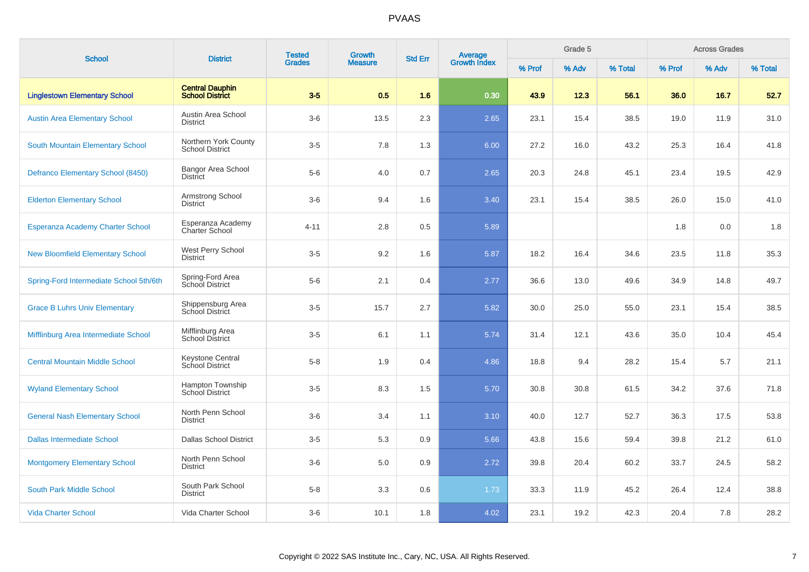| <b>School</b>                           | <b>District</b>                                  | <b>Tested</b> | Growth         | <b>Std Err</b> |                                |        | Grade 5 |         |        | <b>Across Grades</b> |         |
|-----------------------------------------|--------------------------------------------------|---------------|----------------|----------------|--------------------------------|--------|---------|---------|--------|----------------------|---------|
|                                         |                                                  | <b>Grades</b> | <b>Measure</b> |                | <b>Average</b><br>Growth Index | % Prof | % Adv   | % Total | % Prof | % Adv                | % Total |
| <b>Linglestown Elementary School</b>    | <b>Central Dauphin</b><br><b>School District</b> | $3-5$         | 0.5            | 1.6            | 0.30                           | 43.9   | 12.3    | 56.1    | 36.0   | 16.7                 | 52.7    |
| <b>Austin Area Elementary School</b>    | Austin Area School<br><b>District</b>            | $3-6$         | 13.5           | 2.3            | 2.65                           | 23.1   | 15.4    | 38.5    | 19.0   | 11.9                 | 31.0    |
| South Mountain Elementary School        | Northern York County<br><b>School District</b>   | $3-5$         | 7.8            | 1.3            | 6.00                           | 27.2   | 16.0    | 43.2    | 25.3   | 16.4                 | 41.8    |
| Defranco Elementary School (8450)       | <b>Bangor Area School</b><br><b>District</b>     | $5-6$         | 4.0            | 0.7            | 2.65                           | 20.3   | 24.8    | 45.1    | 23.4   | 19.5                 | 42.9    |
| <b>Elderton Elementary School</b>       | Armstrong School<br><b>District</b>              | $3-6$         | 9.4            | 1.6            | 3.40                           | 23.1   | 15.4    | 38.5    | 26.0   | 15.0                 | 41.0    |
| <b>Esperanza Academy Charter School</b> | Esperanza Academy<br><b>Charter School</b>       | $4 - 11$      | 2.8            | 0.5            | 5.89                           |        |         |         | 1.8    | 0.0                  | 1.8     |
| <b>New Bloomfield Elementary School</b> | West Perry School<br><b>District</b>             | $3-5$         | 9.2            | 1.6            | 5.87                           | 18.2   | 16.4    | 34.6    | 23.5   | 11.8                 | 35.3    |
| Spring-Ford Intermediate School 5th/6th | Spring-Ford Area<br>School District              | $5-6$         | 2.1            | 0.4            | 2.77                           | 36.6   | 13.0    | 49.6    | 34.9   | 14.8                 | 49.7    |
| <b>Grace B Luhrs Univ Elementary</b>    | Shippensburg Area<br>School District             | $3-5$         | 15.7           | 2.7            | 5.82                           | 30.0   | 25.0    | 55.0    | 23.1   | 15.4                 | 38.5    |
| Mifflinburg Area Intermediate School    | Mifflinburg Area<br>School District              | $3-5$         | 6.1            | 1.1            | 5.74                           | 31.4   | 12.1    | 43.6    | 35.0   | 10.4                 | 45.4    |
| <b>Central Mountain Middle School</b>   | Keystone Central<br>School District              | $5 - 8$       | 1.9            | 0.4            | 4.86                           | 18.8   | 9.4     | 28.2    | 15.4   | 5.7                  | 21.1    |
| <b>Wyland Elementary School</b>         | Hampton Township<br><b>School District</b>       | $3-5$         | 8.3            | 1.5            | 5.70                           | 30.8   | 30.8    | 61.5    | 34.2   | 37.6                 | 71.8    |
| <b>General Nash Elementary School</b>   | North Penn School<br><b>District</b>             | $3-6$         | 3.4            | 1.1            | 3.10                           | 40.0   | 12.7    | 52.7    | 36.3   | 17.5                 | 53.8    |
| <b>Dallas Intermediate School</b>       | <b>Dallas School District</b>                    | $3-5$         | 5.3            | 0.9            | 5.66                           | 43.8   | 15.6    | 59.4    | 39.8   | 21.2                 | 61.0    |
| <b>Montgomery Elementary School</b>     | North Penn School<br><b>District</b>             | $3-6$         | 5.0            | 0.9            | 2.72                           | 39.8   | 20.4    | 60.2    | 33.7   | 24.5                 | 58.2    |
| South Park Middle School                | South Park School<br><b>District</b>             | $5-8$         | 3.3            | 0.6            | 1.73                           | 33.3   | 11.9    | 45.2    | 26.4   | 12.4                 | 38.8    |
| <b>Vida Charter School</b>              | Vida Charter School                              | $3-6$         | 10.1           | 1.8            | 4.02                           | 23.1   | 19.2    | 42.3    | 20.4   | 7.8                  | 28.2    |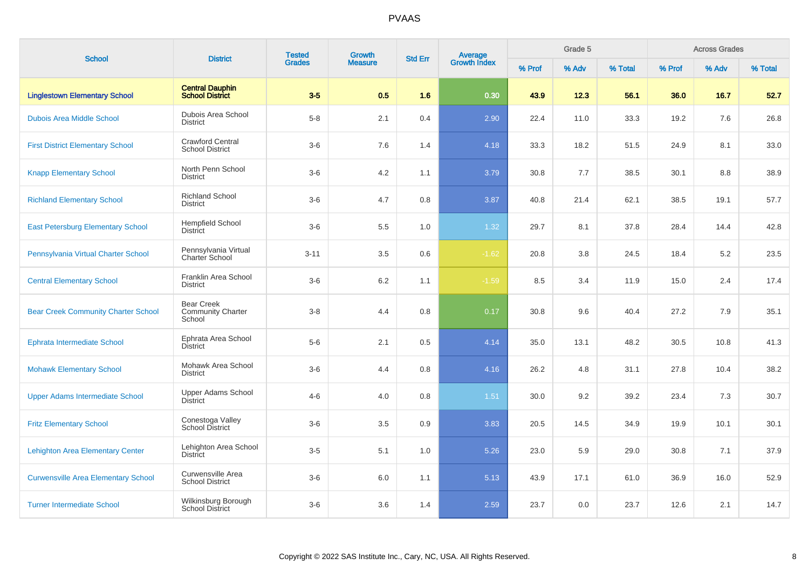| <b>School</b>                              | <b>District</b>                                         | <b>Tested</b> | Growth         | <b>Std Err</b> |                                |        | Grade 5 |         |        | <b>Across Grades</b> |         |
|--------------------------------------------|---------------------------------------------------------|---------------|----------------|----------------|--------------------------------|--------|---------|---------|--------|----------------------|---------|
|                                            |                                                         | <b>Grades</b> | <b>Measure</b> |                | <b>Average</b><br>Growth Index | % Prof | % Adv   | % Total | % Prof | % Adv                | % Total |
| <b>Linglestown Elementary School</b>       | <b>Central Dauphin</b><br><b>School District</b>        | $3-5$         | 0.5            | 1.6            | 0.30                           | 43.9   | 12.3    | 56.1    | 36.0   | 16.7                 | 52.7    |
| <b>Dubois Area Middle School</b>           | Dubois Area School<br><b>District</b>                   | $5-8$         | 2.1            | 0.4            | 2.90                           | 22.4   | 11.0    | 33.3    | 19.2   | 7.6                  | 26.8    |
| <b>First District Elementary School</b>    | <b>Crawford Central</b><br><b>School District</b>       | $3-6$         | 7.6            | 1.4            | 4.18                           | 33.3   | 18.2    | 51.5    | 24.9   | 8.1                  | 33.0    |
| <b>Knapp Elementary School</b>             | North Penn School<br><b>District</b>                    | $3-6$         | 4.2            | 1.1            | 3.79                           | 30.8   | 7.7     | 38.5    | 30.1   | 8.8                  | 38.9    |
| <b>Richland Elementary School</b>          | <b>Richland School</b><br><b>District</b>               | $3-6$         | 4.7            | 0.8            | 3.87                           | 40.8   | 21.4    | 62.1    | 38.5   | 19.1                 | 57.7    |
| <b>East Petersburg Elementary School</b>   | <b>Hempfield School</b><br>District                     | $3-6$         | 5.5            | 1.0            | 1.32                           | 29.7   | 8.1     | 37.8    | 28.4   | 14.4                 | 42.8    |
| Pennsylvania Virtual Charter School        | Pennsylvania Virtual<br>Charter School                  | $3 - 11$      | 3.5            | 0.6            | $-1.62$                        | 20.8   | 3.8     | 24.5    | 18.4   | 5.2                  | 23.5    |
| <b>Central Elementary School</b>           | Franklin Area School<br><b>District</b>                 | $3-6$         | 6.2            | 1.1            | $-1.59$                        | 8.5    | 3.4     | 11.9    | 15.0   | 2.4                  | 17.4    |
| <b>Bear Creek Community Charter School</b> | <b>Bear Creek</b><br><b>Community Charter</b><br>School | $3 - 8$       | 4.4            | 0.8            | 0.17                           | 30.8   | 9.6     | 40.4    | 27.2   | 7.9                  | 35.1    |
| <b>Ephrata Intermediate School</b>         | Ephrata Area School<br><b>District</b>                  | $5-6$         | 2.1            | 0.5            | 4.14                           | 35.0   | 13.1    | 48.2    | 30.5   | 10.8                 | 41.3    |
| <b>Mohawk Elementary School</b>            | Mohawk Area School<br><b>District</b>                   | $3-6$         | 4.4            | 0.8            | 4.16                           | 26.2   | 4.8     | 31.1    | 27.8   | 10.4                 | 38.2    |
| <b>Upper Adams Intermediate School</b>     | Upper Adams School<br><b>District</b>                   | $4 - 6$       | 4.0            | 0.8            | $1.51$                         | 30.0   | 9.2     | 39.2    | 23.4   | 7.3                  | 30.7    |
| <b>Fritz Elementary School</b>             | Conestoga Valley<br><b>School District</b>              | $3-6$         | 3.5            | 0.9            | 3.83                           | 20.5   | 14.5    | 34.9    | 19.9   | 10.1                 | 30.1    |
| <b>Lehighton Area Elementary Center</b>    | Lehighton Area School<br><b>District</b>                | $3-5$         | 5.1            | 1.0            | 5.26                           | 23.0   | 5.9     | 29.0    | 30.8   | 7.1                  | 37.9    |
| <b>Curwensville Area Elementary School</b> | Curwensville Area<br><b>School District</b>             | $3-6$         | 6.0            | 1.1            | 5.13                           | 43.9   | 17.1    | 61.0    | 36.9   | 16.0                 | 52.9    |
| <b>Turner Intermediate School</b>          | Wilkinsburg Borough<br><b>School District</b>           | $3-6$         | 3.6            | 1.4            | 2.59                           | 23.7   | 0.0     | 23.7    | 12.6   | 2.1                  | 14.7    |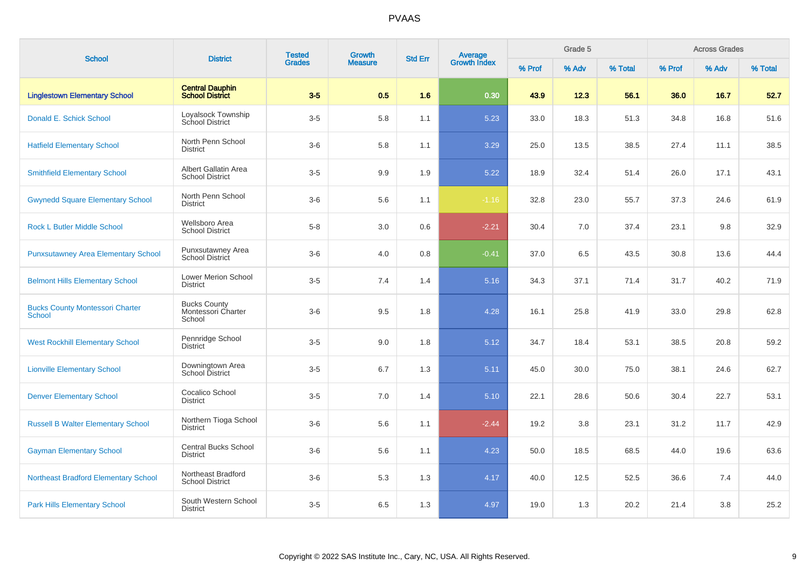| <b>School</b>                                           | <b>District</b>                                     | <b>Tested</b> | <b>Growth</b>  | <b>Std Err</b> |                         |        | Grade 5 |         |        | <b>Across Grades</b> |         |
|---------------------------------------------------------|-----------------------------------------------------|---------------|----------------|----------------|-------------------------|--------|---------|---------|--------|----------------------|---------|
|                                                         |                                                     | <b>Grades</b> | <b>Measure</b> |                | Average<br>Growth Index | % Prof | % Adv   | % Total | % Prof | % Adv                | % Total |
| <b>Linglestown Elementary School</b>                    | <b>Central Dauphin</b><br><b>School District</b>    | $3-5$         | 0.5            | 1.6            | 0.30                    | 43.9   | 12.3    | 56.1    | 36.0   | 16.7                 | 52.7    |
| Donald E. Schick School                                 | Loyalsock Township<br><b>School District</b>        | $3-5$         | 5.8            | 1.1            | 5.23                    | 33.0   | 18.3    | 51.3    | 34.8   | 16.8                 | 51.6    |
| <b>Hatfield Elementary School</b>                       | North Penn School<br><b>District</b>                | $3-6$         | 5.8            | 1.1            | 3.29                    | 25.0   | 13.5    | 38.5    | 27.4   | 11.1                 | 38.5    |
| <b>Smithfield Elementary School</b>                     | Albert Gallatin Area<br><b>School District</b>      | $3-5$         | 9.9            | 1.9            | 5.22                    | 18.9   | 32.4    | 51.4    | 26.0   | 17.1                 | 43.1    |
| <b>Gwynedd Square Elementary School</b>                 | North Penn School<br><b>District</b>                | $3-6$         | 5.6            | 1.1            | $-1.16$                 | 32.8   | 23.0    | 55.7    | 37.3   | 24.6                 | 61.9    |
| <b>Rock L Butler Middle School</b>                      | Wellsboro Area<br><b>School District</b>            | $5-8$         | 3.0            | 0.6            | $-2.21$                 | 30.4   | 7.0     | 37.4    | 23.1   | 9.8                  | 32.9    |
| <b>Punxsutawney Area Elementary School</b>              | Punxsutawney Area<br><b>School District</b>         | $3-6$         | 4.0            | 0.8            | $-0.41$                 | 37.0   | 6.5     | 43.5    | 30.8   | 13.6                 | 44.4    |
| <b>Belmont Hills Elementary School</b>                  | <b>Lower Merion School</b><br><b>District</b>       | $3-5$         | 7.4            | 1.4            | 5.16                    | 34.3   | 37.1    | 71.4    | 31.7   | 40.2                 | 71.9    |
| <b>Bucks County Montessori Charter</b><br><b>School</b> | <b>Bucks County</b><br>Montessori Charter<br>School | $3-6$         | 9.5            | 1.8            | 4.28                    | 16.1   | 25.8    | 41.9    | 33.0   | 29.8                 | 62.8    |
| <b>West Rockhill Elementary School</b>                  | Pennridge School<br><b>District</b>                 | $3-5$         | 9.0            | 1.8            | 5.12                    | 34.7   | 18.4    | 53.1    | 38.5   | 20.8                 | 59.2    |
| <b>Lionville Elementary School</b>                      | Downingtown Area<br>School District                 | $3-5$         | 6.7            | 1.3            | 5.11                    | 45.0   | 30.0    | 75.0    | 38.1   | 24.6                 | 62.7    |
| <b>Denver Elementary School</b>                         | Cocalico School<br><b>District</b>                  | $3-5$         | 7.0            | 1.4            | 5.10                    | 22.1   | 28.6    | 50.6    | 30.4   | 22.7                 | 53.1    |
| <b>Russell B Walter Elementary School</b>               | Northern Tioga School<br><b>District</b>            | $3-6$         | 5.6            | 1.1            | $-2.44$                 | 19.2   | 3.8     | 23.1    | 31.2   | 11.7                 | 42.9    |
| <b>Gayman Elementary School</b>                         | <b>Central Bucks School</b><br><b>District</b>      | $3-6$         | 5.6            | 1.1            | 4.23                    | 50.0   | 18.5    | 68.5    | 44.0   | 19.6                 | 63.6    |
| <b>Northeast Bradford Elementary School</b>             | Northeast Bradford<br><b>School District</b>        | $3-6$         | 5.3            | 1.3            | 4.17                    | 40.0   | 12.5    | 52.5    | 36.6   | 7.4                  | 44.0    |
| <b>Park Hills Elementary School</b>                     | South Western School<br><b>District</b>             | $3-5$         | 6.5            | 1.3            | 4.97                    | 19.0   | 1.3     | 20.2    | 21.4   | 3.8                  | 25.2    |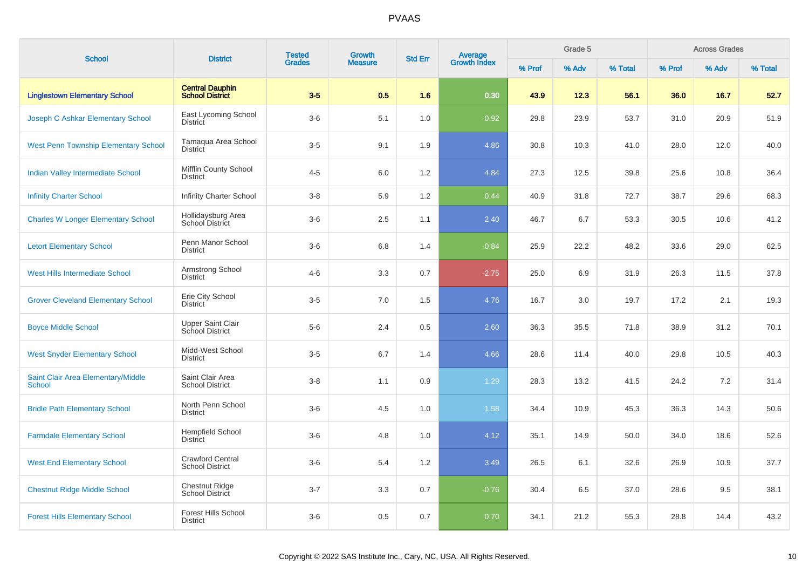| <b>School</b>                                | <b>District</b>                                   | <b>Tested</b> | <b>Growth</b>  | <b>Std Err</b> |                                |        | Grade 5 |         |        | <b>Across Grades</b> |         |
|----------------------------------------------|---------------------------------------------------|---------------|----------------|----------------|--------------------------------|--------|---------|---------|--------|----------------------|---------|
|                                              |                                                   | <b>Grades</b> | <b>Measure</b> |                | <b>Average</b><br>Growth Index | % Prof | % Adv   | % Total | % Prof | % Adv                | % Total |
| <b>Linglestown Elementary School</b>         | <b>Central Dauphin</b><br>School District         | $3-5$         | 0.5            | 1.6            | 0.30                           | 43.9   | 12.3    | 56.1    | 36.0   | 16.7                 | 52.7    |
| Joseph C Ashkar Elementary School            | East Lycoming School<br>District                  | $3-6$         | 5.1            | 1.0            | $-0.92$                        | 29.8   | 23.9    | 53.7    | 31.0   | 20.9                 | 51.9    |
| <b>West Penn Township Elementary School</b>  | Tamagua Area School<br>District                   | $3-5$         | 9.1            | 1.9            | 4.86                           | 30.8   | 10.3    | 41.0    | 28.0   | 12.0                 | 40.0    |
| Indian Valley Intermediate School            | Mifflin County School<br><b>District</b>          | $4 - 5$       | 6.0            | 1.2            | 4.84                           | 27.3   | 12.5    | 39.8    | 25.6   | 10.8                 | 36.4    |
| <b>Infinity Charter School</b>               | Infinity Charter School                           | $3 - 8$       | 5.9            | 1.2            | 0.44                           | 40.9   | 31.8    | 72.7    | 38.7   | 29.6                 | 68.3    |
| <b>Charles W Longer Elementary School</b>    | Hollidaysburg Area<br>School District             | $3-6$         | 2.5            | 1.1            | 2.40                           | 46.7   | 6.7     | 53.3    | 30.5   | 10.6                 | 41.2    |
| <b>Letort Elementary School</b>              | Penn Manor School<br><b>District</b>              | $3-6$         | 6.8            | 1.4            | $-0.84$                        | 25.9   | 22.2    | 48.2    | 33.6   | 29.0                 | 62.5    |
| West Hills Intermediate School               | Armstrong School<br><b>District</b>               | $4-6$         | 3.3            | 0.7            | $-2.75$                        | 25.0   | 6.9     | 31.9    | 26.3   | 11.5                 | 37.8    |
| <b>Grover Cleveland Elementary School</b>    | Erie City School<br><b>District</b>               | $3-5$         | 7.0            | 1.5            | 4.76                           | 16.7   | 3.0     | 19.7    | 17.2   | 2.1                  | 19.3    |
| <b>Boyce Middle School</b>                   | Upper Saint Clair<br><b>School District</b>       | $5-6$         | 2.4            | 0.5            | 2.60                           | 36.3   | 35.5    | 71.8    | 38.9   | 31.2                 | 70.1    |
| <b>West Snyder Elementary School</b>         | Midd-West School<br><b>District</b>               | $3-5$         | 6.7            | 1.4            | 4.66                           | 28.6   | 11.4    | 40.0    | 29.8   | 10.5                 | 40.3    |
| Saint Clair Area Elementary/Middle<br>School | Saint Clair Area<br><b>School District</b>        | $3 - 8$       | 1.1            | 0.9            | 1.29                           | 28.3   | 13.2    | 41.5    | 24.2   | 7.2                  | 31.4    |
| <b>Bridle Path Elementary School</b>         | North Penn School<br><b>District</b>              | $3-6$         | 4.5            | 1.0            | 1.58                           | 34.4   | 10.9    | 45.3    | 36.3   | 14.3                 | 50.6    |
| <b>Farmdale Elementary School</b>            | <b>Hempfield School</b><br>District               | $3-6$         | 4.8            | 1.0            | 4.12                           | 35.1   | 14.9    | 50.0    | 34.0   | 18.6                 | 52.6    |
| <b>West End Elementary School</b>            | <b>Crawford Central</b><br><b>School District</b> | $3-6$         | 5.4            | 1.2            | 3.49                           | 26.5   | 6.1     | 32.6    | 26.9   | 10.9                 | 37.7    |
| <b>Chestnut Ridge Middle School</b>          | <b>Chestnut Ridge</b><br>School District          | $3 - 7$       | 3.3            | 0.7            | $-0.76$                        | 30.4   | 6.5     | 37.0    | 28.6   | 9.5                  | 38.1    |
| <b>Forest Hills Elementary School</b>        | <b>Forest Hills School</b><br><b>District</b>     | $3-6$         | 0.5            | 0.7            | 0.70                           | 34.1   | 21.2    | 55.3    | 28.8   | 14.4                 | 43.2    |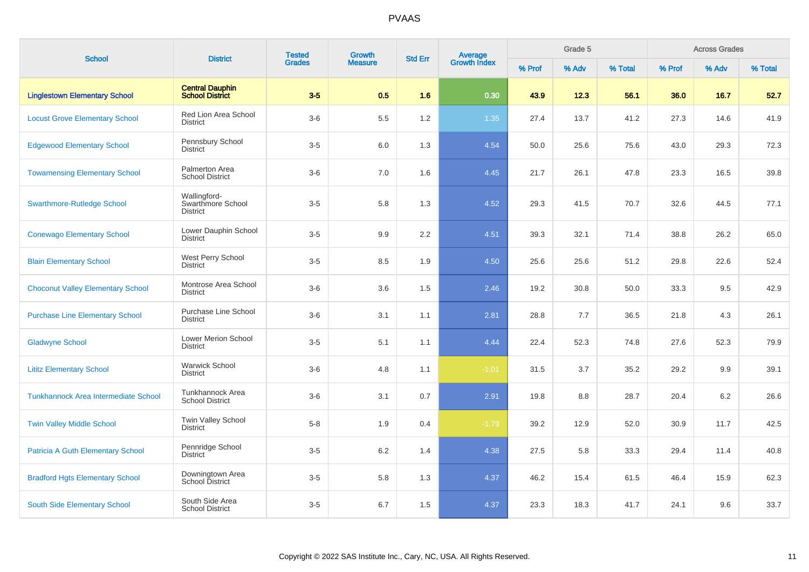| <b>School</b>                               | <b>District</b>                                      | <b>Tested</b> | Growth         | <b>Std Err</b> | <b>Average</b><br>Growth Index |        | Grade 5 |         |        | <b>Across Grades</b> |         |
|---------------------------------------------|------------------------------------------------------|---------------|----------------|----------------|--------------------------------|--------|---------|---------|--------|----------------------|---------|
|                                             |                                                      | <b>Grades</b> | <b>Measure</b> |                |                                | % Prof | % Adv   | % Total | % Prof | % Adv                | % Total |
| <b>Linglestown Elementary School</b>        | <b>Central Dauphin</b><br><b>School District</b>     | $3-5$         | 0.5            | 1.6            | 0.30                           | 43.9   | 12.3    | 56.1    | 36.0   | 16.7                 | 52.7    |
| <b>Locust Grove Elementary School</b>       | <b>Red Lion Area School</b><br><b>District</b>       | $3-6$         | 5.5            | 1.2            | 1.35                           | 27.4   | 13.7    | 41.2    | 27.3   | 14.6                 | 41.9    |
| <b>Edgewood Elementary School</b>           | Pennsbury School<br><b>District</b>                  | $3-5$         | 6.0            | 1.3            | 4.54                           | 50.0   | 25.6    | 75.6    | 43.0   | 29.3                 | 72.3    |
| <b>Towamensing Elementary School</b>        | Palmerton Area<br><b>School District</b>             | $3-6$         | $7.0\,$        | 1.6            | 4.45                           | 21.7   | 26.1    | 47.8    | 23.3   | 16.5                 | 39.8    |
| <b>Swarthmore-Rutledge School</b>           | Wallingford-<br>Swarthmore School<br><b>District</b> | $3-5$         | 5.8            | 1.3            | 4.52                           | 29.3   | 41.5    | 70.7    | 32.6   | 44.5                 | 77.1    |
| <b>Conewago Elementary School</b>           | Lower Dauphin School<br><b>District</b>              | $3-5$         | 9.9            | $2.2\,$        | 4.51                           | 39.3   | 32.1    | 71.4    | 38.8   | 26.2                 | 65.0    |
| <b>Blain Elementary School</b>              | West Perry School<br><b>District</b>                 | $3-5$         | 8.5            | 1.9            | 4.50                           | 25.6   | 25.6    | 51.2    | 29.8   | 22.6                 | 52.4    |
| <b>Choconut Valley Elementary School</b>    | Montrose Area School<br><b>District</b>              | $3-6$         | 3.6            | 1.5            | 2.46                           | 19.2   | 30.8    | 50.0    | 33.3   | 9.5                  | 42.9    |
| <b>Purchase Line Elementary School</b>      | <b>Purchase Line School</b><br><b>District</b>       | $3-6$         | 3.1            | 1.1            | 2.81                           | 28.8   | 7.7     | 36.5    | 21.8   | 4.3                  | 26.1    |
| <b>Gladwyne School</b>                      | <b>Lower Merion School</b><br><b>District</b>        | $3-5$         | 5.1            | 1.1            | 4.44                           | 22.4   | 52.3    | 74.8    | 27.6   | 52.3                 | 79.9    |
| <b>Lititz Elementary School</b>             | <b>Warwick School</b><br><b>District</b>             | $3-6$         | 4.8            | 1.1            | $-1.01$                        | 31.5   | 3.7     | 35.2    | 29.2   | 9.9                  | 39.1    |
| <b>Tunkhannock Area Intermediate School</b> | Tunkhannock Area<br><b>School District</b>           | $3-6$         | 3.1            | 0.7            | 2.91                           | 19.8   | 8.8     | 28.7    | 20.4   | 6.2                  | 26.6    |
| <b>Twin Valley Middle School</b>            | Twin Valley School<br><b>District</b>                | $5-8$         | 1.9            | 0.4            | $-1.79$                        | 39.2   | 12.9    | 52.0    | 30.9   | 11.7                 | 42.5    |
| <b>Patricia A Guth Elementary School</b>    | Pennridge School<br><b>District</b>                  | $3-5$         | 6.2            | 1.4            | 4.38                           | 27.5   | 5.8     | 33.3    | 29.4   | 11.4                 | 40.8    |
| <b>Bradford Hgts Elementary School</b>      | Downingtown Area<br><b>School District</b>           | $3-5$         | 5.8            | 1.3            | 4.37                           | 46.2   | 15.4    | 61.5    | 46.4   | 15.9                 | 62.3    |
| South Side Elementary School                | South Side Area<br><b>School District</b>            | $3-5$         | 6.7            | 1.5            | 4.37                           | 23.3   | 18.3    | 41.7    | 24.1   | 9.6                  | 33.7    |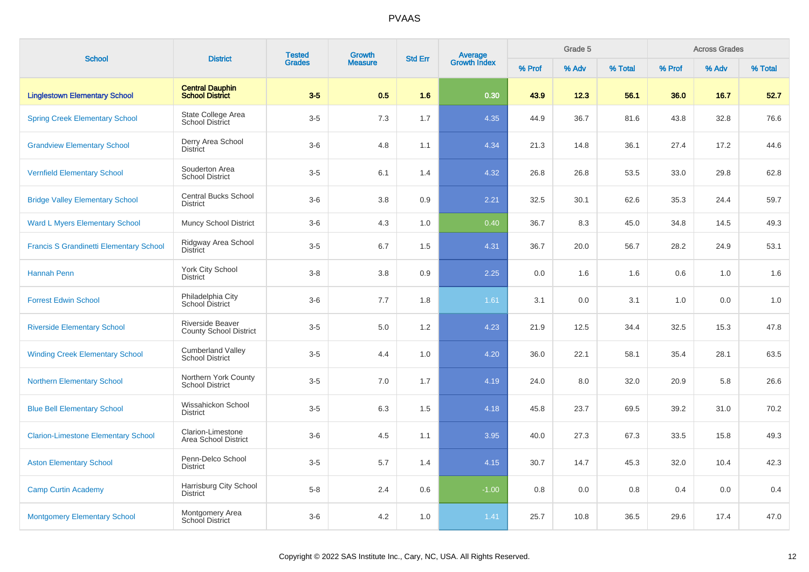| <b>School</b>                                  | <b>District</b>                                    | <b>Tested</b> | <b>Growth</b>  | <b>Std Err</b> | <b>Average</b><br>Growth Index |        | Grade 5 |         | <b>Across Grades</b><br>% Prof<br>% Adv |      |         |  |
|------------------------------------------------|----------------------------------------------------|---------------|----------------|----------------|--------------------------------|--------|---------|---------|-----------------------------------------|------|---------|--|
|                                                |                                                    | <b>Grades</b> | <b>Measure</b> |                |                                | % Prof | % Adv   | % Total |                                         |      | % Total |  |
| <b>Linglestown Elementary School</b>           | <b>Central Dauphin</b><br><b>School District</b>   | $3-5$         | 0.5            | 1.6            | 0.30                           | 43.9   | 12.3    | 56.1    | 36.0                                    | 16.7 | 52.7    |  |
| <b>Spring Creek Elementary School</b>          | State College Area<br><b>School District</b>       | $3-5$         | 7.3            | 1.7            | 4.35                           | 44.9   | 36.7    | 81.6    | 43.8                                    | 32.8 | 76.6    |  |
| <b>Grandview Elementary School</b>             | Derry Area School<br><b>District</b>               | $3-6$         | 4.8            | 1.1            | 4.34                           | 21.3   | 14.8    | 36.1    | 27.4                                    | 17.2 | 44.6    |  |
| <b>Vernfield Elementary School</b>             | Souderton Area<br><b>School District</b>           | $3-5$         | 6.1            | 1.4            | 4.32                           | 26.8   | 26.8    | 53.5    | 33.0                                    | 29.8 | 62.8    |  |
| <b>Bridge Valley Elementary School</b>         | <b>Central Bucks School</b><br><b>District</b>     | $3-6$         | 3.8            | 0.9            | 2.21                           | 32.5   | 30.1    | 62.6    | 35.3                                    | 24.4 | 59.7    |  |
| <b>Ward L Myers Elementary School</b>          | <b>Muncy School District</b>                       | $3-6$         | 4.3            | 1.0            | 0.40                           | 36.7   | 8.3     | 45.0    | 34.8                                    | 14.5 | 49.3    |  |
| <b>Francis S Grandinetti Elementary School</b> | Ridgway Area School<br><b>District</b>             | $3-5$         | 6.7            | 1.5            | 4.31                           | 36.7   | 20.0    | 56.7    | 28.2                                    | 24.9 | 53.1    |  |
| <b>Hannah Penn</b>                             | York City School<br><b>District</b>                | $3-8$         | 3.8            | 0.9            | 2.25                           | 0.0    | 1.6     | 1.6     | 0.6                                     | 1.0  | 1.6     |  |
| <b>Forrest Edwin School</b>                    | Philadelphia City<br>School District               | $3-6$         | 7.7            | 1.8            | 1.61                           | 3.1    | 0.0     | 3.1     | 1.0                                     | 0.0  | 1.0     |  |
| <b>Riverside Elementary School</b>             | Riverside Beaver<br><b>County School District</b>  | $3-5$         | 5.0            | 1.2            | 4.23                           | 21.9   | 12.5    | 34.4    | 32.5                                    | 15.3 | 47.8    |  |
| <b>Winding Creek Elementary School</b>         | <b>Cumberland Valley</b><br><b>School District</b> | $3-5$         | 4.4            | 1.0            | 4.20                           | 36.0   | 22.1    | 58.1    | 35.4                                    | 28.1 | 63.5    |  |
| <b>Northern Elementary School</b>              | Northern York County<br><b>School District</b>     | $3-5$         | 7.0            | 1.7            | 4.19                           | 24.0   | 8.0     | 32.0    | 20.9                                    | 5.8  | 26.6    |  |
| <b>Blue Bell Elementary School</b>             | Wissahickon School<br><b>District</b>              | $3-5$         | 6.3            | 1.5            | 4.18                           | 45.8   | 23.7    | 69.5    | 39.2                                    | 31.0 | 70.2    |  |
| <b>Clarion-Limestone Elementary School</b>     | Clarion-Limestone<br>Area School District          | $3-6$         | 4.5            | 1.1            | 3.95                           | 40.0   | 27.3    | 67.3    | 33.5                                    | 15.8 | 49.3    |  |
| <b>Aston Elementary School</b>                 | Penn-Delco School<br><b>District</b>               | $3-5$         | 5.7            | 1.4            | 4.15                           | 30.7   | 14.7    | 45.3    | 32.0                                    | 10.4 | 42.3    |  |
| <b>Camp Curtin Academy</b>                     | Harrisburg City School<br><b>District</b>          | $5-8$         | 2.4            | 0.6            | $-1.00$                        | 0.8    | 0.0     | 0.8     | 0.4                                     | 0.0  | 0.4     |  |
| <b>Montgomery Elementary School</b>            | Montgomery Area<br>School District                 | $3-6$         | 4.2            | 1.0            | 1.41                           | 25.7   | 10.8    | 36.5    | 29.6                                    | 17.4 | 47.0    |  |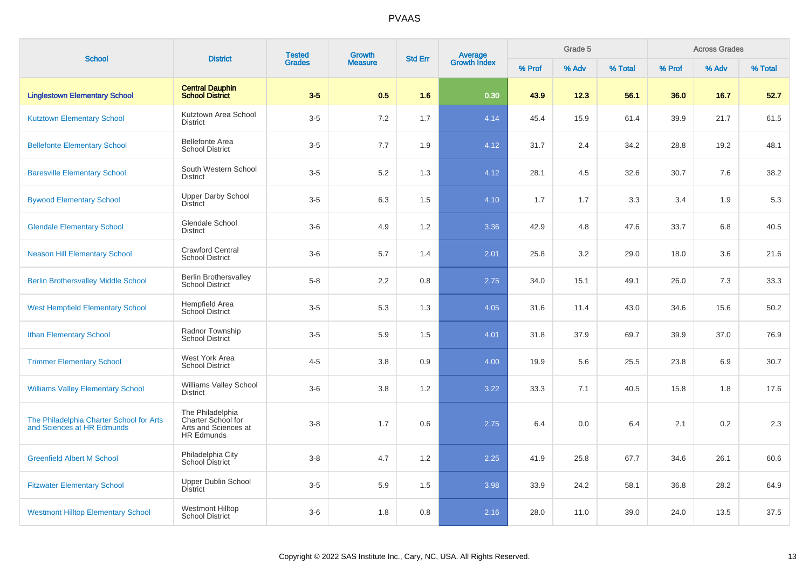| <b>School</b>                                                          | <b>District</b>                                                              | <b>Tested</b> | <b>Growth</b>  | <b>Std Err</b> | <b>Average</b><br>Growth Index |        | Grade 5 |         |        | <b>Across Grades</b> |         |
|------------------------------------------------------------------------|------------------------------------------------------------------------------|---------------|----------------|----------------|--------------------------------|--------|---------|---------|--------|----------------------|---------|
|                                                                        |                                                                              | <b>Grades</b> | <b>Measure</b> |                |                                | % Prof | % Adv   | % Total | % Prof | % Adv                | % Total |
| <b>Linglestown Elementary School</b>                                   | <b>Central Dauphin</b><br><b>School District</b>                             | $3-5$         | 0.5            | 1.6            | 0.30                           | 43.9   | 12.3    | 56.1    | 36.0   | 16.7                 | 52.7    |
| <b>Kutztown Elementary School</b>                                      | Kutztown Area School<br><b>District</b>                                      | $3-5$         | 7.2            | 1.7            | 4.14                           | 45.4   | 15.9    | 61.4    | 39.9   | 21.7                 | 61.5    |
| <b>Bellefonte Elementary School</b>                                    | <b>Bellefonte Area</b><br><b>School District</b>                             | $3-5$         | 7.7            | 1.9            | 4.12                           | 31.7   | 2.4     | 34.2    | 28.8   | 19.2                 | 48.1    |
| <b>Baresville Elementary School</b>                                    | South Western School<br><b>District</b>                                      | $3-5$         | 5.2            | 1.3            | 4.12                           | 28.1   | 4.5     | 32.6    | 30.7   | 7.6                  | 38.2    |
| <b>Bywood Elementary School</b>                                        | <b>Upper Darby School</b><br><b>District</b>                                 | $3-5$         | 6.3            | 1.5            | 4.10                           | 1.7    | 1.7     | 3.3     | 3.4    | 1.9                  | 5.3     |
| <b>Glendale Elementary School</b>                                      | Glendale School<br><b>District</b>                                           | $3-6$         | 4.9            | 1.2            | 3.36                           | 42.9   | 4.8     | 47.6    | 33.7   | 6.8                  | 40.5    |
| <b>Neason Hill Elementary School</b>                                   | Crawford Central<br><b>School District</b>                                   | $3-6$         | 5.7            | 1.4            | 2.01                           | 25.8   | 3.2     | 29.0    | 18.0   | 3.6                  | 21.6    |
| <b>Berlin Brothersvalley Middle School</b>                             | <b>Berlin Brothersvalley</b><br><b>School District</b>                       | $5 - 8$       | 2.2            | 0.8            | 2.75                           | 34.0   | 15.1    | 49.1    | 26.0   | 7.3                  | 33.3    |
| <b>West Hempfield Elementary School</b>                                | Hempfield Area<br>School District                                            | $3-5$         | 5.3            | 1.3            | 4.05                           | 31.6   | 11.4    | 43.0    | 34.6   | 15.6                 | 50.2    |
| <b>Ithan Elementary School</b>                                         | Radnor Township<br><b>School District</b>                                    | $3-5$         | 5.9            | 1.5            | 4.01                           | 31.8   | 37.9    | 69.7    | 39.9   | 37.0                 | 76.9    |
| <b>Trimmer Elementary School</b>                                       | West York Area<br><b>School District</b>                                     | $4 - 5$       | 3.8            | 0.9            | 4.00                           | 19.9   | 5.6     | 25.5    | 23.8   | 6.9                  | 30.7    |
| <b>Williams Valley Elementary School</b>                               | Williams Valley School<br><b>District</b>                                    | $3-6$         | 3.8            | 1.2            | 3.22                           | 33.3   | 7.1     | 40.5    | 15.8   | 1.8                  | 17.6    |
| The Philadelphia Charter School for Arts<br>and Sciences at HR Edmunds | The Philadelphia<br>Charter School for<br>Arts and Sciences at<br>HR Edmunds | $3 - 8$       | 1.7            | 0.6            | 2.75                           | 6.4    | 0.0     | 6.4     | 2.1    | 0.2                  | 2.3     |
| <b>Greenfield Albert M School</b>                                      | Philadelphia City<br>School District                                         | $3 - 8$       | 4.7            | 1.2            | 2.25                           | 41.9   | 25.8    | 67.7    | 34.6   | 26.1                 | 60.6    |
| <b>Fitzwater Elementary School</b>                                     | <b>Upper Dublin School</b><br>District                                       | $3-5$         | 5.9            | 1.5            | 3.98                           | 33.9   | 24.2    | 58.1    | 36.8   | 28.2                 | 64.9    |
| <b>Westmont Hilltop Elementary School</b>                              | <b>Westmont Hilltop</b><br><b>School District</b>                            | $3-6$         | 1.8            | 0.8            | 2.16                           | 28.0   | 11.0    | 39.0    | 24.0   | 13.5                 | 37.5    |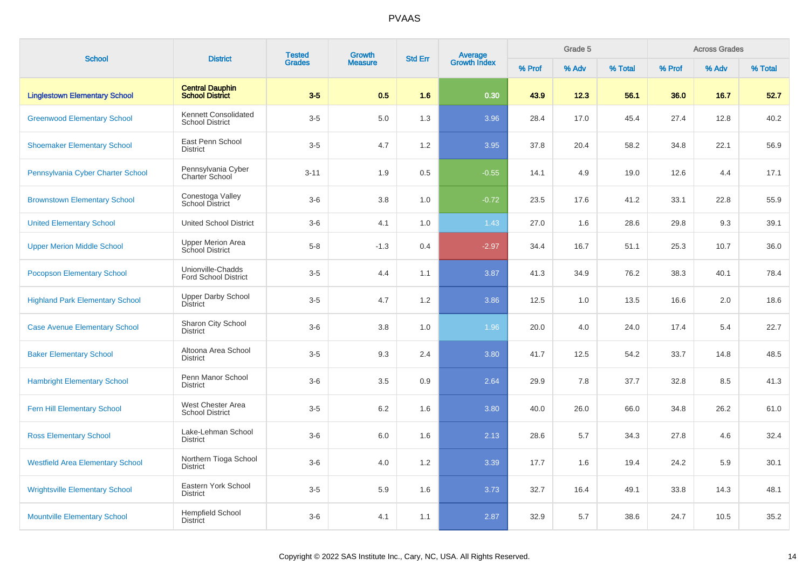| <b>School</b>                           | <b>District</b>                                  | <b>Tested</b> | <b>Growth</b>  | <b>Std Err</b> |                                |        | Grade 5 |         |        | <b>Across Grades</b><br>% Adv |         |  |
|-----------------------------------------|--------------------------------------------------|---------------|----------------|----------------|--------------------------------|--------|---------|---------|--------|-------------------------------|---------|--|
|                                         |                                                  | <b>Grades</b> | <b>Measure</b> |                | <b>Average</b><br>Growth Index | % Prof | % Adv   | % Total | % Prof |                               | % Total |  |
| <b>Linglestown Elementary School</b>    | <b>Central Dauphin</b><br>School District        | $3-5$         | 0.5            | 1.6            | 0.30                           | 43.9   | 12.3    | 56.1    | 36.0   | 16.7                          | 52.7    |  |
| <b>Greenwood Elementary School</b>      | Kennett Consolidated<br><b>School District</b>   | $3-5$         | 5.0            | 1.3            | 3.96                           | 28.4   | 17.0    | 45.4    | 27.4   | 12.8                          | 40.2    |  |
| <b>Shoemaker Elementary School</b>      | East Penn School<br><b>District</b>              | $3-5$         | 4.7            | 1.2            | 3.95                           | 37.8   | 20.4    | 58.2    | 34.8   | 22.1                          | 56.9    |  |
| Pennsylvania Cyber Charter School       | Pennsylvania Cyber<br>Charter School             | $3 - 11$      | 1.9            | 0.5            | $-0.55$                        | 14.1   | 4.9     | 19.0    | 12.6   | 4.4                           | 17.1    |  |
| <b>Brownstown Elementary School</b>     | Conestoga Valley<br><b>School District</b>       | $3-6$         | 3.8            | 1.0            | $-0.72$                        | 23.5   | 17.6    | 41.2    | 33.1   | 22.8                          | 55.9    |  |
| <b>United Elementary School</b>         | <b>United School District</b>                    | $3-6$         | 4.1            | 1.0            | 1.43                           | 27.0   | 1.6     | 28.6    | 29.8   | 9.3                           | 39.1    |  |
| <b>Upper Merion Middle School</b>       | <b>Upper Merion Area</b><br>School District      | $5-8$         | $-1.3$         | 0.4            | $-2.97$                        | 34.4   | 16.7    | 51.1    | 25.3   | 10.7                          | 36.0    |  |
| <b>Pocopson Elementary School</b>       | Unionville-Chadds<br><b>Ford School District</b> | $3-5$         | 4.4            | 1.1            | 3.87                           | 41.3   | 34.9    | 76.2    | 38.3   | 40.1                          | 78.4    |  |
| <b>Highland Park Elementary School</b>  | <b>Upper Darby School</b><br><b>District</b>     | $3-5$         | 4.7            | 1.2            | 3.86                           | 12.5   | 1.0     | 13.5    | 16.6   | 2.0                           | 18.6    |  |
| <b>Case Avenue Elementary School</b>    | Sharon City School<br><b>District</b>            | $3-6$         | 3.8            | 1.0            | 1.96                           | 20.0   | 4.0     | 24.0    | 17.4   | 5.4                           | 22.7    |  |
| <b>Baker Elementary School</b>          | Altoona Area School<br><b>District</b>           | $3-5$         | 9.3            | 2.4            | 3.80                           | 41.7   | 12.5    | 54.2    | 33.7   | 14.8                          | 48.5    |  |
| <b>Hambright Elementary School</b>      | Penn Manor School<br><b>District</b>             | $3-6$         | 3.5            | 0.9            | 2.64                           | 29.9   | 7.8     | 37.7    | 32.8   | 8.5                           | 41.3    |  |
| Fern Hill Elementary School             | West Chester Area<br><b>School District</b>      | $3-5$         | 6.2            | 1.6            | 3.80                           | 40.0   | 26.0    | 66.0    | 34.8   | 26.2                          | 61.0    |  |
| <b>Ross Elementary School</b>           | Lake-Lehman School<br><b>District</b>            | $3-6$         | 6.0            | 1.6            | 2.13                           | 28.6   | 5.7     | 34.3    | 27.8   | 4.6                           | 32.4    |  |
| <b>Westfield Area Elementary School</b> | Northern Tioga School<br><b>District</b>         | $3-6$         | 4.0            | 1.2            | 3.39                           | 17.7   | 1.6     | 19.4    | 24.2   | 5.9                           | 30.1    |  |
| <b>Wrightsville Elementary School</b>   | Eastern York School<br><b>District</b>           | $3-5$         | 5.9            | 1.6            | 3.73                           | 32.7   | 16.4    | 49.1    | 33.8   | 14.3                          | 48.1    |  |
| <b>Mountville Elementary School</b>     | Hempfield School<br><b>District</b>              | $3-6$         | 4.1            | 1.1            | 2.87                           | 32.9   | 5.7     | 38.6    | 24.7   | 10.5                          | 35.2    |  |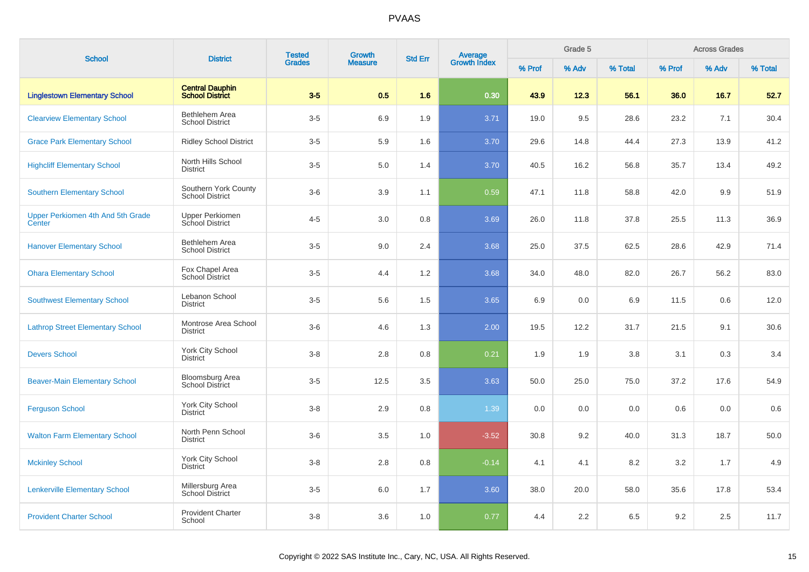| <b>School</b>                               | <b>District</b>                                  | <b>Tested</b> | Growth         | <b>Std Err</b> |                                |        | Grade 5 |         |        | <b>Across Grades</b><br>% Adv |         |  |
|---------------------------------------------|--------------------------------------------------|---------------|----------------|----------------|--------------------------------|--------|---------|---------|--------|-------------------------------|---------|--|
|                                             |                                                  | <b>Grades</b> | <b>Measure</b> |                | <b>Average</b><br>Growth Index | % Prof | % Adv   | % Total | % Prof |                               | % Total |  |
| <b>Linglestown Elementary School</b>        | <b>Central Dauphin</b><br>School District        | $3-5$         | 0.5            | 1.6            | 0.30                           | 43.9   | 12.3    | 56.1    | 36.0   | 16.7                          | 52.7    |  |
| <b>Clearview Elementary School</b>          | <b>Bethlehem Area</b><br><b>School District</b>  | $3-5$         | 6.9            | 1.9            | 3.71                           | 19.0   | 9.5     | 28.6    | 23.2   | 7.1                           | 30.4    |  |
| <b>Grace Park Elementary School</b>         | <b>Ridley School District</b>                    | $3-5$         | 5.9            | 1.6            | 3.70                           | 29.6   | 14.8    | 44.4    | 27.3   | 13.9                          | 41.2    |  |
| <b>Highcliff Elementary School</b>          | North Hills School<br><b>District</b>            | $3-5$         | 5.0            | 1.4            | 3.70                           | 40.5   | 16.2    | 56.8    | 35.7   | 13.4                          | 49.2    |  |
| <b>Southern Elementary School</b>           | Southern York County<br><b>School District</b>   | $3-6$         | 3.9            | 1.1            | 0.59                           | 47.1   | 11.8    | 58.8    | 42.0   | 9.9                           | 51.9    |  |
| Upper Perkiomen 4th And 5th Grade<br>Center | <b>Upper Perkiomen</b><br>School District        | $4 - 5$       | 3.0            | 0.8            | 3.69                           | 26.0   | 11.8    | 37.8    | 25.5   | 11.3                          | 36.9    |  |
| <b>Hanover Elementary School</b>            | Bethlehem Area<br><b>School District</b>         | $3-5$         | 9.0            | 2.4            | 3.68                           | 25.0   | 37.5    | 62.5    | 28.6   | 42.9                          | 71.4    |  |
| <b>Ohara Elementary School</b>              | Fox Chapel Area<br>School District               | $3-5$         | 4.4            | 1.2            | 3.68                           | 34.0   | 48.0    | 82.0    | 26.7   | 56.2                          | 83.0    |  |
| <b>Southwest Elementary School</b>          | Lebanon School<br><b>District</b>                | $3-5$         | 5.6            | 1.5            | 3.65                           | 6.9    | 0.0     | 6.9     | 11.5   | 0.6                           | 12.0    |  |
| <b>Lathrop Street Elementary School</b>     | Montrose Area School<br><b>District</b>          | $3-6$         | 4.6            | 1.3            | 2.00                           | 19.5   | 12.2    | 31.7    | 21.5   | 9.1                           | 30.6    |  |
| <b>Devers School</b>                        | York City School<br><b>District</b>              | $3 - 8$       | 2.8            | 0.8            | 0.21                           | 1.9    | 1.9     | 3.8     | 3.1    | 0.3                           | 3.4     |  |
| <b>Beaver-Main Elementary School</b>        | <b>Bloomsburg Area</b><br><b>School District</b> | $3-5$         | 12.5           | 3.5            | 3.63                           | 50.0   | 25.0    | 75.0    | 37.2   | 17.6                          | 54.9    |  |
| <b>Ferguson School</b>                      | York City School<br><b>District</b>              | $3 - 8$       | 2.9            | 0.8            | 1.39                           | 0.0    | 0.0     | 0.0     | 0.6    | 0.0                           | 0.6     |  |
| <b>Walton Farm Elementary School</b>        | North Penn School<br><b>District</b>             | $3-6$         | 3.5            | 1.0            | $-3.52$                        | 30.8   | 9.2     | 40.0    | 31.3   | 18.7                          | 50.0    |  |
| <b>Mckinley School</b>                      | York City School<br><b>District</b>              | $3 - 8$       | 2.8            | 0.8            | $-0.14$                        | 4.1    | 4.1     | 8.2     | 3.2    | 1.7                           | 4.9     |  |
| <b>Lenkerville Elementary School</b>        | Millersburg Area<br><b>School District</b>       | $3-5$         | 6.0            | 1.7            | 3.60                           | 38.0   | 20.0    | 58.0    | 35.6   | 17.8                          | 53.4    |  |
| <b>Provident Charter School</b>             | <b>Provident Charter</b><br>School               | $3 - 8$       | 3.6            | 1.0            | 0.77                           | 4.4    | 2.2     | 6.5     | 9.2    | 2.5                           | 11.7    |  |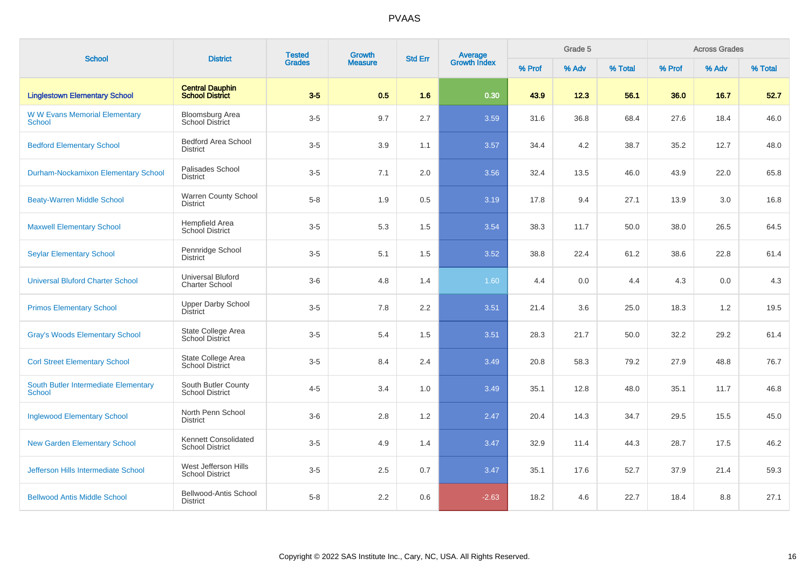| <b>School</b>                                         | <b>District</b>                                   | <b>Tested</b> | <b>Growth</b>  | <b>Std Err</b> |                                |        | Grade 5 |         |        | <b>Across Grades</b> |         |
|-------------------------------------------------------|---------------------------------------------------|---------------|----------------|----------------|--------------------------------|--------|---------|---------|--------|----------------------|---------|
|                                                       |                                                   | <b>Grades</b> | <b>Measure</b> |                | <b>Average</b><br>Growth Index | % Prof | % Adv   | % Total | % Prof | % Adv                | % Total |
| <b>Linglestown Elementary School</b>                  | <b>Central Dauphin</b><br><b>School District</b>  | $3-5$         | 0.5            | 1.6            | 0.30                           | 43.9   | 12.3    | 56.1    | 36.0   | 16.7                 | 52.7    |
| <b>W W Evans Memorial Elementary</b><br><b>School</b> | Bloomsburg Area<br><b>School District</b>         | $3-5$         | 9.7            | 2.7            | 3.59                           | 31.6   | 36.8    | 68.4    | 27.6   | 18.4                 | 46.0    |
| <b>Bedford Elementary School</b>                      | <b>Bedford Area School</b><br><b>District</b>     | $3-5$         | 3.9            | 1.1            | 3.57                           | 34.4   | 4.2     | 38.7    | 35.2   | 12.7                 | 48.0    |
| <b>Durham-Nockamixon Elementary School</b>            | Palisades School<br><b>District</b>               | $3-5$         | 7.1            | 2.0            | 3.56                           | 32.4   | 13.5    | 46.0    | 43.9   | 22.0                 | 65.8    |
| <b>Beaty-Warren Middle School</b>                     | <b>Warren County School</b><br><b>District</b>    | $5-8$         | 1.9            | 0.5            | 3.19                           | 17.8   | 9.4     | 27.1    | 13.9   | 3.0                  | 16.8    |
| <b>Maxwell Elementary School</b>                      | <b>Hempfield Area</b><br>School District          | $3-5$         | 5.3            | 1.5            | 3.54                           | 38.3   | 11.7    | 50.0    | 38.0   | 26.5                 | 64.5    |
| <b>Seylar Elementary School</b>                       | Pennridge School<br><b>District</b>               | $3-5$         | 5.1            | 1.5            | 3.52                           | 38.8   | 22.4    | 61.2    | 38.6   | 22.8                 | 61.4    |
| <b>Universal Bluford Charter School</b>               | <b>Universal Bluford</b><br><b>Charter School</b> | $3-6$         | 4.8            | 1.4            | 1.60                           | 4.4    | 0.0     | 4.4     | 4.3    | 0.0                  | 4.3     |
| <b>Primos Elementary School</b>                       | <b>Upper Darby School</b><br><b>District</b>      | $3-5$         | 7.8            | 2.2            | 3.51                           | 21.4   | 3.6     | 25.0    | 18.3   | 1.2                  | 19.5    |
| <b>Gray's Woods Elementary School</b>                 | State College Area<br><b>School District</b>      | $3-5$         | 5.4            | 1.5            | 3.51                           | 28.3   | 21.7    | 50.0    | 32.2   | 29.2                 | 61.4    |
| <b>Corl Street Elementary School</b>                  | State College Area<br><b>School District</b>      | $3-5$         | 8.4            | 2.4            | 3.49                           | 20.8   | 58.3    | 79.2    | 27.9   | 48.8                 | 76.7    |
| South Butler Intermediate Elementary<br><b>School</b> | South Butler County<br><b>School District</b>     | $4 - 5$       | 3.4            | 1.0            | 3.49                           | 35.1   | 12.8    | 48.0    | 35.1   | 11.7                 | 46.8    |
| <b>Inglewood Elementary School</b>                    | North Penn School<br><b>District</b>              | $3-6$         | 2.8            | 1.2            | 2.47                           | 20.4   | 14.3    | 34.7    | 29.5   | 15.5                 | 45.0    |
| <b>New Garden Elementary School</b>                   | Kennett Consolidated<br><b>School District</b>    | $3-5$         | 4.9            | 1.4            | 3.47                           | 32.9   | 11.4    | 44.3    | 28.7   | 17.5                 | 46.2    |
| Jefferson Hills Intermediate School                   | West Jefferson Hills<br><b>School District</b>    | $3-5$         | 2.5            | 0.7            | 3.47                           | 35.1   | 17.6    | 52.7    | 37.9   | 21.4                 | 59.3    |
| <b>Bellwood Antis Middle School</b>                   | Bellwood-Antis School<br><b>District</b>          | $5-8$         | 2.2            | 0.6            | $-2.63$                        | 18.2   | 4.6     | 22.7    | 18.4   | 8.8                  | 27.1    |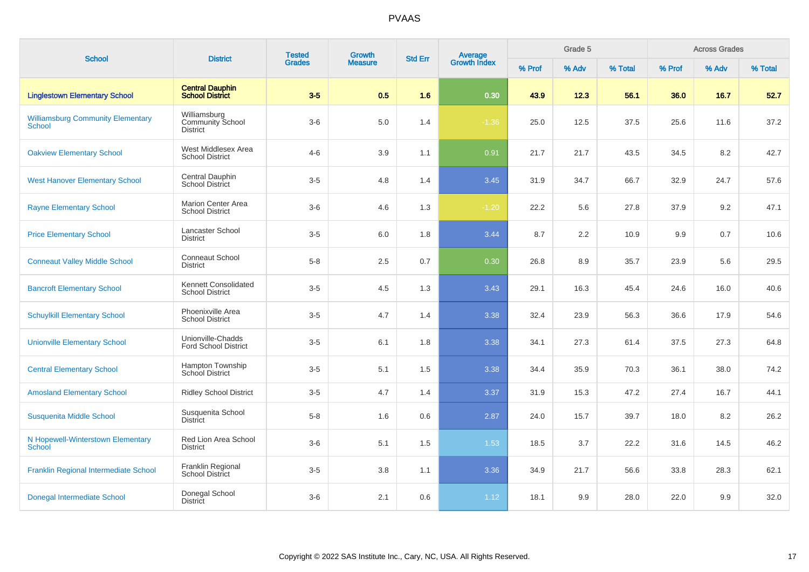| <b>School</b>                                             | <b>District</b>                                            | <b>Tested</b> | Growth         | <b>Std Err</b> |                                |        | Grade 5 |         |        | <b>Across Grades</b> |         |
|-----------------------------------------------------------|------------------------------------------------------------|---------------|----------------|----------------|--------------------------------|--------|---------|---------|--------|----------------------|---------|
|                                                           |                                                            | <b>Grades</b> | <b>Measure</b> |                | <b>Average</b><br>Growth Index | % Prof | % Adv   | % Total | % Prof | % Adv                | % Total |
| <b>Linglestown Elementary School</b>                      | <b>Central Dauphin</b><br><b>School District</b>           | $3-5$         | 0.5            | 1.6            | 0.30                           | 43.9   | 12.3    | 56.1    | 36.0   | 16.7                 | 52.7    |
| <b>Williamsburg Community Elementary</b><br><b>School</b> | Williamsburg<br><b>Community School</b><br><b>District</b> | $3-6$         | $5.0$          | 1.4            | $-1.36$                        | 25.0   | 12.5    | 37.5    | 25.6   | 11.6                 | 37.2    |
| <b>Oakview Elementary School</b>                          | West Middlesex Area<br><b>School District</b>              | $4 - 6$       | 3.9            | 1.1            | 0.91                           | 21.7   | 21.7    | 43.5    | 34.5   | 8.2                  | 42.7    |
| <b>West Hanover Elementary School</b>                     | <b>Central Dauphin</b><br><b>School District</b>           | $3-5$         | 4.8            | 1.4            | 3.45                           | 31.9   | 34.7    | 66.7    | 32.9   | 24.7                 | 57.6    |
| <b>Rayne Elementary School</b>                            | <b>Marion Center Area</b><br><b>School District</b>        | $3-6$         | 4.6            | 1.3            | $-1.20$                        | 22.2   | 5.6     | 27.8    | 37.9   | 9.2                  | 47.1    |
| <b>Price Elementary School</b>                            | Lancaster School<br><b>District</b>                        | $3-5$         | 6.0            | 1.8            | 3.44                           | 8.7    | 2.2     | 10.9    | 9.9    | 0.7                  | 10.6    |
| <b>Conneaut Valley Middle School</b>                      | <b>Conneaut School</b><br><b>District</b>                  | $5-8$         | 2.5            | 0.7            | 0.30                           | 26.8   | 8.9     | 35.7    | 23.9   | 5.6                  | 29.5    |
| <b>Bancroft Elementary School</b>                         | Kennett Consolidated<br><b>School District</b>             | $3-5$         | 4.5            | 1.3            | 3.43                           | 29.1   | 16.3    | 45.4    | 24.6   | 16.0                 | 40.6    |
| <b>Schuylkill Elementary School</b>                       | Phoenixville Area<br><b>School District</b>                | $3-5$         | 4.7            | 1.4            | 3.38                           | 32.4   | 23.9    | 56.3    | 36.6   | 17.9                 | 54.6    |
| <b>Unionville Elementary School</b>                       | Unionville-Chadds<br><b>Ford School District</b>           | $3-5$         | 6.1            | 1.8            | 3.38                           | 34.1   | 27.3    | 61.4    | 37.5   | 27.3                 | 64.8    |
| <b>Central Elementary School</b>                          | Hampton Township<br><b>School District</b>                 | $3-5$         | 5.1            | 1.5            | 3.38                           | 34.4   | 35.9    | 70.3    | 36.1   | 38.0                 | 74.2    |
| <b>Amosland Elementary School</b>                         | <b>Ridley School District</b>                              | $3-5$         | 4.7            | 1.4            | 3.37                           | 31.9   | 15.3    | 47.2    | 27.4   | 16.7                 | 44.1    |
| Susquenita Middle School                                  | Susquenita School<br><b>District</b>                       | $5-8$         | 1.6            | 0.6            | 2.87                           | 24.0   | 15.7    | 39.7    | 18.0   | 8.2                  | 26.2    |
| N Hopewell-Winterstown Elementary<br><b>School</b>        | Red Lion Area School<br><b>District</b>                    | $3-6$         | 5.1            | 1.5            | 1.53                           | 18.5   | 3.7     | 22.2    | 31.6   | 14.5                 | 46.2    |
| Franklin Regional Intermediate School                     | Franklin Regional<br>School District                       | $3-5$         | 3.8            | 1.1            | 3.36                           | 34.9   | 21.7    | 56.6    | 33.8   | 28.3                 | 62.1    |
| Donegal Intermediate School                               | Donegal School<br><b>District</b>                          | $3-6$         | 2.1            | 0.6            | 1.12                           | 18.1   | 9.9     | 28.0    | 22.0   | 9.9                  | 32.0    |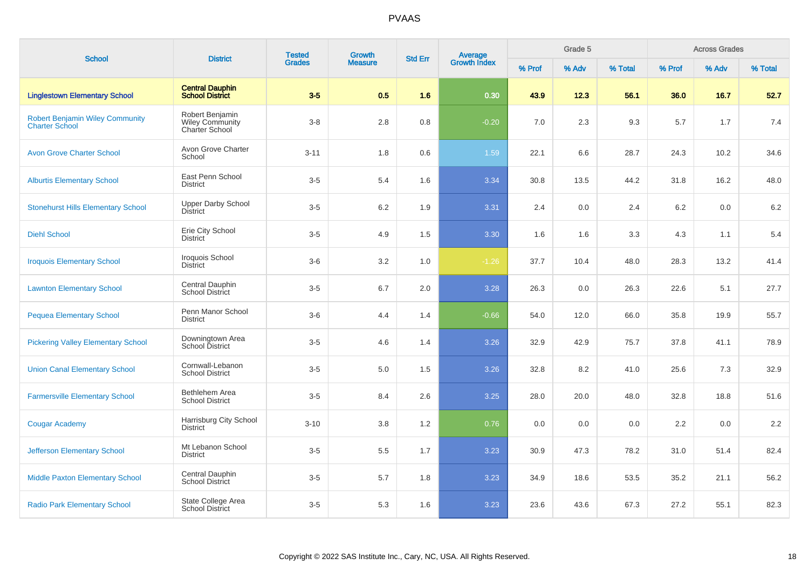| <b>School</b>                                                   | <b>District</b>                                             | <b>Tested</b> | <b>Growth</b>  | <b>Std Err</b> |                                |        | Grade 5 |         |        | <b>Across Grades</b> |         |
|-----------------------------------------------------------------|-------------------------------------------------------------|---------------|----------------|----------------|--------------------------------|--------|---------|---------|--------|----------------------|---------|
|                                                                 |                                                             | <b>Grades</b> | <b>Measure</b> |                | <b>Average</b><br>Growth Index | % Prof | % Adv   | % Total | % Prof | % Adv                | % Total |
| <b>Linglestown Elementary School</b>                            | <b>Central Dauphin</b><br><b>School District</b>            | $3-5$         | 0.5            | 1.6            | 0.30                           | 43.9   | 12.3    | 56.1    | 36.0   | 16.7                 | 52.7    |
| <b>Robert Benjamin Wiley Community</b><br><b>Charter School</b> | Robert Benjamin<br><b>Wiley Community</b><br>Charter School | $3-8$         | 2.8            | 0.8            | $-0.20$                        | 7.0    | 2.3     | 9.3     | 5.7    | 1.7                  | 7.4     |
| <b>Avon Grove Charter School</b>                                | Avon Grove Charter<br>School                                | $3 - 11$      | 1.8            | 0.6            | 1.59                           | 22.1   | 6.6     | 28.7    | 24.3   | 10.2                 | 34.6    |
| <b>Alburtis Elementary School</b>                               | East Penn School<br><b>District</b>                         | $3-5$         | 5.4            | 1.6            | 3.34                           | 30.8   | 13.5    | 44.2    | 31.8   | 16.2                 | 48.0    |
| <b>Stonehurst Hills Elementary School</b>                       | Upper Darby School<br><b>District</b>                       | $3-5$         | 6.2            | 1.9            | 3.31                           | 2.4    | 0.0     | 2.4     | 6.2    | 0.0                  | 6.2     |
| <b>Diehl School</b>                                             | Erie City School<br><b>District</b>                         | $3-5$         | 4.9            | 1.5            | 3.30                           | 1.6    | 1.6     | 3.3     | 4.3    | 1.1                  | 5.4     |
| <b>Iroquois Elementary School</b>                               | Iroquois School<br><b>District</b>                          | $3-6$         | 3.2            | 1.0            | $-1.26$                        | 37.7   | 10.4    | 48.0    | 28.3   | 13.2                 | 41.4    |
| <b>Lawnton Elementary School</b>                                | Central Dauphin<br>School District                          | $3-5$         | 6.7            | 2.0            | 3.28                           | 26.3   | 0.0     | 26.3    | 22.6   | 5.1                  | 27.7    |
| <b>Pequea Elementary School</b>                                 | Penn Manor School<br><b>District</b>                        | $3-6$         | 4.4            | 1.4            | $-0.66$                        | 54.0   | 12.0    | 66.0    | 35.8   | 19.9                 | 55.7    |
| <b>Pickering Valley Elementary School</b>                       | Downingtown Area<br>School District                         | $3-5$         | 4.6            | 1.4            | 3.26                           | 32.9   | 42.9    | 75.7    | 37.8   | 41.1                 | 78.9    |
| <b>Union Canal Elementary School</b>                            | Cornwall-Lebanon<br><b>School District</b>                  | $3-5$         | 5.0            | 1.5            | 3.26                           | 32.8   | 8.2     | 41.0    | 25.6   | 7.3                  | 32.9    |
| <b>Farmersville Elementary School</b>                           | Bethlehem Area<br><b>School District</b>                    | $3-5$         | 8.4            | 2.6            | 3.25                           | 28.0   | 20.0    | 48.0    | 32.8   | 18.8                 | 51.6    |
| <b>Cougar Academy</b>                                           | Harrisburg City School<br><b>District</b>                   | $3 - 10$      | 3.8            | 1.2            | 0.76                           | 0.0    | 0.0     | 0.0     | 2.2    | 0.0                  | 2.2     |
| <b>Jefferson Elementary School</b>                              | Mt Lebanon School<br><b>District</b>                        | $3-5$         | 5.5            | 1.7            | 3.23                           | 30.9   | 47.3    | 78.2    | 31.0   | 51.4                 | 82.4    |
| <b>Middle Paxton Elementary School</b>                          | Central Dauphin<br><b>School District</b>                   | $3-5$         | 5.7            | 1.8            | 3.23                           | 34.9   | 18.6    | 53.5    | 35.2   | 21.1                 | 56.2    |
| <b>Radio Park Elementary School</b>                             | State College Area<br><b>School District</b>                | $3-5$         | 5.3            | 1.6            | 3.23                           | 23.6   | 43.6    | 67.3    | 27.2   | 55.1                 | 82.3    |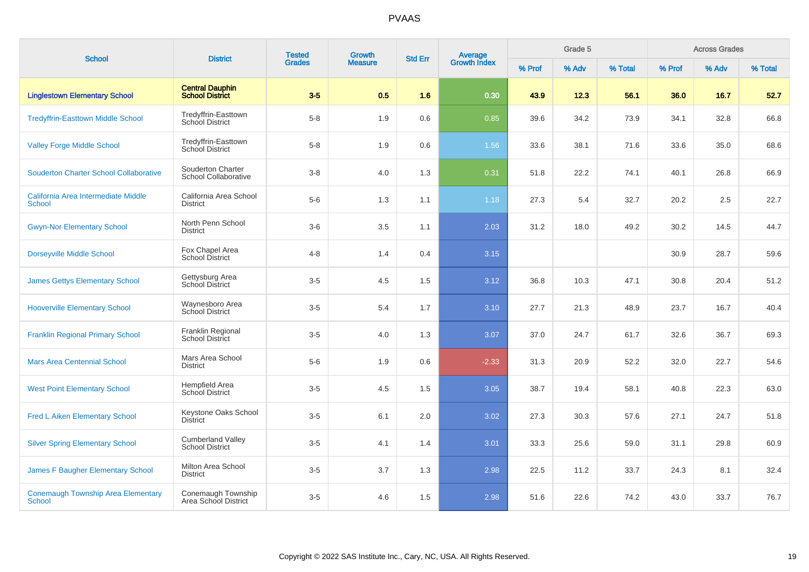| <b>School</b>                                              | <b>District</b>                                    | <b>Tested</b> | Growth         | <b>Std Err</b> |                                |        | Grade 5 |         |        | <b>Across Grades</b> |         |
|------------------------------------------------------------|----------------------------------------------------|---------------|----------------|----------------|--------------------------------|--------|---------|---------|--------|----------------------|---------|
|                                                            |                                                    | <b>Grades</b> | <b>Measure</b> |                | <b>Average</b><br>Growth Index | % Prof | % Adv   | % Total | % Prof | % Adv                | % Total |
| <b>Linglestown Elementary School</b>                       | <b>Central Dauphin</b><br><b>School District</b>   | $3-5$         | 0.5            | 1.6            | 0.30                           | 43.9   | 12.3    | 56.1    | 36.0   | 16.7                 | 52.7    |
| <b>Tredyffrin-Easttown Middle School</b>                   | Tredyffrin-Easttown<br><b>School District</b>      | $5-8$         | 1.9            | 0.6            | 0.85                           | 39.6   | 34.2    | 73.9    | 34.1   | 32.8                 | 66.8    |
| <b>Valley Forge Middle School</b>                          | Tredyffrin-Easttown<br>School District             | $5-8$         | 1.9            | 0.6            | 1.56                           | 33.6   | 38.1    | 71.6    | 33.6   | 35.0                 | 68.6    |
| <b>Souderton Charter School Collaborative</b>              | Souderton Charter<br>School Collaborative          | $3-8$         | 4.0            | 1.3            | 0.31                           | 51.8   | 22.2    | 74.1    | 40.1   | 26.8                 | 66.9    |
| California Area Intermediate Middle<br><b>School</b>       | California Area School<br><b>District</b>          | $5-6$         | 1.3            | 1.1            | 1.18                           | 27.3   | 5.4     | 32.7    | 20.2   | 2.5                  | 22.7    |
| <b>Gwyn-Nor Elementary School</b>                          | North Penn School<br><b>District</b>               | $3-6$         | 3.5            | 1.1            | 2.03                           | 31.2   | 18.0    | 49.2    | 30.2   | 14.5                 | 44.7    |
| <b>Dorseyville Middle School</b>                           | Fox Chapel Area<br>School District                 | $4 - 8$       | 1.4            | 0.4            | 3.15                           |        |         |         | 30.9   | 28.7                 | 59.6    |
| <b>James Gettys Elementary School</b>                      | Gettysburg Area<br><b>School District</b>          | $3-5$         | 4.5            | 1.5            | 3.12                           | 36.8   | 10.3    | 47.1    | 30.8   | 20.4                 | 51.2    |
| <b>Hooverville Elementary School</b>                       | Waynesboro Area<br><b>School District</b>          | $3-5$         | 5.4            | 1.7            | 3.10                           | 27.7   | 21.3    | 48.9    | 23.7   | 16.7                 | 40.4    |
| <b>Franklin Regional Primary School</b>                    | Franklin Regional<br><b>School District</b>        | $3-5$         | 4.0            | 1.3            | 3.07                           | 37.0   | 24.7    | 61.7    | 32.6   | 36.7                 | 69.3    |
| <b>Mars Area Centennial School</b>                         | Mars Area School<br><b>District</b>                | $5-6$         | 1.9            | 0.6            | $-2.33$                        | 31.3   | 20.9    | 52.2    | 32.0   | 22.7                 | 54.6    |
| <b>West Point Elementary School</b>                        | <b>Hempfield Area</b><br><b>School District</b>    | $3-5$         | 4.5            | 1.5            | 3.05                           | 38.7   | 19.4    | 58.1    | 40.8   | 22.3                 | 63.0    |
| <b>Fred L Aiken Elementary School</b>                      | Keystone Oaks School<br><b>District</b>            | $3-5$         | 6.1            | 2.0            | 3.02                           | 27.3   | 30.3    | 57.6    | 27.1   | 24.7                 | 51.8    |
| <b>Silver Spring Elementary School</b>                     | <b>Cumberland Valley</b><br><b>School District</b> | $3-5$         | 4.1            | 1.4            | 3.01                           | 33.3   | 25.6    | 59.0    | 31.1   | 29.8                 | 60.9    |
| <b>James F Baugher Elementary School</b>                   | Milton Area School<br><b>District</b>              | $3-5$         | 3.7            | 1.3            | 2.98                           | 22.5   | 11.2    | 33.7    | 24.3   | 8.1                  | 32.4    |
| <b>Conemaugh Township Area Elementary</b><br><b>School</b> | Conemaugh Township<br>Area School District         | $3-5$         | 4.6            | 1.5            | 2.98                           | 51.6   | 22.6    | 74.2    | 43.0   | 33.7                 | 76.7    |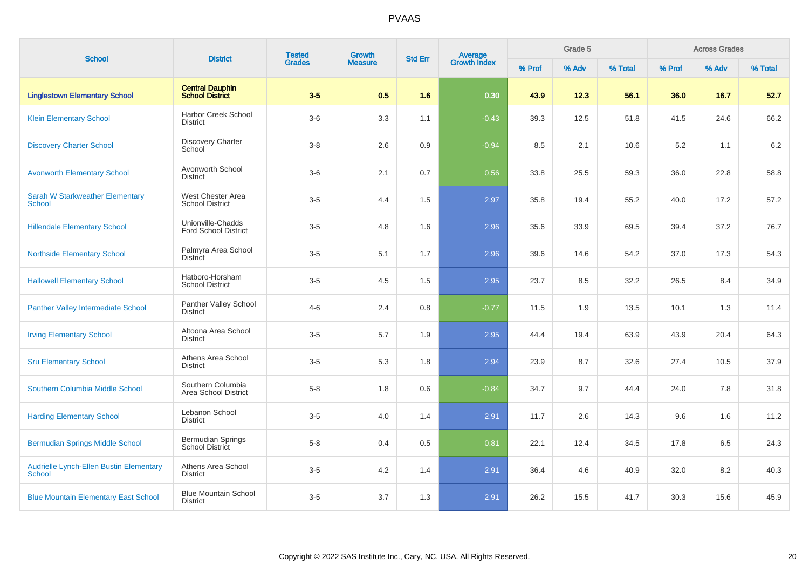| <b>School</b>                                            | <b>District</b>                                    | <b>Tested</b> | Growth         | <b>Std Err</b> | Average<br>Growth Index |        | Grade 5 |         |        | <b>Across Grades</b> |         |
|----------------------------------------------------------|----------------------------------------------------|---------------|----------------|----------------|-------------------------|--------|---------|---------|--------|----------------------|---------|
|                                                          |                                                    | <b>Grades</b> | <b>Measure</b> |                |                         | % Prof | % Adv   | % Total | % Prof | % Adv                | % Total |
| <b>Linglestown Elementary School</b>                     | <b>Central Dauphin</b><br><b>School District</b>   | $3-5$         | 0.5            | 1.6            | 0.30                    | 43.9   | 12.3    | 56.1    | 36.0   | 16.7                 | 52.7    |
| <b>Klein Elementary School</b>                           | <b>Harbor Creek School</b><br><b>District</b>      | $3-6$         | 3.3            | 1.1            | $-0.43$                 | 39.3   | 12.5    | 51.8    | 41.5   | 24.6                 | 66.2    |
| <b>Discovery Charter School</b>                          | <b>Discovery Charter</b><br>School                 | $3-8$         | 2.6            | 0.9            | $-0.94$                 | 8.5    | 2.1     | 10.6    | 5.2    | 1.1                  | 6.2     |
| <b>Avonworth Elementary School</b>                       | Avonworth School<br><b>District</b>                | $3-6$         | 2.1            | 0.7            | 0.56                    | 33.8   | 25.5    | 59.3    | 36.0   | 22.8                 | 58.8    |
| <b>Sarah W Starkweather Elementary</b><br><b>School</b>  | West Chester Area<br><b>School District</b>        | $3-5$         | 4.4            | 1.5            | 2.97                    | 35.8   | 19.4    | 55.2    | 40.0   | 17.2                 | 57.2    |
| <b>Hillendale Elementary School</b>                      | Unionville-Chadds<br><b>Ford School District</b>   | $3-5$         | 4.8            | 1.6            | 2.96                    | 35.6   | 33.9    | 69.5    | 39.4   | 37.2                 | 76.7    |
| <b>Northside Elementary School</b>                       | Palmyra Area School<br><b>District</b>             | $3-5$         | 5.1            | 1.7            | 2.96                    | 39.6   | 14.6    | 54.2    | 37.0   | 17.3                 | 54.3    |
| <b>Hallowell Elementary School</b>                       | Hatboro-Horsham<br><b>School District</b>          | $3-5$         | 4.5            | 1.5            | 2.95                    | 23.7   | 8.5     | 32.2    | 26.5   | 8.4                  | 34.9    |
| <b>Panther Valley Intermediate School</b>                | Panther Valley School<br><b>District</b>           | $4 - 6$       | 2.4            | 0.8            | $-0.77$                 | 11.5   | 1.9     | 13.5    | 10.1   | 1.3                  | 11.4    |
| <b>Irving Elementary School</b>                          | Altoona Area School<br><b>District</b>             | $3-5$         | 5.7            | 1.9            | 2.95                    | 44.4   | 19.4    | 63.9    | 43.9   | 20.4                 | 64.3    |
| <b>Sru Elementary School</b>                             | Athens Area School<br><b>District</b>              | $3-5$         | 5.3            | 1.8            | 2.94                    | 23.9   | 8.7     | 32.6    | 27.4   | 10.5                 | 37.9    |
| Southern Columbia Middle School                          | Southern Columbia<br>Area School District          | $5 - 8$       | 1.8            | 0.6            | $-0.84$                 | 34.7   | 9.7     | 44.4    | 24.0   | 7.8                  | 31.8    |
| <b>Harding Elementary School</b>                         | Lebanon School<br><b>District</b>                  | $3-5$         | 4.0            | 1.4            | 2.91                    | 11.7   | 2.6     | 14.3    | 9.6    | 1.6                  | 11.2    |
| <b>Bermudian Springs Middle School</b>                   | <b>Bermudian Springs</b><br><b>School District</b> | $5-8$         | 0.4            | 0.5            | 0.81                    | 22.1   | 12.4    | 34.5    | 17.8   | 6.5                  | 24.3    |
| Audrielle Lynch-Ellen Bustin Elementary<br><b>School</b> | Athens Area School<br><b>District</b>              | $3-5$         | 4.2            | 1.4            | 2.91                    | 36.4   | 4.6     | 40.9    | 32.0   | 8.2                  | 40.3    |
| <b>Blue Mountain Elementary East School</b>              | <b>Blue Mountain School</b><br><b>District</b>     | $3-5$         | 3.7            | 1.3            | 2.91                    | 26.2   | 15.5    | 41.7    | 30.3   | 15.6                 | 45.9    |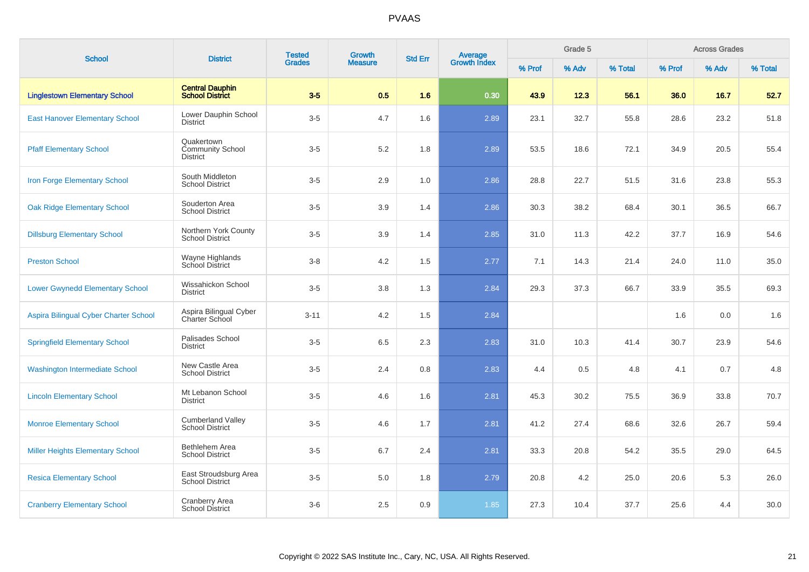| <b>School</b>                           | <b>District</b>                                          | <b>Tested</b> | Growth         | <b>Std Err</b> |                                |        | Grade 5 |         |        | <b>Across Grades</b> |         |
|-----------------------------------------|----------------------------------------------------------|---------------|----------------|----------------|--------------------------------|--------|---------|---------|--------|----------------------|---------|
|                                         |                                                          | <b>Grades</b> | <b>Measure</b> |                | <b>Average</b><br>Growth Index | % Prof | % Adv   | % Total | % Prof | % Adv                | % Total |
| <b>Linglestown Elementary School</b>    | <b>Central Dauphin</b><br><b>School District</b>         | $3-5$         | 0.5            | 1.6            | 0.30                           | 43.9   | 12.3    | 56.1    | 36.0   | 16.7                 | 52.7    |
| <b>East Hanover Elementary School</b>   | Lower Dauphin School<br><b>District</b>                  | $3-5$         | 4.7            | 1.6            | 2.89                           | 23.1   | 32.7    | 55.8    | 28.6   | 23.2                 | 51.8    |
| <b>Pfaff Elementary School</b>          | Quakertown<br><b>Community School</b><br><b>District</b> | $3-5$         | 5.2            | 1.8            | 2.89                           | 53.5   | 18.6    | 72.1    | 34.9   | 20.5                 | 55.4    |
| <b>Iron Forge Elementary School</b>     | South Middleton<br><b>School District</b>                | $3-5$         | 2.9            | 1.0            | 2.86                           | 28.8   | 22.7    | 51.5    | 31.6   | 23.8                 | 55.3    |
| <b>Oak Ridge Elementary School</b>      | Souderton Area<br><b>School District</b>                 | $3-5$         | 3.9            | 1.4            | 2.86                           | 30.3   | 38.2    | 68.4    | 30.1   | 36.5                 | 66.7    |
| <b>Dillsburg Elementary School</b>      | Northern York County<br><b>School District</b>           | $3-5$         | 3.9            | 1.4            | 2.85                           | 31.0   | 11.3    | 42.2    | 37.7   | 16.9                 | 54.6    |
| <b>Preston School</b>                   | Wayne Highlands<br><b>School District</b>                | $3 - 8$       | 4.2            | 1.5            | 2.77                           | 7.1    | 14.3    | 21.4    | 24.0   | 11.0                 | 35.0    |
| <b>Lower Gwynedd Elementary School</b>  | Wissahickon School<br><b>District</b>                    | $3-5$         | 3.8            | 1.3            | 2.84                           | 29.3   | 37.3    | 66.7    | 33.9   | 35.5                 | 69.3    |
| Aspira Bilingual Cyber Charter School   | Aspira Bilingual Cyber<br>Charter School                 | $3 - 11$      | 4.2            | 1.5            | 2.84                           |        |         |         | 1.6    | 0.0                  | 1.6     |
| <b>Springfield Elementary School</b>    | Palisades School<br><b>District</b>                      | $3-5$         | 6.5            | 2.3            | 2.83                           | 31.0   | 10.3    | 41.4    | 30.7   | 23.9                 | 54.6    |
| <b>Washington Intermediate School</b>   | New Castle Area<br><b>School District</b>                | $3-5$         | 2.4            | 0.8            | 2.83                           | 4.4    | 0.5     | 4.8     | 4.1    | 0.7                  | 4.8     |
| <b>Lincoln Elementary School</b>        | Mt Lebanon School<br><b>District</b>                     | $3-5$         | 4.6            | 1.6            | 2.81                           | 45.3   | 30.2    | 75.5    | 36.9   | 33.8                 | 70.7    |
| <b>Monroe Elementary School</b>         | <b>Cumberland Valley</b><br><b>School District</b>       | $3-5$         | 4.6            | 1.7            | 2.81                           | 41.2   | 27.4    | 68.6    | 32.6   | 26.7                 | 59.4    |
| <b>Miller Heights Elementary School</b> | Bethlehem Area<br><b>School District</b>                 | $3-5$         | 6.7            | 2.4            | 2.81                           | 33.3   | 20.8    | 54.2    | 35.5   | 29.0                 | 64.5    |
| <b>Resica Elementary School</b>         | East Stroudsburg Area<br><b>School District</b>          | $3-5$         | 5.0            | 1.8            | 2.79                           | 20.8   | 4.2     | 25.0    | 20.6   | 5.3                  | 26.0    |
| <b>Cranberry Elementary School</b>      | Cranberry Area<br><b>School District</b>                 | $3-6$         | 2.5            | 0.9            | 1.85                           | 27.3   | 10.4    | 37.7    | 25.6   | 4.4                  | 30.0    |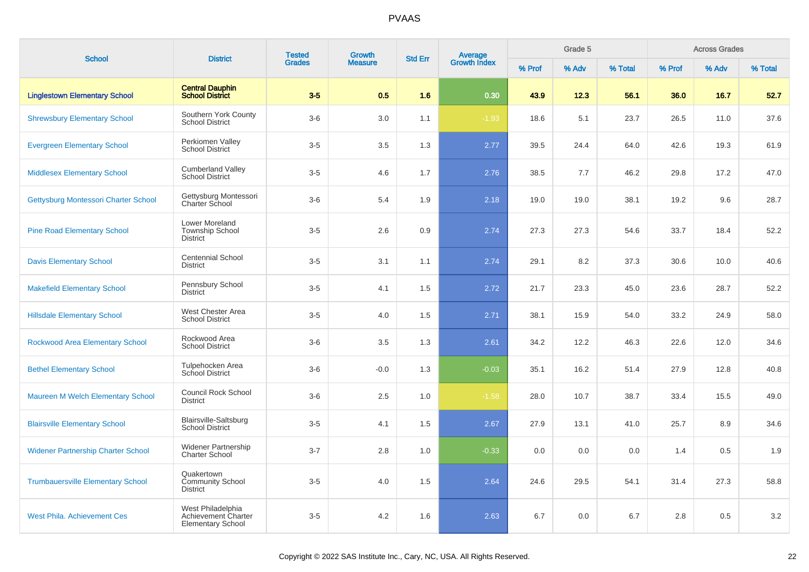| <b>School</b>                             | <b>District</b>                                                      | <b>Tested</b> | <b>Growth</b>  | <b>Std Err</b> |                                |        | Grade 5 |         |        | <b>Across Grades</b> |         |
|-------------------------------------------|----------------------------------------------------------------------|---------------|----------------|----------------|--------------------------------|--------|---------|---------|--------|----------------------|---------|
|                                           |                                                                      | <b>Grades</b> | <b>Measure</b> |                | <b>Average</b><br>Growth Index | % Prof | % Adv   | % Total | % Prof | % Adv                | % Total |
| <b>Linglestown Elementary School</b>      | <b>Central Dauphin</b><br><b>School District</b>                     | $3-5$         | 0.5            | 1.6            | 0.30                           | 43.9   | 12.3    | 56.1    | 36.0   | 16.7                 | 52.7    |
| <b>Shrewsbury Elementary School</b>       | Southern York County<br><b>School District</b>                       | $3-6$         | 3.0            | 1.1            | $-1.93$                        | 18.6   | 5.1     | 23.7    | 26.5   | 11.0                 | 37.6    |
| <b>Evergreen Elementary School</b>        | Perkiomen Valley<br><b>School District</b>                           | $3-5$         | 3.5            | 1.3            | 2.77                           | 39.5   | 24.4    | 64.0    | 42.6   | 19.3                 | 61.9    |
| <b>Middlesex Elementary School</b>        | <b>Cumberland Valley</b><br><b>School District</b>                   | $3-5$         | 4.6            | 1.7            | 2.76                           | 38.5   | 7.7     | 46.2    | 29.8   | 17.2                 | 47.0    |
| Gettysburg Montessori Charter School      | Gettysburg Montessori<br><b>Charter School</b>                       | $3-6$         | 5.4            | 1.9            | 2.18                           | 19.0   | 19.0    | 38.1    | 19.2   | 9.6                  | 28.7    |
| <b>Pine Road Elementary School</b>        | Lower Moreland<br><b>Township School</b><br><b>District</b>          | $3-5$         | 2.6            | 0.9            | 2.74                           | 27.3   | 27.3    | 54.6    | 33.7   | 18.4                 | 52.2    |
| <b>Davis Elementary School</b>            | <b>Centennial School</b><br><b>District</b>                          | $3-5$         | 3.1            | 1.1            | 2.74                           | 29.1   | 8.2     | 37.3    | 30.6   | 10.0                 | 40.6    |
| <b>Makefield Elementary School</b>        | Pennsbury School<br><b>District</b>                                  | $3-5$         | 4.1            | 1.5            | 2.72                           | 21.7   | 23.3    | 45.0    | 23.6   | 28.7                 | 52.2    |
| <b>Hillsdale Elementary School</b>        | West Chester Area<br><b>School District</b>                          | $3-5$         | 4.0            | 1.5            | 2.71                           | 38.1   | 15.9    | 54.0    | 33.2   | 24.9                 | 58.0    |
| <b>Rockwood Area Elementary School</b>    | Rockwood Area<br><b>School District</b>                              | $3-6$         | 3.5            | 1.3            | 2.61                           | 34.2   | 12.2    | 46.3    | 22.6   | 12.0                 | 34.6    |
| <b>Bethel Elementary School</b>           | Tulpehocken Area<br><b>School District</b>                           | $3-6$         | $-0.0$         | 1.3            | $-0.03$                        | 35.1   | 16.2    | 51.4    | 27.9   | 12.8                 | 40.8    |
| Maureen M Welch Elementary School         | <b>Council Rock School</b><br><b>District</b>                        | $3-6$         | 2.5            | 1.0            | $-1.58$                        | 28.0   | 10.7    | 38.7    | 33.4   | 15.5                 | 49.0    |
| <b>Blairsville Elementary School</b>      | <b>Blairsville-Saltsburg</b><br><b>School District</b>               | $3-5$         | 4.1            | 1.5            | 2.67                           | 27.9   | 13.1    | 41.0    | 25.7   | 8.9                  | 34.6    |
| <b>Widener Partnership Charter School</b> | <b>Widener Partnership</b><br><b>Charter School</b>                  | $3 - 7$       | 2.8            | 1.0            | $-0.33$                        | 0.0    | 0.0     | 0.0     | 1.4    | 0.5                  | 1.9     |
| <b>Trumbauersville Elementary School</b>  | Quakertown<br><b>Community School</b><br><b>District</b>             | $3-5$         | 4.0            | 1.5            | 2.64                           | 24.6   | 29.5    | 54.1    | 31.4   | 27.3                 | 58.8    |
| <b>West Phila. Achievement Ces</b>        | West Philadelphia<br>Achievement Charter<br><b>Elementary School</b> | $3-5$         | 4.2            | 1.6            | 2.63                           | 6.7    | 0.0     | 6.7     | 2.8    | 0.5                  | $3.2\,$ |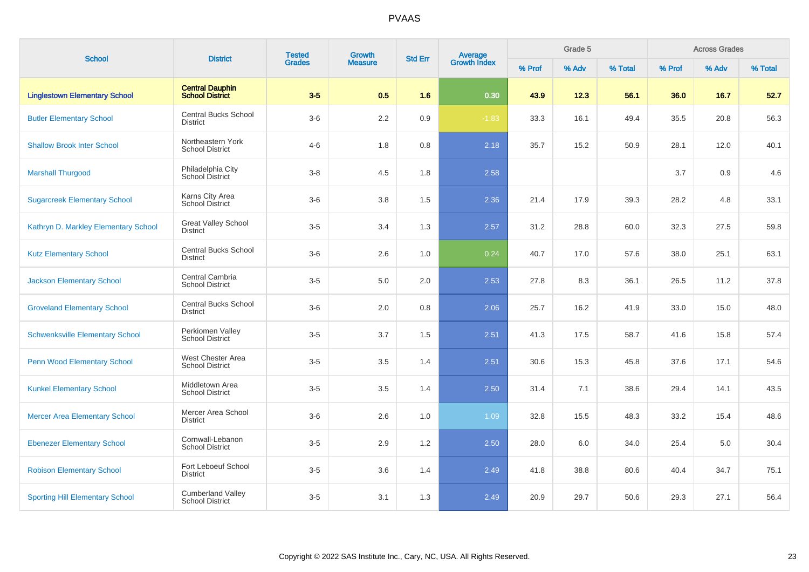| <b>School</b>                          | <b>District</b>                                    | <b>Tested</b> | Growth         | <b>Std Err</b> | Average<br>Growth Index |        | Grade 5 | <b>Across Grades</b> |        |       |         |
|----------------------------------------|----------------------------------------------------|---------------|----------------|----------------|-------------------------|--------|---------|----------------------|--------|-------|---------|
|                                        |                                                    | <b>Grades</b> | <b>Measure</b> |                |                         | % Prof | % Adv   | % Total              | % Prof | % Adv | % Total |
| <b>Linglestown Elementary School</b>   | <b>Central Dauphin</b><br><b>School District</b>   | $3-5$         | 0.5            | 1.6            | 0.30                    | 43.9   | 12.3    | 56.1                 | 36.0   | 16.7  | 52.7    |
| <b>Butler Elementary School</b>        | <b>Central Bucks School</b><br><b>District</b>     | $3-6$         | 2.2            | 0.9            | $-1.83$                 | 33.3   | 16.1    | 49.4                 | 35.5   | 20.8  | 56.3    |
| <b>Shallow Brook Inter School</b>      | Northeastern York<br><b>School District</b>        | $4 - 6$       | 1.8            | 0.8            | 2.18                    | 35.7   | 15.2    | 50.9                 | 28.1   | 12.0  | 40.1    |
| <b>Marshall Thurgood</b>               | Philadelphia City<br>School District               | $3-8$         | 4.5            | 1.8            | 2.58                    |        |         |                      | 3.7    | 0.9   | 4.6     |
| <b>Sugarcreek Elementary School</b>    | Karns City Area<br><b>School District</b>          | $3-6$         | 3.8            | 1.5            | 2.36                    | 21.4   | 17.9    | 39.3                 | 28.2   | 4.8   | 33.1    |
| Kathryn D. Markley Elementary School   | <b>Great Valley School</b><br><b>District</b>      | $3-5$         | 3.4            | 1.3            | 2.57                    | 31.2   | 28.8    | 60.0                 | 32.3   | 27.5  | 59.8    |
| <b>Kutz Elementary School</b>          | <b>Central Bucks School</b><br><b>District</b>     | $3-6$         | 2.6            | 1.0            | 0.24                    | 40.7   | 17.0    | 57.6                 | 38.0   | 25.1  | 63.1    |
| <b>Jackson Elementary School</b>       | Central Cambria<br><b>School District</b>          | $3-5$         | 5.0            | 2.0            | 2.53                    | 27.8   | 8.3     | 36.1                 | 26.5   | 11.2  | 37.8    |
| <b>Groveland Elementary School</b>     | <b>Central Bucks School</b><br><b>District</b>     | $3-6$         | 2.0            | 0.8            | 2.06                    | 25.7   | 16.2    | 41.9                 | 33.0   | 15.0  | 48.0    |
| <b>Schwenksville Elementary School</b> | Perkiomen Valley<br><b>School District</b>         | $3-5$         | 3.7            | 1.5            | 2.51                    | 41.3   | 17.5    | 58.7                 | 41.6   | 15.8  | 57.4    |
| <b>Penn Wood Elementary School</b>     | West Chester Area<br><b>School District</b>        | $3-5$         | 3.5            | 1.4            | 2.51                    | 30.6   | 15.3    | 45.8                 | 37.6   | 17.1  | 54.6    |
| <b>Kunkel Elementary School</b>        | Middletown Area<br><b>School District</b>          | $3-5$         | 3.5            | 1.4            | 2.50                    | 31.4   | 7.1     | 38.6                 | 29.4   | 14.1  | 43.5    |
| <b>Mercer Area Elementary School</b>   | Mercer Area School<br><b>District</b>              | $3-6$         | 2.6            | 1.0            | 1.09                    | 32.8   | 15.5    | 48.3                 | 33.2   | 15.4  | 48.6    |
| <b>Ebenezer Elementary School</b>      | Cornwall-Lebanon<br><b>School District</b>         | $3-5$         | 2.9            | 1.2            | 2.50                    | 28.0   | 6.0     | 34.0                 | 25.4   | 5.0   | 30.4    |
| <b>Robison Elementary School</b>       | Fort Leboeuf School<br>District                    | $3-5$         | 3.6            | 1.4            | 2.49                    | 41.8   | 38.8    | 80.6                 | 40.4   | 34.7  | 75.1    |
| <b>Sporting Hill Elementary School</b> | <b>Cumberland Valley</b><br><b>School District</b> | $3-5$         | 3.1            | 1.3            | 2.49                    | 20.9   | 29.7    | 50.6                 | 29.3   | 27.1  | 56.4    |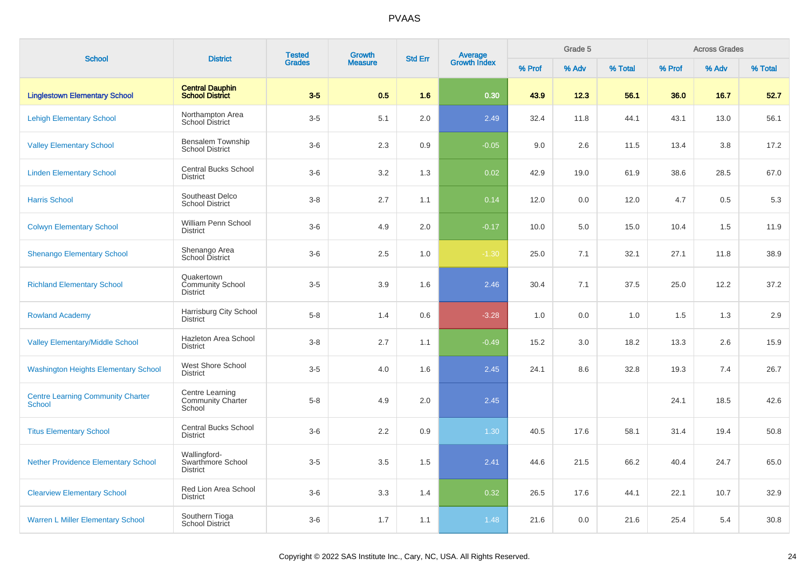| <b>School</b>                                      | <b>District</b>                                          | <b>Tested</b> | <b>Growth</b>  | <b>Std Err</b> |                                |        | Grade 5 |         |        | <b>Across Grades</b> |         |
|----------------------------------------------------|----------------------------------------------------------|---------------|----------------|----------------|--------------------------------|--------|---------|---------|--------|----------------------|---------|
|                                                    |                                                          | <b>Grades</b> | <b>Measure</b> |                | <b>Average</b><br>Growth Index | % Prof | % Adv   | % Total | % Prof | % Adv                | % Total |
| <b>Linglestown Elementary School</b>               | <b>Central Dauphin</b><br><b>School District</b>         | $3-5$         | 0.5            | 1.6            | 0.30                           | 43.9   | 12.3    | 56.1    | 36.0   | 16.7                 | 52.7    |
| <b>Lehigh Elementary School</b>                    | Northampton Area<br>School District                      | $3-5$         | 5.1            | 2.0            | 2.49                           | 32.4   | 11.8    | 44.1    | 43.1   | 13.0                 | 56.1    |
| <b>Valley Elementary School</b>                    | Bensalem Township<br><b>School District</b>              | $3-6$         | 2.3            | 0.9            | $-0.05$                        | 9.0    | 2.6     | 11.5    | 13.4   | 3.8                  | 17.2    |
| <b>Linden Elementary School</b>                    | <b>Central Bucks School</b><br><b>District</b>           | $3-6$         | 3.2            | 1.3            | 0.02                           | 42.9   | 19.0    | 61.9    | 38.6   | 28.5                 | 67.0    |
| <b>Harris School</b>                               | Southeast Delco<br><b>School District</b>                | $3-8$         | 2.7            | 1.1            | 0.14                           | 12.0   | 0.0     | 12.0    | 4.7    | 0.5                  | 5.3     |
| <b>Colwyn Elementary School</b>                    | William Penn School<br><b>District</b>                   | $3-6$         | 4.9            | 2.0            | $-0.17$                        | 10.0   | 5.0     | 15.0    | 10.4   | 1.5                  | 11.9    |
| <b>Shenango Elementary School</b>                  | Shenango Area<br>School District                         | $3-6$         | 2.5            | 1.0            | $-1.30$                        | 25.0   | 7.1     | 32.1    | 27.1   | 11.8                 | 38.9    |
| <b>Richland Elementary School</b>                  | Quakertown<br><b>Community School</b><br><b>District</b> | $3-5$         | 3.9            | 1.6            | 2.46                           | 30.4   | 7.1     | 37.5    | 25.0   | 12.2                 | 37.2    |
| <b>Rowland Academy</b>                             | Harrisburg City School<br><b>District</b>                | $5 - 8$       | 1.4            | 0.6            | $-3.28$                        | 1.0    | 0.0     | 1.0     | 1.5    | 1.3                  | 2.9     |
| <b>Valley Elementary/Middle School</b>             | <b>Hazleton Area School</b><br><b>District</b>           | $3-8$         | 2.7            | 1.1            | $-0.49$                        | 15.2   | 3.0     | 18.2    | 13.3   | 2.6                  | 15.9    |
| <b>Washington Heights Elementary School</b>        | West Shore School<br><b>District</b>                     | $3-5$         | 4.0            | 1.6            | 2.45                           | 24.1   | 8.6     | 32.8    | 19.3   | 7.4                  | 26.7    |
| <b>Centre Learning Community Charter</b><br>School | Centre Learning<br><b>Community Charter</b><br>School    | $5-8$         | 4.9            | 2.0            | 2.45                           |        |         |         | 24.1   | 18.5                 | 42.6    |
| <b>Titus Elementary School</b>                     | <b>Central Bucks School</b><br><b>District</b>           | $3-6$         | 2.2            | 0.9            | 1.30                           | 40.5   | 17.6    | 58.1    | 31.4   | 19.4                 | 50.8    |
| <b>Nether Providence Elementary School</b>         | Wallingford-<br>Swarthmore School<br><b>District</b>     | $3-5$         | 3.5            | 1.5            | 2.41                           | 44.6   | 21.5    | 66.2    | 40.4   | 24.7                 | 65.0    |
| <b>Clearview Elementary School</b>                 | Red Lion Area School<br><b>District</b>                  | $3-6$         | 3.3            | 1.4            | 0.32                           | 26.5   | 17.6    | 44.1    | 22.1   | 10.7                 | 32.9    |
| <b>Warren L Miller Elementary School</b>           | Southern Tioga<br>School District                        | $3-6$         | 1.7            | 1.1            | 1.48                           | 21.6   | 0.0     | 21.6    | 25.4   | 5.4                  | 30.8    |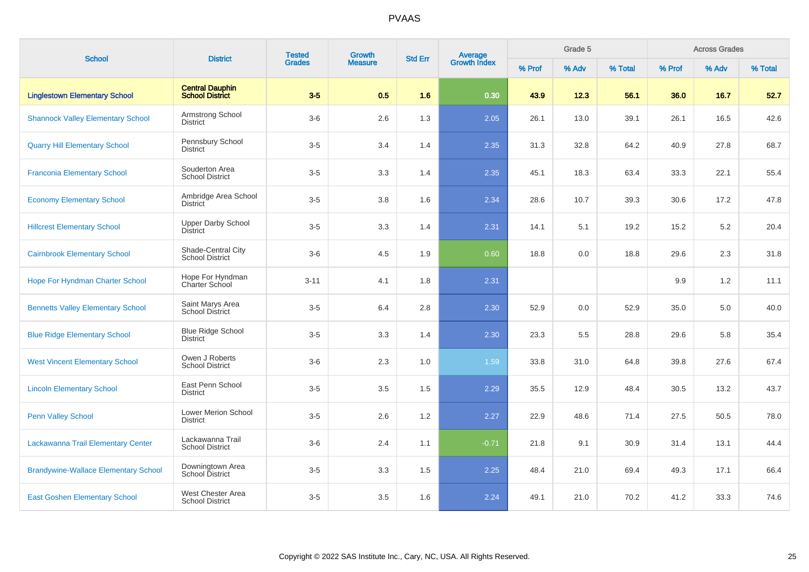| <b>School</b>                               | <b>District</b>                                  | <b>Tested</b> | Growth         | <b>Std Err</b> | Average<br>Growth Index |        | Grade 5 |         |        | <b>Across Grades</b> |         |
|---------------------------------------------|--------------------------------------------------|---------------|----------------|----------------|-------------------------|--------|---------|---------|--------|----------------------|---------|
|                                             |                                                  | <b>Grades</b> | <b>Measure</b> |                |                         | % Prof | % Adv   | % Total | % Prof | % Adv                | % Total |
| <b>Linglestown Elementary School</b>        | <b>Central Dauphin</b><br><b>School District</b> | $3-5$         | 0.5            | 1.6            | 0.30                    | 43.9   | 12.3    | 56.1    | 36.0   | 16.7                 | 52.7    |
| <b>Shannock Valley Elementary School</b>    | Armstrong School<br><b>District</b>              | $3-6$         | 2.6            | 1.3            | 2.05                    | 26.1   | 13.0    | 39.1    | 26.1   | 16.5                 | 42.6    |
| <b>Quarry Hill Elementary School</b>        | Pennsbury School<br><b>District</b>              | $3-5$         | 3.4            | 1.4            | 2.35                    | 31.3   | 32.8    | 64.2    | 40.9   | 27.8                 | 68.7    |
| <b>Franconia Elementary School</b>          | Souderton Area<br><b>School District</b>         | $3-5$         | 3.3            | 1.4            | 2.35                    | 45.1   | 18.3    | 63.4    | 33.3   | 22.1                 | 55.4    |
| <b>Economy Elementary School</b>            | Ambridge Area School<br><b>District</b>          | $3-5$         | 3.8            | 1.6            | 2.34                    | 28.6   | 10.7    | 39.3    | 30.6   | 17.2                 | 47.8    |
| <b>Hillcrest Elementary School</b>          | <b>Upper Darby School</b><br><b>District</b>     | $3-5$         | 3.3            | 1.4            | 2.31                    | 14.1   | 5.1     | 19.2    | 15.2   | 5.2                  | 20.4    |
| <b>Cairnbrook Elementary School</b>         | Shade-Central City<br><b>School District</b>     | $3-6$         | 4.5            | 1.9            | 0.60                    | 18.8   | 0.0     | 18.8    | 29.6   | 2.3                  | 31.8    |
| <b>Hope For Hyndman Charter School</b>      | Hope For Hyndman<br>Charter School               | $3 - 11$      | 4.1            | 1.8            | 2.31                    |        |         |         | 9.9    | 1.2                  | 11.1    |
| <b>Bennetts Valley Elementary School</b>    | Saint Marys Area<br><b>School District</b>       | $3-5$         | 6.4            | 2.8            | 2.30                    | 52.9   | 0.0     | 52.9    | 35.0   | 5.0                  | 40.0    |
| <b>Blue Ridge Elementary School</b>         | <b>Blue Ridge School</b><br><b>District</b>      | $3-5$         | 3.3            | 1.4            | 2.30                    | 23.3   | 5.5     | 28.8    | 29.6   | 5.8                  | 35.4    |
| <b>West Vincent Elementary School</b>       | Owen J Roberts<br><b>School District</b>         | $3-6$         | 2.3            | 1.0            | 1.59                    | 33.8   | 31.0    | 64.8    | 39.8   | 27.6                 | 67.4    |
| <b>Lincoln Elementary School</b>            | East Penn School<br><b>District</b>              | $3-5$         | 3.5            | 1.5            | 2.29                    | 35.5   | 12.9    | 48.4    | 30.5   | 13.2                 | 43.7    |
| <b>Penn Valley School</b>                   | Lower Merion School<br><b>District</b>           | $3-5$         | 2.6            | 1.2            | 2.27                    | 22.9   | 48.6    | 71.4    | 27.5   | 50.5                 | 78.0    |
| Lackawanna Trail Elementary Center          | Lackawanna Trail<br><b>School District</b>       | $3-6$         | 2.4            | 1.1            | $-0.71$                 | 21.8   | 9.1     | 30.9    | 31.4   | 13.1                 | 44.4    |
| <b>Brandywine-Wallace Elementary School</b> | Downingtown Area<br>School District              | $3-5$         | 3.3            | 1.5            | 2.25                    | 48.4   | 21.0    | 69.4    | 49.3   | 17.1                 | 66.4    |
| <b>East Goshen Elementary School</b>        | West Chester Area<br><b>School District</b>      | $3-5$         | 3.5            | 1.6            | 2.24                    | 49.1   | 21.0    | 70.2    | 41.2   | 33.3                 | 74.6    |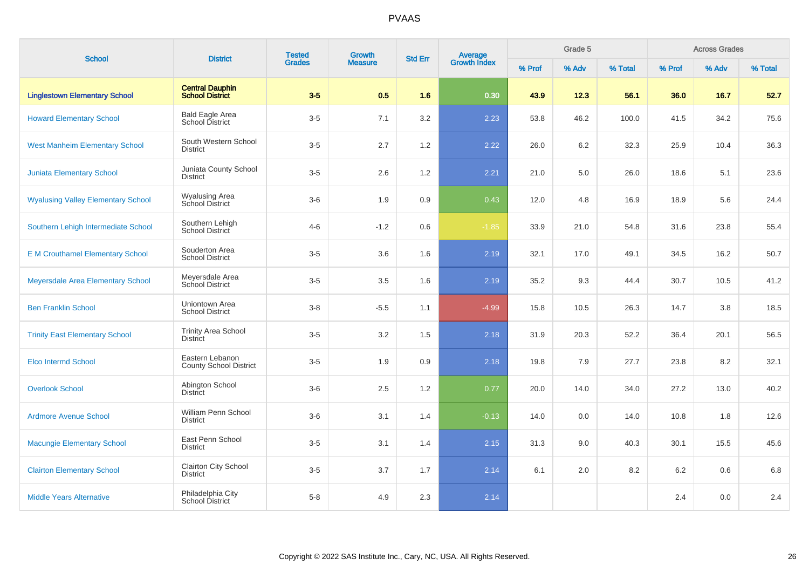| <b>School</b>                             | <b>District</b>                                  | <b>Tested</b> | Growth         | <b>Std Err</b> |                                |        | Grade 5 |         |         | <b>Across Grades</b> |         |
|-------------------------------------------|--------------------------------------------------|---------------|----------------|----------------|--------------------------------|--------|---------|---------|---------|----------------------|---------|
|                                           |                                                  | <b>Grades</b> | <b>Measure</b> |                | <b>Average</b><br>Growth Index | % Prof | % Adv   | % Total | % Prof  | % Adv                | % Total |
| <b>Linglestown Elementary School</b>      | <b>Central Dauphin</b><br><b>School District</b> | $3-5$         | 0.5            | 1.6            | 0.30                           | 43.9   | 12.3    | 56.1    | 36.0    | 16.7                 | 52.7    |
| <b>Howard Elementary School</b>           | <b>Bald Eagle Area</b><br>School District        | $3-5$         | 7.1            | 3.2            | 2.23                           | 53.8   | 46.2    | 100.0   | 41.5    | 34.2                 | 75.6    |
| <b>West Manheim Elementary School</b>     | South Western School<br><b>District</b>          | $3-5$         | 2.7            | 1.2            | 2.22                           | 26.0   | 6.2     | 32.3    | 25.9    | 10.4                 | 36.3    |
| <b>Juniata Elementary School</b>          | Juniata County School<br><b>District</b>         | $3-5$         | 2.6            | 1.2            | 2.21                           | 21.0   | 5.0     | 26.0    | 18.6    | 5.1                  | 23.6    |
| <b>Wyalusing Valley Elementary School</b> | <b>Wyalusing Area</b><br>School District         | $3-6$         | 1.9            | 0.9            | 0.43                           | 12.0   | 4.8     | 16.9    | 18.9    | 5.6                  | 24.4    |
| Southern Lehigh Intermediate School       | Southern Lehigh<br>School District               | $4 - 6$       | $-1.2$         | 0.6            | $-1.85$                        | 33.9   | 21.0    | 54.8    | 31.6    | 23.8                 | 55.4    |
| <b>E M Crouthamel Elementary School</b>   | Souderton Area<br><b>School District</b>         | $3-5$         | 3.6            | 1.6            | 2.19                           | 32.1   | 17.0    | 49.1    | 34.5    | 16.2                 | 50.7    |
| Meyersdale Area Elementary School         | Meyersdale Area<br>School District               | $3-5$         | 3.5            | 1.6            | 2.19                           | 35.2   | 9.3     | 44.4    | 30.7    | 10.5                 | 41.2    |
| <b>Ben Franklin School</b>                | Uniontown Area<br><b>School District</b>         | $3 - 8$       | $-5.5$         | 1.1            | $-4.99$                        | 15.8   | 10.5    | 26.3    | 14.7    | 3.8                  | 18.5    |
| <b>Trinity East Elementary School</b>     | <b>Trinity Area School</b><br><b>District</b>    | $3-5$         | 3.2            | 1.5            | 2.18                           | 31.9   | 20.3    | 52.2    | 36.4    | 20.1                 | 56.5    |
| <b>Elco Intermd School</b>                | Eastern Lebanon<br><b>County School District</b> | $3-5$         | 1.9            | 0.9            | 2.18                           | 19.8   | 7.9     | 27.7    | 23.8    | 8.2                  | 32.1    |
| <b>Overlook School</b>                    | Abington School<br><b>District</b>               | $3-6$         | 2.5            | 1.2            | 0.77                           | 20.0   | 14.0    | 34.0    | 27.2    | 13.0                 | 40.2    |
| <b>Ardmore Avenue School</b>              | William Penn School<br><b>District</b>           | $3-6$         | 3.1            | 1.4            | $-0.13$                        | 14.0   | 0.0     | 14.0    | 10.8    | 1.8                  | 12.6    |
| <b>Macungie Elementary School</b>         | East Penn School<br><b>District</b>              | $3-5$         | 3.1            | 1.4            | 2.15                           | 31.3   | 9.0     | 40.3    | 30.1    | 15.5                 | 45.6    |
| <b>Clairton Elementary School</b>         | Clairton City School<br><b>District</b>          | $3-5$         | 3.7            | 1.7            | 2.14                           | 6.1    | 2.0     | 8.2     | $6.2\,$ | 0.6                  | $6.8\,$ |
| <b>Middle Years Alternative</b>           | Philadelphia City<br>School District             | $5-8$         | 4.9            | 2.3            | 2.14                           |        |         |         | 2.4     | 0.0                  | 2.4     |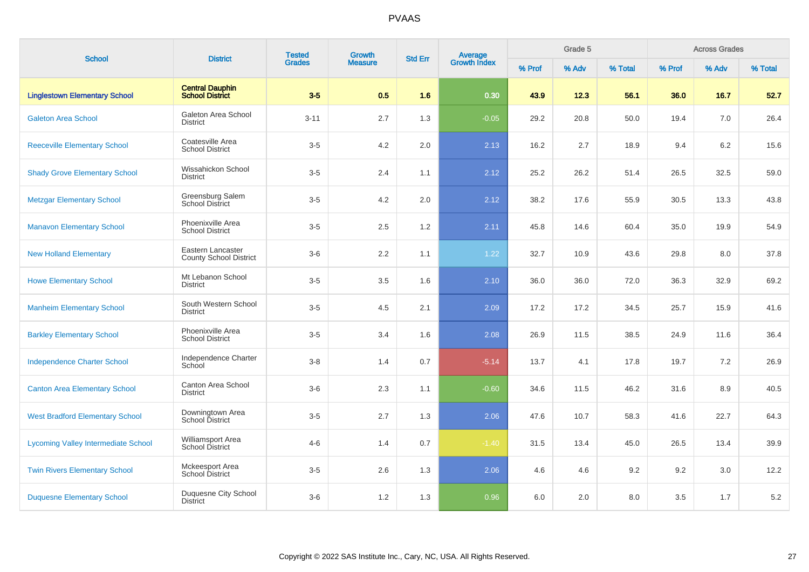| <b>School</b>                              | <b>District</b>                                    | <b>Tested</b> | Growth         | <b>Std Err</b> | <b>Average</b><br>Growth Index |        | Grade 5 |         |        | <b>Across Grades</b> |         |
|--------------------------------------------|----------------------------------------------------|---------------|----------------|----------------|--------------------------------|--------|---------|---------|--------|----------------------|---------|
|                                            |                                                    | <b>Grades</b> | <b>Measure</b> |                |                                | % Prof | % Adv   | % Total | % Prof | % Adv                | % Total |
| <b>Linglestown Elementary School</b>       | <b>Central Dauphin</b><br><b>School District</b>   | $3-5$         | 0.5            | 1.6            | 0.30                           | 43.9   | 12.3    | 56.1    | 36.0   | 16.7                 | 52.7    |
| <b>Galeton Area School</b>                 | Galeton Area School<br><b>District</b>             | $3 - 11$      | 2.7            | 1.3            | $-0.05$                        | 29.2   | 20.8    | 50.0    | 19.4   | 7.0                  | 26.4    |
| <b>Reeceville Elementary School</b>        | Coatesville Area<br><b>School District</b>         | $3-5$         | 4.2            | 2.0            | 2.13                           | 16.2   | 2.7     | 18.9    | 9.4    | 6.2                  | 15.6    |
| <b>Shady Grove Elementary School</b>       | Wissahickon School<br><b>District</b>              | $3-5$         | 2.4            | 1.1            | 2.12                           | 25.2   | 26.2    | 51.4    | 26.5   | 32.5                 | 59.0    |
| <b>Metzgar Elementary School</b>           | Greensburg Salem<br><b>School District</b>         | $3-5$         | 4.2            | 2.0            | 2.12                           | 38.2   | 17.6    | 55.9    | 30.5   | 13.3                 | 43.8    |
| <b>Manavon Elementary School</b>           | Phoenixville Area<br>School District               | $3-5$         | 2.5            | $1.2\,$        | 2.11                           | 45.8   | 14.6    | 60.4    | 35.0   | 19.9                 | 54.9    |
| <b>New Holland Elementary</b>              | Eastern Lancaster<br><b>County School District</b> | $3-6$         | 2.2            | 1.1            | 1.22                           | 32.7   | 10.9    | 43.6    | 29.8   | 8.0                  | 37.8    |
| <b>Howe Elementary School</b>              | Mt Lebanon School<br><b>District</b>               | $3-5$         | 3.5            | 1.6            | 2.10                           | 36.0   | 36.0    | 72.0    | 36.3   | 32.9                 | 69.2    |
| <b>Manheim Elementary School</b>           | South Western School<br><b>District</b>            | $3-5$         | 4.5            | 2.1            | 2.09                           | 17.2   | 17.2    | 34.5    | 25.7   | 15.9                 | 41.6    |
| <b>Barkley Elementary School</b>           | Phoenixville Area<br><b>School District</b>        | $3-5$         | 3.4            | 1.6            | 2.08                           | 26.9   | 11.5    | 38.5    | 24.9   | 11.6                 | 36.4    |
| <b>Independence Charter School</b>         | Independence Charter<br>School                     | $3-8$         | 1.4            | 0.7            | $-5.14$                        | 13.7   | 4.1     | 17.8    | 19.7   | 7.2                  | 26.9    |
| <b>Canton Area Elementary School</b>       | Canton Area School<br><b>District</b>              | $3-6$         | 2.3            | 1.1            | $-0.60$                        | 34.6   | 11.5    | 46.2    | 31.6   | 8.9                  | 40.5    |
| <b>West Bradford Elementary School</b>     | Downingtown Area<br>School District                | $3-5$         | 2.7            | 1.3            | 2.06                           | 47.6   | 10.7    | 58.3    | 41.6   | 22.7                 | 64.3    |
| <b>Lycoming Valley Intermediate School</b> | Williamsport Area<br>School District               | $4 - 6$       | 1.4            | 0.7            | $-1.40$                        | 31.5   | 13.4    | 45.0    | 26.5   | 13.4                 | 39.9    |
| <b>Twin Rivers Elementary School</b>       | Mckeesport Area<br><b>School District</b>          | $3-5$         | 2.6            | 1.3            | 2.06                           | 4.6    | 4.6     | 9.2     | 9.2    | 3.0                  | 12.2    |
| <b>Duquesne Elementary School</b>          | Duquesne City School<br><b>District</b>            | $3-6$         | $1.2$          | 1.3            | 0.96                           | 6.0    | 2.0     | 8.0     | 3.5    | 1.7                  | 5.2     |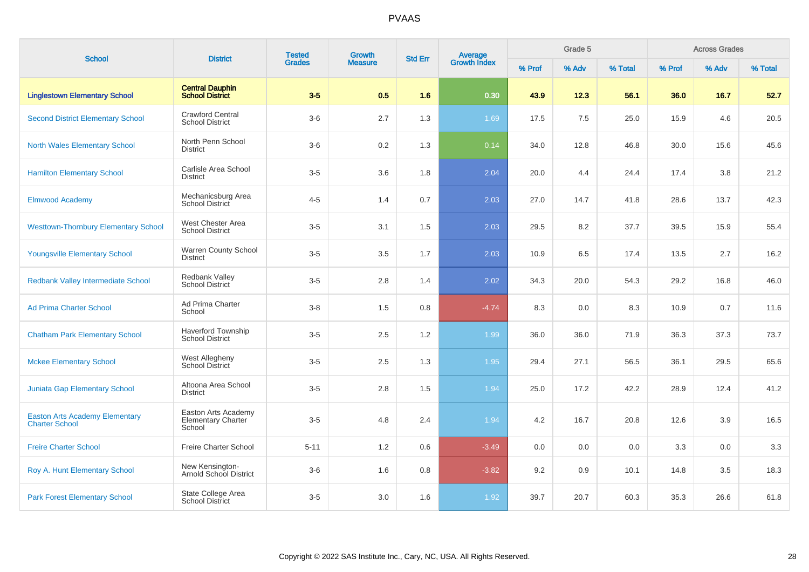| <b>School</b>                                                  | <b>District</b>                                            | <b>Tested</b> | Growth         | <b>Std Err</b> | Average<br>Growth Index |        | Grade 5 |         |        | <b>Across Grades</b> |         |
|----------------------------------------------------------------|------------------------------------------------------------|---------------|----------------|----------------|-------------------------|--------|---------|---------|--------|----------------------|---------|
|                                                                |                                                            | <b>Grades</b> | <b>Measure</b> |                |                         | % Prof | % Adv   | % Total | % Prof | % Adv                | % Total |
| <b>Linglestown Elementary School</b>                           | <b>Central Dauphin</b><br><b>School District</b>           | $3-5$         | 0.5            | 1.6            | 0.30                    | 43.9   | 12.3    | 56.1    | 36.0   | 16.7                 | 52.7    |
| <b>Second District Elementary School</b>                       | <b>Crawford Central</b><br><b>School District</b>          | $3-6$         | 2.7            | 1.3            | 1.69                    | 17.5   | 7.5     | 25.0    | 15.9   | 4.6                  | 20.5    |
| <b>North Wales Elementary School</b>                           | North Penn School<br><b>District</b>                       | $3-6$         | 0.2            | 1.3            | 0.14                    | 34.0   | 12.8    | 46.8    | 30.0   | 15.6                 | 45.6    |
| <b>Hamilton Elementary School</b>                              | Carlisle Area School<br><b>District</b>                    | $3-5$         | 3.6            | 1.8            | 2.04                    | 20.0   | 4.4     | 24.4    | 17.4   | 3.8                  | 21.2    |
| <b>Elmwood Academy</b>                                         | Mechanicsburg Area<br>School District                      | $4 - 5$       | 1.4            | 0.7            | 2.03                    | 27.0   | 14.7    | 41.8    | 28.6   | 13.7                 | 42.3    |
| <b>Westtown-Thornbury Elementary School</b>                    | West Chester Area<br><b>School District</b>                | $3-5$         | 3.1            | 1.5            | 2.03                    | 29.5   | 8.2     | 37.7    | 39.5   | 15.9                 | 55.4    |
| <b>Youngsville Elementary School</b>                           | Warren County School<br><b>District</b>                    | $3-5$         | 3.5            | 1.7            | 2.03                    | 10.9   | 6.5     | 17.4    | 13.5   | 2.7                  | 16.2    |
| Redbank Valley Intermediate School                             | Redbank Valley<br><b>School District</b>                   | $3-5$         | 2.8            | 1.4            | 2.02                    | 34.3   | 20.0    | 54.3    | 29.2   | 16.8                 | 46.0    |
| <b>Ad Prima Charter School</b>                                 | Ad Prima Charter<br>School                                 | $3-8$         | 1.5            | 0.8            | $-4.74$                 | 8.3    | 0.0     | 8.3     | 10.9   | 0.7                  | 11.6    |
| <b>Chatham Park Elementary School</b>                          | <b>Haverford Township</b><br><b>School District</b>        | $3-5$         | 2.5            | 1.2            | 1.99                    | 36.0   | 36.0    | 71.9    | 36.3   | 37.3                 | 73.7    |
| <b>Mckee Elementary School</b>                                 | West Allegheny<br>School District                          | $3-5$         | 2.5            | 1.3            | 1.95                    | 29.4   | 27.1    | 56.5    | 36.1   | 29.5                 | 65.6    |
| <b>Juniata Gap Elementary School</b>                           | Altoona Area School<br><b>District</b>                     | $3-5$         | 2.8            | 1.5            | 1.94                    | 25.0   | 17.2    | 42.2    | 28.9   | 12.4                 | 41.2    |
| <b>Easton Arts Academy Elementary</b><br><b>Charter School</b> | Easton Arts Academy<br><b>Elementary Charter</b><br>School | $3-5$         | 4.8            | 2.4            | 1.94                    | 4.2    | 16.7    | 20.8    | 12.6   | 3.9                  | 16.5    |
| <b>Freire Charter School</b>                                   | Freire Charter School                                      | $5 - 11$      | 1.2            | 0.6            | $-3.49$                 | 0.0    | 0.0     | 0.0     | 3.3    | 0.0                  | 3.3     |
| Roy A. Hunt Elementary School                                  | New Kensington-<br>Arnold School District                  | $3-6$         | 1.6            | 0.8            | $-3.82$                 | 9.2    | 0.9     | 10.1    | 14.8   | 3.5                  | 18.3    |
| <b>Park Forest Elementary School</b>                           | State College Area<br><b>School District</b>               | $3-5$         | 3.0            | 1.6            | 1.92                    | 39.7   | 20.7    | 60.3    | 35.3   | 26.6                 | 61.8    |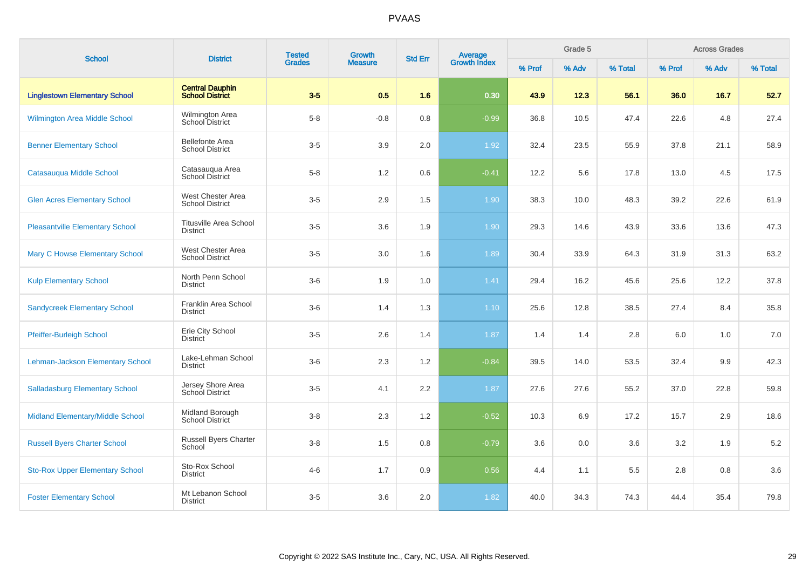| <b>School</b>                          | <b>District</b>                                  | <b>Tested</b> | Growth         | <b>Std Err</b> | Average<br>Growth Index |        | Grade 5 |         |         | <b>Across Grades</b> |         |
|----------------------------------------|--------------------------------------------------|---------------|----------------|----------------|-------------------------|--------|---------|---------|---------|----------------------|---------|
|                                        |                                                  | <b>Grades</b> | <b>Measure</b> |                |                         | % Prof | % Adv   | % Total | % Prof  | % Adv                | % Total |
| <b>Linglestown Elementary School</b>   | <b>Central Dauphin</b><br><b>School District</b> | $3-5$         | 0.5            | 1.6            | 0.30                    | 43.9   | 12.3    | 56.1    | 36.0    | 16.7                 | 52.7    |
| <b>Wilmington Area Middle School</b>   | Wilmington Area<br>School District               | $5-8$         | $-0.8$         | 0.8            | $-0.99$                 | 36.8   | 10.5    | 47.4    | 22.6    | 4.8                  | 27.4    |
| <b>Benner Elementary School</b>        | <b>Bellefonte Area</b><br><b>School District</b> | $3-5$         | 3.9            | 2.0            | 1.92                    | 32.4   | 23.5    | 55.9    | 37.8    | 21.1                 | 58.9    |
| Catasaugua Middle School               | Catasauqua Area<br><b>School District</b>        | $5-8$         | 1.2            | 0.6            | $-0.41$                 | 12.2   | 5.6     | 17.8    | 13.0    | 4.5                  | 17.5    |
| <b>Glen Acres Elementary School</b>    | West Chester Area<br><b>School District</b>      | $3-5$         | 2.9            | 1.5            | 1.90                    | 38.3   | 10.0    | 48.3    | 39.2    | 22.6                 | 61.9    |
| <b>Pleasantville Elementary School</b> | <b>Titusville Area School</b><br><b>District</b> | $3-5$         | 3.6            | 1.9            | 1.90                    | 29.3   | 14.6    | 43.9    | 33.6    | 13.6                 | 47.3    |
| <b>Mary C Howse Elementary School</b>  | West Chester Area<br><b>School District</b>      | $3-5$         | 3.0            | 1.6            | 1.89                    | 30.4   | 33.9    | 64.3    | 31.9    | 31.3                 | 63.2    |
| <b>Kulp Elementary School</b>          | North Penn School<br><b>District</b>             | $3-6$         | 1.9            | 1.0            | 1.41                    | 29.4   | 16.2    | 45.6    | 25.6    | 12.2                 | 37.8    |
| <b>Sandycreek Elementary School</b>    | Franklin Area School<br><b>District</b>          | $3-6$         | 1.4            | 1.3            | 1.10                    | 25.6   | 12.8    | 38.5    | 27.4    | 8.4                  | 35.8    |
| Pfeiffer-Burleigh School               | Erie City School<br>District                     | $3-5$         | 2.6            | 1.4            | 1.87                    | 1.4    | 1.4     | 2.8     | 6.0     | 1.0                  | 7.0     |
| Lehman-Jackson Elementary School       | Lake-Lehman School<br><b>District</b>            | $3-6$         | 2.3            | 1.2            | $-0.84$                 | 39.5   | 14.0    | 53.5    | 32.4    | 9.9                  | 42.3    |
| <b>Salladasburg Elementary School</b>  | Jersey Shore Area<br>School District             | $3-5$         | 4.1            | 2.2            | 1.87                    | 27.6   | 27.6    | 55.2    | 37.0    | 22.8                 | 59.8    |
| Midland Elementary/Middle School       | Midland Borough<br>School District               | $3-8$         | 2.3            | 1.2            | $-0.52$                 | 10.3   | 6.9     | 17.2    | 15.7    | 2.9                  | 18.6    |
| <b>Russell Byers Charter School</b>    | Russell Byers Charter<br>School                  | $3 - 8$       | 1.5            | 0.8            | $-0.79$                 | 3.6    | 0.0     | 3.6     | $3.2\,$ | 1.9                  | $5.2\,$ |
| <b>Sto-Rox Upper Elementary School</b> | Sto-Rox School<br><b>District</b>                | $4 - 6$       | 1.7            | 0.9            | 0.56                    | 4.4    | 1.1     | 5.5     | $2.8\,$ | 0.8                  | 3.6     |
| <b>Foster Elementary School</b>        | Mt Lebanon School<br><b>District</b>             | $3-5$         | 3.6            | 2.0            | 1.82                    | 40.0   | 34.3    | 74.3    | 44.4    | 35.4                 | 79.8    |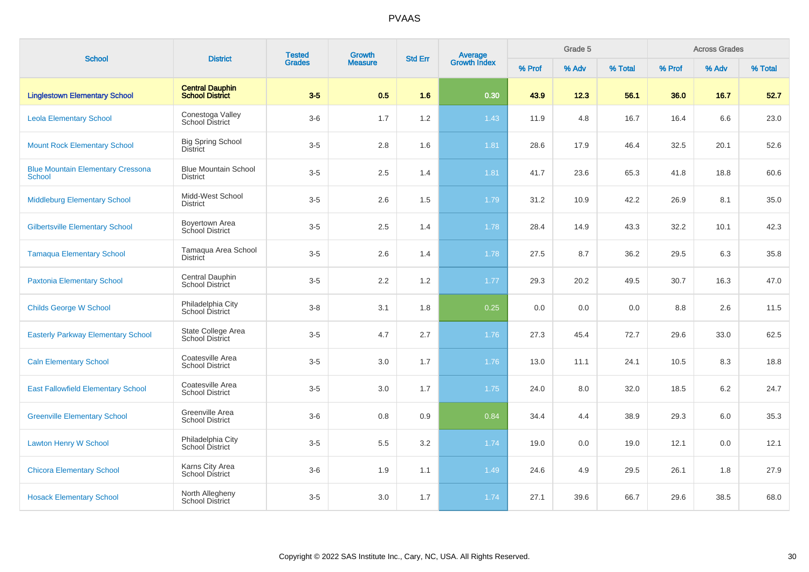| <b>School</b>                                             | <b>District</b>                                  | <b>Tested</b> | Growth         | <b>Std Err</b> |                                |        | Grade 5 |         |        | <b>Across Grades</b> |         |
|-----------------------------------------------------------|--------------------------------------------------|---------------|----------------|----------------|--------------------------------|--------|---------|---------|--------|----------------------|---------|
|                                                           |                                                  | <b>Grades</b> | <b>Measure</b> |                | <b>Average</b><br>Growth Index | % Prof | % Adv   | % Total | % Prof | % Adv                | % Total |
| <b>Linglestown Elementary School</b>                      | <b>Central Dauphin</b><br><b>School District</b> | $3-5$         | 0.5            | 1.6            | 0.30                           | 43.9   | 12.3    | 56.1    | 36.0   | 16.7                 | 52.7    |
| <b>Leola Elementary School</b>                            | Conestoga Valley<br><b>School District</b>       | $3-6$         | 1.7            | 1.2            | 1.43                           | 11.9   | 4.8     | 16.7    | 16.4   | 6.6                  | 23.0    |
| <b>Mount Rock Elementary School</b>                       | <b>Big Spring School</b><br><b>District</b>      | $3-5$         | 2.8            | 1.6            | 1.81                           | 28.6   | 17.9    | 46.4    | 32.5   | 20.1                 | 52.6    |
| <b>Blue Mountain Elementary Cressona</b><br><b>School</b> | <b>Blue Mountain School</b><br><b>District</b>   | $3-5$         | 2.5            | 1.4            | 1.81                           | 41.7   | 23.6    | 65.3    | 41.8   | 18.8                 | 60.6    |
| <b>Middleburg Elementary School</b>                       | Midd-West School<br><b>District</b>              | $3-5$         | 2.6            | 1.5            | 1.79                           | 31.2   | 10.9    | 42.2    | 26.9   | 8.1                  | 35.0    |
| <b>Gilbertsville Elementary School</b>                    | Boyertown Area<br>School District                | $3-5$         | 2.5            | 1.4            | 1.78                           | 28.4   | 14.9    | 43.3    | 32.2   | 10.1                 | 42.3    |
| <b>Tamaqua Elementary School</b>                          | Tamaqua Area School<br><b>District</b>           | $3-5$         | 2.6            | 1.4            | 1.78                           | 27.5   | 8.7     | 36.2    | 29.5   | 6.3                  | 35.8    |
| <b>Paxtonia Elementary School</b>                         | Central Dauphin<br>School District               | $3-5$         | 2.2            | 1.2            | 1.77                           | 29.3   | 20.2    | 49.5    | 30.7   | 16.3                 | 47.0    |
| <b>Childs George W School</b>                             | Philadelphia City<br>School District             | $3 - 8$       | 3.1            | 1.8            | 0.25                           | 0.0    | 0.0     | 0.0     | 8.8    | 2.6                  | 11.5    |
| <b>Easterly Parkway Elementary School</b>                 | State College Area<br><b>School District</b>     | $3-5$         | 4.7            | 2.7            | 1.76                           | 27.3   | 45.4    | 72.7    | 29.6   | 33.0                 | 62.5    |
| <b>Caln Elementary School</b>                             | Coatesville Area<br><b>School District</b>       | $3-5$         | 3.0            | 1.7            | 1.76                           | 13.0   | 11.1    | 24.1    | 10.5   | 8.3                  | 18.8    |
| <b>East Fallowfield Elementary School</b>                 | Coatesville Area<br><b>School District</b>       | $3-5$         | 3.0            | 1.7            | 1.75                           | 24.0   | 8.0     | 32.0    | 18.5   | 6.2                  | 24.7    |
| <b>Greenville Elementary School</b>                       | Greenville Area<br><b>School District</b>        | $3-6$         | 0.8            | 0.9            | 0.84                           | 34.4   | 4.4     | 38.9    | 29.3   | 6.0                  | 35.3    |
| <b>Lawton Henry W School</b>                              | Philadelphia City<br>School District             | $3-5$         | 5.5            | 3.2            | 1.74                           | 19.0   | 0.0     | 19.0    | 12.1   | 0.0                  | 12.1    |
| <b>Chicora Elementary School</b>                          | Karns City Area<br><b>School District</b>        | $3-6$         | 1.9            | 1.1            | 1.49                           | 24.6   | 4.9     | 29.5    | 26.1   | 1.8                  | 27.9    |
| <b>Hosack Elementary School</b>                           | North Allegheny<br>School District               | $3-5$         | 3.0            | 1.7            | 1.74                           | 27.1   | 39.6    | 66.7    | 29.6   | 38.5                 | 68.0    |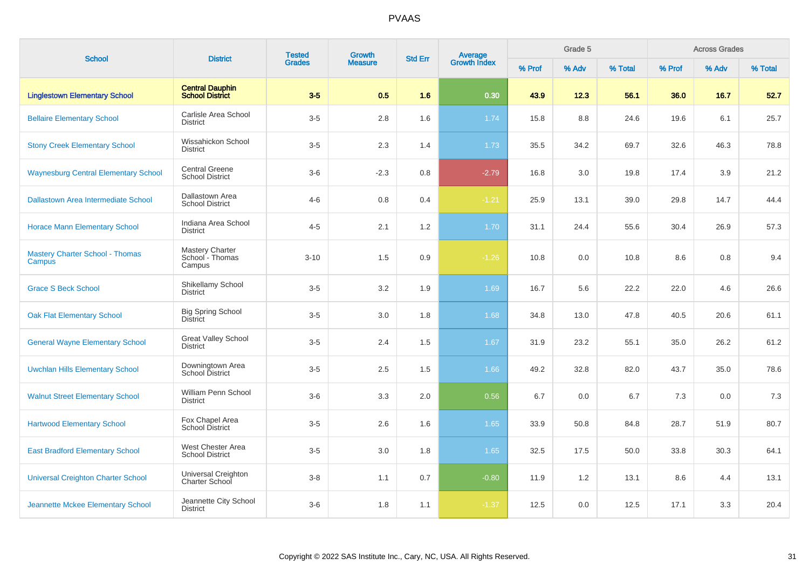| <b>School</b>                                    | <b>District</b>                                     | <b>Tested</b> | Growth         | <b>Std Err</b> |                                |        | Grade 5 |         |        | <b>Across Grades</b> |         |
|--------------------------------------------------|-----------------------------------------------------|---------------|----------------|----------------|--------------------------------|--------|---------|---------|--------|----------------------|---------|
|                                                  |                                                     | <b>Grades</b> | <b>Measure</b> |                | <b>Average</b><br>Growth Index | % Prof | % Adv   | % Total | % Prof | % Adv                | % Total |
| <b>Linglestown Elementary School</b>             | <b>Central Dauphin</b><br><b>School District</b>    | $3-5$         | 0.5            | 1.6            | 0.30                           | 43.9   | 12.3    | 56.1    | 36.0   | 16.7                 | 52.7    |
| <b>Bellaire Elementary School</b>                | Carlisle Area School<br><b>District</b>             | $3-5$         | 2.8            | 1.6            | 1.74                           | 15.8   | 8.8     | 24.6    | 19.6   | 6.1                  | 25.7    |
| <b>Stony Creek Elementary School</b>             | Wissahickon School<br><b>District</b>               | $3-5$         | 2.3            | 1.4            | 1.73                           | 35.5   | 34.2    | 69.7    | 32.6   | 46.3                 | 78.8    |
| <b>Waynesburg Central Elementary School</b>      | <b>Central Greene</b><br><b>School District</b>     | $3-6$         | $-2.3$         | 0.8            | $-2.79$                        | 16.8   | 3.0     | 19.8    | 17.4   | 3.9                  | 21.2    |
| Dallastown Area Intermediate School              | Dallastown Area<br><b>School District</b>           | $4 - 6$       | 0.8            | 0.4            | $-1.21$                        | 25.9   | 13.1    | 39.0    | 29.8   | 14.7                 | 44.4    |
| <b>Horace Mann Elementary School</b>             | Indiana Area School<br><b>District</b>              | $4 - 5$       | 2.1            | 1.2            | 1.70                           | 31.1   | 24.4    | 55.6    | 30.4   | 26.9                 | 57.3    |
| <b>Mastery Charter School - Thomas</b><br>Campus | <b>Mastery Charter</b><br>School - Thomas<br>Campus | $3 - 10$      | 1.5            | 0.9            | $-1.26$                        | 10.8   | 0.0     | 10.8    | 8.6    | 0.8                  | 9.4     |
| <b>Grace S Beck School</b>                       | Shikellamy School<br><b>District</b>                | $3-5$         | 3.2            | 1.9            | 1.69                           | 16.7   | 5.6     | 22.2    | 22.0   | 4.6                  | 26.6    |
| <b>Oak Flat Elementary School</b>                | <b>Big Spring School</b><br><b>District</b>         | $3-5$         | 3.0            | 1.8            | 1.68                           | 34.8   | 13.0    | 47.8    | 40.5   | 20.6                 | 61.1    |
| <b>General Wayne Elementary School</b>           | <b>Great Valley School</b><br><b>District</b>       | $3-5$         | 2.4            | 1.5            | 1.67                           | 31.9   | 23.2    | 55.1    | 35.0   | 26.2                 | 61.2    |
| <b>Uwchlan Hills Elementary School</b>           | Downingtown Area<br>School District                 | $3-5$         | 2.5            | 1.5            | 1.66                           | 49.2   | 32.8    | 82.0    | 43.7   | 35.0                 | 78.6    |
| <b>Walnut Street Elementary School</b>           | William Penn School<br><b>District</b>              | $3-6$         | 3.3            | 2.0            | 0.56                           | 6.7    | 0.0     | 6.7     | 7.3    | 0.0                  | 7.3     |
| <b>Hartwood Elementary School</b>                | Fox Chapel Area<br>School District                  | $3-5$         | 2.6            | 1.6            | 1.65                           | 33.9   | 50.8    | 84.8    | 28.7   | 51.9                 | 80.7    |
| <b>East Bradford Elementary School</b>           | West Chester Area<br><b>School District</b>         | $3-5$         | 3.0            | 1.8            | 1.65                           | 32.5   | 17.5    | 50.0    | 33.8   | 30.3                 | 64.1    |
| <b>Universal Creighton Charter School</b>        | Universal Creighton<br>Charter School               | $3 - 8$       | 1.1            | 0.7            | $-0.80$                        | 11.9   | 1.2     | 13.1    | 8.6    | 4.4                  | 13.1    |
| Jeannette Mckee Elementary School                | Jeannette City School<br><b>District</b>            | $3-6$         | 1.8            | 1.1            | $-1.37$                        | 12.5   | 0.0     | 12.5    | 17.1   | 3.3                  | 20.4    |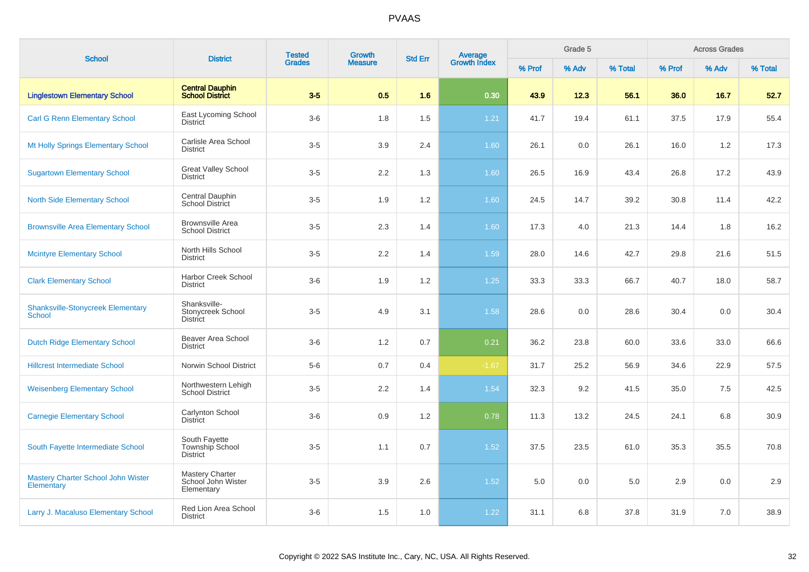| <b>School</b>                                             | <b>District</b>                                            | <b>Tested</b> | Growth         | <b>Std Err</b> | <b>Average</b><br>Growth Index |        | Grade 5 |         |        | <b>Across Grades</b> |         |
|-----------------------------------------------------------|------------------------------------------------------------|---------------|----------------|----------------|--------------------------------|--------|---------|---------|--------|----------------------|---------|
|                                                           |                                                            | <b>Grades</b> | <b>Measure</b> |                |                                | % Prof | % Adv   | % Total | % Prof | % Adv                | % Total |
| <b>Linglestown Elementary School</b>                      | <b>Central Dauphin</b><br>School District                  | $3-5$         | 0.5            | 1.6            | 0.30                           | 43.9   | 12.3    | 56.1    | 36.0   | 16.7                 | 52.7    |
| <b>Carl G Renn Elementary School</b>                      | East Lycoming School<br><b>District</b>                    | $3-6$         | 1.8            | 1.5            | 1.21                           | 41.7   | 19.4    | 61.1    | 37.5   | 17.9                 | 55.4    |
| Mt Holly Springs Elementary School                        | Carlisle Area School<br><b>District</b>                    | $3-5$         | 3.9            | 2.4            | 1.60                           | 26.1   | 0.0     | 26.1    | 16.0   | 1.2                  | 17.3    |
| <b>Sugartown Elementary School</b>                        | <b>Great Valley School</b><br><b>District</b>              | $3-5$         | 2.2            | 1.3            | 1.60                           | 26.5   | 16.9    | 43.4    | 26.8   | 17.2                 | 43.9    |
| <b>North Side Elementary School</b>                       | Central Dauphin<br><b>School District</b>                  | $3-5$         | 1.9            | 1.2            | 1.60                           | 24.5   | 14.7    | 39.2    | 30.8   | 11.4                 | 42.2    |
| <b>Brownsville Area Elementary School</b>                 | <b>Brownsville Area</b><br><b>School District</b>          | $3-5$         | 2.3            | 1.4            | 1.60                           | 17.3   | 4.0     | 21.3    | 14.4   | 1.8                  | 16.2    |
| <b>Mcintyre Elementary School</b>                         | North Hills School<br><b>District</b>                      | $3-5$         | 2.2            | 1.4            | 1.59                           | 28.0   | 14.6    | 42.7    | 29.8   | 21.6                 | 51.5    |
| <b>Clark Elementary School</b>                            | <b>Harbor Creek School</b><br><b>District</b>              | $3-6$         | 1.9            | 1.2            | $1.25$                         | 33.3   | 33.3    | 66.7    | 40.7   | 18.0                 | 58.7    |
| <b>Shanksville-Stonycreek Elementary</b><br><b>School</b> | Shanksville-<br>Stonycreek School<br><b>District</b>       | $3-5$         | 4.9            | 3.1            | 1.58                           | 28.6   | 0.0     | 28.6    | 30.4   | 0.0                  | 30.4    |
| <b>Dutch Ridge Elementary School</b>                      | Beaver Area School<br><b>District</b>                      | $3-6$         | 1.2            | 0.7            | 0.21                           | 36.2   | 23.8    | 60.0    | 33.6   | 33.0                 | 66.6    |
| <b>Hillcrest Intermediate School</b>                      | Norwin School District                                     | $5-6$         | 0.7            | 0.4            | $-1.67$                        | 31.7   | 25.2    | 56.9    | 34.6   | 22.9                 | 57.5    |
| <b>Weisenberg Elementary School</b>                       | Northwestern Lehigh<br><b>School District</b>              | $3-5$         | 2.2            | 1.4            | 1.54                           | 32.3   | 9.2     | 41.5    | 35.0   | 7.5                  | 42.5    |
| <b>Carnegie Elementary School</b>                         | Carlynton School<br><b>District</b>                        | $3-6$         | 0.9            | 1.2            | 0.78                           | 11.3   | 13.2    | 24.5    | 24.1   | 6.8                  | 30.9    |
| South Fayette Intermediate School                         | South Fayette<br><b>Township School</b><br><b>District</b> | $3-5$         | 1.1            | 0.7            | 1.52                           | 37.5   | 23.5    | 61.0    | 35.3   | 35.5                 | 70.8    |
| <b>Mastery Charter School John Wister</b><br>Elementary   | <b>Mastery Charter</b><br>School John Wister<br>Elementary | $3-5$         | 3.9            | 2.6            | 1.52                           | 5.0    | 0.0     | 5.0     | 2.9    | 0.0                  | 2.9     |
| Larry J. Macaluso Elementary School                       | Red Lion Area School<br><b>District</b>                    | $3-6$         | 1.5            | 1.0            | 1.22                           | 31.1   | 6.8     | 37.8    | 31.9   | 7.0                  | 38.9    |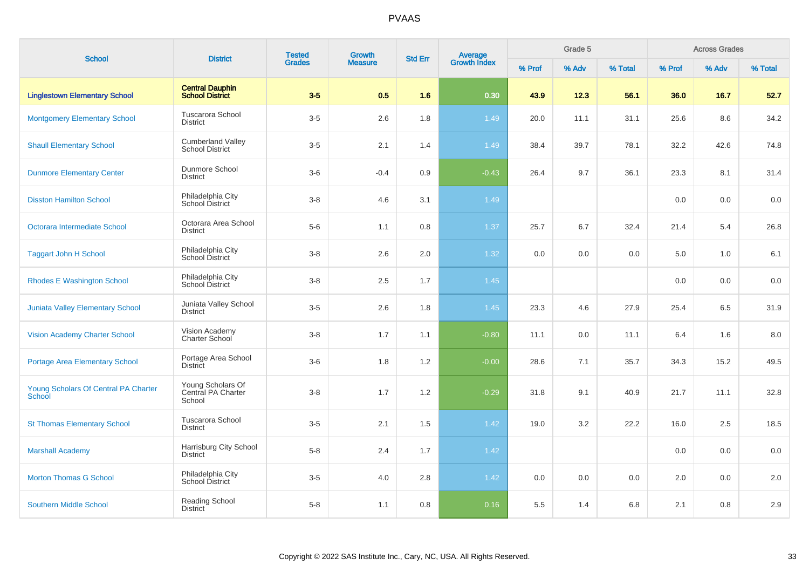| <b>School</b>                                         | <b>District</b>                                    | <b>Tested</b> | Growth         | <b>Std Err</b> |                                |        | Grade 5 |         |        | <b>Across Grades</b> |         |
|-------------------------------------------------------|----------------------------------------------------|---------------|----------------|----------------|--------------------------------|--------|---------|---------|--------|----------------------|---------|
|                                                       |                                                    | <b>Grades</b> | <b>Measure</b> |                | <b>Average</b><br>Growth Index | % Prof | % Adv   | % Total | % Prof | % Adv                | % Total |
| <b>Linglestown Elementary School</b>                  | <b>Central Dauphin</b><br><b>School District</b>   | $3-5$         | 0.5            | 1.6            | 0.30                           | 43.9   | 12.3    | 56.1    | 36.0   | 16.7                 | 52.7    |
| <b>Montgomery Elementary School</b>                   | Tuscarora School<br><b>District</b>                | $3-5$         | 2.6            | 1.8            | 1.49                           | 20.0   | 11.1    | 31.1    | 25.6   | 8.6                  | 34.2    |
| <b>Shaull Elementary School</b>                       | <b>Cumberland Valley</b><br><b>School District</b> | $3-5$         | 2.1            | 1.4            | 1.49                           | 38.4   | 39.7    | 78.1    | 32.2   | 42.6                 | 74.8    |
| <b>Dunmore Elementary Center</b>                      | Dunmore School<br><b>District</b>                  | $3-6$         | $-0.4$         | 0.9            | $-0.43$                        | 26.4   | 9.7     | 36.1    | 23.3   | 8.1                  | 31.4    |
| <b>Disston Hamilton School</b>                        | Philadelphia City<br>School District               | $3 - 8$       | 4.6            | 3.1            | 1.49                           |        |         |         | 0.0    | 0.0                  | 0.0     |
| Octorara Intermediate School                          | Octorara Area School<br><b>District</b>            | $5-6$         | 1.1            | 0.8            | 1.37                           | 25.7   | 6.7     | 32.4    | 21.4   | 5.4                  | 26.8    |
| <b>Taggart John H School</b>                          | Philadelphia City<br>School District               | $3 - 8$       | 2.6            | 2.0            | 1.32                           | 0.0    | 0.0     | 0.0     | 5.0    | 1.0                  | 6.1     |
| <b>Rhodes E Washington School</b>                     | Philadelphia City<br>School District               | $3-8$         | 2.5            | 1.7            | 1.45                           |        |         |         | 0.0    | 0.0                  | 0.0     |
| <b>Juniata Valley Elementary School</b>               | Juniata Valley School<br><b>District</b>           | $3-5$         | 2.6            | 1.8            | 1.45                           | 23.3   | 4.6     | 27.9    | 25.4   | 6.5                  | 31.9    |
| <b>Vision Academy Charter School</b>                  | Vision Academy<br>Charter School                   | $3-8$         | 1.7            | 1.1            | $-0.80$                        | 11.1   | 0.0     | 11.1    | 6.4    | 1.6                  | 8.0     |
| <b>Portage Area Elementary School</b>                 | Portage Area School<br><b>District</b>             | $3-6$         | 1.8            | 1.2            | $-0.00$                        | 28.6   | 7.1     | 35.7    | 34.3   | 15.2                 | 49.5    |
| Young Scholars Of Central PA Charter<br><b>School</b> | Young Scholars Of<br>Central PA Charter<br>School  | $3-8$         | 1.7            | 1.2            | $-0.29$                        | 31.8   | 9.1     | 40.9    | 21.7   | 11.1                 | 32.8    |
| <b>St Thomas Elementary School</b>                    | Tuscarora School<br><b>District</b>                | $3-5$         | 2.1            | 1.5            | 1.42                           | 19.0   | 3.2     | 22.2    | 16.0   | 2.5                  | 18.5    |
| <b>Marshall Academy</b>                               | Harrisburg City School<br><b>District</b>          | $5-8$         | 2.4            | 1.7            | 1.42                           |        |         |         | 0.0    | 0.0                  | 0.0     |
| <b>Morton Thomas G School</b>                         | Philadelphia City<br><b>School District</b>        | $3-5$         | 4.0            | 2.8            | 1.42                           | 0.0    | 0.0     | 0.0     | 2.0    | 0.0                  | 2.0     |
| <b>Southern Middle School</b>                         | Reading School<br><b>District</b>                  | $5 - 8$       | 1.1            | 0.8            | 0.16                           | 5.5    | 1.4     | 6.8     | 2.1    | 0.8                  | 2.9     |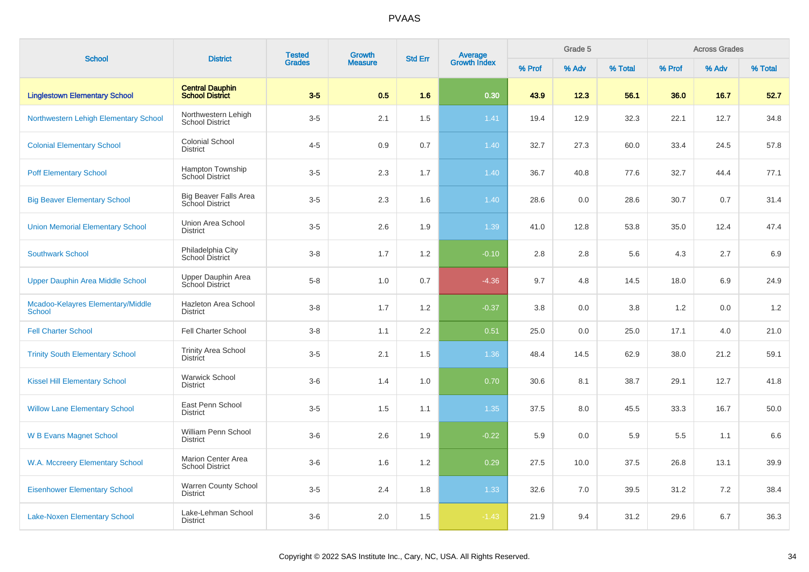|                                                    |                                                        | <b>Tested</b> | Growth         |                |                                |        | Grade 5 |         |        | <b>Across Grades</b> |         |
|----------------------------------------------------|--------------------------------------------------------|---------------|----------------|----------------|--------------------------------|--------|---------|---------|--------|----------------------|---------|
| <b>School</b>                                      | <b>District</b>                                        | <b>Grades</b> | <b>Measure</b> | <b>Std Err</b> | <b>Average</b><br>Growth Index | % Prof | % Adv   | % Total | % Prof | % Adv                | % Total |
| <b>Linglestown Elementary School</b>               | <b>Central Dauphin</b><br><b>School District</b>       | $3-5$         | 0.5            | 1.6            | 0.30                           | 43.9   | 12.3    | 56.1    | 36.0   | 16.7                 | 52.7    |
| Northwestern Lehigh Elementary School              | Northwestern Lehigh<br><b>School District</b>          | $3-5$         | 2.1            | 1.5            | 1.41                           | 19.4   | 12.9    | 32.3    | 22.1   | 12.7                 | 34.8    |
| <b>Colonial Elementary School</b>                  | <b>Colonial School</b><br><b>District</b>              | $4 - 5$       | 0.9            | 0.7            | 1.40                           | 32.7   | 27.3    | 60.0    | 33.4   | 24.5                 | 57.8    |
| <b>Poff Elementary School</b>                      | Hampton Township<br><b>School District</b>             | $3-5$         | 2.3            | 1.7            | 1.40                           | 36.7   | 40.8    | 77.6    | 32.7   | 44.4                 | 77.1    |
| <b>Big Beaver Elementary School</b>                | <b>Big Beaver Falls Area</b><br><b>School District</b> | $3-5$         | 2.3            | 1.6            | 1.40                           | 28.6   | 0.0     | 28.6    | 30.7   | 0.7                  | 31.4    |
| <b>Union Memorial Elementary School</b>            | Union Area School<br><b>District</b>                   | $3-5$         | 2.6            | 1.9            | 1.39                           | 41.0   | 12.8    | 53.8    | 35.0   | 12.4                 | 47.4    |
| <b>Southwark School</b>                            | Philadelphia City<br>School District                   | $3-8$         | 1.7            | 1.2            | $-0.10$                        | 2.8    | 2.8     | 5.6     | 4.3    | 2.7                  | 6.9     |
| <b>Upper Dauphin Area Middle School</b>            | Upper Dauphin Area<br>School District                  | $5-8$         | 1.0            | 0.7            | $-4.36$                        | 9.7    | 4.8     | 14.5    | 18.0   | 6.9                  | 24.9    |
| Mcadoo-Kelayres Elementary/Middle<br><b>School</b> | Hazleton Area School<br><b>District</b>                | $3-8$         | 1.7            | 1.2            | $-0.37$                        | 3.8    | 0.0     | 3.8     | 1.2    | 0.0                  | 1.2     |
| <b>Fell Charter School</b>                         | <b>Fell Charter School</b>                             | $3-8$         | 1.1            | 2.2            | 0.51                           | 25.0   | 0.0     | 25.0    | 17.1   | 4.0                  | 21.0    |
| <b>Trinity South Elementary School</b>             | <b>Trinity Area School</b><br><b>District</b>          | $3-5$         | 2.1            | 1.5            | 1.36                           | 48.4   | 14.5    | 62.9    | 38.0   | 21.2                 | 59.1    |
| <b>Kissel Hill Elementary School</b>               | <b>Warwick School</b><br><b>District</b>               | $3-6$         | 1.4            | 1.0            | 0.70                           | 30.6   | 8.1     | 38.7    | 29.1   | 12.7                 | 41.8    |
| <b>Willow Lane Elementary School</b>               | East Penn School<br><b>District</b>                    | $3-5$         | 1.5            | 1.1            | 1.35                           | 37.5   | 8.0     | 45.5    | 33.3   | 16.7                 | 50.0    |
| <b>W B Evans Magnet School</b>                     | William Penn School<br><b>District</b>                 | $3-6$         | 2.6            | 1.9            | $-0.22$                        | 5.9    | 0.0     | 5.9     | 5.5    | 1.1                  | 6.6     |
| W.A. Mccreery Elementary School                    | <b>Marion Center Area</b><br><b>School District</b>    | $3-6$         | 1.6            | 1.2            | 0.29                           | 27.5   | 10.0    | 37.5    | 26.8   | 13.1                 | 39.9    |
| <b>Eisenhower Elementary School</b>                | <b>Warren County School</b><br><b>District</b>         | $3-5$         | 2.4            | 1.8            | 1.33                           | 32.6   | 7.0     | 39.5    | 31.2   | 7.2                  | 38.4    |
| <b>Lake-Noxen Elementary School</b>                | Lake-Lehman School<br><b>District</b>                  | $3-6$         | 2.0            | 1.5            | $-1.43$                        | 21.9   | 9.4     | 31.2    | 29.6   | 6.7                  | 36.3    |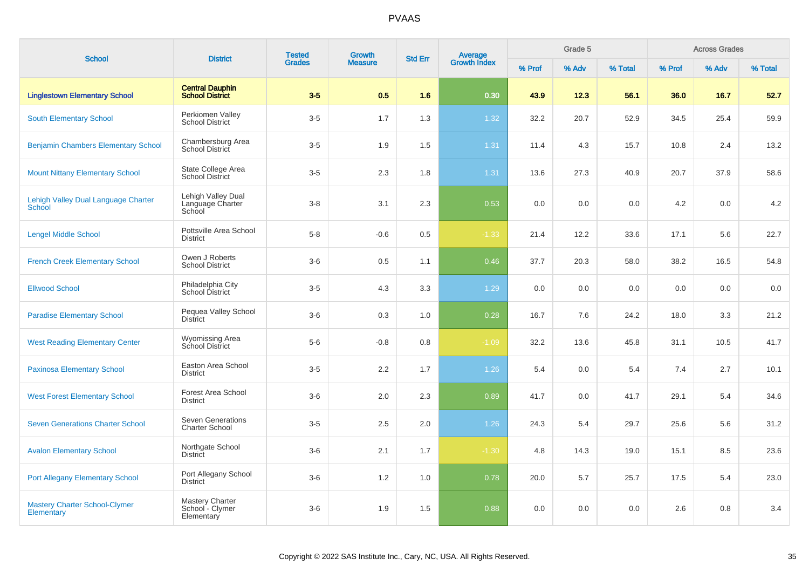| <b>School</b>                                             | <b>District</b>                                   | <b>Tested</b> | Growth         | <b>Std Err</b> | <b>Average</b><br>Growth Index |        | Grade 5 |         |        | <b>Across Grades</b> |         |
|-----------------------------------------------------------|---------------------------------------------------|---------------|----------------|----------------|--------------------------------|--------|---------|---------|--------|----------------------|---------|
|                                                           |                                                   | <b>Grades</b> | <b>Measure</b> |                |                                | % Prof | % Adv   | % Total | % Prof | % Adv                | % Total |
| <b>Linglestown Elementary School</b>                      | <b>Central Dauphin</b><br>School District         | $3-5$         | 0.5            | 1.6            | 0.30                           | 43.9   | 12.3    | 56.1    | 36.0   | 16.7                 | 52.7    |
| <b>South Elementary School</b>                            | Perkiomen Valley<br><b>School District</b>        | $3-5$         | 1.7            | 1.3            | 1.32                           | 32.2   | 20.7    | 52.9    | 34.5   | 25.4                 | 59.9    |
| <b>Benjamin Chambers Elementary School</b>                | Chambersburg Area<br><b>School District</b>       | $3-5$         | 1.9            | 1.5            | 1.31                           | 11.4   | 4.3     | 15.7    | 10.8   | 2.4                  | 13.2    |
| <b>Mount Nittany Elementary School</b>                    | State College Area<br><b>School District</b>      | $3-5$         | 2.3            | 1.8            | 1.31                           | 13.6   | 27.3    | 40.9    | 20.7   | 37.9                 | 58.6    |
| Lehigh Valley Dual Language Charter<br><b>School</b>      | Lehigh Valley Dual<br>Language Charter<br>School  | $3-8$         | 3.1            | 2.3            | 0.53                           | 0.0    | 0.0     | 0.0     | 4.2    | 0.0                  | 4.2     |
| <b>Lengel Middle School</b>                               | Pottsville Area School<br><b>District</b>         | $5-8$         | $-0.6$         | 0.5            | $-1.33$                        | 21.4   | 12.2    | 33.6    | 17.1   | 5.6                  | 22.7    |
| <b>French Creek Elementary School</b>                     | Owen J Roberts<br><b>School District</b>          | $3-6$         | 0.5            | 1.1            | 0.46                           | 37.7   | 20.3    | 58.0    | 38.2   | 16.5                 | 54.8    |
| <b>Ellwood School</b>                                     | Philadelphia City<br>School District              | $3-5$         | 4.3            | 3.3            | 1.29                           | 0.0    | 0.0     | 0.0     | 0.0    | 0.0                  | 0.0     |
| <b>Paradise Elementary School</b>                         | Pequea Valley School<br><b>District</b>           | $3-6$         | 0.3            | 1.0            | 0.28                           | 16.7   | 7.6     | 24.2    | 18.0   | 3.3                  | 21.2    |
| <b>West Reading Elementary Center</b>                     | <b>Wyomissing Area</b><br>School District         | $5-6$         | $-0.8$         | 0.8            | $-1.09$                        | 32.2   | 13.6    | 45.8    | 31.1   | 10.5                 | 41.7    |
| <b>Paxinosa Elementary School</b>                         | Easton Area School<br><b>District</b>             | $3-5$         | 2.2            | 1.7            | 1.26                           | 5.4    | 0.0     | 5.4     | 7.4    | 2.7                  | 10.1    |
| <b>West Forest Elementary School</b>                      | Forest Area School<br><b>District</b>             | $3-6$         | 2.0            | 2.3            | 0.89                           | 41.7   | 0.0     | 41.7    | 29.1   | 5.4                  | 34.6    |
| <b>Seven Generations Charter School</b>                   | <b>Seven Generations</b><br><b>Charter School</b> | $3-5$         | 2.5            | 2.0            | 1.26                           | 24.3   | 5.4     | 29.7    | 25.6   | 5.6                  | 31.2    |
| <b>Avalon Elementary School</b>                           | Northgate School<br><b>District</b>               | $3-6$         | 2.1            | 1.7            | $-1.30$                        | 4.8    | 14.3    | 19.0    | 15.1   | 8.5                  | 23.6    |
| <b>Port Allegany Elementary School</b>                    | Port Allegany School<br><b>District</b>           | $3-6$         | 1.2            | 1.0            | 0.78                           | 20.0   | 5.7     | 25.7    | 17.5   | 5.4                  | 23.0    |
| <b>Mastery Charter School-Clymer</b><br><b>Elementary</b> | Mastery Charter<br>School - Clymer<br>Elementary  | $3-6$         | 1.9            | 1.5            | 0.88                           | 0.0    | 0.0     | 0.0     | 2.6    | 0.8                  | 3.4     |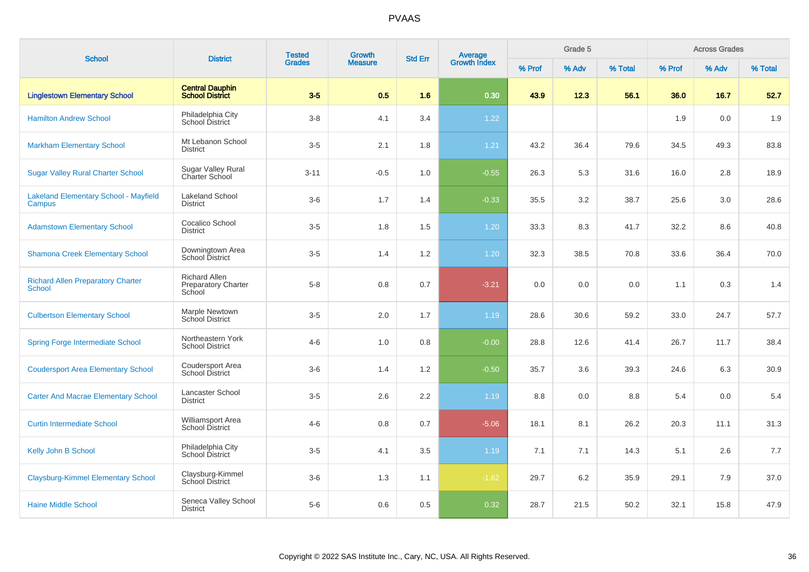| <b>School</b>                                             | <b>District</b>                                              | <b>Tested</b><br><b>Grades</b> | Growth<br><b>Measure</b> | <b>Std Err</b> | <b>Average</b><br>Growth Index | Grade 5 |       |         | <b>Across Grades</b> |       |         |
|-----------------------------------------------------------|--------------------------------------------------------------|--------------------------------|--------------------------|----------------|--------------------------------|---------|-------|---------|----------------------|-------|---------|
|                                                           |                                                              |                                |                          |                |                                | % Prof  | % Adv | % Total | % Prof               | % Adv | % Total |
| <b>Linglestown Elementary School</b>                      | <b>Central Dauphin</b><br><b>School District</b>             | $3-5$                          | 0.5                      | 1.6            | 0.30                           | 43.9    | 12.3  | 56.1    | 36.0                 | 16.7  | 52.7    |
| <b>Hamilton Andrew School</b>                             | Philadelphia City<br><b>School District</b>                  | $3-8$                          | 4.1                      | 3.4            | 1.22                           |         |       |         | 1.9                  | 0.0   | 1.9     |
| <b>Markham Elementary School</b>                          | Mt Lebanon School<br><b>District</b>                         | $3-5$                          | 2.1                      | 1.8            | 1.21                           | 43.2    | 36.4  | 79.6    | 34.5                 | 49.3  | 83.8    |
| <b>Sugar Valley Rural Charter School</b>                  | Sugar Valley Rural<br>Charter School                         | $3 - 11$                       | $-0.5$                   | 1.0            | $-0.55$                        | 26.3    | 5.3   | 31.6    | 16.0                 | 2.8   | 18.9    |
| <b>Lakeland Elementary School - Mayfield</b><br>Campus    | <b>Lakeland School</b><br><b>District</b>                    | $3-6$                          | 1.7                      | 1.4            | $-0.33$                        | 35.5    | 3.2   | 38.7    | 25.6                 | 3.0   | 28.6    |
| <b>Adamstown Elementary School</b>                        | Cocalico School<br><b>District</b>                           | $3-5$                          | 1.8                      | 1.5            | 1.20                           | 33.3    | 8.3   | 41.7    | 32.2                 | 8.6   | 40.8    |
| <b>Shamona Creek Elementary School</b>                    | Downingtown Area<br>School District                          | $3-5$                          | 1.4                      | $1.2\,$        | 1.20                           | 32.3    | 38.5  | 70.8    | 33.6                 | 36.4  | 70.0    |
| <b>Richard Allen Preparatory Charter</b><br><b>School</b> | <b>Richard Allen</b><br><b>Preparatory Charter</b><br>School | $5 - 8$                        | 0.8                      | 0.7            | $-3.21$                        | 0.0     | 0.0   | 0.0     | 1.1                  | 0.3   | 1.4     |
| <b>Culbertson Elementary School</b>                       | Marple Newtown<br>School District                            | $3-5$                          | 2.0                      | 1.7            | 1.19                           | 28.6    | 30.6  | 59.2    | 33.0                 | 24.7  | 57.7    |
| <b>Spring Forge Intermediate School</b>                   | Northeastern York<br>School District                         | $4 - 6$                        | 1.0                      | 0.8            | $-0.00$                        | 28.8    | 12.6  | 41.4    | 26.7                 | 11.7  | 38.4    |
| <b>Coudersport Area Elementary School</b>                 | Coudersport Area<br>School District                          | $3-6$                          | 1.4                      | 1.2            | $-0.50$                        | 35.7    | 3.6   | 39.3    | 24.6                 | 6.3   | 30.9    |
| <b>Carter And Macrae Elementary School</b>                | Lancaster School<br><b>District</b>                          | $3-5$                          | 2.6                      | 2.2            | 1.19                           | 8.8     | 0.0   | 8.8     | 5.4                  | 0.0   | 5.4     |
| <b>Curtin Intermediate School</b>                         | Williamsport Area<br><b>School District</b>                  | $4 - 6$                        | 0.8                      | 0.7            | $-5.06$                        | 18.1    | 8.1   | 26.2    | 20.3                 | 11.1  | 31.3    |
| <b>Kelly John B School</b>                                | Philadelphia City<br>School District                         | $3-5$                          | 4.1                      | 3.5            | 1.19                           | 7.1     | 7.1   | 14.3    | 5.1                  | 2.6   | 7.7     |
| <b>Claysburg-Kimmel Elementary School</b>                 | Claysburg-Kimmel<br><b>School District</b>                   | $3-6$                          | 1.3                      | 1.1            | $-1.62$                        | 29.7    | 6.2   | 35.9    | 29.1                 | 7.9   | 37.0    |
| <b>Haine Middle School</b>                                | Seneca Valley School<br><b>District</b>                      | $5-6$                          | 0.6                      | 0.5            | 0.32                           | 28.7    | 21.5  | 50.2    | 32.1                 | 15.8  | 47.9    |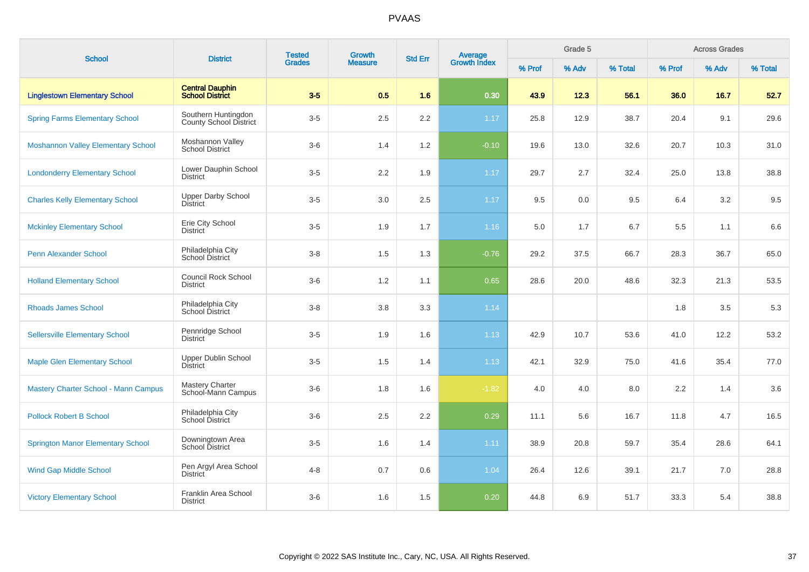| <b>School</b>                               |                                                  | <b>Tested</b><br><b>District</b><br><b>Grades</b> | Growth         |                | Average<br>Growth Index |        | Grade 5 |         |         | <b>Across Grades</b> |         |
|---------------------------------------------|--------------------------------------------------|---------------------------------------------------|----------------|----------------|-------------------------|--------|---------|---------|---------|----------------------|---------|
|                                             |                                                  |                                                   | <b>Measure</b> | <b>Std Err</b> |                         | % Prof | % Adv   | % Total | % Prof  | % Adv                | % Total |
| <b>Linglestown Elementary School</b>        | <b>Central Dauphin</b><br><b>School District</b> | $3-5$                                             | 0.5            | 1.6            | 0.30                    | 43.9   | 12.3    | 56.1    | 36.0    | 16.7                 | 52.7    |
| <b>Spring Farms Elementary School</b>       | Southern Huntingdon<br>County School District    | $3-5$                                             | 2.5            | $2.2\,$        | 1.17                    | 25.8   | 12.9    | 38.7    | 20.4    | 9.1                  | 29.6    |
| <b>Moshannon Valley Elementary School</b>   | Moshannon Valley<br><b>School District</b>       | $3-6$                                             | 1.4            | 1.2            | $-0.10$                 | 19.6   | 13.0    | 32.6    | 20.7    | 10.3                 | 31.0    |
| <b>Londonderry Elementary School</b>        | Lower Dauphin School<br><b>District</b>          | $3-5$                                             | 2.2            | 1.9            | 1.17                    | 29.7   | 2.7     | 32.4    | 25.0    | 13.8                 | 38.8    |
| <b>Charles Kelly Elementary School</b>      | <b>Upper Darby School</b><br><b>District</b>     | $3-5$                                             | 3.0            | 2.5            | $1.17$                  | 9.5    | 0.0     | 9.5     | 6.4     | 3.2                  | 9.5     |
| <b>Mckinley Elementary School</b>           | Erie City School<br><b>District</b>              | $3-5$                                             | 1.9            | 1.7            | 1.16                    | 5.0    | 1.7     | 6.7     | 5.5     | 1.1                  | 6.6     |
| <b>Penn Alexander School</b>                | Philadelphia City<br>School District             | $3 - 8$                                           | 1.5            | 1.3            | $-0.76$                 | 29.2   | 37.5    | 66.7    | 28.3    | 36.7                 | 65.0    |
| <b>Holland Elementary School</b>            | <b>Council Rock School</b><br><b>District</b>    | $3-6$                                             | 1.2            | 1.1            | 0.65                    | 28.6   | 20.0    | 48.6    | 32.3    | 21.3                 | 53.5    |
| <b>Rhoads James School</b>                  | Philadelphia City<br>School District             | $3-8$                                             | 3.8            | 3.3            | 1.14                    |        |         |         | 1.8     | 3.5                  | 5.3     |
| <b>Sellersville Elementary School</b>       | Pennridge School<br><b>District</b>              | $3-5$                                             | 1.9            | 1.6            | 1.13                    | 42.9   | 10.7    | 53.6    | 41.0    | 12.2                 | 53.2    |
| <b>Maple Glen Elementary School</b>         | <b>Upper Dublin School</b><br><b>District</b>    | $3-5$                                             | 1.5            | 1.4            | 1.13                    | 42.1   | 32.9    | 75.0    | 41.6    | 35.4                 | 77.0    |
| <b>Mastery Charter School - Mann Campus</b> | <b>Mastery Charter</b><br>School-Mann Campus     | $3-6$                                             | 1.8            | 1.6            | $-1.82$                 | 4.0    | 4.0     | 8.0     | $2.2\,$ | 1.4                  | 3.6     |
| <b>Pollock Robert B School</b>              | Philadelphia City<br>School District             | $3-6$                                             | 2.5            | 2.2            | 0.29                    | 11.1   | 5.6     | 16.7    | 11.8    | 4.7                  | 16.5    |
| <b>Springton Manor Elementary School</b>    | Downingtown Area<br>School District              | $3-5$                                             | 1.6            | 1.4            | 1.11                    | 38.9   | 20.8    | 59.7    | 35.4    | 28.6                 | 64.1    |
| <b>Wind Gap Middle School</b>               | Pen Argyl Area School<br>District                | $4 - 8$                                           | 0.7            | 0.6            | 1.04                    | 26.4   | 12.6    | 39.1    | 21.7    | 7.0                  | 28.8    |
| <b>Victory Elementary School</b>            | Franklin Area School<br><b>District</b>          | $3-6$                                             | 1.6            | 1.5            | 0.20                    | 44.8   | 6.9     | 51.7    | 33.3    | 5.4                  | 38.8    |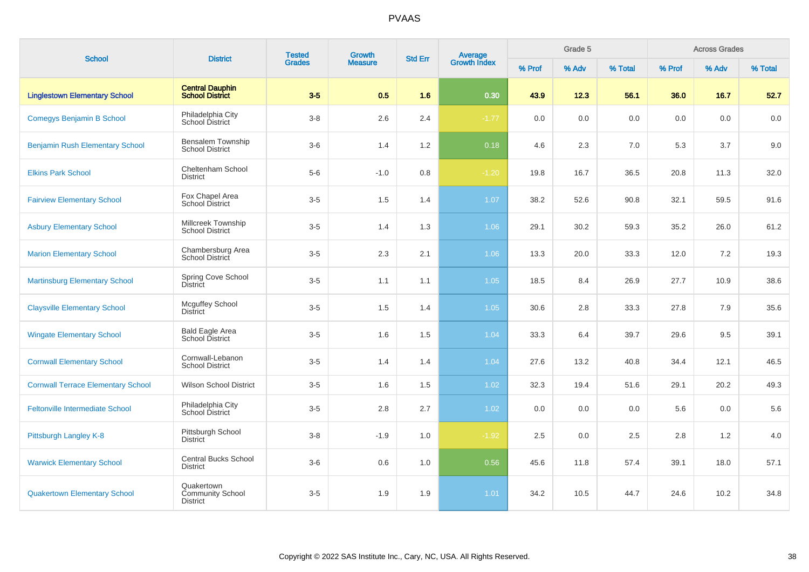| <b>School</b>                             | <b>District</b>                                   | <b>Tested</b> | Growth         | <b>Std Err</b> |                         |        | Grade 5 |         |        | <b>Across Grades</b> |         |
|-------------------------------------------|---------------------------------------------------|---------------|----------------|----------------|-------------------------|--------|---------|---------|--------|----------------------|---------|
|                                           |                                                   | <b>Grades</b> | <b>Measure</b> |                | Average<br>Growth Index | % Prof | % Adv   | % Total | % Prof | % Adv                | % Total |
| <b>Linglestown Elementary School</b>      | <b>Central Dauphin</b><br><b>School District</b>  | $3-5$         | 0.5            | 1.6            | 0.30                    | 43.9   | 12.3    | 56.1    | 36.0   | 16.7                 | 52.7    |
| <b>Comegys Benjamin B School</b>          | Philadelphia City<br>School District              | $3-8$         | 2.6            | 2.4            | $-1.77$                 | 0.0    | 0.0     | 0.0     | 0.0    | 0.0                  | 0.0     |
| <b>Benjamin Rush Elementary School</b>    | Bensalem Township<br><b>School District</b>       | $3-6$         | 1.4            | 1.2            | 0.18                    | 4.6    | 2.3     | 7.0     | 5.3    | 3.7                  | 9.0     |
| <b>Elkins Park School</b>                 | Cheltenham School<br><b>District</b>              | $5-6$         | $-1.0$         | 0.8            | $-1.20$                 | 19.8   | 16.7    | 36.5    | 20.8   | 11.3                 | 32.0    |
| <b>Fairview Elementary School</b>         | Fox Chapel Area<br>School District                | $3-5$         | 1.5            | 1.4            | 1.07                    | 38.2   | 52.6    | 90.8    | 32.1   | 59.5                 | 91.6    |
| <b>Asbury Elementary School</b>           | Millcreek Township<br><b>School District</b>      | $3-5$         | 1.4            | 1.3            | 1.06                    | 29.1   | 30.2    | 59.3    | 35.2   | 26.0                 | 61.2    |
| <b>Marion Elementary School</b>           | Chambersburg Area<br>School District              | $3-5$         | 2.3            | 2.1            | 1.06                    | 13.3   | 20.0    | 33.3    | 12.0   | 7.2                  | 19.3    |
| <b>Martinsburg Elementary School</b>      | <b>Spring Cove School</b><br><b>District</b>      | $3-5$         | 1.1            | 1.1            | 1.05                    | 18.5   | 8.4     | 26.9    | 27.7   | 10.9                 | 38.6    |
| <b>Claysville Elementary School</b>       | <b>Mcguffey School</b><br><b>District</b>         | $3-5$         | 1.5            | 1.4            | 1.05                    | 30.6   | 2.8     | 33.3    | 27.8   | 7.9                  | 35.6    |
| <b>Wingate Elementary School</b>          | <b>Bald Eagle Area</b><br>School District         | $3-5$         | 1.6            | 1.5            | 1.04                    | 33.3   | 6.4     | 39.7    | 29.6   | 9.5                  | 39.1    |
| <b>Cornwall Elementary School</b>         | Cornwall-Lebanon<br><b>School District</b>        | $3-5$         | 1.4            | 1.4            | 1.04                    | 27.6   | 13.2    | 40.8    | 34.4   | 12.1                 | 46.5    |
| <b>Cornwall Terrace Elementary School</b> | <b>Wilson School District</b>                     | $3-5$         | 1.6            | 1.5            | 1.02                    | 32.3   | 19.4    | 51.6    | 29.1   | 20.2                 | 49.3    |
| <b>Feltonville Intermediate School</b>    | Philadelphia City<br>School District              | $3-5$         | $2.8\,$        | 2.7            | 1.02                    | 0.0    | 0.0     | 0.0     | 5.6    | 0.0                  | 5.6     |
| Pittsburgh Langley K-8                    | Pittsburgh School<br><b>District</b>              | $3-8$         | $-1.9$         | 1.0            | $-1.92$                 | 2.5    | 0.0     | 2.5     | 2.8    | 1.2                  | 4.0     |
| <b>Warwick Elementary School</b>          | <b>Central Bucks School</b><br><b>District</b>    | $3-6$         | 0.6            | 1.0            | 0.56                    | 45.6   | 11.8    | 57.4    | 39.1   | 18.0                 | 57.1    |
| <b>Quakertown Elementary School</b>       | Quakertown<br>Community School<br><b>District</b> | $3-5$         | 1.9            | 1.9            | 1.01                    | 34.2   | 10.5    | 44.7    | 24.6   | 10.2                 | 34.8    |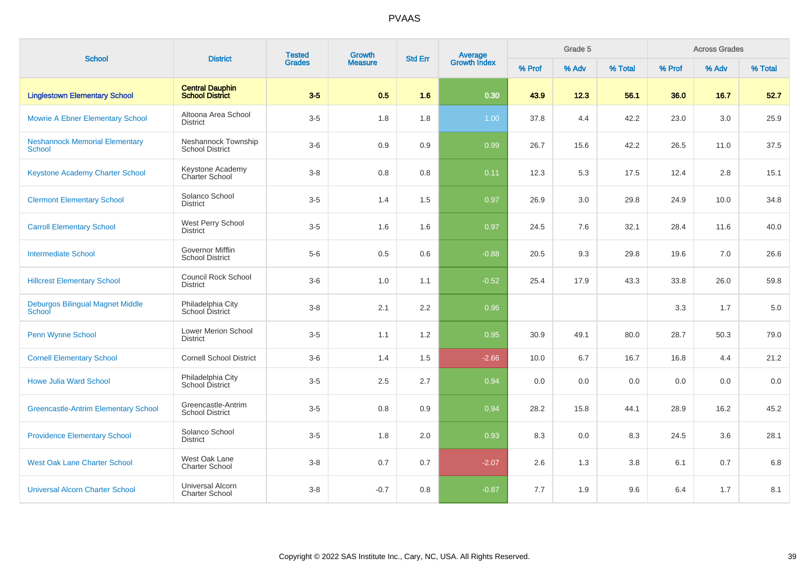| <b>School</b>                                          | <b>District</b>                                   | <b>Tested</b><br><b>Grades</b> | Growth         | <b>Std Err</b> | Average<br>Growth Index |        | Grade 5 |         |        | <b>Across Grades</b> |         |
|--------------------------------------------------------|---------------------------------------------------|--------------------------------|----------------|----------------|-------------------------|--------|---------|---------|--------|----------------------|---------|
|                                                        |                                                   |                                | <b>Measure</b> |                |                         | % Prof | % Adv   | % Total | % Prof | % Adv                | % Total |
| <b>Linglestown Elementary School</b>                   | <b>Central Dauphin</b><br><b>School District</b>  | $3-5$                          | 0.5            | 1.6            | 0.30                    | 43.9   | 12.3    | 56.1    | 36.0   | 16.7                 | 52.7    |
| <b>Mowrie A Ebner Elementary School</b>                | Altoona Area School<br><b>District</b>            | $3-5$                          | 1.8            | 1.8            | 1.00                    | 37.8   | 4.4     | 42.2    | 23.0   | 3.0                  | 25.9    |
| <b>Neshannock Memorial Elementary</b><br><b>School</b> | Neshannock Township<br><b>School District</b>     | $3-6$                          | 0.9            | 0.9            | 0.99                    | 26.7   | 15.6    | 42.2    | 26.5   | 11.0                 | 37.5    |
| Keystone Academy Charter School                        | Keystone Academy<br>Charter School                | $3 - 8$                        | 0.8            | 0.8            | 0.11                    | 12.3   | 5.3     | 17.5    | 12.4   | 2.8                  | 15.1    |
| <b>Clermont Elementary School</b>                      | Solanco School<br><b>District</b>                 | $3-5$                          | 1.4            | 1.5            | 0.97                    | 26.9   | 3.0     | 29.8    | 24.9   | 10.0                 | 34.8    |
| <b>Carroll Elementary School</b>                       | West Perry School<br><b>District</b>              | $3-5$                          | 1.6            | 1.6            | 0.97                    | 24.5   | 7.6     | 32.1    | 28.4   | 11.6                 | 40.0    |
| <b>Intermediate School</b>                             | <b>Governor Mifflin</b><br><b>School District</b> | $5-6$                          | 0.5            | 0.6            | $-0.88$                 | 20.5   | 9.3     | 29.8    | 19.6   | 7.0                  | 26.6    |
| <b>Hillcrest Elementary School</b>                     | <b>Council Rock School</b><br><b>District</b>     | $3-6$                          | 1.0            | 1.1            | $-0.52$                 | 25.4   | 17.9    | 43.3    | 33.8   | 26.0                 | 59.8    |
| Deburgos Bilingual Magnet Middle<br>School             | Philadelphia City<br>School District              | $3-8$                          | 2.1            | 2.2            | 0.96                    |        |         |         | 3.3    | 1.7                  | 5.0     |
| Penn Wynne School                                      | <b>Lower Merion School</b><br><b>District</b>     | $3-5$                          | 1.1            | 1.2            | 0.95                    | 30.9   | 49.1    | 80.0    | 28.7   | 50.3                 | 79.0    |
| <b>Cornell Elementary School</b>                       | <b>Cornell School District</b>                    | $3-6$                          | 1.4            | 1.5            | $-2.66$                 | 10.0   | 6.7     | 16.7    | 16.8   | 4.4                  | 21.2    |
| <b>Howe Julia Ward School</b>                          | Philadelphia City<br>School District              | $3-5$                          | 2.5            | 2.7            | 0.94                    | 0.0    | 0.0     | 0.0     | 0.0    | 0.0                  | 0.0     |
| <b>Greencastle-Antrim Elementary School</b>            | Greencastle-Antrim<br><b>School District</b>      | $3-5$                          | 0.8            | 0.9            | 0.94                    | 28.2   | 15.8    | 44.1    | 28.9   | 16.2                 | 45.2    |
| <b>Providence Elementary School</b>                    | Solanco School<br><b>District</b>                 | $3-5$                          | 1.8            | 2.0            | 0.93                    | 8.3    | 0.0     | 8.3     | 24.5   | 3.6                  | 28.1    |
| <b>West Oak Lane Charter School</b>                    | West Oak Lane<br><b>Charter School</b>            | $3-8$                          | 0.7            | 0.7            | $-2.07$                 | 2.6    | 1.3     | 3.8     | 6.1    | 0.7                  | 6.8     |
| <b>Universal Alcorn Charter School</b>                 | <b>Universal Alcorn</b><br><b>Charter School</b>  | $3-8$                          | $-0.7$         | 0.8            | $-0.87$                 | 7.7    | 1.9     | 9.6     | 6.4    | 1.7                  | 8.1     |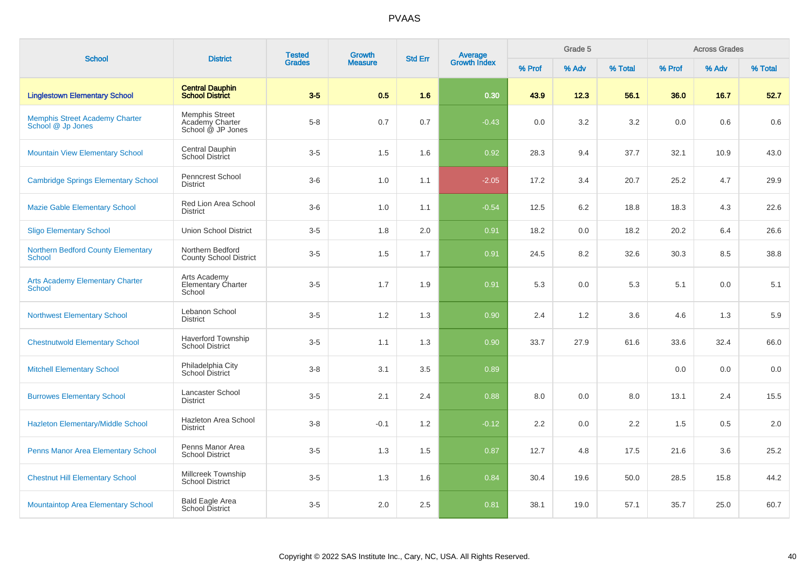| <b>School</b>                                              |                                                        | <b>Tested</b><br><b>Growth</b><br><b>District</b><br><b>Std Err</b> |                | Average<br>Growth Index |         | Grade 5 |       |         | <b>Across Grades</b> |       |         |
|------------------------------------------------------------|--------------------------------------------------------|---------------------------------------------------------------------|----------------|-------------------------|---------|---------|-------|---------|----------------------|-------|---------|
|                                                            |                                                        | <b>Grades</b>                                                       | <b>Measure</b> |                         |         | % Prof  | % Adv | % Total | % Prof               | % Adv | % Total |
| <b>Linglestown Elementary School</b>                       | <b>Central Dauphin</b><br><b>School District</b>       | $3-5$                                                               | 0.5            | 1.6                     | 0.30    | 43.9    | 12.3  | 56.1    | 36.0                 | 16.7  | 52.7    |
| <b>Memphis Street Academy Charter</b><br>School @ Jp Jones | Memphis Street<br>Academy Charter<br>School @ JP Jones | $5 - 8$                                                             | 0.7            | 0.7                     | $-0.43$ | 0.0     | 3.2   | 3.2     | 0.0                  | 0.6   | 0.6     |
| <b>Mountain View Elementary School</b>                     | Central Dauphin<br>School District                     | $3-5$                                                               | 1.5            | 1.6                     | 0.92    | 28.3    | 9.4   | 37.7    | 32.1                 | 10.9  | 43.0    |
| <b>Cambridge Springs Elementary School</b>                 | <b>Penncrest School</b><br><b>District</b>             | $3-6$                                                               | 1.0            | 1.1                     | $-2.05$ | 17.2    | 3.4   | 20.7    | 25.2                 | 4.7   | 29.9    |
| <b>Mazie Gable Elementary School</b>                       | Red Lion Area School<br><b>District</b>                | $3-6$                                                               | 1.0            | 1.1                     | $-0.54$ | 12.5    | 6.2   | 18.8    | 18.3                 | 4.3   | 22.6    |
| <b>Sligo Elementary School</b>                             | <b>Union School District</b>                           | $3-5$                                                               | 1.8            | 2.0                     | 0.91    | 18.2    | 0.0   | 18.2    | 20.2                 | 6.4   | 26.6    |
| <b>Northern Bedford County Elementary</b><br><b>School</b> | Northern Bedford<br><b>County School District</b>      | $3-5$                                                               | 1.5            | 1.7                     | 0.91    | 24.5    | 8.2   | 32.6    | 30.3                 | 8.5   | 38.8    |
| <b>Arts Academy Elementary Charter</b><br>School           | Arts Academy<br>Elementary Charter<br>School           | $3-5$                                                               | 1.7            | 1.9                     | 0.91    | 5.3     | 0.0   | 5.3     | 5.1                  | 0.0   | 5.1     |
| <b>Northwest Elementary School</b>                         | Lebanon School<br><b>District</b>                      | $3-5$                                                               | 1.2            | 1.3                     | 0.90    | 2.4     | 1.2   | 3.6     | 4.6                  | 1.3   | 5.9     |
| <b>Chestnutwold Elementary School</b>                      | <b>Haverford Township</b><br><b>School District</b>    | $3-5$                                                               | 1.1            | 1.3                     | 0.90    | 33.7    | 27.9  | 61.6    | 33.6                 | 32.4  | 66.0    |
| <b>Mitchell Elementary School</b>                          | Philadelphia City<br>School District                   | $3 - 8$                                                             | 3.1            | 3.5                     | 0.89    |         |       |         | 0.0                  | 0.0   | 0.0     |
| <b>Burrowes Elementary School</b>                          | Lancaster School<br><b>District</b>                    | $3-5$                                                               | 2.1            | 2.4                     | 0.88    | 8.0     | 0.0   | 8.0     | 13.1                 | 2.4   | 15.5    |
| <b>Hazleton Elementary/Middle School</b>                   | Hazleton Area School<br><b>District</b>                | $3 - 8$                                                             | $-0.1$         | 1.2                     | $-0.12$ | 2.2     | 0.0   | 2.2     | 1.5                  | 0.5   | 2.0     |
| Penns Manor Area Elementary School                         | Penns Manor Area<br><b>School District</b>             | $3-5$                                                               | 1.3            | 1.5                     | 0.87    | 12.7    | 4.8   | 17.5    | 21.6                 | 3.6   | 25.2    |
| <b>Chestnut Hill Elementary School</b>                     | Millcreek Township<br><b>School District</b>           | $3-5$                                                               | 1.3            | 1.6                     | 0.84    | 30.4    | 19.6  | 50.0    | 28.5                 | 15.8  | 44.2    |
| <b>Mountaintop Area Elementary School</b>                  | <b>Bald Eagle Area</b><br>School District              | $3-5$                                                               | 2.0            | 2.5                     | 0.81    | 38.1    | 19.0  | 57.1    | 35.7                 | 25.0  | 60.7    |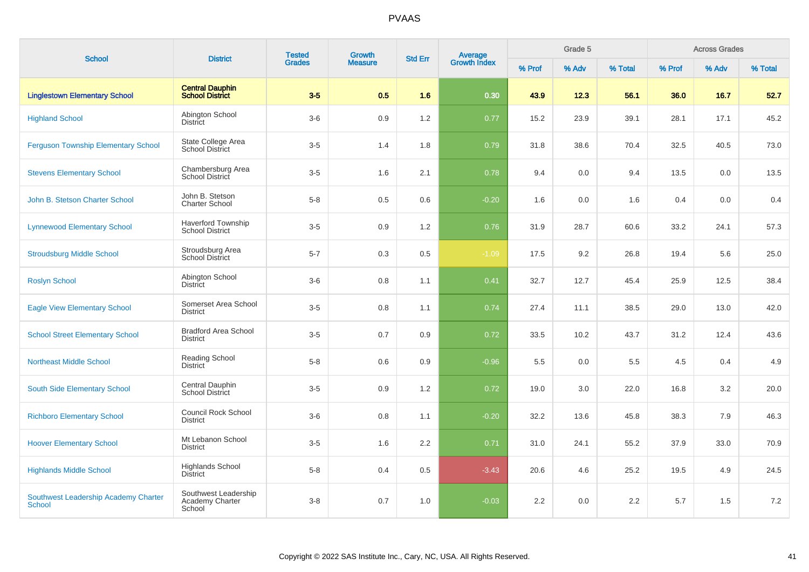| <b>School</b>                                         |                                                          | <b>Tested</b> | <b>Growth</b><br><b>District</b> |     | <b>Average</b><br>Growth Index<br><b>Std Err</b> |        | Grade 5 |         |        | <b>Across Grades</b> |         |
|-------------------------------------------------------|----------------------------------------------------------|---------------|----------------------------------|-----|--------------------------------------------------|--------|---------|---------|--------|----------------------|---------|
|                                                       |                                                          | <b>Grades</b> | <b>Measure</b>                   |     |                                                  | % Prof | % Adv   | % Total | % Prof | % Adv                | % Total |
| <b>Linglestown Elementary School</b>                  | <b>Central Dauphin</b><br><b>School District</b>         | $3-5$         | 0.5                              | 1.6 | 0.30                                             | 43.9   | 12.3    | 56.1    | 36.0   | 16.7                 | 52.7    |
| <b>Highland School</b>                                | Abington School<br><b>District</b>                       | $3-6$         | 0.9                              | 1.2 | 0.77                                             | 15.2   | 23.9    | 39.1    | 28.1   | 17.1                 | 45.2    |
| <b>Ferguson Township Elementary School</b>            | State College Area<br><b>School District</b>             | $3-5$         | 1.4                              | 1.8 | 0.79                                             | 31.8   | 38.6    | 70.4    | 32.5   | 40.5                 | 73.0    |
| <b>Stevens Elementary School</b>                      | Chambersburg Area<br>School District                     | $3-5$         | 1.6                              | 2.1 | 0.78                                             | 9.4    | 0.0     | 9.4     | 13.5   | 0.0                  | 13.5    |
| John B. Stetson Charter School                        | John B. Stetson<br><b>Charter School</b>                 | $5 - 8$       | 0.5                              | 0.6 | $-0.20$                                          | 1.6    | 0.0     | 1.6     | 0.4    | 0.0                  | 0.4     |
| <b>Lynnewood Elementary School</b>                    | <b>Haverford Township</b><br><b>School District</b>      | $3-5$         | 0.9                              | 1.2 | 0.76                                             | 31.9   | 28.7    | 60.6    | 33.2   | 24.1                 | 57.3    |
| <b>Stroudsburg Middle School</b>                      | Stroudsburg Area<br><b>School District</b>               | $5 - 7$       | 0.3                              | 0.5 | $-1.09$                                          | 17.5   | 9.2     | 26.8    | 19.4   | 5.6                  | 25.0    |
| <b>Roslyn School</b>                                  | Abington School<br>District                              | $3-6$         | 0.8                              | 1.1 | 0.41                                             | 32.7   | 12.7    | 45.4    | 25.9   | 12.5                 | 38.4    |
| <b>Eagle View Elementary School</b>                   | Somerset Area School<br><b>District</b>                  | $3-5$         | 0.8                              | 1.1 | 0.74                                             | 27.4   | 11.1    | 38.5    | 29.0   | 13.0                 | 42.0    |
| <b>School Street Elementary School</b>                | <b>Bradford Area School</b><br><b>District</b>           | $3-5$         | 0.7                              | 0.9 | 0.72                                             | 33.5   | 10.2    | 43.7    | 31.2   | 12.4                 | 43.6    |
| <b>Northeast Middle School</b>                        | <b>Reading School</b><br>District                        | $5 - 8$       | 0.6                              | 0.9 | $-0.96$                                          | 5.5    | 0.0     | 5.5     | 4.5    | 0.4                  | 4.9     |
| South Side Elementary School                          | Central Dauphin<br>School District                       | $3-5$         | 0.9                              | 1.2 | 0.72                                             | 19.0   | 3.0     | 22.0    | 16.8   | 3.2                  | 20.0    |
| <b>Richboro Elementary School</b>                     | Council Rock School<br><b>District</b>                   | $3-6$         | 0.8                              | 1.1 | $-0.20$                                          | 32.2   | 13.6    | 45.8    | 38.3   | 7.9                  | 46.3    |
| <b>Hoover Elementary School</b>                       | Mt Lebanon School<br><b>District</b>                     | $3-5$         | 1.6                              | 2.2 | 0.71                                             | 31.0   | 24.1    | 55.2    | 37.9   | 33.0                 | 70.9    |
| <b>Highlands Middle School</b>                        | <b>Highlands School</b><br><b>District</b>               | $5-8$         | 0.4                              | 0.5 | $-3.43$                                          | 20.6   | 4.6     | 25.2    | 19.5   | 4.9                  | 24.5    |
| Southwest Leadership Academy Charter<br><b>School</b> | Southwest Leadership<br><b>Academy Charter</b><br>School | $3 - 8$       | 0.7                              | 1.0 | $-0.03$                                          | 2.2    | 0.0     | 2.2     | 5.7    | 1.5                  | 7.2     |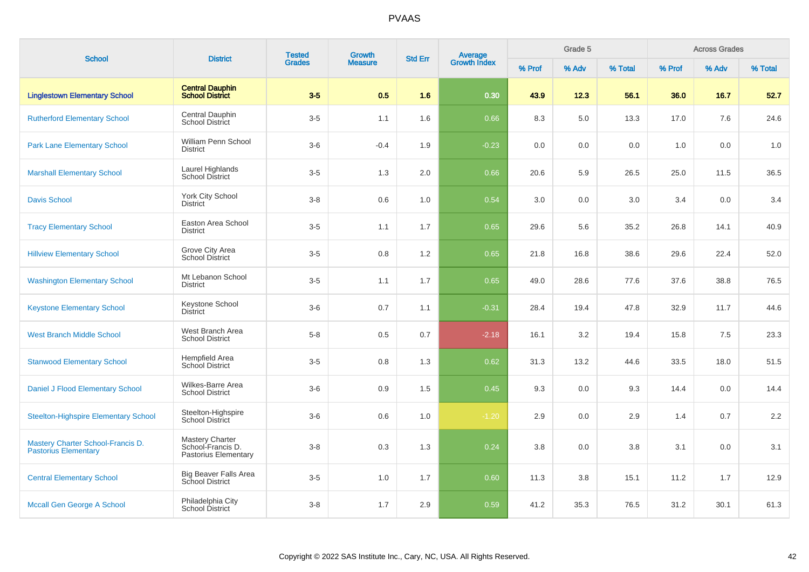| <b>School</b>                                                    | <b>District</b>                                                     | <b>Tested</b> | <b>Growth</b>  | <b>Std Err</b> |                                |        | Grade 5 |         |        | <b>Across Grades</b> |         |
|------------------------------------------------------------------|---------------------------------------------------------------------|---------------|----------------|----------------|--------------------------------|--------|---------|---------|--------|----------------------|---------|
|                                                                  |                                                                     | <b>Grades</b> | <b>Measure</b> |                | <b>Average</b><br>Growth Index | % Prof | % Adv   | % Total | % Prof | % Adv                | % Total |
| <b>Linglestown Elementary School</b>                             | <b>Central Dauphin</b><br><b>School District</b>                    | $3-5$         | 0.5            | 1.6            | 0.30                           | 43.9   | 12.3    | 56.1    | 36.0   | 16.7                 | 52.7    |
| <b>Rutherford Elementary School</b>                              | Central Dauphin<br><b>School District</b>                           | $3-5$         | 1.1            | 1.6            | 0.66                           | 8.3    | 5.0     | 13.3    | 17.0   | 7.6                  | 24.6    |
| <b>Park Lane Elementary School</b>                               | William Penn School<br><b>District</b>                              | $3-6$         | $-0.4$         | 1.9            | $-0.23$                        | 0.0    | 0.0     | 0.0     | 1.0    | 0.0                  | 1.0     |
| <b>Marshall Elementary School</b>                                | Laurel Highlands<br>School District                                 | $3-5$         | 1.3            | 2.0            | 0.66                           | 20.6   | 5.9     | 26.5    | 25.0   | 11.5                 | 36.5    |
| <b>Davis School</b>                                              | York City School<br><b>District</b>                                 | $3 - 8$       | 0.6            | 1.0            | 0.54                           | 3.0    | 0.0     | 3.0     | 3.4    | 0.0                  | 3.4     |
| <b>Tracy Elementary School</b>                                   | Easton Area School<br><b>District</b>                               | $3-5$         | 1.1            | 1.7            | 0.65                           | 29.6   | 5.6     | 35.2    | 26.8   | 14.1                 | 40.9    |
| <b>Hillview Elementary School</b>                                | Grove City Area<br><b>School District</b>                           | $3-5$         | 0.8            | 1.2            | 0.65                           | 21.8   | 16.8    | 38.6    | 29.6   | 22.4                 | 52.0    |
| <b>Washington Elementary School</b>                              | Mt Lebanon School<br><b>District</b>                                | $3-5$         | 1.1            | 1.7            | 0.65                           | 49.0   | 28.6    | 77.6    | 37.6   | 38.8                 | 76.5    |
| <b>Keystone Elementary School</b>                                | Keystone School<br><b>District</b>                                  | $3-6$         | 0.7            | 1.1            | $-0.31$                        | 28.4   | 19.4    | 47.8    | 32.9   | 11.7                 | 44.6    |
| <b>West Branch Middle School</b>                                 | West Branch Area<br><b>School District</b>                          | $5-8$         | 0.5            | 0.7            | $-2.18$                        | 16.1   | 3.2     | 19.4    | 15.8   | 7.5                  | 23.3    |
| <b>Stanwood Elementary School</b>                                | Hempfield Area<br>School District                                   | $3-5$         | 0.8            | 1.3            | 0.62                           | 31.3   | 13.2    | 44.6    | 33.5   | 18.0                 | 51.5    |
| Daniel J Flood Elementary School                                 | Wilkes-Barre Area<br><b>School District</b>                         | $3-6$         | 0.9            | 1.5            | 0.45                           | 9.3    | 0.0     | 9.3     | 14.4   | 0.0                  | 14.4    |
| <b>Steelton-Highspire Elementary School</b>                      | Steelton-Highspire<br>School District                               | $3-6$         | 0.6            | 1.0            | $-1.20$                        | 2.9    | 0.0     | 2.9     | 1.4    | 0.7                  | 2.2     |
| Mastery Charter School-Francis D.<br><b>Pastorius Elementary</b> | <b>Mastery Charter</b><br>School-Francis D.<br>Pastorius Elementary | $3 - 8$       | 0.3            | 1.3            | 0.24                           | 3.8    | 0.0     | 3.8     | 3.1    | 0.0                  | 3.1     |
| <b>Central Elementary School</b>                                 | <b>Big Beaver Falls Area</b><br><b>School District</b>              | $3-5$         | 1.0            | 1.7            | 0.60                           | 11.3   | 3.8     | 15.1    | 11.2   | 1.7                  | 12.9    |
| Mccall Gen George A School                                       | Philadelphia City<br>School District                                | $3-8$         | 1.7            | 2.9            | 0.59                           | 41.2   | 35.3    | 76.5    | 31.2   | 30.1                 | 61.3    |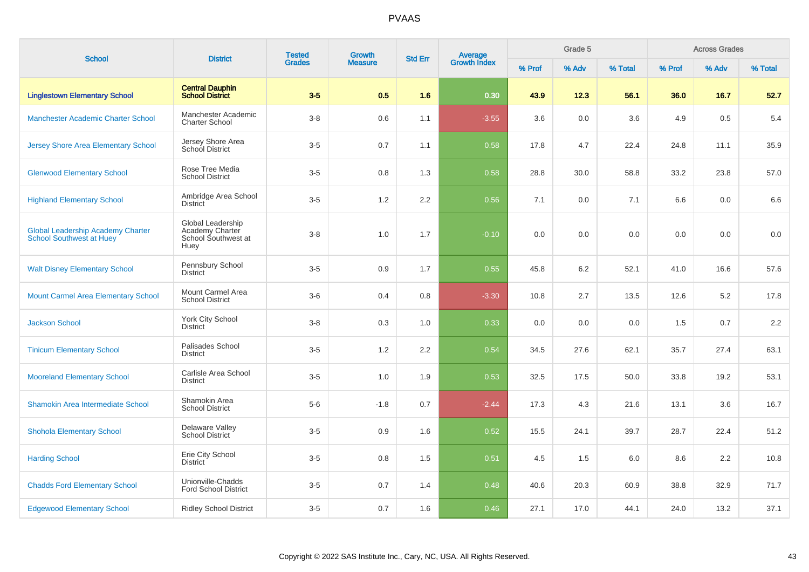| <b>School</b>                                                               |                                                                     | <b>Tested</b><br>Growth<br><b>District</b><br><b>Std Err</b> |                |                  |                                | Grade 5 |       |         | <b>Across Grades</b> |       |         |
|-----------------------------------------------------------------------------|---------------------------------------------------------------------|--------------------------------------------------------------|----------------|------------------|--------------------------------|---------|-------|---------|----------------------|-------|---------|
|                                                                             |                                                                     | <b>Grades</b>                                                | <b>Measure</b> |                  | <b>Average</b><br>Growth Index | % Prof  | % Adv | % Total | % Prof               | % Adv | % Total |
| <b>Linglestown Elementary School</b>                                        | <b>Central Dauphin</b><br><b>School District</b>                    | $3-5$                                                        | 0.5            | 1.6              | 0.30                           | 43.9    | 12.3  | 56.1    | 36.0                 | 16.7  | 52.7    |
| Manchester Academic Charter School                                          | Manchester Academic<br><b>Charter School</b>                        | $3-8$                                                        | 0.6            | 1.1              | $-3.55$                        | 3.6     | 0.0   | 3.6     | 4.9                  | 0.5   | 5.4     |
| <b>Jersey Shore Area Elementary School</b>                                  | Jersey Shore Area<br>School District                                | $3-5$                                                        | 0.7            | 1.1              | 0.58                           | 17.8    | 4.7   | 22.4    | 24.8                 | 11.1  | 35.9    |
| <b>Glenwood Elementary School</b>                                           | Rose Tree Media<br><b>School District</b>                           | $3-5$                                                        | 0.8            | 1.3              | 0.58                           | 28.8    | 30.0  | 58.8    | 33.2                 | 23.8  | 57.0    |
| <b>Highland Elementary School</b>                                           | Ambridge Area School<br><b>District</b>                             | $3-5$                                                        | 1.2            | $2.2\phantom{0}$ | 0.56                           | 7.1     | 0.0   | 7.1     | 6.6                  | 0.0   | 6.6     |
| <b>Global Leadership Academy Charter</b><br><b>School Southwest at Huey</b> | Global Leadership<br>Academy Charter<br>School Southwest at<br>Huey | $3-8$                                                        | 1.0            | 1.7              | $-0.10$                        | 0.0     | 0.0   | 0.0     | 0.0                  | 0.0   | $0.0\,$ |
| <b>Walt Disney Elementary School</b>                                        | Pennsbury School<br><b>District</b>                                 | $3-5$                                                        | 0.9            | 1.7              | 0.55                           | 45.8    | 6.2   | 52.1    | 41.0                 | 16.6  | 57.6    |
| <b>Mount Carmel Area Elementary School</b>                                  | Mount Carmel Area<br><b>School District</b>                         | $3-6$                                                        | 0.4            | 0.8              | $-3.30$                        | 10.8    | 2.7   | 13.5    | 12.6                 | 5.2   | 17.8    |
| <b>Jackson School</b>                                                       | <b>York City School</b><br><b>District</b>                          | $3 - 8$                                                      | 0.3            | 1.0              | 0.33                           | 0.0     | 0.0   | 0.0     | 1.5                  | 0.7   | 2.2     |
| <b>Tinicum Elementary School</b>                                            | Palisades School<br><b>District</b>                                 | $3-5$                                                        | 1.2            | 2.2              | 0.54                           | 34.5    | 27.6  | 62.1    | 35.7                 | 27.4  | 63.1    |
| <b>Mooreland Elementary School</b>                                          | Carlisle Area School<br><b>District</b>                             | $3-5$                                                        | 1.0            | 1.9              | 0.53                           | 32.5    | 17.5  | 50.0    | 33.8                 | 19.2  | 53.1    |
| Shamokin Area Intermediate School                                           | Shamokin Area<br><b>School District</b>                             | $5-6$                                                        | $-1.8$         | 0.7              | $-2.44$                        | 17.3    | 4.3   | 21.6    | 13.1                 | 3.6   | 16.7    |
| <b>Shohola Elementary School</b>                                            | Delaware Valley<br><b>School District</b>                           | $3-5$                                                        | 0.9            | 1.6              | 0.52                           | 15.5    | 24.1  | 39.7    | 28.7                 | 22.4  | 51.2    |
| <b>Harding School</b>                                                       | Erie City School<br><b>District</b>                                 | $3-5$                                                        | 0.8            | 1.5              | 0.51                           | 4.5     | 1.5   | 6.0     | 8.6                  | 2.2   | 10.8    |
| <b>Chadds Ford Elementary School</b>                                        | Unionville-Chadds<br><b>Ford School District</b>                    | $3-5$                                                        | 0.7            | 1.4              | 0.48                           | 40.6    | 20.3  | 60.9    | 38.8                 | 32.9  | 71.7    |
| <b>Edgewood Elementary School</b>                                           | <b>Ridley School District</b>                                       | $3-5$                                                        | 0.7            | 1.6              | 0.46                           | 27.1    | 17.0  | 44.1    | 24.0                 | 13.2  | 37.1    |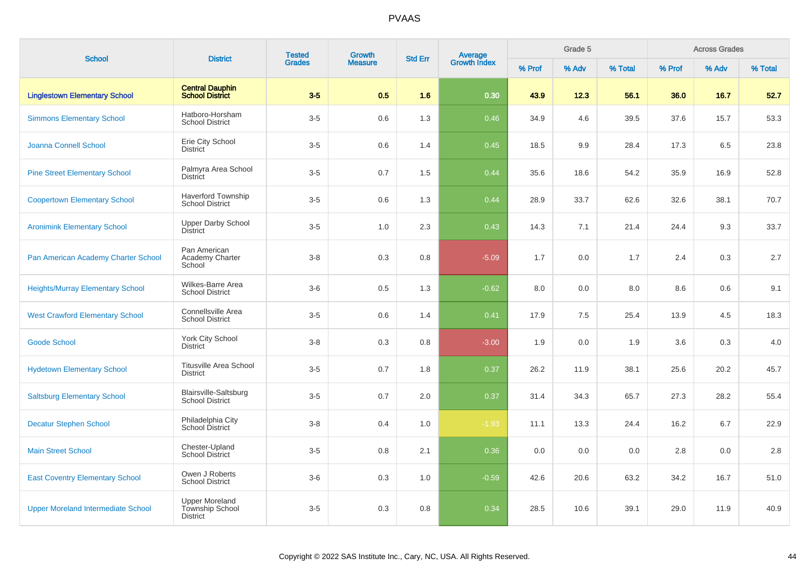| <b>School</b>                             | <b>District</b>                                        | <b>Tested</b> | Growth         | <b>Std Err</b> | <b>Average</b><br>Growth Index |        | Grade 5 |         |        | <b>Across Grades</b> |         |
|-------------------------------------------|--------------------------------------------------------|---------------|----------------|----------------|--------------------------------|--------|---------|---------|--------|----------------------|---------|
|                                           |                                                        | <b>Grades</b> | <b>Measure</b> |                |                                | % Prof | % Adv   | % Total | % Prof | % Adv                | % Total |
| <b>Linglestown Elementary School</b>      | <b>Central Dauphin</b><br><b>School District</b>       | $3-5$         | 0.5            | 1.6            | 0.30                           | 43.9   | 12.3    | 56.1    | 36.0   | 16.7                 | 52.7    |
| <b>Simmons Elementary School</b>          | Hatboro-Horsham<br><b>School District</b>              | $3-5$         | 0.6            | 1.3            | 0.46                           | 34.9   | 4.6     | 39.5    | 37.6   | 15.7                 | 53.3    |
| Joanna Connell School                     | Erie City School<br><b>District</b>                    | $3-5$         | 0.6            | 1.4            | 0.45                           | 18.5   | 9.9     | 28.4    | 17.3   | 6.5                  | 23.8    |
| <b>Pine Street Elementary School</b>      | Palmyra Area School<br><b>District</b>                 | $3-5$         | 0.7            | 1.5            | 0.44                           | 35.6   | 18.6    | 54.2    | 35.9   | 16.9                 | 52.8    |
| <b>Coopertown Elementary School</b>       | <b>Haverford Township</b><br><b>School District</b>    | $3-5$         | 0.6            | 1.3            | 0.44                           | 28.9   | 33.7    | 62.6    | 32.6   | 38.1                 | 70.7    |
| <b>Aronimink Elementary School</b>        | <b>Upper Darby School</b><br><b>District</b>           | $3-5$         | 1.0            | 2.3            | 0.43                           | 14.3   | 7.1     | 21.4    | 24.4   | 9.3                  | 33.7    |
| Pan American Academy Charter School       | Pan American<br>Academy Charter<br>School              | $3 - 8$       | 0.3            | 0.8            | $-5.09$                        | 1.7    | 0.0     | 1.7     | 2.4    | 0.3                  | $2.7\,$ |
| <b>Heights/Murray Elementary School</b>   | Wilkes-Barre Area<br><b>School District</b>            | $3-6$         | 0.5            | 1.3            | $-0.62$                        | 8.0    | 0.0     | 8.0     | 8.6    | 0.6                  | 9.1     |
| <b>West Crawford Elementary School</b>    | Connellsville Area<br><b>School District</b>           | $3-5$         | 0.6            | 1.4            | 0.41                           | 17.9   | 7.5     | 25.4    | 13.9   | 4.5                  | 18.3    |
| <b>Goode School</b>                       | York City School<br><b>District</b>                    | $3 - 8$       | 0.3            | 0.8            | $-3.00$                        | 1.9    | 0.0     | 1.9     | 3.6    | 0.3                  | $4.0\,$ |
| <b>Hydetown Elementary School</b>         | <b>Titusville Area School</b><br><b>District</b>       | $3-5$         | 0.7            | 1.8            | 0.37                           | 26.2   | 11.9    | 38.1    | 25.6   | 20.2                 | 45.7    |
| <b>Saltsburg Elementary School</b>        | <b>Blairsville-Saltsburg</b><br><b>School District</b> | $3-5$         | 0.7            | 2.0            | 0.37                           | 31.4   | 34.3    | 65.7    | 27.3   | 28.2                 | 55.4    |
| <b>Decatur Stephen School</b>             | Philadelphia City<br><b>School District</b>            | $3-8$         | 0.4            | 1.0            | $-1.93$                        | 11.1   | 13.3    | 24.4    | 16.2   | 6.7                  | 22.9    |
| <b>Main Street School</b>                 | Chester-Upland<br>School District                      | $3-5$         | 0.8            | 2.1            | 0.36                           | 0.0    | 0.0     | 0.0     | 2.8    | 0.0                  | 2.8     |
| <b>East Coventry Elementary School</b>    | Owen J Roberts<br>School District                      | $3-6$         | 0.3            | 1.0            | $-0.59$                        | 42.6   | 20.6    | 63.2    | 34.2   | 16.7                 | 51.0    |
| <b>Upper Moreland Intermediate School</b> | <b>Upper Moreland</b><br>Township School<br>District   | $3-5$         | 0.3            | 0.8            | 0.34                           | 28.5   | 10.6    | 39.1    | 29.0   | 11.9                 | 40.9    |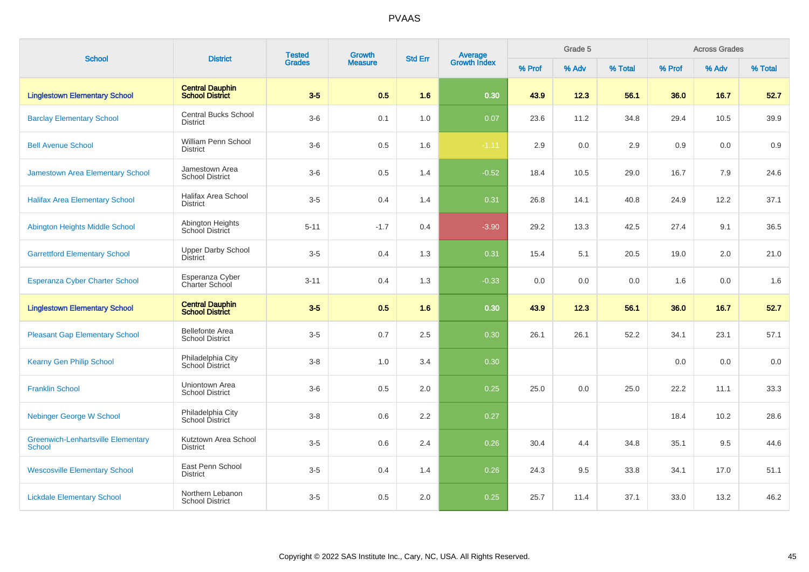| <b>School</b>                                              | <b>District</b>                                  | <b>Tested</b> | Growth         | <b>Std Err</b> |                                |        | Grade 5 |         |        | <b>Across Grades</b> |         |
|------------------------------------------------------------|--------------------------------------------------|---------------|----------------|----------------|--------------------------------|--------|---------|---------|--------|----------------------|---------|
|                                                            |                                                  | <b>Grades</b> | <b>Measure</b> |                | <b>Average</b><br>Growth Index | % Prof | % Adv   | % Total | % Prof | % Adv                | % Total |
| <b>Linglestown Elementary School</b>                       | <b>Central Dauphin</b><br><b>School District</b> | $3-5$         | 0.5            | 1.6            | 0.30                           | 43.9   | 12.3    | 56.1    | 36.0   | 16.7                 | 52.7    |
| <b>Barclay Elementary School</b>                           | <b>Central Bucks School</b><br><b>District</b>   | $3-6$         | 0.1            | 1.0            | 0.07                           | 23.6   | 11.2    | 34.8    | 29.4   | 10.5                 | 39.9    |
| <b>Bell Avenue School</b>                                  | William Penn School<br><b>District</b>           | $3-6$         | 0.5            | 1.6            | $-1.11$                        | 2.9    | 0.0     | 2.9     | 0.9    | 0.0                  | 0.9     |
| <b>Jamestown Area Elementary School</b>                    | Jamestown Area<br><b>School District</b>         | $3-6$         | 0.5            | 1.4            | $-0.52$                        | 18.4   | 10.5    | 29.0    | 16.7   | 7.9                  | 24.6    |
| <b>Halifax Area Elementary School</b>                      | Halifax Area School<br><b>District</b>           | $3-5$         | 0.4            | 1.4            | 0.31                           | 26.8   | 14.1    | 40.8    | 24.9   | 12.2                 | 37.1    |
| <b>Abington Heights Middle School</b>                      | Abington Heights<br>School District              | $5 - 11$      | $-1.7$         | 0.4            | $-3.90$                        | 29.2   | 13.3    | 42.5    | 27.4   | 9.1                  | 36.5    |
| <b>Garrettford Elementary School</b>                       | <b>Upper Darby School</b><br><b>District</b>     | $3-5$         | 0.4            | 1.3            | 0.31                           | 15.4   | 5.1     | 20.5    | 19.0   | 2.0                  | 21.0    |
| <b>Esperanza Cyber Charter School</b>                      | Esperanza Cyber<br>Charter School                | $3 - 11$      | 0.4            | 1.3            | $-0.33$                        | 0.0    | 0.0     | 0.0     | 1.6    | 0.0                  | 1.6     |
| <b>Linglestown Elementary School</b>                       | <b>Central Dauphin</b><br><b>School District</b> | $3-5$         | 0.5            | 1.6            | 0.30                           | 43.9   | 12.3    | 56.1    | 36.0   | 16.7                 | 52.7    |
| <b>Pleasant Gap Elementary School</b>                      | <b>Bellefonte Area</b><br><b>School District</b> | $3-5$         | 0.7            | 2.5            | 0.30                           | 26.1   | 26.1    | 52.2    | 34.1   | 23.1                 | 57.1    |
| <b>Kearny Gen Philip School</b>                            | Philadelphia City<br><b>School District</b>      | $3 - 8$       | 1.0            | 3.4            | 0.30                           |        |         |         | 0.0    | 0.0                  | 0.0     |
| <b>Franklin School</b>                                     | Uniontown Area<br><b>School District</b>         | $3-6$         | 0.5            | 2.0            | 0.25                           | 25.0   | 0.0     | 25.0    | 22.2   | 11.1                 | 33.3    |
| <b>Nebinger George W School</b>                            | Philadelphia City<br>School District             | $3-8$         | 0.6            | 2.2            | 0.27                           |        |         |         | 18.4   | 10.2                 | 28.6    |
| <b>Greenwich-Lenhartsville Elementary</b><br><b>School</b> | Kutztown Area School<br><b>District</b>          | $3-5$         | 0.6            | 2.4            | 0.26                           | 30.4   | 4.4     | 34.8    | 35.1   | 9.5                  | 44.6    |
| <b>Wescosville Elementary School</b>                       | East Penn School<br><b>District</b>              | $3-5$         | 0.4            | 1.4            | 0.26                           | 24.3   | 9.5     | 33.8    | 34.1   | 17.0                 | 51.1    |
| <b>Lickdale Elementary School</b>                          | Northern Lebanon<br><b>School District</b>       | $3-5$         | 0.5            | 2.0            | 0.25                           | 25.7   | 11.4    | 37.1    | 33.0   | 13.2                 | 46.2    |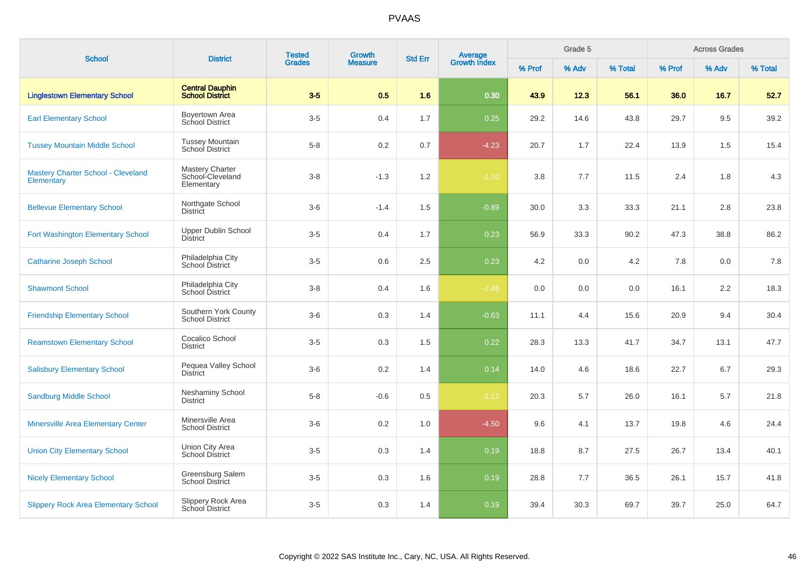| <b>School</b>                                                  | <b>District</b>                                   | <b>Tested</b><br><b>Grades</b> | Growth         | <b>Std Err</b> |                                |        | Grade 5 |         |        | <b>Across Grades</b> |         |
|----------------------------------------------------------------|---------------------------------------------------|--------------------------------|----------------|----------------|--------------------------------|--------|---------|---------|--------|----------------------|---------|
|                                                                |                                                   |                                | <b>Measure</b> |                | <b>Average</b><br>Growth Index | % Prof | % Adv   | % Total | % Prof | % Adv                | % Total |
| <b>Linglestown Elementary School</b>                           | <b>Central Dauphin</b><br><b>School District</b>  | $3-5$                          | 0.5            | 1.6            | 0.30                           | 43.9   | 12.3    | 56.1    | 36.0   | 16.7                 | 52.7    |
| <b>Earl Elementary School</b>                                  | Boyertown Area<br>School District                 | $3-5$                          | 0.4            | 1.7            | 0.25                           | 29.2   | 14.6    | 43.8    | 29.7   | 9.5                  | 39.2    |
| <b>Tussey Mountain Middle School</b>                           | <b>Tussey Mountain</b><br>School District         | $5 - 8$                        | 0.2            | 0.7            | $-4.23$                        | 20.7   | 1.7     | 22.4    | 13.9   | 1.5                  | 15.4    |
| <b>Mastery Charter School - Cleveland</b><br><b>Elementary</b> | Mastery Charter<br>School-Cleveland<br>Elementary | $3-8$                          | $-1.3$         | 1.2            | $-1.10$                        | 3.8    | 7.7     | 11.5    | 2.4    | 1.8                  | 4.3     |
| <b>Bellevue Elementary School</b>                              | Northgate School<br><b>District</b>               | $3-6$                          | $-1.4$         | 1.5            | $-0.89$                        | 30.0   | 3.3     | 33.3    | 21.1   | 2.8                  | 23.8    |
| <b>Fort Washington Elementary School</b>                       | Upper Dublin School<br><b>District</b>            | $3-5$                          | 0.4            | 1.7            | 0.23                           | 56.9   | 33.3    | 90.2    | 47.3   | 38.8                 | 86.2    |
| <b>Catharine Joseph School</b>                                 | Philadelphia City<br>School District              | $3-5$                          | 0.6            | 2.5            | 0.23                           | 4.2    | 0.0     | 4.2     | 7.8    | 0.0                  | 7.8     |
| <b>Shawmont School</b>                                         | Philadelphia City<br>School District              | $3 - 8$                        | 0.4            | 1.6            | $-1.46$                        | 0.0    | 0.0     | 0.0     | 16.1   | 2.2                  | 18.3    |
| <b>Friendship Elementary School</b>                            | Southern York County<br><b>School District</b>    | $3-6$                          | 0.3            | 1.4            | $-0.63$                        | 11.1   | 4.4     | 15.6    | 20.9   | 9.4                  | 30.4    |
| <b>Reamstown Elementary School</b>                             | Cocalico School<br><b>District</b>                | $3-5$                          | 0.3            | 1.5            | 0.22                           | 28.3   | 13.3    | 41.7    | 34.7   | 13.1                 | 47.7    |
| <b>Salisbury Elementary School</b>                             | Pequea Valley School<br><b>District</b>           | $3-6$                          | 0.2            | 1.4            | 0.14                           | 14.0   | 4.6     | 18.6    | 22.7   | 6.7                  | 29.3    |
| <b>Sandburg Middle School</b>                                  | Neshaminy School<br><b>District</b>               | $5-8$                          | $-0.6$         | 0.5            | $-1.17$                        | 20.3   | 5.7     | 26.0    | 16.1   | 5.7                  | 21.8    |
| <b>Minersville Area Elementary Center</b>                      | Minersville Area<br><b>School District</b>        | $3-6$                          | 0.2            | 1.0            | $-4.50$                        | 9.6    | 4.1     | 13.7    | 19.8   | 4.6                  | 24.4    |
| <b>Union City Elementary School</b>                            | Union City Area<br><b>School District</b>         | $3-5$                          | 0.3            | 1.4            | 0.19                           | 18.8   | 8.7     | 27.5    | 26.7   | 13.4                 | 40.1    |
| <b>Nicely Elementary School</b>                                | Greensburg Salem<br><b>School District</b>        | $3-5$                          | 0.3            | 1.6            | 0.19                           | 28.8   | 7.7     | 36.5    | 26.1   | 15.7                 | 41.8    |
| <b>Slippery Rock Area Elementary School</b>                    | Slippery Rock Area<br>School District             | $3-5$                          | 0.3            | 1.4            | 0.19                           | 39.4   | 30.3    | 69.7    | 39.7   | 25.0                 | 64.7    |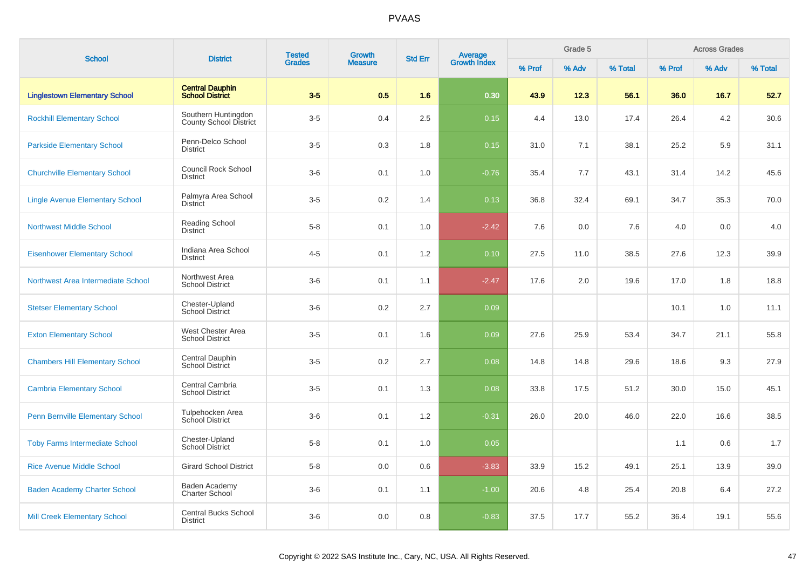|                                         |                                                      | <b>Tested</b> | <b>Growth</b>  |                |                                |        | Grade 5 |         |        | <b>Across Grades</b> |         |
|-----------------------------------------|------------------------------------------------------|---------------|----------------|----------------|--------------------------------|--------|---------|---------|--------|----------------------|---------|
| <b>School</b>                           | <b>District</b>                                      | <b>Grades</b> | <b>Measure</b> | <b>Std Err</b> | <b>Average</b><br>Growth Index | % Prof | % Adv   | % Total | % Prof | % Adv                | % Total |
| <b>Linglestown Elementary School</b>    | <b>Central Dauphin</b><br><b>School District</b>     | $3-5$         | 0.5            | 1.6            | 0.30                           | 43.9   | 12.3    | 56.1    | 36.0   | 16.7                 | 52.7    |
| <b>Rockhill Elementary School</b>       | Southern Huntingdon<br><b>County School District</b> | $3-5$         | 0.4            | 2.5            | 0.15                           | 4.4    | 13.0    | 17.4    | 26.4   | 4.2                  | 30.6    |
| <b>Parkside Elementary School</b>       | Penn-Delco School<br><b>District</b>                 | $3-5$         | 0.3            | 1.8            | 0.15                           | 31.0   | 7.1     | 38.1    | 25.2   | 5.9                  | 31.1    |
| <b>Churchville Elementary School</b>    | <b>Council Rock School</b><br><b>District</b>        | $3-6$         | 0.1            | 1.0            | $-0.76$                        | 35.4   | 7.7     | 43.1    | 31.4   | 14.2                 | 45.6    |
| <b>Lingle Avenue Elementary School</b>  | Palmyra Area School<br><b>District</b>               | $3-5$         | 0.2            | 1.4            | 0.13                           | 36.8   | 32.4    | 69.1    | 34.7   | 35.3                 | 70.0    |
| <b>Northwest Middle School</b>          | Reading School<br><b>District</b>                    | $5 - 8$       | 0.1            | 1.0            | $-2.42$                        | 7.6    | 0.0     | 7.6     | 4.0    | 0.0                  | 4.0     |
| <b>Eisenhower Elementary School</b>     | Indiana Area School<br><b>District</b>               | $4 - 5$       | 0.1            | 1.2            | 0.10                           | 27.5   | 11.0    | 38.5    | 27.6   | 12.3                 | 39.9    |
| Northwest Area Intermediate School      | Northwest Area<br><b>School District</b>             | $3-6$         | 0.1            | 1.1            | $-2.47$                        | 17.6   | 2.0     | 19.6    | 17.0   | 1.8                  | 18.8    |
| <b>Stetser Elementary School</b>        | Chester-Upland<br><b>School District</b>             | $3-6$         | 0.2            | 2.7            | 0.09                           |        |         |         | 10.1   | 1.0                  | 11.1    |
| <b>Exton Elementary School</b>          | West Chester Area<br><b>School District</b>          | $3-5$         | 0.1            | 1.6            | 0.09                           | 27.6   | 25.9    | 53.4    | 34.7   | 21.1                 | 55.8    |
| <b>Chambers Hill Elementary School</b>  | Central Dauphin<br>School District                   | $3-5$         | 0.2            | 2.7            | 0.08                           | 14.8   | 14.8    | 29.6    | 18.6   | 9.3                  | 27.9    |
| <b>Cambria Elementary School</b>        | Central Cambria<br><b>School District</b>            | $3-5$         | 0.1            | 1.3            | 0.08                           | 33.8   | 17.5    | 51.2    | 30.0   | 15.0                 | 45.1    |
| <b>Penn Bernville Elementary School</b> | Tulpehocken Area<br>School District                  | $3-6$         | 0.1            | 1.2            | $-0.31$                        | 26.0   | 20.0    | 46.0    | 22.0   | 16.6                 | 38.5    |
| <b>Toby Farms Intermediate School</b>   | Chester-Upland<br><b>School District</b>             | $5-8$         | 0.1            | 1.0            | 0.05                           |        |         |         | 1.1    | 0.6                  | 1.7     |
| <b>Rice Avenue Middle School</b>        | <b>Girard School District</b>                        | $5-8$         | 0.0            | 0.6            | $-3.83$                        | 33.9   | 15.2    | 49.1    | 25.1   | 13.9                 | 39.0    |
| <b>Baden Academy Charter School</b>     | Baden Academy<br>Charter School                      | $3-6$         | 0.1            | 1.1            | $-1.00$                        | 20.6   | 4.8     | 25.4    | 20.8   | 6.4                  | 27.2    |
| <b>Mill Creek Elementary School</b>     | <b>Central Bucks School</b><br><b>District</b>       | $3-6$         | 0.0            | 0.8            | $-0.83$                        | 37.5   | 17.7    | 55.2    | 36.4   | 19.1                 | 55.6    |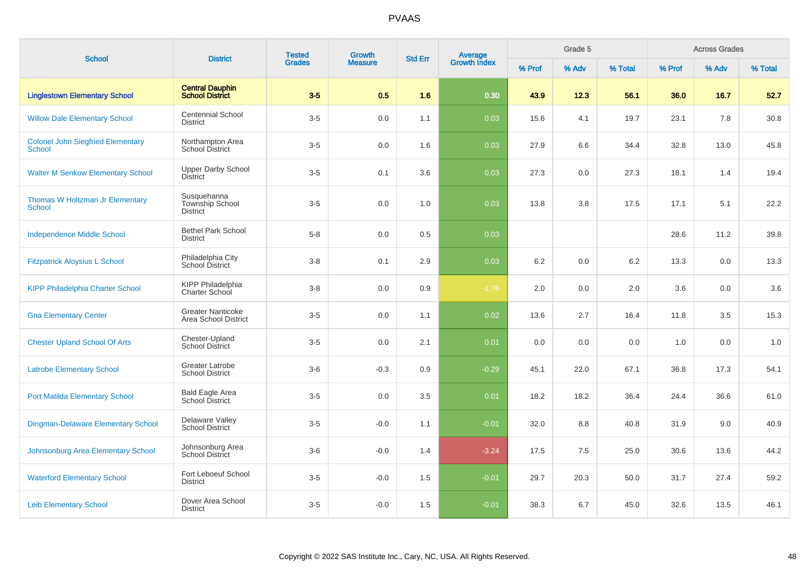| <b>School</b>                                             | <b>District</b>                                   | <b>Tested</b><br><b>Grades</b> | Growth         | <b>Std Err</b> |                                |        | Grade 5 |         |        | <b>Across Grades</b> |         |
|-----------------------------------------------------------|---------------------------------------------------|--------------------------------|----------------|----------------|--------------------------------|--------|---------|---------|--------|----------------------|---------|
|                                                           |                                                   |                                | <b>Measure</b> |                | <b>Average</b><br>Growth Index | % Prof | % Adv   | % Total | % Prof | % Adv                | % Total |
| <b>Linglestown Elementary School</b>                      | <b>Central Dauphin</b><br><b>School District</b>  | $3-5$                          | 0.5            | 1.6            | 0.30                           | 43.9   | 12.3    | 56.1    | 36.0   | 16.7                 | 52.7    |
| <b>Willow Dale Elementary School</b>                      | <b>Centennial School</b><br><b>District</b>       | $3-5$                          | 0.0            | 1.1            | 0.03                           | 15.6   | 4.1     | 19.7    | 23.1   | 7.8                  | 30.8    |
| <b>Colonel John Siegfried Elementary</b><br><b>School</b> | Northampton Area<br>School District               | $3-5$                          | 0.0            | 1.6            | 0.03                           | 27.9   | 6.6     | 34.4    | 32.8   | 13.0                 | 45.8    |
| <b>Walter M Senkow Elementary School</b>                  | <b>Upper Darby School</b><br><b>District</b>      | $3-5$                          | 0.1            | 3.6            | 0.03                           | 27.3   | 0.0     | 27.3    | 18.1   | 1.4                  | 19.4    |
| Thomas W Holtzman Jr Elementary<br><b>School</b>          | Susquehanna<br>Township School<br><b>District</b> | $3-5$                          | 0.0            | 1.0            | 0.03                           | 13.8   | 3.8     | 17.5    | 17.1   | 5.1                  | 22.2    |
| <b>Independence Middle School</b>                         | <b>Bethel Park School</b><br><b>District</b>      | $5-8$                          | 0.0            | 0.5            | 0.03                           |        |         |         | 28.6   | 11.2                 | 39.8    |
| <b>Fitzpatrick Aloysius L School</b>                      | Philadelphia City<br><b>School District</b>       | $3-8$                          | 0.1            | 2.9            | 0.03                           | 6.2    | 0.0     | 6.2     | 13.3   | 0.0                  | 13.3    |
| <b>KIPP Philadelphia Charter School</b>                   | KIPP Philadelphia<br>Charter School               | $3-8$                          | 0.0            | 0.9            | $-1.76$                        | 2.0    | 0.0     | 2.0     | 3.6    | 0.0                  | 3.6     |
| <b>Gna Elementary Center</b>                              | <b>Greater Nanticoke</b><br>Area School District  | $3-5$                          | 0.0            | 1.1            | 0.02                           | 13.6   | 2.7     | 16.4    | 11.8   | 3.5                  | 15.3    |
| <b>Chester Upland School Of Arts</b>                      | Chester-Upland<br><b>School District</b>          | $3-5$                          | 0.0            | 2.1            | 0.01                           | 0.0    | 0.0     | 0.0     | 1.0    | 0.0                  | 1.0     |
| <b>Latrobe Elementary School</b>                          | Greater Latrobe<br><b>School District</b>         | $3-6$                          | $-0.3$         | 0.9            | $-0.29$                        | 45.1   | 22.0    | 67.1    | 36.8   | 17.3                 | 54.1    |
| <b>Port Matilda Elementary School</b>                     | Bald Eagle Area<br>School District                | $3-5$                          | 0.0            | 3.5            | 0.01                           | 18.2   | 18.2    | 36.4    | 24.4   | 36.6                 | 61.0    |
| Dingman-Delaware Elementary School                        | Delaware Valley<br><b>School District</b>         | $3-5$                          | $-0.0$         | 1.1            | $-0.01$                        | 32.0   | 8.8     | 40.8    | 31.9   | 9.0                  | 40.9    |
| Johnsonburg Area Elementary School                        | Johnsonburg Area<br>School District               | $3-6$                          | $-0.0$         | 1.4            | $-3.24$                        | 17.5   | 7.5     | 25.0    | 30.6   | 13.6                 | 44.2    |
| <b>Waterford Elementary School</b>                        | Fort Leboeuf School<br><b>District</b>            | $3-5$                          | $-0.0$         | 1.5            | $-0.01$                        | 29.7   | 20.3    | 50.0    | 31.7   | 27.4                 | 59.2    |
| <b>Leib Elementary School</b>                             | Dover Area School<br><b>District</b>              | $3-5$                          | $-0.0$         | 1.5            | $-0.01$                        | 38.3   | 6.7     | 45.0    | 32.6   | 13.5                 | 46.1    |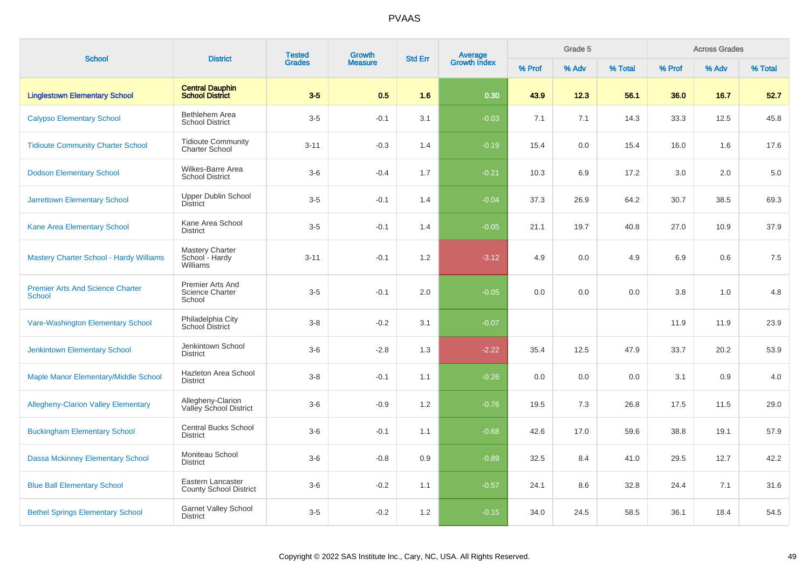| <b>School</b>                                            |                                                      | <b>Tested</b><br><b>District</b><br><b>Grades</b> | <b>Growth</b>  | <b>Std Err</b> | <b>Average</b><br>Growth Index |        |       | Grade 5 |        |       | <b>Across Grades</b> |  |
|----------------------------------------------------------|------------------------------------------------------|---------------------------------------------------|----------------|----------------|--------------------------------|--------|-------|---------|--------|-------|----------------------|--|
|                                                          |                                                      |                                                   | <b>Measure</b> |                |                                | % Prof | % Adv | % Total | % Prof | % Adv | % Total              |  |
| <b>Linglestown Elementary School</b>                     | <b>Central Dauphin</b><br><b>School District</b>     | $3-5$                                             | 0.5            | 1.6            | 0.30                           | 43.9   | 12.3  | 56.1    | 36.0   | 16.7  | 52.7                 |  |
| <b>Calypso Elementary School</b>                         | Bethlehem Area<br><b>School District</b>             | $3-5$                                             | $-0.1$         | 3.1            | $-0.03$                        | 7.1    | 7.1   | 14.3    | 33.3   | 12.5  | 45.8                 |  |
| <b>Tidioute Community Charter School</b>                 | <b>Tidioute Community</b><br><b>Charter School</b>   | $3 - 11$                                          | $-0.3$         | 1.4            | $-0.19$                        | 15.4   | 0.0   | 15.4    | 16.0   | 1.6   | 17.6                 |  |
| <b>Dodson Elementary School</b>                          | Wilkes-Barre Area<br><b>School District</b>          | $3-6$                                             | $-0.4$         | 1.7            | $-0.21$                        | 10.3   | 6.9   | 17.2    | 3.0    | 2.0   | 5.0                  |  |
| <b>Jarrettown Elementary School</b>                      | <b>Upper Dublin School</b><br><b>District</b>        | $3-5$                                             | $-0.1$         | 1.4            | $-0.04$                        | 37.3   | 26.9  | 64.2    | 30.7   | 38.5  | 69.3                 |  |
| Kane Area Elementary School                              | Kane Area School<br><b>District</b>                  | $3-5$                                             | $-0.1$         | 1.4            | $-0.05$                        | 21.1   | 19.7  | 40.8    | 27.0   | 10.9  | 37.9                 |  |
| <b>Mastery Charter School - Hardy Williams</b>           | Mastery Charter<br>School - Hardy<br>Williams        | $3 - 11$                                          | $-0.1$         | 1.2            | $-3.12$                        | 4.9    | 0.0   | 4.9     | 6.9    | 0.6   | 7.5                  |  |
| <b>Premier Arts And Science Charter</b><br><b>School</b> | Premier Arts And<br><b>Science Charter</b><br>School | $3-5$                                             | $-0.1$         | 2.0            | $-0.05$                        | 0.0    | 0.0   | 0.0     | 3.8    | 1.0   | 4.8                  |  |
| Vare-Washington Elementary School                        | Philadelphia City<br>School District                 | $3 - 8$                                           | $-0.2$         | 3.1            | $-0.07$                        |        |       |         | 11.9   | 11.9  | 23.9                 |  |
| <b>Jenkintown Elementary School</b>                      | Jenkintown School<br><b>District</b>                 | $3-6$                                             | $-2.8$         | 1.3            | $-2.22$                        | 35.4   | 12.5  | 47.9    | 33.7   | 20.2  | 53.9                 |  |
| Maple Manor Elementary/Middle School                     | Hazleton Area School<br><b>District</b>              | $3 - 8$                                           | $-0.1$         | 1.1            | $-0.26$                        | 0.0    | 0.0   | 0.0     | 3.1    | 0.9   | 4.0                  |  |
| <b>Allegheny-Clarion Valley Elementary</b>               | Allegheny-Clarion<br>Valley School District          | $3-6$                                             | $-0.9$         | 1.2            | $-0.76$                        | 19.5   | 7.3   | 26.8    | 17.5   | 11.5  | 29.0                 |  |
| <b>Buckingham Elementary School</b>                      | <b>Central Bucks School</b><br><b>District</b>       | $3-6$                                             | $-0.1$         | 1.1            | $-0.68$                        | 42.6   | 17.0  | 59.6    | 38.8   | 19.1  | 57.9                 |  |
| <b>Dassa Mckinney Elementary School</b>                  | Moniteau School<br><b>District</b>                   | $3-6$                                             | $-0.8$         | 0.9            | $-0.89$                        | 32.5   | 8.4   | 41.0    | 29.5   | 12.7  | 42.2                 |  |
| <b>Blue Ball Elementary School</b>                       | Eastern Lancaster<br><b>County School District</b>   | $3-6$                                             | $-0.2$         | 1.1            | $-0.57$                        | 24.1   | 8.6   | 32.8    | 24.4   | 7.1   | 31.6                 |  |
| <b>Bethel Springs Elementary School</b>                  | <b>Garnet Valley School</b><br><b>District</b>       | $3-5$                                             | $-0.2$         | 1.2            | $-0.15$                        | 34.0   | 24.5  | 58.5    | 36.1   | 18.4  | 54.5                 |  |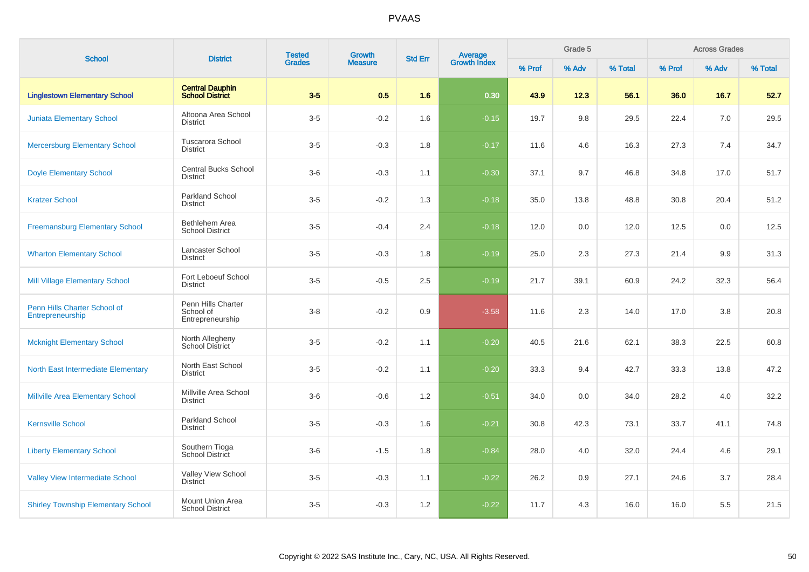| <b>School</b>                                    | <b>District</b>                                     | <b>Tested</b> | Growth         | <b>Std Err</b> | Average<br>Growth Index |        | Grade 5 |         |        | <b>Across Grades</b> |         |
|--------------------------------------------------|-----------------------------------------------------|---------------|----------------|----------------|-------------------------|--------|---------|---------|--------|----------------------|---------|
|                                                  |                                                     | <b>Grades</b> | <b>Measure</b> |                |                         | % Prof | % Adv   | % Total | % Prof | % Adv                | % Total |
| <b>Linglestown Elementary School</b>             | <b>Central Dauphin</b><br><b>School District</b>    | $3-5$         | 0.5            | 1.6            | 0.30                    | 43.9   | 12.3    | 56.1    | 36.0   | 16.7                 | 52.7    |
| <b>Juniata Elementary School</b>                 | Altoona Area School<br><b>District</b>              | $3-5$         | $-0.2$         | 1.6            | $-0.15$                 | 19.7   | 9.8     | 29.5    | 22.4   | 7.0                  | 29.5    |
| <b>Mercersburg Elementary School</b>             | <b>Tuscarora School</b><br><b>District</b>          | $3-5$         | $-0.3$         | 1.8            | $-0.17$                 | 11.6   | 4.6     | 16.3    | 27.3   | 7.4                  | 34.7    |
| <b>Doyle Elementary School</b>                   | <b>Central Bucks School</b><br><b>District</b>      | $3-6$         | $-0.3$         | 1.1            | $-0.30$                 | 37.1   | 9.7     | 46.8    | 34.8   | 17.0                 | 51.7    |
| <b>Kratzer School</b>                            | <b>Parkland School</b><br><b>District</b>           | $3-5$         | $-0.2$         | 1.3            | $-0.18$                 | 35.0   | 13.8    | 48.8    | 30.8   | 20.4                 | 51.2    |
| <b>Freemansburg Elementary School</b>            | Bethlehem Area<br><b>School District</b>            | $3-5$         | $-0.4$         | 2.4            | $-0.18$                 | 12.0   | 0.0     | 12.0    | 12.5   | 0.0                  | 12.5    |
| <b>Wharton Elementary School</b>                 | Lancaster School<br><b>District</b>                 | $3-5$         | $-0.3$         | 1.8            | $-0.19$                 | 25.0   | 2.3     | 27.3    | 21.4   | 9.9                  | 31.3    |
| <b>Mill Village Elementary School</b>            | Fort Leboeuf School<br><b>District</b>              | $3-5$         | $-0.5$         | 2.5            | $-0.19$                 | 21.7   | 39.1    | 60.9    | 24.2   | 32.3                 | 56.4    |
| Penn Hills Charter School of<br>Entrepreneurship | Penn Hills Charter<br>School of<br>Entrepreneurship | $3-8$         | $-0.2$         | 0.9            | $-3.58$                 | 11.6   | 2.3     | 14.0    | 17.0   | 3.8                  | 20.8    |
| <b>Mcknight Elementary School</b>                | North Allegheny<br><b>School District</b>           | $3-5$         | $-0.2$         | 1.1            | $-0.20$                 | 40.5   | 21.6    | 62.1    | 38.3   | 22.5                 | 60.8    |
| North East Intermediate Elementary               | North East School<br><b>District</b>                | $3-5$         | $-0.2$         | 1.1            | $-0.20$                 | 33.3   | 9.4     | 42.7    | 33.3   | 13.8                 | 47.2    |
| <b>Millville Area Elementary School</b>          | Millville Area School<br><b>District</b>            | $3-6$         | $-0.6$         | 1.2            | $-0.51$                 | 34.0   | 0.0     | 34.0    | 28.2   | 4.0                  | 32.2    |
| <b>Kernsville School</b>                         | <b>Parkland School</b><br><b>District</b>           | $3-5$         | $-0.3$         | 1.6            | $-0.21$                 | 30.8   | 42.3    | 73.1    | 33.7   | 41.1                 | 74.8    |
| <b>Liberty Elementary School</b>                 | Southern Tioga<br>School District                   | $3-6$         | $-1.5$         | 1.8            | $-0.84$                 | 28.0   | 4.0     | 32.0    | 24.4   | 4.6                  | 29.1    |
| <b>Valley View Intermediate School</b>           | Valley View School<br><b>District</b>               | $3-5$         | $-0.3$         | 1.1            | $-0.22$                 | 26.2   | 0.9     | 27.1    | 24.6   | 3.7                  | 28.4    |
| <b>Shirley Township Elementary School</b>        | Mount Union Area<br><b>School District</b>          | $3-5$         | $-0.3$         | 1.2            | $-0.22$                 | 11.7   | 4.3     | 16.0    | 16.0   | 5.5                  | 21.5    |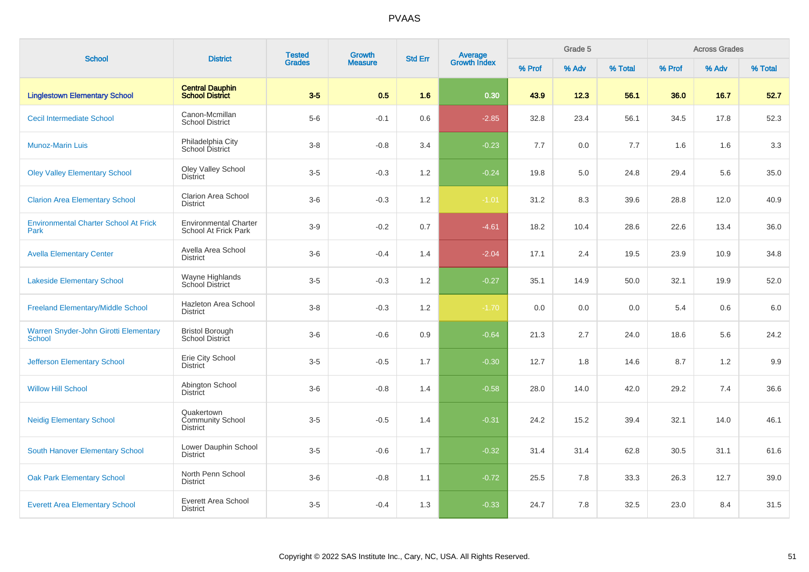| <b>School</b>                                          | <b>District</b>                                      | <b>Tested</b> | <b>Growth</b>  | <b>Std Err</b> | <b>Average</b><br>Growth Index |        | Grade 5 |         |        | <b>Across Grades</b> |         |
|--------------------------------------------------------|------------------------------------------------------|---------------|----------------|----------------|--------------------------------|--------|---------|---------|--------|----------------------|---------|
|                                                        |                                                      | <b>Grades</b> | <b>Measure</b> |                |                                | % Prof | % Adv   | % Total | % Prof | % Adv                | % Total |
| <b>Linglestown Elementary School</b>                   | <b>Central Dauphin</b><br><b>School District</b>     | $3-5$         | 0.5            | 1.6            | 0.30                           | 43.9   | 12.3    | 56.1    | 36.0   | 16.7                 | 52.7    |
| <b>Cecil Intermediate School</b>                       | Canon-Mcmillan<br><b>School District</b>             | $5-6$         | $-0.1$         | 0.6            | $-2.85$                        | 32.8   | 23.4    | 56.1    | 34.5   | 17.8                 | 52.3    |
| <b>Munoz-Marin Luis</b>                                | Philadelphia City<br>School District                 | $3-8$         | $-0.8$         | 3.4            | $-0.23$                        | 7.7    | 0.0     | 7.7     | 1.6    | 1.6                  | 3.3     |
| <b>Oley Valley Elementary School</b>                   | Oley Valley School<br><b>District</b>                | $3-5$         | $-0.3$         | 1.2            | $-0.24$                        | 19.8   | 5.0     | 24.8    | 29.4   | 5.6                  | 35.0    |
| <b>Clarion Area Elementary School</b>                  | <b>Clarion Area School</b><br><b>District</b>        | $3-6$         | $-0.3$         | $1.2\,$        | $-1.01$                        | 31.2   | 8.3     | 39.6    | 28.8   | 12.0                 | 40.9    |
| <b>Environmental Charter School At Frick</b><br>Park   | <b>Environmental Charter</b><br>School At Frick Park | $3-9$         | $-0.2$         | 0.7            | $-4.61$                        | 18.2   | 10.4    | 28.6    | 22.6   | 13.4                 | 36.0    |
| <b>Avella Elementary Center</b>                        | Avella Area School<br><b>District</b>                | $3-6$         | $-0.4$         | 1.4            | $-2.04$                        | 17.1   | 2.4     | 19.5    | 23.9   | 10.9                 | 34.8    |
| <b>Lakeside Elementary School</b>                      | Wayne Highlands<br>School District                   | $3-5$         | $-0.3$         | 1.2            | $-0.27$                        | 35.1   | 14.9    | 50.0    | 32.1   | 19.9                 | 52.0    |
| <b>Freeland Elementary/Middle School</b>               | Hazleton Area School<br><b>District</b>              | $3-8$         | $-0.3$         | 1.2            | $-1.70$                        | 0.0    | 0.0     | 0.0     | 5.4    | 0.6                  | 6.0     |
| Warren Snyder-John Girotti Elementary<br><b>School</b> | <b>Bristol Borough</b><br>School District            | $3-6$         | $-0.6$         | 0.9            | $-0.64$                        | 21.3   | 2.7     | 24.0    | 18.6   | 5.6                  | 24.2    |
| <b>Jefferson Elementary School</b>                     | Erie City School<br><b>District</b>                  | $3-5$         | $-0.5$         | 1.7            | $-0.30$                        | 12.7   | 1.8     | 14.6    | 8.7    | 1.2                  | 9.9     |
| <b>Willow Hill School</b>                              | Abington School<br><b>District</b>                   | $3-6$         | $-0.8$         | 1.4            | $-0.58$                        | 28.0   | 14.0    | 42.0    | 29.2   | 7.4                  | 36.6    |
| <b>Neidig Elementary School</b>                        | Quakertown<br>Community School<br><b>District</b>    | $3-5$         | $-0.5$         | 1.4            | $-0.31$                        | 24.2   | 15.2    | 39.4    | 32.1   | 14.0                 | 46.1    |
| <b>South Hanover Elementary School</b>                 | Lower Dauphin School<br><b>District</b>              | $3-5$         | $-0.6$         | 1.7            | $-0.32$                        | 31.4   | 31.4    | 62.8    | 30.5   | 31.1                 | 61.6    |
| <b>Oak Park Elementary School</b>                      | North Penn School<br><b>District</b>                 | $3-6$         | $-0.8$         | 1.1            | $-0.72$                        | 25.5   | 7.8     | 33.3    | 26.3   | 12.7                 | 39.0    |
| <b>Everett Area Elementary School</b>                  | <b>Everett Area School</b><br><b>District</b>        | $3-5$         | $-0.4$         | 1.3            | $-0.33$                        | 24.7   | 7.8     | 32.5    | 23.0   | 8.4                  | 31.5    |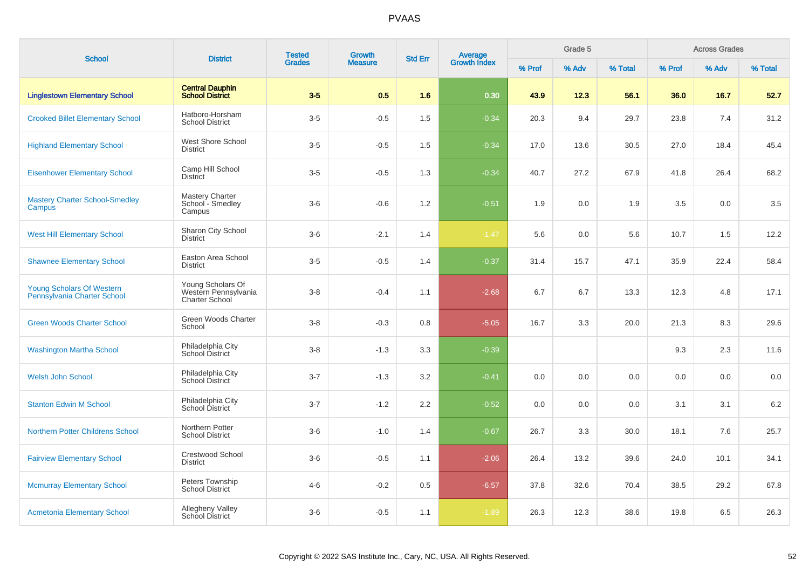| <b>School</b>                                            | <b>District</b>                                                    | <b>Tested</b><br><b>Growth</b><br><b>Grades</b><br><b>Measure</b> | <b>Std Err</b> | <b>Average</b><br>Growth Index | Grade 5 |        |       |         | <b>Across Grades</b> |       |         |
|----------------------------------------------------------|--------------------------------------------------------------------|-------------------------------------------------------------------|----------------|--------------------------------|---------|--------|-------|---------|----------------------|-------|---------|
|                                                          |                                                                    |                                                                   |                |                                |         | % Prof | % Adv | % Total | % Prof               | % Adv | % Total |
| <b>Linglestown Elementary School</b>                     | <b>Central Dauphin</b><br><b>School District</b>                   | $3-5$                                                             | 0.5            | 1.6                            | 0.30    | 43.9   | 12.3  | 56.1    | 36.0                 | 16.7  | 52.7    |
| <b>Crooked Billet Elementary School</b>                  | Hatboro-Horsham<br><b>School District</b>                          | $3-5$                                                             | $-0.5$         | 1.5                            | $-0.34$ | 20.3   | 9.4   | 29.7    | 23.8                 | 7.4   | 31.2    |
| <b>Highland Elementary School</b>                        | West Shore School<br><b>District</b>                               | $3-5$                                                             | $-0.5$         | 1.5                            | $-0.34$ | 17.0   | 13.6  | 30.5    | 27.0                 | 18.4  | 45.4    |
| <b>Eisenhower Elementary School</b>                      | Camp Hill School<br>District                                       | $3-5$                                                             | $-0.5$         | 1.3                            | $-0.34$ | 40.7   | 27.2  | 67.9    | 41.8                 | 26.4  | 68.2    |
| <b>Mastery Charter School-Smedley</b><br>Campus          | <b>Mastery Charter</b><br>School - Smedley<br>Campus               | $3-6$                                                             | $-0.6$         | 1.2                            | $-0.51$ | 1.9    | 0.0   | 1.9     | $3.5\,$              | 0.0   | 3.5     |
| <b>West Hill Elementary School</b>                       | Sharon City School<br><b>District</b>                              | $3-6$                                                             | $-2.1$         | 1.4                            | $-1.47$ | 5.6    | 0.0   | 5.6     | 10.7                 | 1.5   | 12.2    |
| <b>Shawnee Elementary School</b>                         | Easton Area School<br><b>District</b>                              | $3-5$                                                             | $-0.5$         | 1.4                            | $-0.37$ | 31.4   | 15.7  | 47.1    | 35.9                 | 22.4  | 58.4    |
| Young Scholars Of Western<br>Pennsylvania Charter School | Young Scholars Of<br>Western Pennsylvania<br><b>Charter School</b> | $3 - 8$                                                           | $-0.4$         | 1.1                            | $-2.68$ | 6.7    | 6.7   | 13.3    | 12.3                 | 4.8   | 17.1    |
| <b>Green Woods Charter School</b>                        | Green Woods Charter<br>School                                      | $3 - 8$                                                           | $-0.3$         | 0.8                            | $-5.05$ | 16.7   | 3.3   | 20.0    | 21.3                 | 8.3   | 29.6    |
| <b>Washington Martha School</b>                          | Philadelphia City<br>School District                               | $3-8$                                                             | $-1.3$         | 3.3                            | $-0.39$ |        |       |         | 9.3                  | 2.3   | 11.6    |
| <b>Welsh John School</b>                                 | Philadelphia City<br>School District                               | $3 - 7$                                                           | $-1.3$         | 3.2                            | $-0.41$ | 0.0    | 0.0   | 0.0     | 0.0                  | 0.0   | 0.0     |
| <b>Stanton Edwin M School</b>                            | Philadelphia City<br><b>School District</b>                        | $3 - 7$                                                           | $-1.2$         | 2.2                            | $-0.52$ | 0.0    | 0.0   | 0.0     | 3.1                  | 3.1   | 6.2     |
| <b>Northern Potter Childrens School</b>                  | Northern Potter<br><b>School District</b>                          | $3-6$                                                             | $-1.0$         | 1.4                            | $-0.67$ | 26.7   | 3.3   | 30.0    | 18.1                 | 7.6   | 25.7    |
| <b>Fairview Elementary School</b>                        | <b>Crestwood School</b><br><b>District</b>                         | $3-6$                                                             | $-0.5$         | 1.1                            | $-2.06$ | 26.4   | 13.2  | 39.6    | 24.0                 | 10.1  | 34.1    |
| <b>Mcmurray Elementary School</b>                        | Peters Township<br><b>School District</b>                          | $4 - 6$                                                           | $-0.2$         | 0.5                            | $-6.57$ | 37.8   | 32.6  | 70.4    | 38.5                 | 29.2  | 67.8    |
| <b>Acmetonia Elementary School</b>                       | <b>Allegheny Valley</b><br><b>School District</b>                  | $3-6$                                                             | $-0.5$         | 1.1                            | $-1.89$ | 26.3   | 12.3  | 38.6    | 19.8                 | 6.5   | 26.3    |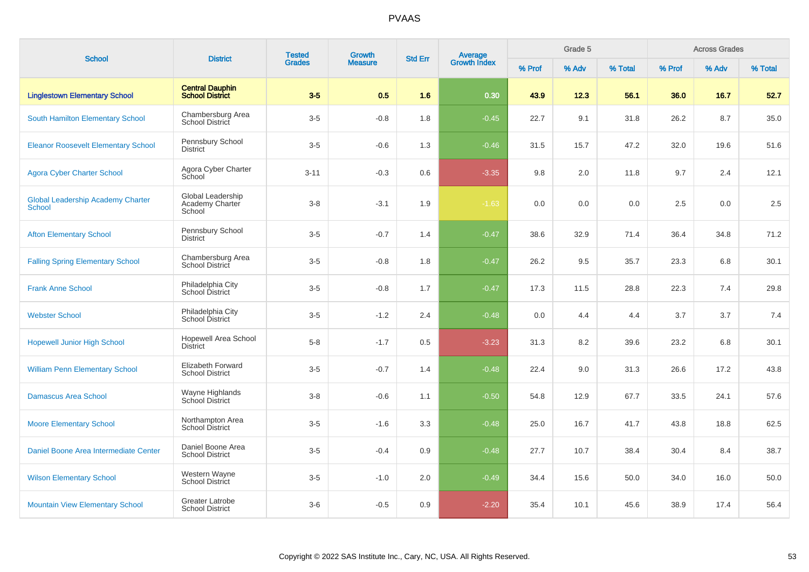| <b>School</b>                                             | <b>District</b>                                  | <b>Tested</b> | Growth         | <b>Std Err</b> |                                |        | Grade 5 |         |        | <b>Across Grades</b> |         |
|-----------------------------------------------------------|--------------------------------------------------|---------------|----------------|----------------|--------------------------------|--------|---------|---------|--------|----------------------|---------|
|                                                           |                                                  | <b>Grades</b> | <b>Measure</b> |                | <b>Average</b><br>Growth Index | % Prof | % Adv   | % Total | % Prof | % Adv                | % Total |
| <b>Linglestown Elementary School</b>                      | <b>Central Dauphin</b><br><b>School District</b> | $3-5$         | 0.5            | 1.6            | 0.30                           | 43.9   | 12.3    | 56.1    | 36.0   | 16.7                 | 52.7    |
| South Hamilton Elementary School                          | Chambersburg Area<br>School District             | $3-5$         | $-0.8$         | 1.8            | $-0.45$                        | 22.7   | 9.1     | 31.8    | 26.2   | 8.7                  | 35.0    |
| <b>Eleanor Roosevelt Elementary School</b>                | Pennsbury School<br><b>District</b>              | $3-5$         | $-0.6$         | 1.3            | $-0.46$                        | 31.5   | 15.7    | 47.2    | 32.0   | 19.6                 | 51.6    |
| <b>Agora Cyber Charter School</b>                         | Agora Cyber Charter<br>School                    | $3 - 11$      | $-0.3$         | 0.6            | $-3.35$                        | 9.8    | 2.0     | 11.8    | 9.7    | 2.4                  | 12.1    |
| <b>Global Leadership Academy Charter</b><br><b>School</b> | Global Leadership<br>Academy Charter<br>School   | $3-8$         | $-3.1$         | 1.9            | $-1.63$                        | 0.0    | 0.0     | 0.0     | 2.5    | 0.0                  | 2.5     |
| <b>Afton Elementary School</b>                            | Pennsbury School<br><b>District</b>              | $3-5$         | $-0.7$         | 1.4            | $-0.47$                        | 38.6   | 32.9    | 71.4    | 36.4   | 34.8                 | 71.2    |
| <b>Falling Spring Elementary School</b>                   | Chambersburg Area<br>School District             | $3-5$         | $-0.8$         | 1.8            | $-0.47$                        | 26.2   | 9.5     | 35.7    | 23.3   | 6.8                  | 30.1    |
| <b>Frank Anne School</b>                                  | Philadelphia City<br>School District             | $3-5$         | $-0.8$         | 1.7            | $-0.47$                        | 17.3   | 11.5    | 28.8    | 22.3   | 7.4                  | 29.8    |
| <b>Webster School</b>                                     | Philadelphia City<br>School District             | $3-5$         | $-1.2$         | 2.4            | $-0.48$                        | 0.0    | 4.4     | 4.4     | 3.7    | 3.7                  | 7.4     |
| <b>Hopewell Junior High School</b>                        | <b>Hopewell Area School</b><br><b>District</b>   | $5 - 8$       | $-1.7$         | 0.5            | $-3.23$                        | 31.3   | 8.2     | 39.6    | 23.2   | 6.8                  | 30.1    |
| <b>William Penn Elementary School</b>                     | Elizabeth Forward<br><b>School District</b>      | $3-5$         | $-0.7$         | 1.4            | $-0.48$                        | 22.4   | 9.0     | 31.3    | 26.6   | 17.2                 | 43.8    |
| <b>Damascus Area School</b>                               | Wayne Highlands<br>School District               | $3-8$         | $-0.6$         | 1.1            | $-0.50$                        | 54.8   | 12.9    | 67.7    | 33.5   | 24.1                 | 57.6    |
| <b>Moore Elementary School</b>                            | Northampton Area<br><b>School District</b>       | $3-5$         | $-1.6$         | 3.3            | $-0.48$                        | 25.0   | 16.7    | 41.7    | 43.8   | 18.8                 | 62.5    |
| Daniel Boone Area Intermediate Center                     | Daniel Boone Area<br><b>School District</b>      | $3-5$         | $-0.4$         | 0.9            | $-0.48$                        | 27.7   | 10.7    | 38.4    | 30.4   | 8.4                  | 38.7    |
| <b>Wilson Elementary School</b>                           | Western Wayne<br>School District                 | $3-5$         | $-1.0$         | 2.0            | $-0.49$                        | 34.4   | 15.6    | 50.0    | 34.0   | 16.0                 | 50.0    |
| <b>Mountain View Elementary School</b>                    | <b>Greater Latrobe</b><br><b>School District</b> | $3-6$         | $-0.5$         | 0.9            | $-2.20$                        | 35.4   | 10.1    | 45.6    | 38.9   | 17.4                 | 56.4    |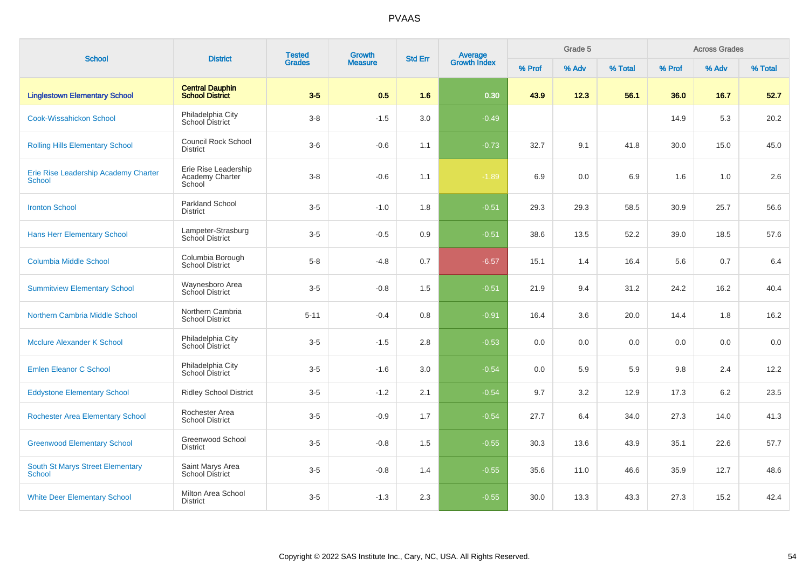| <b>School</b>                                            | <b>District</b>                                   | <b>Tested</b> | Growth         |                | <b>Average</b><br>Growth Index |        | Grade 5 |         |        | <b>Across Grades</b> |         |
|----------------------------------------------------------|---------------------------------------------------|---------------|----------------|----------------|--------------------------------|--------|---------|---------|--------|----------------------|---------|
|                                                          |                                                   | <b>Grades</b> | <b>Measure</b> | <b>Std Err</b> |                                | % Prof | % Adv   | % Total | % Prof | % Adv                | % Total |
| <b>Linglestown Elementary School</b>                     | <b>Central Dauphin</b><br><b>School District</b>  | $3-5$         | 0.5            | 1.6            | 0.30                           | 43.9   | 12.3    | 56.1    | 36.0   | 16.7                 | 52.7    |
| <b>Cook-Wissahickon School</b>                           | Philadelphia City<br>School District              | $3 - 8$       | $-1.5$         | 3.0            | $-0.49$                        |        |         |         | 14.9   | 5.3                  | 20.2    |
| <b>Rolling Hills Elementary School</b>                   | <b>Council Rock School</b><br><b>District</b>     | $3-6$         | $-0.6$         | 1.1            | $-0.73$                        | 32.7   | 9.1     | 41.8    | 30.0   | 15.0                 | 45.0    |
| Erie Rise Leadership Academy Charter<br><b>School</b>    | Erie Rise Leadership<br>Academy Charter<br>School | $3-8$         | $-0.6$         | 1.1            | $-1.89$                        | 6.9    | 0.0     | 6.9     | 1.6    | 1.0                  | 2.6     |
| <b>Ironton School</b>                                    | <b>Parkland School</b><br><b>District</b>         | $3-5$         | $-1.0$         | 1.8            | $-0.51$                        | 29.3   | 29.3    | 58.5    | 30.9   | 25.7                 | 56.6    |
| <b>Hans Herr Elementary School</b>                       | Lampeter-Strasburg<br>School District             | $3-5$         | $-0.5$         | 0.9            | $-0.51$                        | 38.6   | 13.5    | 52.2    | 39.0   | 18.5                 | 57.6    |
| <b>Columbia Middle School</b>                            | Columbia Borough<br><b>School District</b>        | $5-8$         | $-4.8$         | 0.7            | $-6.57$                        | 15.1   | 1.4     | 16.4    | 5.6    | 0.7                  | 6.4     |
| <b>Summitview Elementary School</b>                      | Waynesboro Area<br>School District                | $3-5$         | $-0.8$         | 1.5            | $-0.51$                        | 21.9   | 9.4     | 31.2    | 24.2   | 16.2                 | 40.4    |
| Northern Cambria Middle School                           | Northern Cambria<br><b>School District</b>        | $5 - 11$      | $-0.4$         | 0.8            | $-0.91$                        | 16.4   | 3.6     | 20.0    | 14.4   | 1.8                  | 16.2    |
| <b>Mcclure Alexander K School</b>                        | Philadelphia City<br>School District              | $3-5$         | $-1.5$         | 2.8            | $-0.53$                        | 0.0    | 0.0     | 0.0     | 0.0    | 0.0                  | 0.0     |
| <b>Emlen Eleanor C School</b>                            | Philadelphia City<br><b>School District</b>       | $3-5$         | $-1.6$         | 3.0            | $-0.54$                        | 0.0    | 5.9     | 5.9     | 9.8    | 2.4                  | 12.2    |
| <b>Eddystone Elementary School</b>                       | <b>Ridley School District</b>                     | $3-5$         | $-1.2$         | 2.1            | $-0.54$                        | 9.7    | 3.2     | 12.9    | 17.3   | 6.2                  | 23.5    |
| <b>Rochester Area Elementary School</b>                  | Rochester Area<br><b>School District</b>          | $3-5$         | $-0.9$         | 1.7            | $-0.54$                        | 27.7   | 6.4     | 34.0    | 27.3   | 14.0                 | 41.3    |
| <b>Greenwood Elementary School</b>                       | Greenwood School<br><b>District</b>               | $3-5$         | $-0.8$         | 1.5            | $-0.55$                        | 30.3   | 13.6    | 43.9    | 35.1   | 22.6                 | 57.7    |
| <b>South St Marys Street Elementary</b><br><b>School</b> | Saint Marys Area<br><b>School District</b>        | $3-5$         | $-0.8$         | 1.4            | $-0.55$                        | 35.6   | 11.0    | 46.6    | 35.9   | 12.7                 | 48.6    |
| <b>White Deer Elementary School</b>                      | Milton Area School<br><b>District</b>             | $3-5$         | $-1.3$         | 2.3            | $-0.55$                        | 30.0   | 13.3    | 43.3    | 27.3   | 15.2                 | 42.4    |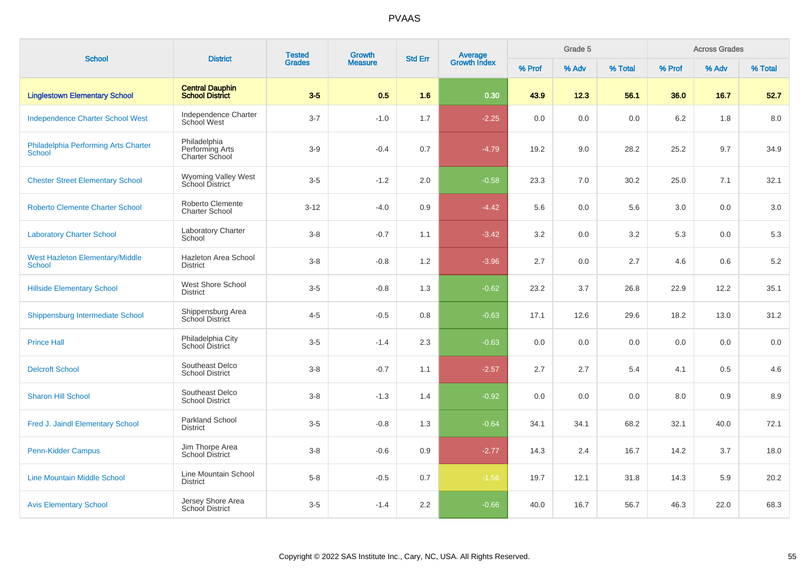| <b>School</b>                                           | <b>District</b>                                   | <b>Tested</b> | <b>Growth</b>  |     | <b>Average</b><br>Growth Index<br><b>Std Err</b> |        | Grade 5 |         |        | <b>Across Grades</b> |         |
|---------------------------------------------------------|---------------------------------------------------|---------------|----------------|-----|--------------------------------------------------|--------|---------|---------|--------|----------------------|---------|
|                                                         |                                                   | <b>Grades</b> | <b>Measure</b> |     |                                                  | % Prof | % Adv   | % Total | % Prof | % Adv                | % Total |
| <b>Linglestown Elementary School</b>                    | <b>Central Dauphin</b><br><b>School District</b>  | $3-5$         | 0.5            | 1.6 | 0.30                                             | 43.9   | 12.3    | 56.1    | 36.0   | 16.7                 | 52.7    |
| <b>Independence Charter School West</b>                 | Independence Charter<br>School West               | $3 - 7$       | $-1.0$         | 1.7 | $-2.25$                                          | 0.0    | 0.0     | 0.0     | 6.2    | 1.8                  | 8.0     |
| Philadelphia Performing Arts Charter<br>School          | Philadelphia<br>Performing Arts<br>Charter School | $3-9$         | $-0.4$         | 0.7 | $-4.79$                                          | 19.2   | 9.0     | 28.2    | 25.2   | 9.7                  | 34.9    |
| <b>Chester Street Elementary School</b>                 | Wyoming Valley West<br>School District            | $3-5$         | $-1.2$         | 2.0 | $-0.58$                                          | 23.3   | 7.0     | 30.2    | 25.0   | 7.1                  | 32.1    |
| <b>Roberto Clemente Charter School</b>                  | Roberto Clemente<br><b>Charter School</b>         | $3-12$        | $-4.0$         | 0.9 | $-4.42$                                          | 5.6    | 0.0     | 5.6     | 3.0    | 0.0                  | 3.0     |
| <b>Laboratory Charter School</b>                        | <b>Laboratory Charter</b><br>School               | $3 - 8$       | $-0.7$         | 1.1 | $-3.42$                                          | 3.2    | 0.0     | 3.2     | 5.3    | 0.0                  | 5.3     |
| <b>West Hazleton Elementary/Middle</b><br><b>School</b> | Hazleton Area School<br><b>District</b>           | $3 - 8$       | $-0.8$         | 1.2 | $-3.96$                                          | 2.7    | 0.0     | 2.7     | 4.6    | 0.6                  | $5.2\,$ |
| <b>Hillside Elementary School</b>                       | West Shore School<br><b>District</b>              | $3-5$         | $-0.8$         | 1.3 | $-0.62$                                          | 23.2   | 3.7     | 26.8    | 22.9   | 12.2                 | 35.1    |
| Shippensburg Intermediate School                        | Shippensburg Area<br>School District              | $4 - 5$       | $-0.5$         | 0.8 | $-0.63$                                          | 17.1   | 12.6    | 29.6    | 18.2   | 13.0                 | 31.2    |
| <b>Prince Hall</b>                                      | Philadelphia City<br>School District              | $3-5$         | $-1.4$         | 2.3 | $-0.63$                                          | 0.0    | 0.0     | 0.0     | 0.0    | 0.0                  | 0.0     |
| <b>Delcroft School</b>                                  | Southeast Delco<br><b>School District</b>         | $3 - 8$       | $-0.7$         | 1.1 | $-2.57$                                          | 2.7    | 2.7     | 5.4     | 4.1    | 0.5                  | 4.6     |
| <b>Sharon Hill School</b>                               | Southeast Delco<br><b>School District</b>         | $3-8$         | $-1.3$         | 1.4 | $-0.92$                                          | 0.0    | 0.0     | 0.0     | 8.0    | 0.9                  | 8.9     |
| Fred J. Jaindl Elementary School                        | Parkland School<br><b>District</b>                | $3-5$         | $-0.8$         | 1.3 | $-0.64$                                          | 34.1   | 34.1    | 68.2    | 32.1   | 40.0                 | 72.1    |
| Penn-Kidder Campus                                      | Jim Thorpe Area<br><b>School District</b>         | $3 - 8$       | $-0.6$         | 0.9 | $-2.77$                                          | 14.3   | 2.4     | 16.7    | 14.2   | 3.7                  | 18.0    |
| <b>Line Mountain Middle School</b>                      | Line Mountain School<br><b>District</b>           | $5 - 8$       | $-0.5$         | 0.7 | $-1.56$                                          | 19.7   | 12.1    | 31.8    | 14.3   | 5.9                  | 20.2    |
| <b>Avis Elementary School</b>                           | Jersey Shore Area<br>School District              | $3-5$         | $-1.4$         | 2.2 | $-0.66$                                          | 40.0   | 16.7    | 56.7    | 46.3   | 22.0                 | 68.3    |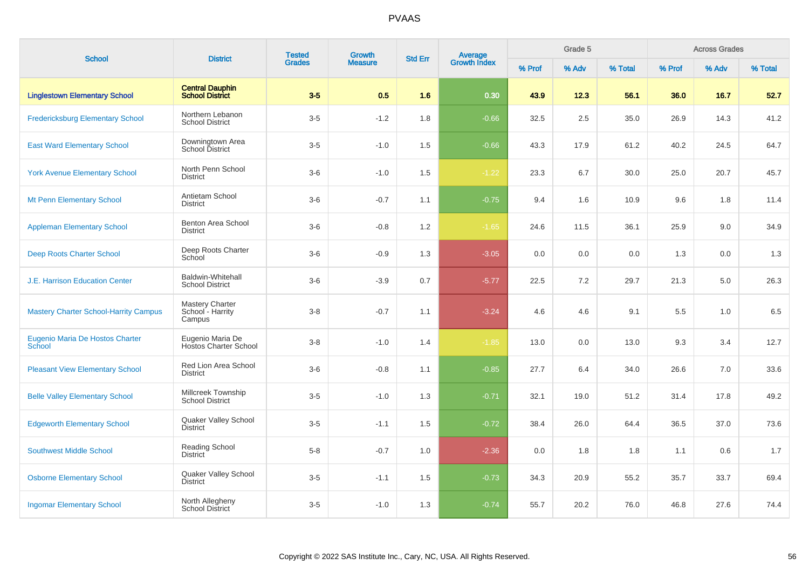| <b>School</b>                                | <b>District</b>                                    | <b>Tested</b><br><b>Grades</b> | <b>Growth</b>  | <b>Std Err</b> |                                |        | Grade 5 |         |        | <b>Across Grades</b> |         |
|----------------------------------------------|----------------------------------------------------|--------------------------------|----------------|----------------|--------------------------------|--------|---------|---------|--------|----------------------|---------|
|                                              |                                                    |                                | <b>Measure</b> |                | <b>Average</b><br>Growth Index | % Prof | % Adv   | % Total | % Prof | % Adv                | % Total |
| <b>Linglestown Elementary School</b>         | <b>Central Dauphin</b><br><b>School District</b>   | $3-5$                          | 0.5            | 1.6            | 0.30                           | 43.9   | 12.3    | 56.1    | 36.0   | 16.7                 | 52.7    |
| <b>Fredericksburg Elementary School</b>      | Northern Lebanon<br><b>School District</b>         | $3-5$                          | $-1.2$         | 1.8            | $-0.66$                        | 32.5   | 2.5     | 35.0    | 26.9   | 14.3                 | 41.2    |
| <b>East Ward Elementary School</b>           | Downingtown Area<br>School District                | $3-5$                          | $-1.0$         | 1.5            | $-0.66$                        | 43.3   | 17.9    | 61.2    | 40.2   | 24.5                 | 64.7    |
| <b>York Avenue Elementary School</b>         | North Penn School<br><b>District</b>               | $3-6$                          | $-1.0$         | 1.5            | $-1.22$                        | 23.3   | 6.7     | 30.0    | 25.0   | 20.7                 | 45.7    |
| <b>Mt Penn Elementary School</b>             | Antietam School<br><b>District</b>                 | $3-6$                          | $-0.7$         | 1.1            | $-0.75$                        | 9.4    | 1.6     | 10.9    | 9.6    | 1.8                  | 11.4    |
| <b>Appleman Elementary School</b>            | Benton Area School<br><b>District</b>              | $3-6$                          | $-0.8$         | 1.2            | $-1.65$                        | 24.6   | 11.5    | 36.1    | 25.9   | 9.0                  | 34.9    |
| <b>Deep Roots Charter School</b>             | Deep Roots Charter<br>School                       | $3-6$                          | $-0.9$         | 1.3            | $-3.05$                        | 0.0    | 0.0     | 0.0     | 1.3    | 0.0                  | 1.3     |
| <b>J.E. Harrison Education Center</b>        | <b>Baldwin-Whitehall</b><br><b>School District</b> | $3-6$                          | $-3.9$         | 0.7            | $-5.77$                        | 22.5   | 7.2     | 29.7    | 21.3   | 5.0                  | 26.3    |
| <b>Mastery Charter School-Harrity Campus</b> | Mastery Charter<br>School - Harrity<br>Campus      | $3-8$                          | $-0.7$         | 1.1            | $-3.24$                        | 4.6    | 4.6     | 9.1     | 5.5    | 1.0                  | 6.5     |
| Eugenio Maria De Hostos Charter<br>School    | Eugenio Maria De<br><b>Hostos Charter School</b>   | $3-8$                          | $-1.0$         | 1.4            | $-1.85$                        | 13.0   | 0.0     | 13.0    | 9.3    | 3.4                  | 12.7    |
| <b>Pleasant View Elementary School</b>       | Red Lion Area School<br><b>District</b>            | $3-6$                          | $-0.8$         | 1.1            | $-0.85$                        | 27.7   | 6.4     | 34.0    | 26.6   | 7.0                  | 33.6    |
| <b>Belle Valley Elementary School</b>        | Millcreek Township<br><b>School District</b>       | $3-5$                          | $-1.0$         | 1.3            | $-0.71$                        | 32.1   | 19.0    | 51.2    | 31.4   | 17.8                 | 49.2    |
| <b>Edgeworth Elementary School</b>           | Quaker Valley School<br><b>District</b>            | $3-5$                          | $-1.1$         | 1.5            | $-0.72$                        | 38.4   | 26.0    | 64.4    | 36.5   | 37.0                 | 73.6    |
| <b>Southwest Middle School</b>               | Reading School<br><b>District</b>                  | $5 - 8$                        | $-0.7$         | 1.0            | $-2.36$                        | 0.0    | 1.8     | 1.8     | 1.1    | 0.6                  | 1.7     |
| <b>Osborne Elementary School</b>             | Quaker Valley School<br><b>District</b>            | $3-5$                          | $-1.1$         | 1.5            | $-0.73$                        | 34.3   | 20.9    | 55.2    | 35.7   | 33.7                 | 69.4    |
| <b>Ingomar Elementary School</b>             | North Allegheny<br><b>School District</b>          | $3-5$                          | $-1.0$         | 1.3            | $-0.74$                        | 55.7   | 20.2    | 76.0    | 46.8   | 27.6                 | 74.4    |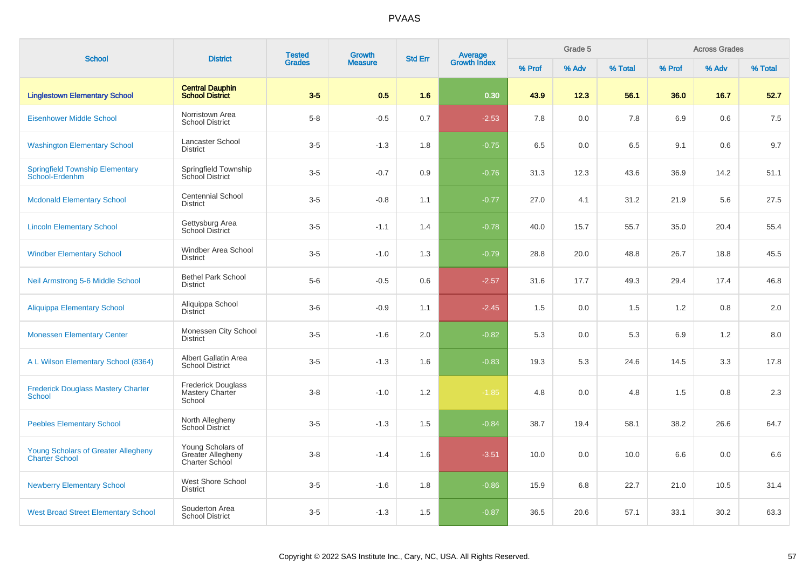| <b>School</b>                                                       | <b>District</b>                                          | <b>Tested</b> | <b>Growth</b>  | <b>Std Err</b> | <b>Average</b><br>Growth Index |        | Grade 5 |         |        | <b>Across Grades</b> |         |
|---------------------------------------------------------------------|----------------------------------------------------------|---------------|----------------|----------------|--------------------------------|--------|---------|---------|--------|----------------------|---------|
|                                                                     |                                                          | <b>Grades</b> | <b>Measure</b> |                |                                | % Prof | % Adv   | % Total | % Prof | % Adv                | % Total |
| <b>Linglestown Elementary School</b>                                | <b>Central Dauphin</b><br><b>School District</b>         | $3-5$         | 0.5            | 1.6            | 0.30                           | 43.9   | 12.3    | 56.1    | 36.0   | 16.7                 | 52.7    |
| <b>Eisenhower Middle School</b>                                     | Norristown Area<br><b>School District</b>                | $5-8$         | $-0.5$         | 0.7            | $-2.53$                        | 7.8    | 0.0     | 7.8     | 6.9    | 0.6                  | 7.5     |
| <b>Washington Elementary School</b>                                 | Lancaster School<br><b>District</b>                      | $3-5$         | $-1.3$         | 1.8            | $-0.75$                        | 6.5    | 0.0     | 6.5     | 9.1    | 0.6                  | 9.7     |
| <b>Springfield Township Elementary</b><br>School-Erdenhm            | Springfield Township<br>School District                  | $3-5$         | $-0.7$         | 0.9            | $-0.76$                        | 31.3   | 12.3    | 43.6    | 36.9   | 14.2                 | 51.1    |
| <b>Mcdonald Elementary School</b>                                   | <b>Centennial School</b><br><b>District</b>              | $3-5$         | $-0.8$         | 1.1            | $-0.77$                        | 27.0   | 4.1     | 31.2    | 21.9   | 5.6                  | 27.5    |
| <b>Lincoln Elementary School</b>                                    | Gettysburg Area<br>School District                       | $3-5$         | $-1.1$         | 1.4            | $-0.78$                        | 40.0   | 15.7    | 55.7    | 35.0   | 20.4                 | 55.4    |
| <b>Windber Elementary School</b>                                    | <b>Windber Area School</b><br><b>District</b>            | $3-5$         | $-1.0$         | 1.3            | $-0.79$                        | 28.8   | 20.0    | 48.8    | 26.7   | 18.8                 | 45.5    |
| Neil Armstrong 5-6 Middle School                                    | <b>Bethel Park School</b><br><b>District</b>             | $5-6$         | $-0.5$         | 0.6            | $-2.57$                        | 31.6   | 17.7    | 49.3    | 29.4   | 17.4                 | 46.8    |
| <b>Aliquippa Elementary School</b>                                  | Aliquippa School<br><b>District</b>                      | $3-6$         | $-0.9$         | 1.1            | $-2.45$                        | 1.5    | 0.0     | 1.5     | 1.2    | 0.8                  | 2.0     |
| <b>Monessen Elementary Center</b>                                   | Monessen City School<br><b>District</b>                  | $3-5$         | $-1.6$         | 2.0            | $-0.82$                        | 5.3    | 0.0     | 5.3     | 6.9    | 1.2                  | 8.0     |
| A L Wilson Elementary School (8364)                                 | Albert Gallatin Area<br><b>School District</b>           | $3-5$         | $-1.3$         | 1.6            | $-0.83$                        | 19.3   | 5.3     | 24.6    | 14.5   | 3.3                  | 17.8    |
| <b>Frederick Douglass Mastery Charter</b><br>School                 | <b>Frederick Douglass</b><br>Mastery Charter<br>School   | $3 - 8$       | $-1.0$         | 1.2            | $-1.85$                        | 4.8    | 0.0     | 4.8     | 1.5    | 0.8                  | 2.3     |
| <b>Peebles Elementary School</b>                                    | North Allegheny<br><b>School District</b>                | $3-5$         | $-1.3$         | 1.5            | $-0.84$                        | 38.7   | 19.4    | 58.1    | 38.2   | 26.6                 | 64.7    |
| <b>Young Scholars of Greater Allegheny</b><br><b>Charter School</b> | Young Scholars of<br>Greater Allegheny<br>Charter School | $3 - 8$       | $-1.4$         | 1.6            | $-3.51$                        | 10.0   | 0.0     | 10.0    | 6.6    | 0.0                  | 6.6     |
| <b>Newberry Elementary School</b>                                   | West Shore School<br><b>District</b>                     | $3-5$         | $-1.6$         | 1.8            | $-0.86$                        | 15.9   | 6.8     | 22.7    | 21.0   | 10.5                 | 31.4    |
| <b>West Broad Street Elementary School</b>                          | Souderton Area<br><b>School District</b>                 | $3-5$         | $-1.3$         | 1.5            | $-0.87$                        | 36.5   | 20.6    | 57.1    | 33.1   | 30.2                 | 63.3    |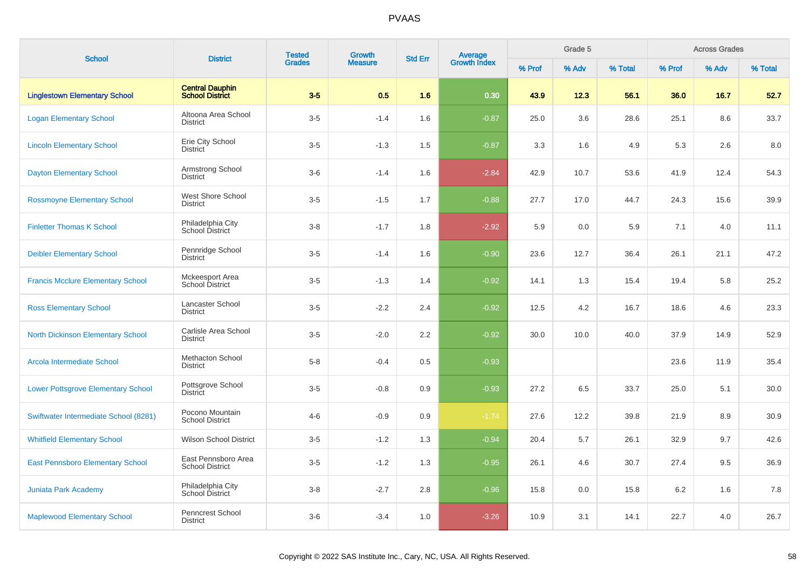|                                           | <b>Tested</b><br><b>Growth</b><br><b>Average</b><br>Growth Index<br><b>Std Err</b><br><b>District</b> |               | Grade 5        |     | <b>Across Grades</b> |        |       |         |        |       |         |
|-------------------------------------------|-------------------------------------------------------------------------------------------------------|---------------|----------------|-----|----------------------|--------|-------|---------|--------|-------|---------|
| <b>School</b>                             |                                                                                                       | <b>Grades</b> | <b>Measure</b> |     |                      | % Prof | % Adv | % Total | % Prof | % Adv | % Total |
| <b>Linglestown Elementary School</b>      | <b>Central Dauphin</b><br><b>School District</b>                                                      | $3-5$         | 0.5            | 1.6 | 0.30                 | 43.9   | 12.3  | 56.1    | 36.0   | 16.7  | 52.7    |
| <b>Logan Elementary School</b>            | Altoona Area School<br><b>District</b>                                                                | $3-5$         | $-1.4$         | 1.6 | $-0.87$              | 25.0   | 3.6   | 28.6    | 25.1   | 8.6   | 33.7    |
| <b>Lincoln Elementary School</b>          | Erie City School<br><b>District</b>                                                                   | $3-5$         | $-1.3$         | 1.5 | $-0.87$              | 3.3    | 1.6   | 4.9     | 5.3    | 2.6   | 8.0     |
| <b>Dayton Elementary School</b>           | Armstrong School<br><b>District</b>                                                                   | $3-6$         | $-1.4$         | 1.6 | $-2.84$              | 42.9   | 10.7  | 53.6    | 41.9   | 12.4  | 54.3    |
| <b>Rossmoyne Elementary School</b>        | West Shore School<br><b>District</b>                                                                  | $3-5$         | $-1.5$         | 1.7 | $-0.88$              | 27.7   | 17.0  | 44.7    | 24.3   | 15.6  | 39.9    |
| <b>Finletter Thomas K School</b>          | Philadelphia City<br>School District                                                                  | $3 - 8$       | $-1.7$         | 1.8 | $-2.92$              | 5.9    | 0.0   | 5.9     | 7.1    | 4.0   | 11.1    |
| <b>Deibler Elementary School</b>          | Pennridge School<br><b>District</b>                                                                   | $3-5$         | $-1.4$         | 1.6 | $-0.90$              | 23.6   | 12.7  | 36.4    | 26.1   | 21.1  | 47.2    |
| <b>Francis Mcclure Elementary School</b>  | Mckeesport Area<br>School District                                                                    | $3-5$         | $-1.3$         | 1.4 | $-0.92$              | 14.1   | 1.3   | 15.4    | 19.4   | 5.8   | 25.2    |
| <b>Ross Elementary School</b>             | Lancaster School<br><b>District</b>                                                                   | $3-5$         | $-2.2$         | 2.4 | $-0.92$              | 12.5   | 4.2   | 16.7    | 18.6   | 4.6   | 23.3    |
| <b>North Dickinson Elementary School</b>  | Carlisle Area School<br><b>District</b>                                                               | $3-5$         | $-2.0$         | 2.2 | $-0.92$              | 30.0   | 10.0  | 40.0    | 37.9   | 14.9  | 52.9    |
| Arcola Intermediate School                | Methacton School<br><b>District</b>                                                                   | $5-8$         | $-0.4$         | 0.5 | $-0.93$              |        |       |         | 23.6   | 11.9  | 35.4    |
| <b>Lower Pottsgrove Elementary School</b> | Pottsgrove School<br><b>District</b>                                                                  | $3-5$         | $-0.8$         | 0.9 | $-0.93$              | 27.2   | 6.5   | 33.7    | 25.0   | 5.1   | 30.0    |
| Swiftwater Intermediate School (8281)     | Pocono Mountain<br><b>School District</b>                                                             | $4 - 6$       | $-0.9$         | 0.9 | $-1.74$              | 27.6   | 12.2  | 39.8    | 21.9   | 8.9   | 30.9    |
| <b>Whitfield Elementary School</b>        | <b>Wilson School District</b>                                                                         | $3-5$         | $-1.2$         | 1.3 | $-0.94$              | 20.4   | 5.7   | 26.1    | 32.9   | 9.7   | 42.6    |
| <b>East Pennsboro Elementary School</b>   | East Pennsboro Area<br><b>School District</b>                                                         | $3-5$         | $-1.2$         | 1.3 | $-0.95$              | 26.1   | 4.6   | 30.7    | 27.4   | 9.5   | 36.9    |
| Juniata Park Academy                      | Philadelphia City<br>School District                                                                  | $3-8$         | $-2.7$         | 2.8 | $-0.96$              | 15.8   | 0.0   | 15.8    | 6.2    | 1.6   | 7.8     |
| <b>Maplewood Elementary School</b>        | Penncrest School<br><b>District</b>                                                                   | $3-6$         | $-3.4$         | 1.0 | $-3.26$              | 10.9   | 3.1   | 14.1    | 22.7   | 4.0   | 26.7    |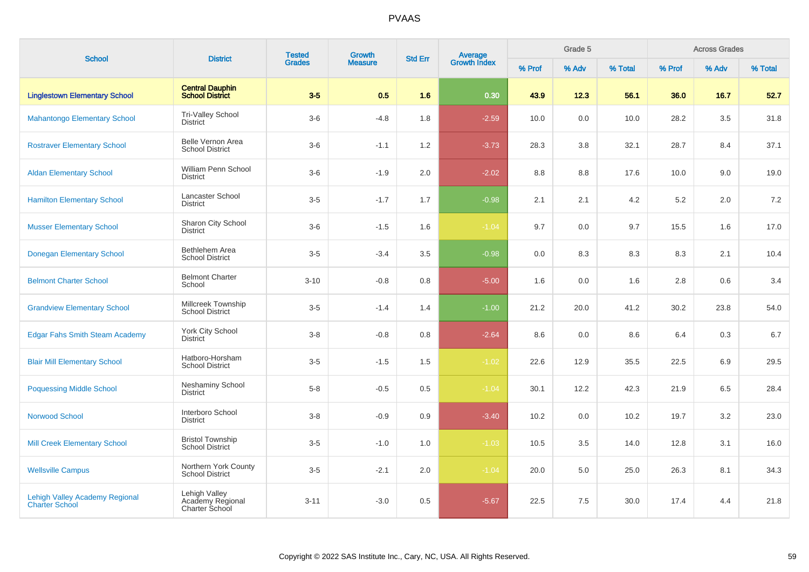| <b>School</b>                                                  | <b>District</b>                                     | <b>Tested</b> | Growth         | <b>Std Err</b> | <b>Average</b><br>Growth Index |        | Grade 5 |         |         | <b>Across Grades</b> |         |
|----------------------------------------------------------------|-----------------------------------------------------|---------------|----------------|----------------|--------------------------------|--------|---------|---------|---------|----------------------|---------|
|                                                                |                                                     | <b>Grades</b> | <b>Measure</b> |                |                                | % Prof | % Adv   | % Total | % Prof  | % Adv                | % Total |
| <b>Linglestown Elementary School</b>                           | <b>Central Dauphin</b><br><b>School District</b>    | $3-5$         | 0.5            | 1.6            | 0.30                           | 43.9   | 12.3    | 56.1    | 36.0    | 16.7                 | 52.7    |
| <b>Mahantongo Elementary School</b>                            | <b>Tri-Valley School</b><br><b>District</b>         | $3-6$         | $-4.8$         | 1.8            | $-2.59$                        | 10.0   | 0.0     | 10.0    | 28.2    | 3.5                  | 31.8    |
| <b>Rostraver Elementary School</b>                             | Belle Vernon Area<br><b>School District</b>         | $3-6$         | $-1.1$         | 1.2            | $-3.73$                        | 28.3   | 3.8     | 32.1    | 28.7    | 8.4                  | 37.1    |
| <b>Aldan Elementary School</b>                                 | William Penn School<br><b>District</b>              | $3-6$         | $-1.9$         | 2.0            | $-2.02$                        | 8.8    | 8.8     | 17.6    | 10.0    | 9.0                  | 19.0    |
| <b>Hamilton Elementary School</b>                              | <b>Lancaster School</b><br><b>District</b>          | $3-5$         | $-1.7$         | 1.7            | $-0.98$                        | 2.1    | 2.1     | 4.2     | $5.2\,$ | 2.0                  | 7.2     |
| <b>Musser Elementary School</b>                                | Sharon City School<br><b>District</b>               | $3-6$         | $-1.5$         | 1.6            | $-1.04$                        | 9.7    | 0.0     | 9.7     | 15.5    | 1.6                  | 17.0    |
| <b>Donegan Elementary School</b>                               | Bethlehem Area<br><b>School District</b>            | $3-5$         | $-3.4$         | 3.5            | $-0.98$                        | 0.0    | 8.3     | 8.3     | 8.3     | 2.1                  | 10.4    |
| <b>Belmont Charter School</b>                                  | <b>Belmont Charter</b><br>School                    | $3 - 10$      | $-0.8$         | 0.8            | $-5.00$                        | 1.6    | 0.0     | 1.6     | 2.8     | 0.6                  | 3.4     |
| <b>Grandview Elementary School</b>                             | Millcreek Township<br><b>School District</b>        | $3 - 5$       | $-1.4$         | 1.4            | $-1.00$                        | 21.2   | 20.0    | 41.2    | 30.2    | 23.8                 | 54.0    |
| <b>Edgar Fahs Smith Steam Academy</b>                          | York City School<br><b>District</b>                 | $3-8$         | $-0.8$         | 0.8            | $-2.64$                        | 8.6    | 0.0     | 8.6     | 6.4     | 0.3                  | 6.7     |
| <b>Blair Mill Elementary School</b>                            | Hatboro-Horsham<br><b>School District</b>           | $3-5$         | $-1.5$         | 1.5            | $-1.02$                        | 22.6   | 12.9    | 35.5    | 22.5    | 6.9                  | 29.5    |
| <b>Poquessing Middle School</b>                                | <b>Neshaminy School</b><br><b>District</b>          | $5-8$         | $-0.5$         | 0.5            | $-1.04$                        | 30.1   | 12.2    | 42.3    | 21.9    | 6.5                  | 28.4    |
| <b>Norwood School</b>                                          | Interboro School<br><b>District</b>                 | $3-8$         | $-0.9$         | 0.9            | $-3.40$                        | 10.2   | 0.0     | 10.2    | 19.7    | 3.2                  | 23.0    |
| <b>Mill Creek Elementary School</b>                            | <b>Bristol Township</b><br><b>School District</b>   | $3-5$         | $-1.0$         | 1.0            | $-1.03$                        | 10.5   | 3.5     | 14.0    | 12.8    | 3.1                  | 16.0    |
| <b>Wellsville Campus</b>                                       | Northern York County<br>School District             | $3-5$         | $-2.1$         | 2.0            | $-1.04$                        | 20.0   | 5.0     | 25.0    | 26.3    | 8.1                  | 34.3    |
| <b>Lehigh Valley Academy Regional</b><br><b>Charter School</b> | Lehigh Valley<br>Academy Regional<br>Charter School | $3 - 11$      | $-3.0$         | 0.5            | $-5.67$                        | 22.5   | 7.5     | 30.0    | 17.4    | 4.4                  | 21.8    |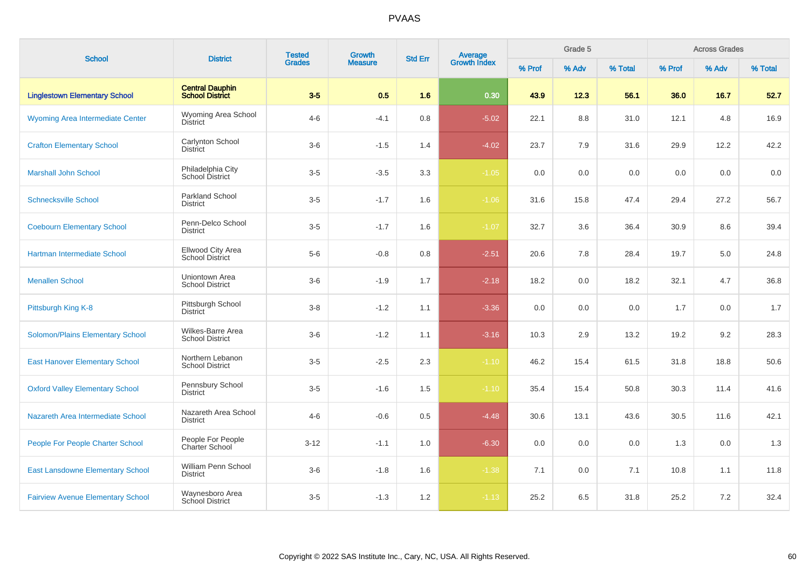| <b>School</b>                            | <b>District</b>                                  | <b>Tested</b><br><b>Grades</b> | Growth         | <b>Std Err</b> | <b>Average</b><br>Growth Index |        | Grade 5 |         |        | <b>Across Grades</b> |         |
|------------------------------------------|--------------------------------------------------|--------------------------------|----------------|----------------|--------------------------------|--------|---------|---------|--------|----------------------|---------|
|                                          |                                                  |                                | <b>Measure</b> |                |                                | % Prof | % Adv   | % Total | % Prof | % Adv                | % Total |
| <b>Linglestown Elementary School</b>     | <b>Central Dauphin</b><br><b>School District</b> | $3-5$                          | 0.5            | 1.6            | 0.30                           | 43.9   | 12.3    | 56.1    | 36.0   | 16.7                 | 52.7    |
| <b>Wyoming Area Intermediate Center</b>  | Wyoming Area School<br><b>District</b>           | $4 - 6$                        | $-4.1$         | 0.8            | $-5.02$                        | 22.1   | 8.8     | 31.0    | 12.1   | 4.8                  | 16.9    |
| <b>Crafton Elementary School</b>         | Carlynton School<br><b>District</b>              | $3-6$                          | $-1.5$         | 1.4            | $-4.02$                        | 23.7   | 7.9     | 31.6    | 29.9   | 12.2                 | 42.2    |
| <b>Marshall John School</b>              | Philadelphia City<br>School District             | $3-5$                          | $-3.5$         | 3.3            | $-1.05$                        | 0.0    | 0.0     | 0.0     | 0.0    | 0.0                  | 0.0     |
| <b>Schnecksville School</b>              | <b>Parkland School</b><br>District               | $3-5$                          | $-1.7$         | 1.6            | $-1.06$                        | 31.6   | 15.8    | 47.4    | 29.4   | 27.2                 | 56.7    |
| <b>Coebourn Elementary School</b>        | Penn-Delco School<br><b>District</b>             | $3-5$                          | $-1.7$         | 1.6            | $-1.07$                        | 32.7   | 3.6     | 36.4    | 30.9   | 8.6                  | 39.4    |
| Hartman Intermediate School              | Ellwood City Area<br><b>School District</b>      | $5-6$                          | $-0.8$         | 0.8            | $-2.51$                        | 20.6   | 7.8     | 28.4    | 19.7   | 5.0                  | 24.8    |
| <b>Menallen School</b>                   | Uniontown Area<br><b>School District</b>         | $3-6$                          | $-1.9$         | 1.7            | $-2.18$                        | 18.2   | 0.0     | 18.2    | 32.1   | 4.7                  | 36.8    |
| Pittsburgh King K-8                      | Pittsburgh School<br><b>District</b>             | $3 - 8$                        | $-1.2$         | 1.1            | $-3.36$                        | 0.0    | 0.0     | 0.0     | 1.7    | 0.0                  | 1.7     |
| Solomon/Plains Elementary School         | Wilkes-Barre Area<br><b>School District</b>      | $3-6$                          | $-1.2$         | 1.1            | $-3.16$                        | 10.3   | 2.9     | 13.2    | 19.2   | 9.2                  | 28.3    |
| <b>East Hanover Elementary School</b>    | Northern Lebanon<br><b>School District</b>       | $3-5$                          | $-2.5$         | 2.3            | $-1.10$                        | 46.2   | 15.4    | 61.5    | 31.8   | 18.8                 | 50.6    |
| <b>Oxford Valley Elementary School</b>   | Pennsbury School<br><b>District</b>              | $3-5$                          | $-1.6$         | 1.5            | $-1.10$                        | 35.4   | 15.4    | 50.8    | 30.3   | 11.4                 | 41.6    |
| Nazareth Area Intermediate School        | Nazareth Area School<br><b>District</b>          | $4 - 6$                        | $-0.6$         | 0.5            | $-4.48$                        | 30.6   | 13.1    | 43.6    | 30.5   | 11.6                 | 42.1    |
| People For People Charter School         | People For People<br><b>Charter School</b>       | $3 - 12$                       | $-1.1$         | 1.0            | $-6.30$                        | 0.0    | 0.0     | 0.0     | 1.3    | 0.0                  | 1.3     |
| <b>East Lansdowne Elementary School</b>  | <b>William Penn School</b><br><b>District</b>    | $3-6$                          | $-1.8$         | 1.6            | $-1.38$                        | 7.1    | 0.0     | 7.1     | 10.8   | 1.1                  | 11.8    |
| <b>Fairview Avenue Elementary School</b> | Waynesboro Area<br>School District               | $3-5$                          | $-1.3$         | 1.2            | $-1.13$                        | 25.2   | 6.5     | 31.8    | 25.2   | 7.2                  | 32.4    |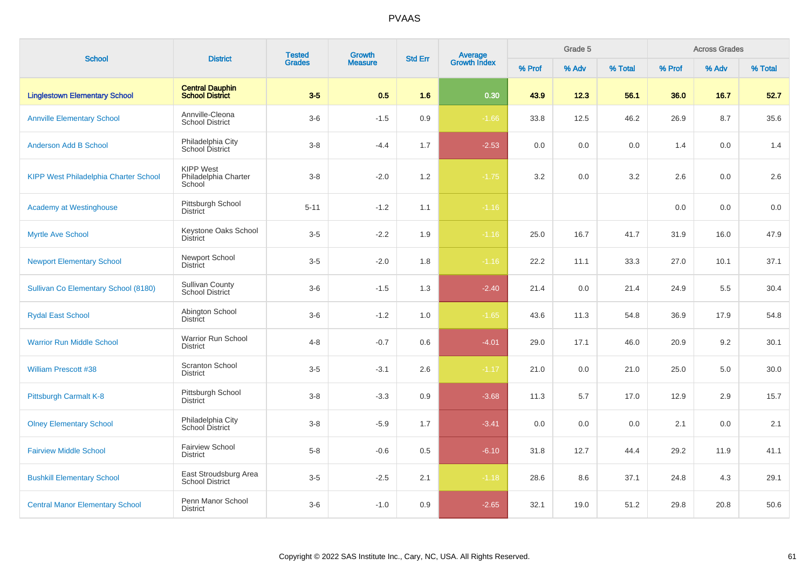| <b>School</b>                                | <b>District</b>                                    | <b>Tested</b> | Growth         | <b>Std Err</b> |                                |        | Grade 5 |         |        | <b>Across Grades</b> |         |
|----------------------------------------------|----------------------------------------------------|---------------|----------------|----------------|--------------------------------|--------|---------|---------|--------|----------------------|---------|
|                                              |                                                    | <b>Grades</b> | <b>Measure</b> |                | <b>Average</b><br>Growth Index | % Prof | % Adv   | % Total | % Prof | % Adv                | % Total |
| <b>Linglestown Elementary School</b>         | <b>Central Dauphin</b><br><b>School District</b>   | $3-5$         | 0.5            | 1.6            | 0.30                           | 43.9   | 12.3    | 56.1    | 36.0   | 16.7                 | 52.7    |
| <b>Annville Elementary School</b>            | Annville-Cleona<br><b>School District</b>          | $3-6$         | $-1.5$         | 0.9            | $-1.66$                        | 33.8   | 12.5    | 46.2    | 26.9   | 8.7                  | 35.6    |
| <b>Anderson Add B School</b>                 | Philadelphia City<br>School District               | $3 - 8$       | $-4.4$         | 1.7            | $-2.53$                        | 0.0    | 0.0     | 0.0     | 1.4    | 0.0                  | 1.4     |
| <b>KIPP West Philadelphia Charter School</b> | <b>KIPP West</b><br>Philadelphia Charter<br>School | $3 - 8$       | $-2.0$         | 1.2            | $-1.75$                        | 3.2    | 0.0     | 3.2     | 2.6    | 0.0                  | 2.6     |
| <b>Academy at Westinghouse</b>               | Pittsburgh School<br><b>District</b>               | $5 - 11$      | $-1.2$         | 1.1            | $-1.16$                        |        |         |         | 0.0    | 0.0                  | 0.0     |
| <b>Myrtle Ave School</b>                     | Keystone Oaks School<br><b>District</b>            | $3-5$         | $-2.2$         | 1.9            | $-1.16$                        | 25.0   | 16.7    | 41.7    | 31.9   | 16.0                 | 47.9    |
| <b>Newport Elementary School</b>             | Newport School<br><b>District</b>                  | $3-5$         | $-2.0$         | 1.8            | $-1.16$                        | 22.2   | 11.1    | 33.3    | 27.0   | 10.1                 | 37.1    |
| Sullivan Co Elementary School (8180)         | <b>Sullivan County</b><br>School District          | $3-6$         | $-1.5$         | 1.3            | $-2.40$                        | 21.4   | 0.0     | 21.4    | 24.9   | 5.5                  | 30.4    |
| <b>Rydal East School</b>                     | Abington School<br><b>District</b>                 | $3-6$         | $-1.2$         | 1.0            | $-1.65$                        | 43.6   | 11.3    | 54.8    | 36.9   | 17.9                 | 54.8    |
| <b>Warrior Run Middle School</b>             | Warrior Run School<br><b>District</b>              | $4 - 8$       | $-0.7$         | 0.6            | $-4.01$                        | 29.0   | 17.1    | 46.0    | 20.9   | 9.2                  | 30.1    |
| <b>William Prescott #38</b>                  | <b>Scranton School</b><br><b>District</b>          | $3-5$         | $-3.1$         | 2.6            | $-1.17$                        | 21.0   | 0.0     | 21.0    | 25.0   | 5.0                  | 30.0    |
| Pittsburgh Carmalt K-8                       | Pittsburgh School<br><b>District</b>               | $3 - 8$       | $-3.3$         | 0.9            | $-3.68$                        | 11.3   | 5.7     | 17.0    | 12.9   | 2.9                  | 15.7    |
| <b>Olney Elementary School</b>               | Philadelphia City<br>School District               | $3-8$         | $-5.9$         | 1.7            | $-3.41$                        | 0.0    | 0.0     | 0.0     | 2.1    | 0.0                  | 2.1     |
| <b>Fairview Middle School</b>                | <b>Fairview School</b><br><b>District</b>          | $5 - 8$       | $-0.6$         | 0.5            | $-6.10$                        | 31.8   | 12.7    | 44.4    | 29.2   | 11.9                 | 41.1    |
| <b>Bushkill Elementary School</b>            | East Stroudsburg Area<br><b>School District</b>    | $3-5$         | $-2.5$         | 2.1            | $-1.18$                        | 28.6   | 8.6     | 37.1    | 24.8   | 4.3                  | 29.1    |
| <b>Central Manor Elementary School</b>       | Penn Manor School<br><b>District</b>               | $3-6$         | $-1.0$         | 0.9            | $-2.65$                        | 32.1   | 19.0    | 51.2    | 29.8   | 20.8                 | 50.6    |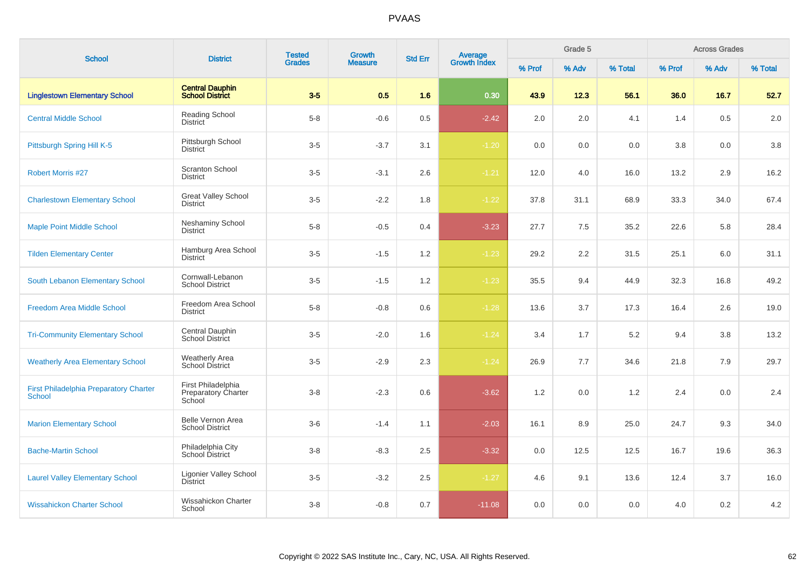| <b>School</b>                                                  | <b>District</b>                                            | <b>Tested</b> | Growth         | <b>Std Err</b> |                                |        | Grade 5 |         |        | <b>Across Grades</b> |         |
|----------------------------------------------------------------|------------------------------------------------------------|---------------|----------------|----------------|--------------------------------|--------|---------|---------|--------|----------------------|---------|
|                                                                |                                                            | <b>Grades</b> | <b>Measure</b> |                | <b>Average</b><br>Growth Index | % Prof | % Adv   | % Total | % Prof | % Adv                | % Total |
| <b>Linglestown Elementary School</b>                           | <b>Central Dauphin</b><br><b>School District</b>           | $3-5$         | 0.5            | 1.6            | 0.30                           | 43.9   | 12.3    | 56.1    | 36.0   | 16.7                 | 52.7    |
| <b>Central Middle School</b>                                   | Reading School<br><b>District</b>                          | $5 - 8$       | $-0.6$         | 0.5            | $-2.42$                        | 2.0    | 2.0     | 4.1     | 1.4    | 0.5                  | 2.0     |
| Pittsburgh Spring Hill K-5                                     | Pittsburgh School<br><b>District</b>                       | $3-5$         | $-3.7$         | 3.1            | $-1.20$                        | 0.0    | 0.0     | 0.0     | 3.8    | 0.0                  | 3.8     |
| <b>Robert Morris #27</b>                                       | <b>Scranton School</b><br><b>District</b>                  | $3-5$         | $-3.1$         | 2.6            | $-1.21$                        | 12.0   | 4.0     | 16.0    | 13.2   | 2.9                  | 16.2    |
| <b>Charlestown Elementary School</b>                           | <b>Great Valley School</b><br><b>District</b>              | $3-5$         | $-2.2$         | 1.8            | $-1.22$                        | 37.8   | 31.1    | 68.9    | 33.3   | 34.0                 | 67.4    |
| <b>Maple Point Middle School</b>                               | <b>Neshaminy School</b><br><b>District</b>                 | $5 - 8$       | $-0.5$         | 0.4            | $-3.23$                        | 27.7   | 7.5     | 35.2    | 22.6   | 5.8                  | 28.4    |
| <b>Tilden Elementary Center</b>                                | Hamburg Area School<br><b>District</b>                     | $3-5$         | $-1.5$         | 1.2            | $-1.23$                        | 29.2   | 2.2     | 31.5    | 25.1   | 6.0                  | 31.1    |
| South Lebanon Elementary School                                | Cornwall-Lebanon<br><b>School District</b>                 | $3-5$         | $-1.5$         | 1.2            | $-1.23$                        | 35.5   | 9.4     | 44.9    | 32.3   | 16.8                 | 49.2    |
| <b>Freedom Area Middle School</b>                              | Freedom Area School<br><b>District</b>                     | $5 - 8$       | $-0.8$         | 0.6            | $-1.28$                        | 13.6   | 3.7     | 17.3    | 16.4   | 2.6                  | 19.0    |
| <b>Tri-Community Elementary School</b>                         | Central Dauphin<br>School District                         | $3-5$         | $-2.0$         | 1.6            | $-1.24$                        | 3.4    | 1.7     | 5.2     | 9.4    | 3.8                  | 13.2    |
| <b>Weatherly Area Elementary School</b>                        | <b>Weatherly Area</b><br>School District                   | $3-5$         | $-2.9$         | 2.3            | $-1.24$                        | 26.9   | 7.7     | 34.6    | 21.8   | 7.9                  | 29.7    |
| <b>First Philadelphia Preparatory Charter</b><br><b>School</b> | First Philadelphia<br><b>Preparatory Charter</b><br>School | $3-8$         | $-2.3$         | 0.6            | $-3.62$                        | 1.2    | 0.0     | 1.2     | 2.4    | 0.0                  | 2.4     |
| <b>Marion Elementary School</b>                                | Belle Vernon Area<br><b>School District</b>                | $3-6$         | $-1.4$         | 1.1            | $-2.03$                        | 16.1   | 8.9     | 25.0    | 24.7   | 9.3                  | 34.0    |
| <b>Bache-Martin School</b>                                     | Philadelphia City<br>School District                       | $3-8$         | $-8.3$         | 2.5            | $-3.32$                        | 0.0    | 12.5    | 12.5    | 16.7   | 19.6                 | 36.3    |
| <b>Laurel Valley Elementary School</b>                         | <b>Ligonier Valley School</b><br><b>District</b>           | $3-5$         | $-3.2$         | $2.5\,$        | $-1.27$                        | 4.6    | 9.1     | 13.6    | 12.4   | 3.7                  | 16.0    |
| <b>Wissahickon Charter School</b>                              | Wissahickon Charter<br>School                              | $3-8$         | $-0.8$         | 0.7            | $-11.08$                       | 0.0    | 0.0     | 0.0     | 4.0    | 0.2                  | 4.2     |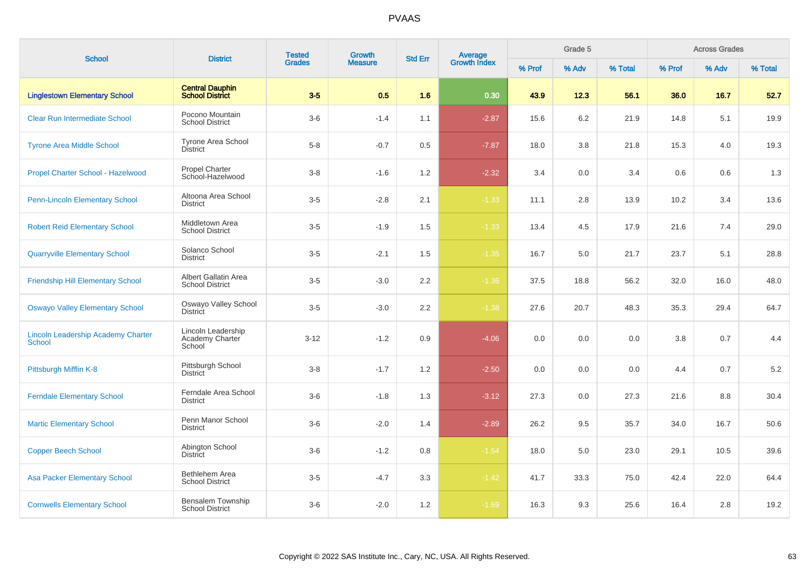| <b>School</b>                                              | <b>District</b>                                        | <b>Tested</b> | Growth         | <b>Std Err</b> |                                |        | Grade 5 |         |        | <b>Across Grades</b> |         |
|------------------------------------------------------------|--------------------------------------------------------|---------------|----------------|----------------|--------------------------------|--------|---------|---------|--------|----------------------|---------|
|                                                            |                                                        | <b>Grades</b> | <b>Measure</b> |                | <b>Average</b><br>Growth Index | % Prof | % Adv   | % Total | % Prof | % Adv                | % Total |
| <b>Linglestown Elementary School</b>                       | <b>Central Dauphin</b><br><b>School District</b>       | $3-5$         | 0.5            | 1.6            | 0.30                           | 43.9   | 12.3    | 56.1    | 36.0   | 16.7                 | 52.7    |
| <b>Clear Run Intermediate School</b>                       | Pocono Mountain<br><b>School District</b>              | $3-6$         | $-1.4$         | 1.1            | $-2.87$                        | 15.6   | 6.2     | 21.9    | 14.8   | 5.1                  | 19.9    |
| <b>Tyrone Area Middle School</b>                           | <b>Tyrone Area School</b><br><b>District</b>           | $5-8$         | $-0.7$         | 0.5            | $-7.87$                        | 18.0   | 3.8     | 21.8    | 15.3   | 4.0                  | 19.3    |
| Propel Charter School - Hazelwood                          | <b>Propel Charter</b><br>School-Hazelwood              | $3 - 8$       | $-1.6$         | 1.2            | $-2.32$                        | 3.4    | 0.0     | 3.4     | 0.6    | 0.6                  | 1.3     |
| <b>Penn-Lincoln Elementary School</b>                      | Altoona Area School<br><b>District</b>                 | $3-5$         | $-2.8$         | 2.1            | $-1.33$                        | 11.1   | 2.8     | 13.9    | 10.2   | 3.4                  | 13.6    |
| <b>Robert Reid Elementary School</b>                       | Middletown Area<br><b>School District</b>              | $3-5$         | $-1.9$         | 1.5            | $-1.33$                        | 13.4   | 4.5     | 17.9    | 21.6   | 7.4                  | 29.0    |
| <b>Quarryville Elementary School</b>                       | Solanco School<br><b>District</b>                      | $3-5$         | $-2.1$         | 1.5            | $-1.35$                        | 16.7   | 5.0     | 21.7    | 23.7   | 5.1                  | 28.8    |
| <b>Friendship Hill Elementary School</b>                   | Albert Gallatin Area<br><b>School District</b>         | $3-5$         | $-3.0$         | 2.2            | $-1.36$                        | 37.5   | 18.8    | 56.2    | 32.0   | 16.0                 | 48.0    |
| <b>Oswayo Valley Elementary School</b>                     | Oswayo Valley School<br>District                       | $3-5$         | $-3.0$         | 2.2            | $-1.38$                        | 27.6   | 20.7    | 48.3    | 35.3   | 29.4                 | 64.7    |
| <b>Lincoln Leadership Academy Charter</b><br><b>School</b> | Lincoln Leadership<br><b>Academy Charter</b><br>School | $3 - 12$      | $-1.2$         | 0.9            | $-4.06$                        | 0.0    | 0.0     | 0.0     | 3.8    | 0.7                  | 4.4     |
| Pittsburgh Mifflin K-8                                     | Pittsburgh School<br><b>District</b>                   | $3-8$         | $-1.7$         | 1.2            | $-2.50$                        | 0.0    | 0.0     | 0.0     | 4.4    | 0.7                  | $5.2\,$ |
| <b>Ferndale Elementary School</b>                          | Ferndale Area School<br><b>District</b>                | $3-6$         | $-1.8$         | 1.3            | $-3.12$                        | 27.3   | 0.0     | 27.3    | 21.6   | 8.8                  | 30.4    |
| <b>Martic Elementary School</b>                            | Penn Manor School<br><b>District</b>                   | $3-6$         | $-2.0$         | 1.4            | $-2.89$                        | 26.2   | 9.5     | 35.7    | 34.0   | 16.7                 | 50.6    |
| <b>Copper Beech School</b>                                 | Abington School<br><b>District</b>                     | $3-6$         | $-1.2$         | 0.8            | $-1.54$                        | 18.0   | 5.0     | 23.0    | 29.1   | 10.5                 | 39.6    |
| <b>Asa Packer Elementary School</b>                        | Bethlehem Area<br><b>School District</b>               | $3-5$         | $-4.7$         | 3.3            | $-1.42$                        | 41.7   | 33.3    | 75.0    | 42.4   | 22.0                 | 64.4    |
| <b>Cornwells Elementary School</b>                         | Bensalem Township<br><b>School District</b>            | $3-6$         | $-2.0$         | 1.2            | $-1.69$                        | 16.3   | 9.3     | 25.6    | 16.4   | 2.8                  | 19.2    |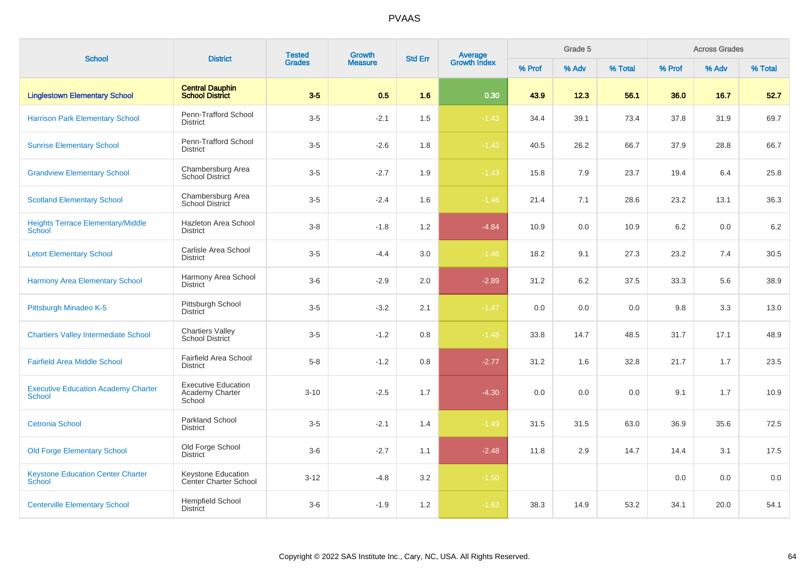| <b>School</b>                                               | <b>District</b>                                         | <b>Tested</b> | <b>Growth</b>  | <b>Average</b><br>Growth Index<br><b>Std Err</b> |         | Grade 5 |       |         | <b>Across Grades</b> |       |         |
|-------------------------------------------------------------|---------------------------------------------------------|---------------|----------------|--------------------------------------------------|---------|---------|-------|---------|----------------------|-------|---------|
|                                                             |                                                         | <b>Grades</b> | <b>Measure</b> |                                                  |         | % Prof  | % Adv | % Total | % Prof               | % Adv | % Total |
| <b>Linglestown Elementary School</b>                        | <b>Central Dauphin</b><br><b>School District</b>        | $3-5$         | 0.5            | 1.6                                              | 0.30    | 43.9    | 12.3  | 56.1    | 36.0                 | 16.7  | 52.7    |
| <b>Harrison Park Elementary School</b>                      | Penn-Trafford School<br><b>District</b>                 | $3-5$         | $-2.1$         | 1.5                                              | $-1.43$ | 34.4    | 39.1  | 73.4    | 37.8                 | 31.9  | 69.7    |
| <b>Sunrise Elementary School</b>                            | Penn-Trafford School<br><b>District</b>                 | $3-5$         | $-2.6$         | 1.8                                              | $-1.43$ | 40.5    | 26.2  | 66.7    | 37.9                 | 28.8  | 66.7    |
| <b>Grandview Elementary School</b>                          | Chambersburg Area<br>School District                    | $3-5$         | $-2.7$         | 1.9                                              | $-1.43$ | 15.8    | 7.9   | 23.7    | 19.4                 | 6.4   | 25.8    |
| <b>Scotland Elementary School</b>                           | Chambersburg Area<br>School District                    | $3-5$         | $-2.4$         | 1.6                                              | $-1.46$ | 21.4    | 7.1   | 28.6    | 23.2                 | 13.1  | 36.3    |
| <b>Heights Terrace Elementary/Middle</b><br>School          | Hazleton Area School<br><b>District</b>                 | $3 - 8$       | $-1.8$         | 1.2                                              | $-4.84$ | 10.9    | 0.0   | 10.9    | 6.2                  | 0.0   | 6.2     |
| <b>Letort Elementary School</b>                             | Carlisle Area School<br><b>District</b>                 | $3-5$         | $-4.4$         | 3.0                                              | $-1.46$ | 18.2    | 9.1   | 27.3    | 23.2                 | 7.4   | 30.5    |
| <b>Harmony Area Elementary School</b>                       | Harmony Area School<br><b>District</b>                  | $3-6$         | $-2.9$         | 2.0                                              | $-2.89$ | 31.2    | 6.2   | 37.5    | 33.3                 | 5.6   | 38.9    |
| Pittsburgh Minadeo K-5                                      | Pittsburgh School<br><b>District</b>                    | $3-5$         | $-3.2$         | 2.1                                              | $-1.47$ | 0.0     | 0.0   | 0.0     | 9.8                  | 3.3   | 13.0    |
| <b>Chartiers Valley Intermediate School</b>                 | <b>Chartiers Valley</b><br><b>School District</b>       | $3-5$         | $-1.2$         | 0.8                                              | $-1.48$ | 33.8    | 14.7  | 48.5    | 31.7                 | 17.1  | 48.9    |
| <b>Fairfield Area Middle School</b>                         | <b>Fairfield Area School</b><br><b>District</b>         | $5 - 8$       | $-1.2$         | 0.8                                              | $-2.77$ | 31.2    | 1.6   | 32.8    | 21.7                 | 1.7   | 23.5    |
| <b>Executive Education Academy Charter</b><br><b>School</b> | <b>Executive Education</b><br>Academy Charter<br>School | $3 - 10$      | $-2.5$         | 1.7                                              | $-4.30$ | 0.0     | 0.0   | 0.0     | 9.1                  | 1.7   | 10.9    |
| <b>Cetronia School</b>                                      | Parkland School<br><b>District</b>                      | $3-5$         | $-2.1$         | 1.4                                              | $-1.49$ | 31.5    | 31.5  | 63.0    | 36.9                 | 35.6  | 72.5    |
| <b>Old Forge Elementary School</b>                          | Old Forge School<br><b>District</b>                     | $3-6$         | $-2.7$         | 1.1                                              | $-2.48$ | 11.8    | 2.9   | 14.7    | 14.4                 | 3.1   | 17.5    |
| <b>Keystone Education Center Charter</b><br>School          | Keystone Education<br><b>Center Charter School</b>      | $3 - 12$      | $-4.8$         | 3.2                                              | $-1.50$ |         |       |         | 0.0                  | 0.0   | 0.0     |
| <b>Centerville Elementary School</b>                        | <b>Hempfield School</b><br><b>District</b>              | $3-6$         | $-1.9$         | 1.2                                              | $-1.63$ | 38.3    | 14.9  | 53.2    | 34.1                 | 20.0  | 54.1    |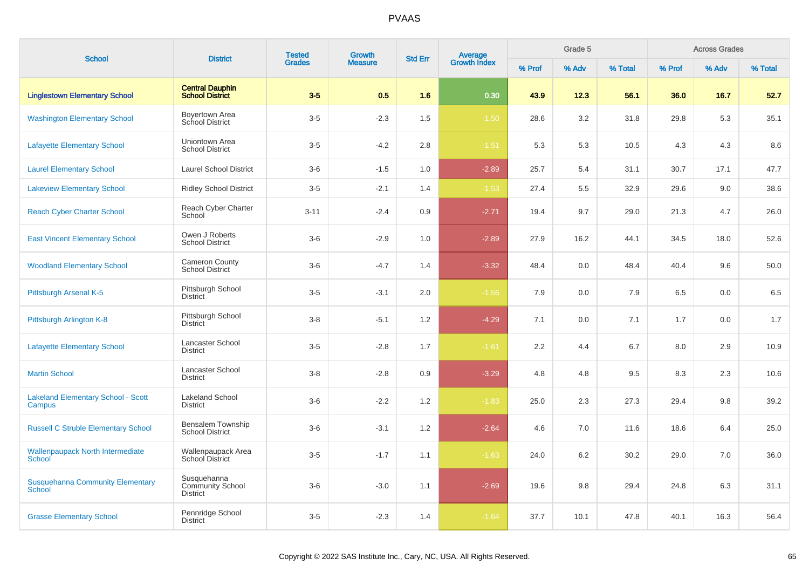| <b>School</b>                                            | <b>District</b>                                    | <b>Tested</b> | <b>Growth</b>  | <b>Std Err</b> |                                |        | Grade 5 |         |        | <b>Across Grades</b> |         |
|----------------------------------------------------------|----------------------------------------------------|---------------|----------------|----------------|--------------------------------|--------|---------|---------|--------|----------------------|---------|
|                                                          |                                                    | <b>Grades</b> | <b>Measure</b> |                | <b>Average</b><br>Growth Index | % Prof | % Adv   | % Total | % Prof | % Adv                | % Total |
| <b>Linglestown Elementary School</b>                     | <b>Central Dauphin</b><br><b>School District</b>   | $3-5$         | 0.5            | 1.6            | 0.30                           | 43.9   | 12.3    | 56.1    | 36.0   | 16.7                 | 52.7    |
| <b>Washington Elementary School</b>                      | Boyertown Area<br>School District                  | $3-5$         | $-2.3$         | 1.5            | $-1.50$                        | 28.6   | 3.2     | 31.8    | 29.8   | 5.3                  | 35.1    |
| <b>Lafayette Elementary School</b>                       | Uniontown Area<br><b>School District</b>           | $3-5$         | $-4.2$         | 2.8            | $-1.51$                        | 5.3    | 5.3     | 10.5    | 4.3    | 4.3                  | 8.6     |
| <b>Laurel Elementary School</b>                          | <b>Laurel School District</b>                      | $3-6$         | $-1.5$         | 1.0            | $-2.89$                        | 25.7   | 5.4     | 31.1    | 30.7   | 17.1                 | 47.7    |
| <b>Lakeview Elementary School</b>                        | <b>Ridley School District</b>                      | $3-5$         | $-2.1$         | 1.4            | $-1.53$                        | 27.4   | 5.5     | 32.9    | 29.6   | 9.0                  | 38.6    |
| <b>Reach Cyber Charter School</b>                        | Reach Cyber Charter<br>School                      | $3 - 11$      | $-2.4$         | 0.9            | $-2.71$                        | 19.4   | 9.7     | 29.0    | 21.3   | 4.7                  | 26.0    |
| <b>East Vincent Elementary School</b>                    | Owen J Roberts<br><b>School District</b>           | $3-6$         | $-2.9$         | 1.0            | $-2.89$                        | 27.9   | 16.2    | 44.1    | 34.5   | 18.0                 | 52.6    |
| <b>Woodland Elementary School</b>                        | <b>Cameron County</b><br><b>School District</b>    | $3-6$         | $-4.7$         | 1.4            | $-3.32$                        | 48.4   | 0.0     | 48.4    | 40.4   | 9.6                  | 50.0    |
| Pittsburgh Arsenal K-5                                   | Pittsburgh School<br><b>District</b>               | $3-5$         | $-3.1$         | 2.0            | $-1.56$                        | 7.9    | 0.0     | 7.9     | 6.5    | 0.0                  | 6.5     |
| Pittsburgh Arlington K-8                                 | Pittsburgh School<br><b>District</b>               | $3-8$         | $-5.1$         | 1.2            | $-4.29$                        | 7.1    | 0.0     | 7.1     | 1.7    | 0.0                  | 1.7     |
| <b>Lafayette Elementary School</b>                       | Lancaster School<br><b>District</b>                | $3-5$         | $-2.8$         | 1.7            | $-1.61$                        | 2.2    | 4.4     | 6.7     | 8.0    | 2.9                  | 10.9    |
| <b>Martin School</b>                                     | Lancaster School<br><b>District</b>                | $3 - 8$       | $-2.8$         | 0.9            | $-3.29$                        | 4.8    | 4.8     | 9.5     | 8.3    | 2.3                  | 10.6    |
| <b>Lakeland Elementary School - Scott</b><br>Campus      | Lakeland School<br><b>District</b>                 | $3-6$         | $-2.2$         | 1.2            | $-1.83$                        | 25.0   | 2.3     | 27.3    | 29.4   | 9.8                  | 39.2    |
| <b>Russell C Struble Elementary School</b>               | Bensalem Township<br><b>School District</b>        | $3-6$         | $-3.1$         | 1.2            | $-2.64$                        | 4.6    | 7.0     | 11.6    | 18.6   | 6.4                  | 25.0    |
| <b>Wallenpaupack North Intermediate</b><br>School        | Wallenpaupack Area<br>School District              | $3-5$         | $-1.7$         | 1.1            | $-1.63$                        | 24.0   | 6.2     | 30.2    | 29.0   | 7.0                  | 36.0    |
| <b>Susquehanna Community Elementary</b><br><b>School</b> | Susquehanna<br>Community School<br><b>District</b> | $3-6$         | $-3.0$         | 1.1            | $-2.69$                        | 19.6   | 9.8     | 29.4    | 24.8   | 6.3                  | 31.1    |
| <b>Grasse Elementary School</b>                          | Pennridge School<br><b>District</b>                | $3-5$         | $-2.3$         | 1.4            | $-1.64$                        | 37.7   | 10.1    | 47.8    | 40.1   | 16.3                 | 56.4    |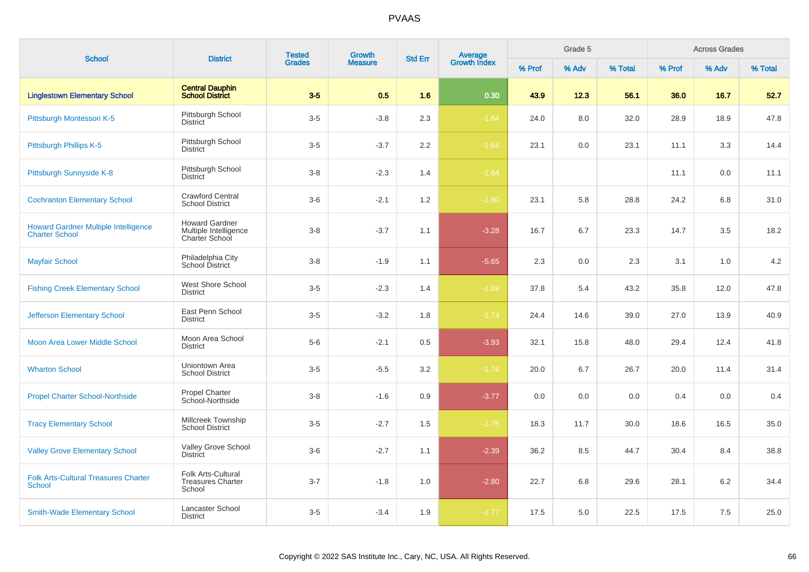| <b>School</b>                                                        | <b>District</b>                                                  | <b>Tested</b> | <b>Growth</b>  | <b>Std Err</b> |                                |        | Grade 5 |         |        | <b>Across Grades</b> |         |
|----------------------------------------------------------------------|------------------------------------------------------------------|---------------|----------------|----------------|--------------------------------|--------|---------|---------|--------|----------------------|---------|
|                                                                      |                                                                  | <b>Grades</b> | <b>Measure</b> |                | <b>Average</b><br>Growth Index | % Prof | % Adv   | % Total | % Prof | % Adv                | % Total |
| <b>Linglestown Elementary School</b>                                 | <b>Central Dauphin</b><br><b>School District</b>                 | $3-5$         | 0.5            | 1.6            | 0.30                           | 43.9   | 12.3    | 56.1    | 36.0   | 16.7                 | 52.7    |
| Pittsburgh Montessori K-5                                            | Pittsburgh School<br><b>District</b>                             | $3-5$         | $-3.8$         | 2.3            | $-1.64$                        | 24.0   | 8.0     | 32.0    | 28.9   | 18.9                 | 47.8    |
| Pittsburgh Phillips K-5                                              | Pittsburgh School<br><b>District</b>                             | $3-5$         | $-3.7$         | 2.2            | $-1.64$                        | 23.1   | 0.0     | 23.1    | 11.1   | 3.3                  | 14.4    |
| Pittsburgh Sunnyside K-8                                             | Pittsburgh School<br><b>District</b>                             | $3 - 8$       | $-2.3$         | 1.4            | $-1.64$                        |        |         |         | 11.1   | 0.0                  | 11.1    |
| <b>Cochranton Elementary School</b>                                  | <b>Crawford Central</b><br><b>School District</b>                | $3-6$         | $-2.1$         | 1.2            | $-1.80$                        | 23.1   | 5.8     | 28.8    | 24.2   | 6.8                  | 31.0    |
| <b>Howard Gardner Multiple Intelligence</b><br><b>Charter School</b> | <b>Howard Gardner</b><br>Multiple Intelligence<br>Charter School | $3 - 8$       | $-3.7$         | 1.1            | $-3.28$                        | 16.7   | 6.7     | 23.3    | 14.7   | 3.5                  | 18.2    |
| <b>Mayfair School</b>                                                | Philadelphia City<br>School District                             | $3 - 8$       | $-1.9$         | 1.1            | $-5.65$                        | 2.3    | 0.0     | 2.3     | 3.1    | 1.0                  | 4.2     |
| <b>Fishing Creek Elementary School</b>                               | West Shore School<br><b>District</b>                             | $3-5$         | $-2.3$         | 1.4            | $-1.69$                        | 37.8   | 5.4     | 43.2    | 35.8   | 12.0                 | 47.8    |
| <b>Jefferson Elementary School</b>                                   | East Penn School<br><b>District</b>                              | $3-5$         | $-3.2$         | 1.8            | $-1.74$                        | 24.4   | 14.6    | 39.0    | 27.0   | 13.9                 | 40.9    |
| <b>Moon Area Lower Middle School</b>                                 | Moon Area School<br><b>District</b>                              | $5-6$         | $-2.1$         | 0.5            | $-3.93$                        | 32.1   | 15.8    | 48.0    | 29.4   | 12.4                 | 41.8    |
| <b>Wharton School</b>                                                | Uniontown Area<br><b>School District</b>                         | $3-5$         | $-5.5$         | 3.2            | $-1.74$                        | 20.0   | 6.7     | 26.7    | 20.0   | 11.4                 | 31.4    |
| <b>Propel Charter School-Northside</b>                               | <b>Propel Charter</b><br>School-Northside                        | $3 - 8$       | $-1.6$         | 0.9            | $-3.77$                        | 0.0    | 0.0     | 0.0     | 0.4    | 0.0                  | 0.4     |
| <b>Tracy Elementary School</b>                                       | Millcreek Township<br><b>School District</b>                     | $3-5$         | $-2.7$         | 1.5            | $-1.75$                        | 18.3   | 11.7    | 30.0    | 18.6   | 16.5                 | 35.0    |
| <b>Valley Grove Elementary School</b>                                | Valley Grove School<br><b>District</b>                           | $3-6$         | $-2.7$         | 1.1            | $-2.39$                        | 36.2   | 8.5     | 44.7    | 30.4   | 8.4                  | 38.8    |
| <b>Folk Arts-Cultural Treasures Charter</b><br><b>School</b>         | Folk Arts-Cultural<br><b>Treasures Charter</b><br>School         | $3 - 7$       | $-1.8$         | 1.0            | $-2.80$                        | 22.7   | 6.8     | 29.6    | 28.1   | 6.2                  | 34.4    |
| <b>Smith-Wade Elementary School</b>                                  | Lancaster School<br><b>District</b>                              | $3-5$         | $-3.4$         | 1.9            | $-1.77$                        | 17.5   | 5.0     | 22.5    | 17.5   | 7.5                  | 25.0    |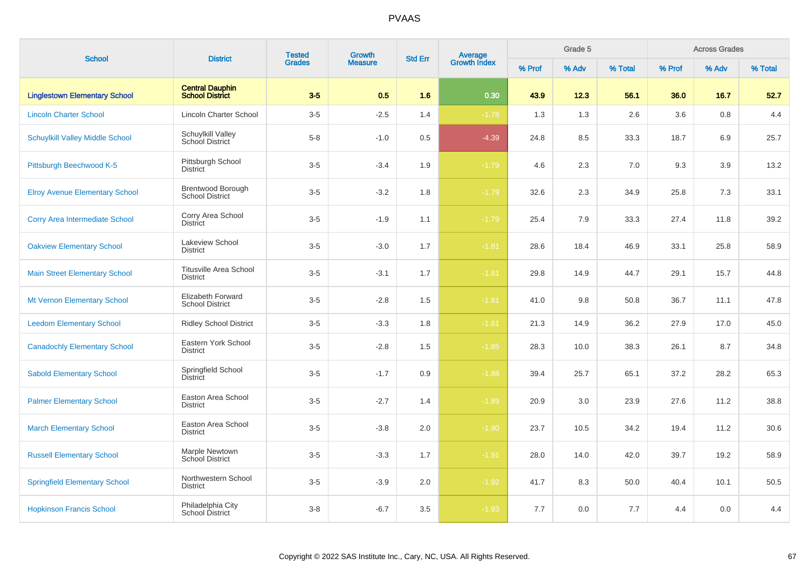| <b>School</b>                          | <b>District</b>                                    | <b>Tested</b> | Growth         |                |                                |        | Grade 5 |         |        | <b>Across Grades</b> |         |
|----------------------------------------|----------------------------------------------------|---------------|----------------|----------------|--------------------------------|--------|---------|---------|--------|----------------------|---------|
|                                        |                                                    | <b>Grades</b> | <b>Measure</b> | <b>Std Err</b> | <b>Average</b><br>Growth Index | % Prof | % Adv   | % Total | % Prof | % Adv                | % Total |
| <b>Linglestown Elementary School</b>   | <b>Central Dauphin</b><br><b>School District</b>   | $3-5$         | 0.5            | 1.6            | 0.30                           | 43.9   | 12.3    | 56.1    | 36.0   | 16.7                 | 52.7    |
| <b>Lincoln Charter School</b>          | Lincoln Charter School                             | $3-5$         | $-2.5$         | 1.4            | $-1.78$                        | 1.3    | 1.3     | 2.6     | 3.6    | 0.8                  | 4.4     |
| <b>Schuylkill Valley Middle School</b> | Schuylkill Valley<br><b>School District</b>        | $5-8$         | $-1.0$         | 0.5            | $-4.39$                        | 24.8   | 8.5     | 33.3    | 18.7   | 6.9                  | 25.7    |
| Pittsburgh Beechwood K-5               | Pittsburgh School<br><b>District</b>               | $3-5$         | $-3.4$         | 1.9            | $-1.79$                        | 4.6    | 2.3     | 7.0     | 9.3    | 3.9                  | 13.2    |
| <b>Elroy Avenue Elementary School</b>  | <b>Brentwood Borough</b><br><b>School District</b> | $3-5$         | $-3.2$         | 1.8            | $-1.79$                        | 32.6   | 2.3     | 34.9    | 25.8   | 7.3                  | 33.1    |
| <b>Corry Area Intermediate School</b>  | Corry Area School<br><b>District</b>               | $3-5$         | $-1.9$         | 1.1            | $-1.79$                        | 25.4   | 7.9     | 33.3    | 27.4   | 11.8                 | 39.2    |
| <b>Oakview Elementary School</b>       | Lakeview School<br><b>District</b>                 | $3-5$         | $-3.0$         | 1.7            | $-1.81$                        | 28.6   | 18.4    | 46.9    | 33.1   | 25.8                 | 58.9    |
| <b>Main Street Elementary School</b>   | <b>Titusville Area School</b><br><b>District</b>   | $3-5$         | $-3.1$         | 1.7            | $-1.81$                        | 29.8   | 14.9    | 44.7    | 29.1   | 15.7                 | 44.8    |
| Mt Vernon Elementary School            | <b>Elizabeth Forward</b><br><b>School District</b> | $3-5$         | $-2.8$         | 1.5            | $-1.81$                        | 41.0   | 9.8     | 50.8    | 36.7   | 11.1                 | 47.8    |
| <b>Leedom Elementary School</b>        | <b>Ridley School District</b>                      | $3-5$         | $-3.3$         | 1.8            | $-1.81$                        | 21.3   | 14.9    | 36.2    | 27.9   | 17.0                 | 45.0    |
| <b>Canadochly Elementary School</b>    | Eastern York School<br><b>District</b>             | $3-5$         | $-2.8$         | 1.5            | $-1.85$                        | 28.3   | 10.0    | 38.3    | 26.1   | 8.7                  | 34.8    |
| <b>Sabold Elementary School</b>        | Springfield School<br>District                     | $3-5$         | $-1.7$         | 0.9            | $-1.88$                        | 39.4   | 25.7    | 65.1    | 37.2   | 28.2                 | 65.3    |
| <b>Palmer Elementary School</b>        | Easton Area School<br><b>District</b>              | $3-5$         | $-2.7$         | 1.4            | $-1.89$                        | 20.9   | 3.0     | 23.9    | 27.6   | 11.2                 | 38.8    |
| <b>March Elementary School</b>         | Easton Area School<br><b>District</b>              | $3-5$         | $-3.8$         | 2.0            | $-1.90$                        | 23.7   | 10.5    | 34.2    | 19.4   | 11.2                 | 30.6    |
| <b>Russell Elementary School</b>       | Marple Newtown<br><b>School District</b>           | $3-5$         | $-3.3$         | 1.7            | $-1.91$                        | 28.0   | 14.0    | 42.0    | 39.7   | 19.2                 | 58.9    |
| <b>Springfield Elementary School</b>   | Northwestern School<br><b>District</b>             | $3-5$         | $-3.9$         | 2.0            | $-1.92$                        | 41.7   | 8.3     | 50.0    | 40.4   | 10.1                 | 50.5    |
| <b>Hopkinson Francis School</b>        | Philadelphia City<br>School District               | $3 - 8$       | $-6.7$         | 3.5            | $-1.93$                        | 7.7    | 0.0     | 7.7     | 4.4    | 0.0                  | 4.4     |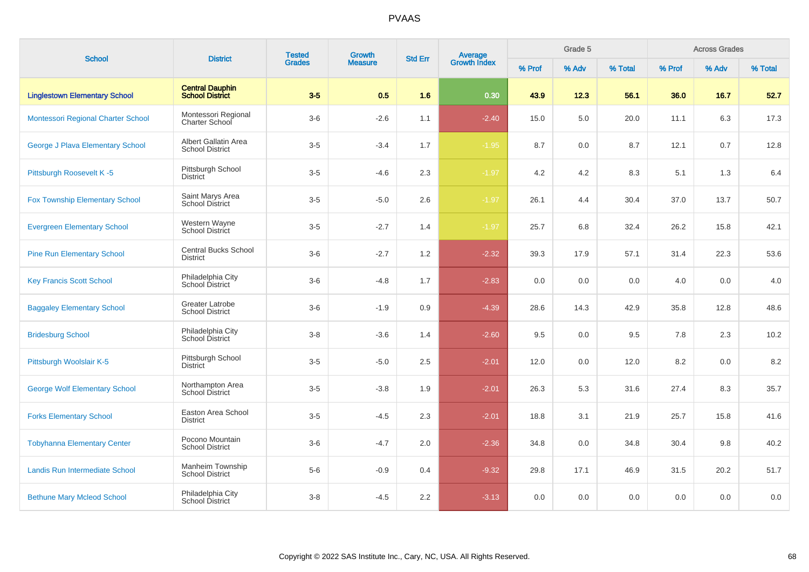| <b>School</b>                           | <b>District</b>                                  | <b>Tested</b><br><b>Grades</b> | Growth<br><b>Std Err</b> |     | Average<br>Growth Index |        | Grade 5 |         |        | <b>Across Grades</b> |         |
|-----------------------------------------|--------------------------------------------------|--------------------------------|--------------------------|-----|-------------------------|--------|---------|---------|--------|----------------------|---------|
|                                         |                                                  |                                | <b>Measure</b>           |     |                         | % Prof | % Adv   | % Total | % Prof | % Adv                | % Total |
| <b>Linglestown Elementary School</b>    | <b>Central Dauphin</b><br><b>School District</b> | $3-5$                          | 0.5                      | 1.6 | 0.30                    | 43.9   | 12.3    | 56.1    | 36.0   | 16.7                 | 52.7    |
| Montessori Regional Charter School      | Montessori Regional<br>Charter School            | $3-6$                          | $-2.6$                   | 1.1 | $-2.40$                 | 15.0   | 5.0     | 20.0    | 11.1   | 6.3                  | 17.3    |
| <b>George J Plava Elementary School</b> | Albert Gallatin Area<br><b>School District</b>   | $3-5$                          | $-3.4$                   | 1.7 | $-1.95$                 | 8.7    | 0.0     | 8.7     | 12.1   | 0.7                  | 12.8    |
| Pittsburgh Roosevelt K-5                | Pittsburgh School<br><b>District</b>             | $3-5$                          | $-4.6$                   | 2.3 | $-1.97$                 | 4.2    | 4.2     | 8.3     | 5.1    | 1.3                  | 6.4     |
| <b>Fox Township Elementary School</b>   | Saint Marys Area<br><b>School District</b>       | $3-5$                          | $-5.0$                   | 2.6 | $-1.97$                 | 26.1   | 4.4     | 30.4    | 37.0   | 13.7                 | 50.7    |
| <b>Evergreen Elementary School</b>      | Western Wayne<br>School District                 | $3-5$                          | $-2.7$                   | 1.4 | $-1.97$                 | 25.7   | 6.8     | 32.4    | 26.2   | 15.8                 | 42.1    |
| <b>Pine Run Elementary School</b>       | <b>Central Bucks School</b><br><b>District</b>   | $3-6$                          | $-2.7$                   | 1.2 | $-2.32$                 | 39.3   | 17.9    | 57.1    | 31.4   | 22.3                 | 53.6    |
| <b>Key Francis Scott School</b>         | Philadelphia City<br>School District             | $3-6$                          | $-4.8$                   | 1.7 | $-2.83$                 | 0.0    | 0.0     | 0.0     | 4.0    | 0.0                  | 4.0     |
| <b>Baggaley Elementary School</b>       | Greater Latrobe<br><b>School District</b>        | $3-6$                          | $-1.9$                   | 0.9 | $-4.39$                 | 28.6   | 14.3    | 42.9    | 35.8   | 12.8                 | 48.6    |
| <b>Bridesburg School</b>                | Philadelphia City<br>School District             | $3-8$                          | $-3.6$                   | 1.4 | $-2.60$                 | 9.5    | 0.0     | 9.5     | 7.8    | 2.3                  | 10.2    |
| Pittsburgh Woolslair K-5                | Pittsburgh School<br><b>District</b>             | $3-5$                          | $-5.0$                   | 2.5 | $-2.01$                 | 12.0   | 0.0     | 12.0    | 8.2    | 0.0                  | 8.2     |
| <b>George Wolf Elementary School</b>    | Northampton Area<br><b>School District</b>       | $3-5$                          | $-3.8$                   | 1.9 | $-2.01$                 | 26.3   | 5.3     | 31.6    | 27.4   | 8.3                  | 35.7    |
| <b>Forks Elementary School</b>          | Easton Area School<br><b>District</b>            | $3-5$                          | $-4.5$                   | 2.3 | $-2.01$                 | 18.8   | 3.1     | 21.9    | 25.7   | 15.8                 | 41.6    |
| <b>Tobyhanna Elementary Center</b>      | Pocono Mountain<br><b>School District</b>        | $3-6$                          | $-4.7$                   | 2.0 | $-2.36$                 | 34.8   | 0.0     | 34.8    | 30.4   | 9.8                  | 40.2    |
| <b>Landis Run Intermediate School</b>   | Manheim Township<br><b>School District</b>       | $5-6$                          | $-0.9$                   | 0.4 | $-9.32$                 | 29.8   | 17.1    | 46.9    | 31.5   | 20.2                 | 51.7    |
| <b>Bethune Mary Mcleod School</b>       | Philadelphia City<br>School District             | $3-8$                          | $-4.5$                   | 2.2 | $-3.13$                 | 0.0    | 0.0     | 0.0     | 0.0    | 0.0                  | 0.0     |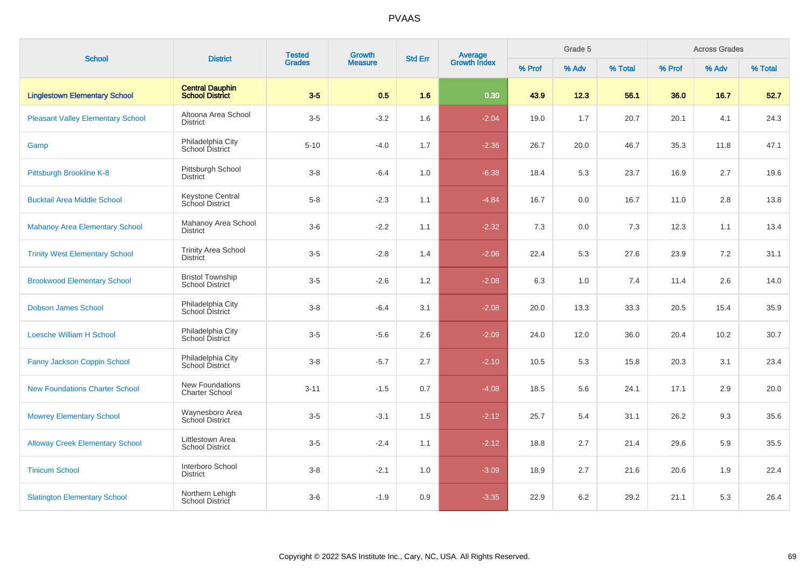| <b>School</b>                            | <b>District</b>                                   | <b>Tested</b><br><b>Grades</b> | Growth         | <b>Std Err</b> | Average<br>Growth Index |        | Grade 5 |         |        | <b>Across Grades</b> |         |
|------------------------------------------|---------------------------------------------------|--------------------------------|----------------|----------------|-------------------------|--------|---------|---------|--------|----------------------|---------|
|                                          |                                                   |                                | <b>Measure</b> |                |                         | % Prof | % Adv   | % Total | % Prof | % Adv                | % Total |
| <b>Linglestown Elementary School</b>     | <b>Central Dauphin</b><br><b>School District</b>  | $3-5$                          | 0.5            | 1.6            | 0.30                    | 43.9   | 12.3    | 56.1    | 36.0   | 16.7                 | 52.7    |
| <b>Pleasant Valley Elementary School</b> | Altoona Area School<br><b>District</b>            | $3-5$                          | $-3.2$         | 1.6            | $-2.04$                 | 19.0   | 1.7     | 20.7    | 20.1   | 4.1                  | 24.3    |
| Gamp                                     | Philadelphia City<br>School District              | $5 - 10$                       | $-4.0$         | 1.7            | $-2.36$                 | 26.7   | 20.0    | 46.7    | 35.3   | 11.8                 | 47.1    |
| Pittsburgh Brookline K-8                 | Pittsburgh School<br><b>District</b>              | $3 - 8$                        | $-6.4$         | 1.0            | $-6.38$                 | 18.4   | 5.3     | 23.7    | 16.9   | 2.7                  | 19.6    |
| <b>Bucktail Area Middle School</b>       | <b>Keystone Central</b><br>School District        | $5-8$                          | $-2.3$         | 1.1            | $-4.84$                 | 16.7   | 0.0     | 16.7    | 11.0   | 2.8                  | 13.8    |
| <b>Mahanoy Area Elementary School</b>    | Mahanoy Area School<br><b>District</b>            | $3-6$                          | $-2.2$         | 1.1            | $-2.32$                 | 7.3    | 0.0     | 7.3     | 12.3   | 1.1                  | 13.4    |
| <b>Trinity West Elementary School</b>    | <b>Trinity Area School</b><br><b>District</b>     | $3-5$                          | $-2.8$         | 1.4            | $-2.06$                 | 22.4   | 5.3     | 27.6    | 23.9   | $7.2\,$              | 31.1    |
| <b>Brookwood Elementary School</b>       | <b>Bristol Township</b><br><b>School District</b> | $3-5$                          | $-2.6$         | 1.2            | $-2.08$                 | 6.3    | 1.0     | 7.4     | 11.4   | 2.6                  | 14.0    |
| <b>Dobson James School</b>               | Philadelphia City<br>School District              | $3-8$                          | $-6.4$         | 3.1            | $-2.08$                 | 20.0   | 13.3    | 33.3    | 20.5   | 15.4                 | 35.9    |
| <b>Loesche William H School</b>          | Philadelphia City<br>School District              | $3-5$                          | $-5.6$         | 2.6            | $-2.09$                 | 24.0   | 12.0    | 36.0    | 20.4   | 10.2                 | 30.7    |
| Fanny Jackson Coppin School              | Philadelphia City<br>School District              | $3-8$                          | $-5.7$         | 2.7            | $-2.10$                 | 10.5   | 5.3     | 15.8    | 20.3   | 3.1                  | 23.4    |
| <b>New Foundations Charter School</b>    | New Foundations<br><b>Charter School</b>          | $3 - 11$                       | $-1.5$         | 0.7            | $-4.08$                 | 18.5   | 5.6     | 24.1    | 17.1   | 2.9                  | 20.0    |
| <b>Mowrey Elementary School</b>          | Waynesboro Area<br>School District                | $3-5$                          | $-3.1$         | 1.5            | $-2.12$                 | 25.7   | 5.4     | 31.1    | 26.2   | 9.3                  | 35.6    |
| <b>Alloway Creek Elementary School</b>   | Littlestown Area<br><b>School District</b>        | $3-5$                          | $-2.4$         | 1.1            | $-2.12$                 | 18.8   | 2.7     | 21.4    | 29.6   | 5.9                  | 35.5    |
| <b>Tinicum School</b>                    | Interboro School<br><b>District</b>               | $3-8$                          | $-2.1$         | $1.0\,$        | $-3.09$                 | 18.9   | 2.7     | 21.6    | 20.6   | 1.9                  | 22.4    |
| <b>Slatington Elementary School</b>      | Northern Lehigh<br>School District                | $3-6$                          | $-1.9$         | 0.9            | $-3.35$                 | 22.9   | $6.2\,$ | 29.2    | 21.1   | 5.3                  | 26.4    |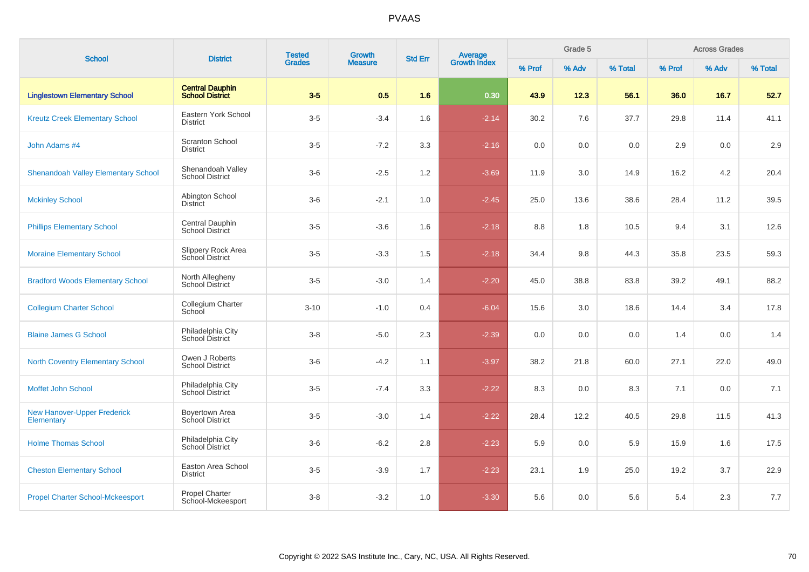| <b>School</b>                                    | <b>District</b>                                  | <b>Tested</b> | Growth         | <b>Std Err</b> |                                |        | Grade 5 |         |        | <b>Across Grades</b> |         |
|--------------------------------------------------|--------------------------------------------------|---------------|----------------|----------------|--------------------------------|--------|---------|---------|--------|----------------------|---------|
|                                                  |                                                  | <b>Grades</b> | <b>Measure</b> |                | <b>Average</b><br>Growth Index | % Prof | % Adv   | % Total | % Prof | % Adv                | % Total |
| <b>Linglestown Elementary School</b>             | <b>Central Dauphin</b><br><b>School District</b> | $3-5$         | 0.5            | 1.6            | 0.30                           | 43.9   | 12.3    | 56.1    | 36.0   | 16.7                 | 52.7    |
| <b>Kreutz Creek Elementary School</b>            | Eastern York School<br>District                  | $3-5$         | $-3.4$         | 1.6            | $-2.14$                        | 30.2   | 7.6     | 37.7    | 29.8   | 11.4                 | 41.1    |
| John Adams #4                                    | <b>Scranton School</b><br><b>District</b>        | $3-5$         | $-7.2$         | 3.3            | $-2.16$                        | 0.0    | 0.0     | 0.0     | 2.9    | 0.0                  | 2.9     |
| <b>Shenandoah Valley Elementary School</b>       | Shenandoah Valley<br><b>School District</b>      | $3-6$         | $-2.5$         | 1.2            | $-3.69$                        | 11.9   | 3.0     | 14.9    | 16.2   | 4.2                  | 20.4    |
| <b>Mckinley School</b>                           | Abington School<br><b>District</b>               | $3-6$         | $-2.1$         | 1.0            | $-2.45$                        | 25.0   | 13.6    | 38.6    | 28.4   | 11.2                 | 39.5    |
| <b>Phillips Elementary School</b>                | Central Dauphin<br>School District               | $3-5$         | $-3.6$         | 1.6            | $-2.18$                        | 8.8    | 1.8     | 10.5    | 9.4    | 3.1                  | 12.6    |
| <b>Moraine Elementary School</b>                 | Slippery Rock Area<br>School District            | $3-5$         | $-3.3$         | 1.5            | $-2.18$                        | 34.4   | 9.8     | 44.3    | 35.8   | 23.5                 | 59.3    |
| <b>Bradford Woods Elementary School</b>          | North Allegheny<br><b>School District</b>        | $3-5$         | $-3.0$         | 1.4            | $-2.20$                        | 45.0   | 38.8    | 83.8    | 39.2   | 49.1                 | 88.2    |
| <b>Collegium Charter School</b>                  | Collegium Charter<br>School                      | $3 - 10$      | $-1.0$         | 0.4            | $-6.04$                        | 15.6   | 3.0     | 18.6    | 14.4   | 3.4                  | 17.8    |
| <b>Blaine James G School</b>                     | Philadelphia City<br>School District             | $3 - 8$       | $-5.0$         | 2.3            | $-2.39$                        | 0.0    | 0.0     | 0.0     | 1.4    | 0.0                  | 1.4     |
| <b>North Coventry Elementary School</b>          | Owen J Roberts<br><b>School District</b>         | $3-6$         | $-4.2$         | 1.1            | $-3.97$                        | 38.2   | 21.8    | 60.0    | 27.1   | 22.0                 | 49.0    |
| Moffet John School                               | Philadelphia City<br>School District             | $3-5$         | $-7.4$         | 3.3            | $-2.22$                        | 8.3    | 0.0     | 8.3     | 7.1    | 0.0                  | 7.1     |
| <b>New Hanover-Upper Frederick</b><br>Elementary | Boyertown Area<br>School District                | $3-5$         | $-3.0$         | 1.4            | $-2.22$                        | 28.4   | 12.2    | 40.5    | 29.8   | 11.5                 | 41.3    |
| <b>Holme Thomas School</b>                       | Philadelphia City<br>School District             | $3-6$         | $-6.2$         | 2.8            | $-2.23$                        | 5.9    | 0.0     | 5.9     | 15.9   | 1.6                  | 17.5    |
| <b>Cheston Elementary School</b>                 | Easton Area School<br><b>District</b>            | $3-5$         | $-3.9$         | 1.7            | $-2.23$                        | 23.1   | 1.9     | 25.0    | 19.2   | 3.7                  | 22.9    |
| <b>Propel Charter School-Mckeesport</b>          | Propel Charter<br>School-Mckeesport              | $3 - 8$       | $-3.2$         | 1.0            | $-3.30$                        | 5.6    | 0.0     | 5.6     | 5.4    | 2.3                  | 7.7     |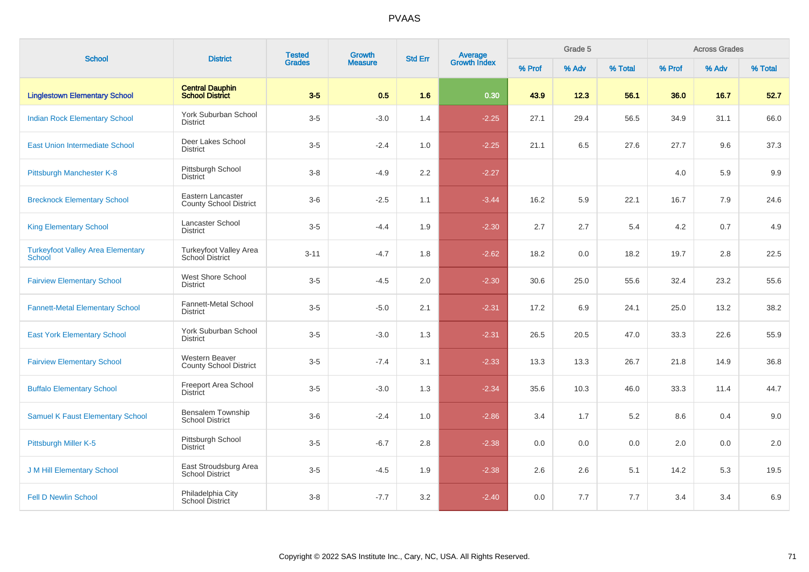| <b>School</b>                                             | <b>District</b>                                    | <b>Tested</b><br><b>Grades</b> | Growth         | <b>Std Err</b> | <b>Average</b><br>Growth Index |        | Grade 5 |         |        | <b>Across Grades</b> |         |
|-----------------------------------------------------------|----------------------------------------------------|--------------------------------|----------------|----------------|--------------------------------|--------|---------|---------|--------|----------------------|---------|
|                                                           |                                                    |                                | <b>Measure</b> |                |                                | % Prof | % Adv   | % Total | % Prof | % Adv                | % Total |
| <b>Linglestown Elementary School</b>                      | <b>Central Dauphin</b><br><b>School District</b>   | $3-5$                          | 0.5            | 1.6            | 0.30                           | 43.9   | 12.3    | 56.1    | 36.0   | 16.7                 | 52.7    |
| <b>Indian Rock Elementary School</b>                      | York Suburban School<br>District                   | $3-5$                          | $-3.0$         | 1.4            | $-2.25$                        | 27.1   | 29.4    | 56.5    | 34.9   | 31.1                 | 66.0    |
| <b>East Union Intermediate School</b>                     | Deer Lakes School<br><b>District</b>               | $3-5$                          | $-2.4$         | 1.0            | $-2.25$                        | 21.1   | 6.5     | 27.6    | 27.7   | 9.6                  | 37.3    |
| Pittsburgh Manchester K-8                                 | Pittsburgh School<br><b>District</b>               | $3 - 8$                        | $-4.9$         | 2.2            | $-2.27$                        |        |         |         | 4.0    | 5.9                  | 9.9     |
| <b>Brecknock Elementary School</b>                        | Eastern Lancaster<br><b>County School District</b> | $3-6$                          | $-2.5$         | 1.1            | $-3.44$                        | 16.2   | 5.9     | 22.1    | 16.7   | 7.9                  | 24.6    |
| <b>King Elementary School</b>                             | Lancaster School<br>District                       | $3-5$                          | $-4.4$         | 1.9            | $-2.30$                        | 2.7    | 2.7     | 5.4     | 4.2    | 0.7                  | 4.9     |
| <b>Turkeyfoot Valley Area Elementary</b><br><b>School</b> | Turkeyfoot Valley Area<br>School District          | $3 - 11$                       | $-4.7$         | 1.8            | $-2.62$                        | 18.2   | 0.0     | 18.2    | 19.7   | 2.8                  | 22.5    |
| <b>Fairview Elementary School</b>                         | <b>West Shore School</b><br><b>District</b>        | $3-5$                          | $-4.5$         | 2.0            | $-2.30$                        | 30.6   | 25.0    | 55.6    | 32.4   | 23.2                 | 55.6    |
| <b>Fannett-Metal Elementary School</b>                    | Fannett-Metal School<br><b>District</b>            | $3-5$                          | $-5.0$         | 2.1            | $-2.31$                        | 17.2   | 6.9     | 24.1    | 25.0   | 13.2                 | 38.2    |
| <b>East York Elementary School</b>                        | York Suburban School<br><b>District</b>            | $3-5$                          | $-3.0$         | 1.3            | $-2.31$                        | 26.5   | 20.5    | 47.0    | 33.3   | 22.6                 | 55.9    |
| <b>Fairview Elementary School</b>                         | Western Beaver<br><b>County School District</b>    | $3-5$                          | $-7.4$         | 3.1            | $-2.33$                        | 13.3   | 13.3    | 26.7    | 21.8   | 14.9                 | 36.8    |
| <b>Buffalo Elementary School</b>                          | <b>Freeport Area School</b><br>District            | $3-5$                          | $-3.0$         | 1.3            | $-2.34$                        | 35.6   | 10.3    | 46.0    | 33.3   | 11.4                 | 44.7    |
| <b>Samuel K Faust Elementary School</b>                   | Bensalem Township<br><b>School District</b>        | $3-6$                          | $-2.4$         | 1.0            | $-2.86$                        | 3.4    | 1.7     | 5.2     | 8.6    | 0.4                  | 9.0     |
| Pittsburgh Miller K-5                                     | Pittsburgh School<br><b>District</b>               | $3-5$                          | $-6.7$         | 2.8            | $-2.38$                        | 0.0    | 0.0     | 0.0     | 2.0    | 0.0                  | 2.0     |
| <b>J M Hill Elementary School</b>                         | East Stroudsburg Area<br><b>School District</b>    | $3-5$                          | $-4.5$         | 1.9            | $-2.38$                        | 2.6    | 2.6     | 5.1     | 14.2   | 5.3                  | 19.5    |
| <b>Fell D Newlin School</b>                               | Philadelphia City<br>School District               | $3 - 8$                        | $-7.7$         | 3.2            | $-2.40$                        | 0.0    | 7.7     | 7.7     | 3.4    | 3.4                  | 6.9     |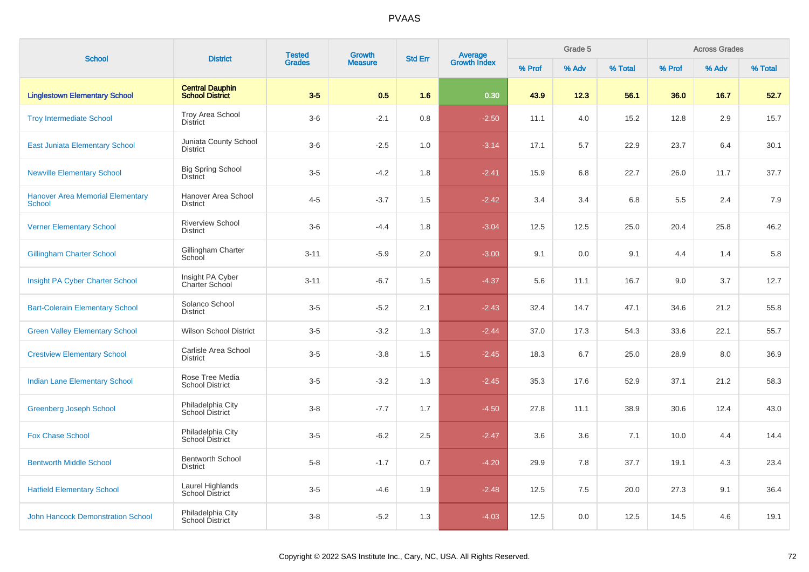| <b>School</b>                                            |                                                  | <b>Tested</b> | <b>Growth</b>  |                |                                |        | Grade 5 |         |        | <b>Across Grades</b> |         |
|----------------------------------------------------------|--------------------------------------------------|---------------|----------------|----------------|--------------------------------|--------|---------|---------|--------|----------------------|---------|
|                                                          | <b>District</b>                                  | <b>Grades</b> | <b>Measure</b> | <b>Std Err</b> | <b>Average</b><br>Growth Index | % Prof | % Adv   | % Total | % Prof | % Adv                | % Total |
| <b>Linglestown Elementary School</b>                     | <b>Central Dauphin</b><br><b>School District</b> | $3-5$         | 0.5            | 1.6            | 0.30                           | 43.9   | 12.3    | 56.1    | 36.0   | 16.7                 | 52.7    |
| <b>Troy Intermediate School</b>                          | Troy Area School<br><b>District</b>              | $3-6$         | $-2.1$         | 0.8            | $-2.50$                        | 11.1   | 4.0     | 15.2    | 12.8   | 2.9                  | 15.7    |
| East Juniata Elementary School                           | Juniata County School<br>District                | $3-6$         | $-2.5$         | 1.0            | $-3.14$                        | 17.1   | 5.7     | 22.9    | 23.7   | 6.4                  | 30.1    |
| <b>Newville Elementary School</b>                        | <b>Big Spring School</b><br><b>District</b>      | $3-5$         | $-4.2$         | 1.8            | $-2.41$                        | 15.9   | 6.8     | 22.7    | 26.0   | 11.7                 | 37.7    |
| <b>Hanover Area Memorial Elementary</b><br><b>School</b> | Hanover Area School<br><b>District</b>           | $4 - 5$       | $-3.7$         | 1.5            | $-2.42$                        | 3.4    | 3.4     | 6.8     | 5.5    | 2.4                  | 7.9     |
| <b>Verner Elementary School</b>                          | <b>Riverview School</b><br><b>District</b>       | $3-6$         | $-4.4$         | 1.8            | $-3.04$                        | 12.5   | 12.5    | 25.0    | 20.4   | 25.8                 | 46.2    |
| <b>Gillingham Charter School</b>                         | Gillingham Charter<br>School                     | $3 - 11$      | $-5.9$         | 2.0            | $-3.00$                        | 9.1    | 0.0     | 9.1     | 4.4    | 1.4                  | 5.8     |
| Insight PA Cyber Charter School                          | Insight PA Cyber<br>Charter School               | $3 - 11$      | $-6.7$         | 1.5            | $-4.37$                        | 5.6    | 11.1    | 16.7    | 9.0    | 3.7                  | 12.7    |
| <b>Bart-Colerain Elementary School</b>                   | Solanco School<br><b>District</b>                | $3-5$         | $-5.2$         | 2.1            | $-2.43$                        | 32.4   | 14.7    | 47.1    | 34.6   | 21.2                 | 55.8    |
| <b>Green Valley Elementary School</b>                    | <b>Wilson School District</b>                    | $3-5$         | $-3.2$         | 1.3            | $-2.44$                        | 37.0   | 17.3    | 54.3    | 33.6   | 22.1                 | 55.7    |
| <b>Crestview Elementary School</b>                       | Carlisle Area School<br><b>District</b>          | $3-5$         | $-3.8$         | 1.5            | $-2.45$                        | 18.3   | 6.7     | 25.0    | 28.9   | 8.0                  | 36.9    |
| <b>Indian Lane Elementary School</b>                     | Rose Tree Media<br><b>School District</b>        | $3-5$         | $-3.2$         | 1.3            | $-2.45$                        | 35.3   | 17.6    | 52.9    | 37.1   | 21.2                 | 58.3    |
| <b>Greenberg Joseph School</b>                           | Philadelphia City<br>School District             | $3 - 8$       | $-7.7$         | 1.7            | $-4.50$                        | 27.8   | 11.1    | 38.9    | 30.6   | 12.4                 | 43.0    |
| <b>Fox Chase School</b>                                  | Philadelphia City<br>School District             | $3-5$         | $-6.2$         | 2.5            | $-2.47$                        | 3.6    | 3.6     | 7.1     | 10.0   | 4.4                  | 14.4    |
| <b>Bentworth Middle School</b>                           | <b>Bentworth School</b><br><b>District</b>       | $5 - 8$       | $-1.7$         | 0.7            | $-4.20$                        | 29.9   | 7.8     | 37.7    | 19.1   | 4.3                  | 23.4    |
| <b>Hatfield Elementary School</b>                        | Laurel Highlands<br><b>School District</b>       | $3-5$         | $-4.6$         | 1.9            | $-2.48$                        | 12.5   | 7.5     | 20.0    | 27.3   | 9.1                  | 36.4    |
| <b>John Hancock Demonstration School</b>                 | Philadelphia City<br>School District             | $3 - 8$       | $-5.2$         | 1.3            | $-4.03$                        | 12.5   | 0.0     | 12.5    | 14.5   | 4.6                  | 19.1    |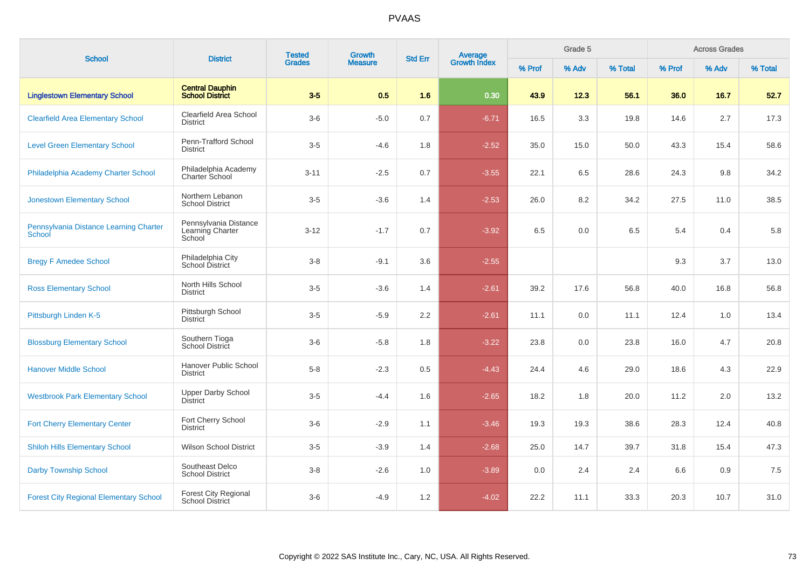| <b>School</b>                                    | <b>District</b>                                       | <b>Tested</b><br><b>Grades</b> | <b>Growth</b>  | <b>Std Err</b> |                                |        | Grade 5 |         |        | <b>Across Grades</b> |         |
|--------------------------------------------------|-------------------------------------------------------|--------------------------------|----------------|----------------|--------------------------------|--------|---------|---------|--------|----------------------|---------|
|                                                  |                                                       |                                | <b>Measure</b> |                | <b>Average</b><br>Growth Index | % Prof | % Adv   | % Total | % Prof | % Adv                | % Total |
| <b>Linglestown Elementary School</b>             | <b>Central Dauphin</b><br><b>School District</b>      | $3-5$                          | 0.5            | 1.6            | 0.30                           | 43.9   | 12.3    | 56.1    | 36.0   | 16.7                 | 52.7    |
| <b>Clearfield Area Elementary School</b>         | Clearfield Area School<br><b>District</b>             | $3-6$                          | $-5.0$         | 0.7            | $-6.71$                        | 16.5   | 3.3     | 19.8    | 14.6   | 2.7                  | 17.3    |
| <b>Level Green Elementary School</b>             | Penn-Trafford School<br><b>District</b>               | $3-5$                          | $-4.6$         | 1.8            | $-2.52$                        | 35.0   | 15.0    | 50.0    | 43.3   | 15.4                 | 58.6    |
| Philadelphia Academy Charter School              | Philadelphia Academy<br><b>Charter School</b>         | $3 - 11$                       | $-2.5$         | 0.7            | $-3.55$                        | 22.1   | 6.5     | 28.6    | 24.3   | 9.8                  | 34.2    |
| <b>Jonestown Elementary School</b>               | Northern Lebanon<br><b>School District</b>            | $3-5$                          | $-3.6$         | 1.4            | $-2.53$                        | 26.0   | 8.2     | 34.2    | 27.5   | 11.0                 | 38.5    |
| Pennsylvania Distance Learning Charter<br>School | Pennsylvania Distance<br>Learning Charter<br>School   | $3 - 12$                       | $-1.7$         | 0.7            | $-3.92$                        | 6.5    | 0.0     | 6.5     | 5.4    | 0.4                  | 5.8     |
| <b>Bregy F Amedee School</b>                     | Philadelphia City<br>School District                  | $3-8$                          | $-9.1$         | 3.6            | $-2.55$                        |        |         |         | 9.3    | 3.7                  | 13.0    |
| <b>Ross Elementary School</b>                    | North Hills School<br><b>District</b>                 | $3-5$                          | $-3.6$         | 1.4            | $-2.61$                        | 39.2   | 17.6    | 56.8    | 40.0   | 16.8                 | 56.8    |
| Pittsburgh Linden K-5                            | Pittsburgh School<br><b>District</b>                  | $3-5$                          | $-5.9$         | 2.2            | $-2.61$                        | 11.1   | 0.0     | 11.1    | 12.4   | 1.0                  | 13.4    |
| <b>Blossburg Elementary School</b>               | Southern Tioga<br>School District                     | $3-6$                          | $-5.8$         | 1.8            | $-3.22$                        | 23.8   | 0.0     | 23.8    | 16.0   | 4.7                  | 20.8    |
| <b>Hanover Middle School</b>                     | Hanover Public School<br><b>District</b>              | $5-8$                          | $-2.3$         | 0.5            | $-4.43$                        | 24.4   | 4.6     | 29.0    | 18.6   | 4.3                  | 22.9    |
| <b>Westbrook Park Elementary School</b>          | <b>Upper Darby School</b><br><b>District</b>          | $3-5$                          | $-4.4$         | 1.6            | $-2.65$                        | 18.2   | 1.8     | 20.0    | 11.2   | 2.0                  | 13.2    |
| <b>Fort Cherry Elementary Center</b>             | Fort Cherry School<br><b>District</b>                 | $3-6$                          | $-2.9$         | 1.1            | $-3.46$                        | 19.3   | 19.3    | 38.6    | 28.3   | 12.4                 | 40.8    |
| <b>Shiloh Hills Elementary School</b>            | <b>Wilson School District</b>                         | $3-5$                          | $-3.9$         | 1.4            | $-2.68$                        | 25.0   | 14.7    | 39.7    | 31.8   | 15.4                 | 47.3    |
| <b>Darby Township School</b>                     | Southeast Delco<br><b>School District</b>             | $3-8$                          | $-2.6$         | 1.0            | $-3.89$                        | 0.0    | 2.4     | 2.4     | 6.6    | 0.9                  | 7.5     |
| <b>Forest City Regional Elementary School</b>    | <b>Forest City Regional</b><br><b>School District</b> | $3-6$                          | $-4.9$         | 1.2            | $-4.02$                        | 22.2   | 11.1    | 33.3    | 20.3   | 10.7                 | 31.0    |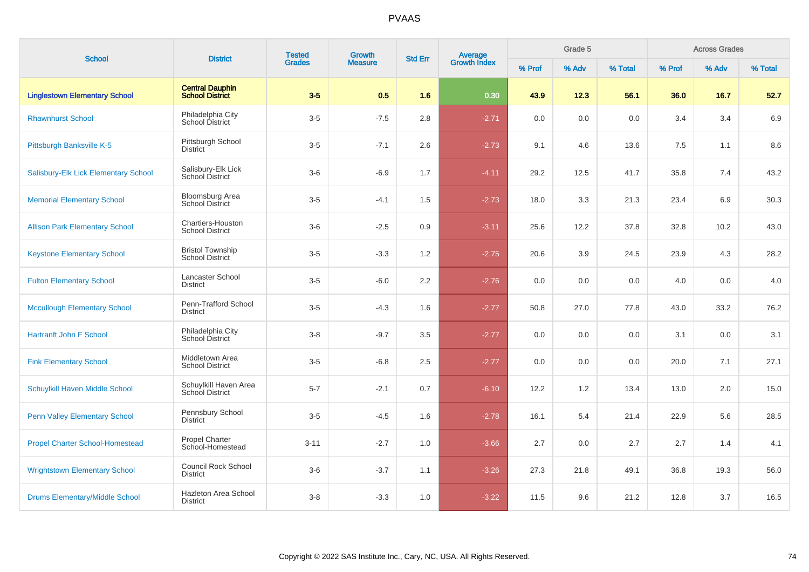| <b>School</b>                          | <b>District</b>                                   | <b>Tested</b><br><b>Grades</b> | Growth         | <b>Std Err</b> | Average<br>Growth Index |        | Grade 5 |         |        | <b>Across Grades</b> |         |
|----------------------------------------|---------------------------------------------------|--------------------------------|----------------|----------------|-------------------------|--------|---------|---------|--------|----------------------|---------|
|                                        |                                                   |                                | <b>Measure</b> |                |                         | % Prof | % Adv   | % Total | % Prof | % Adv                | % Total |
| <b>Linglestown Elementary School</b>   | <b>Central Dauphin</b><br><b>School District</b>  | $3-5$                          | 0.5            | 1.6            | 0.30                    | 43.9   | 12.3    | 56.1    | 36.0   | 16.7                 | 52.7    |
| <b>Rhawnhurst School</b>               | Philadelphia City<br>School District              | $3-5$                          | $-7.5$         | 2.8            | $-2.71$                 | 0.0    | 0.0     | 0.0     | 3.4    | 3.4                  | 6.9     |
| Pittsburgh Banksville K-5              | Pittsburgh School<br><b>District</b>              | $3-5$                          | $-7.1$         | 2.6            | $-2.73$                 | 9.1    | 4.6     | 13.6    | 7.5    | 1.1                  | 8.6     |
| Salisbury-Elk Lick Elementary School   | Salisbury-Elk Lick<br>School District             | $3-6$                          | $-6.9$         | 1.7            | $-4.11$                 | 29.2   | 12.5    | 41.7    | 35.8   | 7.4                  | 43.2    |
| <b>Memorial Elementary School</b>      | Bloomsburg Area<br><b>School District</b>         | $3-5$                          | $-4.1$         | 1.5            | $-2.73$                 | 18.0   | 3.3     | 21.3    | 23.4   | 6.9                  | 30.3    |
| <b>Allison Park Elementary School</b>  | Chartiers-Houston<br><b>School District</b>       | $3-6$                          | $-2.5$         | $0.9\,$        | $-3.11$                 | 25.6   | 12.2    | 37.8    | 32.8   | 10.2                 | 43.0    |
| <b>Keystone Elementary School</b>      | <b>Bristol Township</b><br><b>School District</b> | $3-5$                          | $-3.3$         | 1.2            | $-2.75$                 | 20.6   | 3.9     | 24.5    | 23.9   | 4.3                  | 28.2    |
| <b>Fulton Elementary School</b>        | Lancaster School<br><b>District</b>               | $3-5$                          | $-6.0$         | 2.2            | $-2.76$                 | 0.0    | 0.0     | 0.0     | 4.0    | 0.0                  | 4.0     |
| <b>Mccullough Elementary School</b>    | Penn-Trafford School<br><b>District</b>           | $3-5$                          | $-4.3$         | 1.6            | $-2.77$                 | 50.8   | 27.0    | 77.8    | 43.0   | 33.2                 | 76.2    |
| <b>Hartranft John F School</b>         | Philadelphia City<br>School District              | $3 - 8$                        | $-9.7$         | 3.5            | $-2.77$                 | 0.0    | 0.0     | 0.0     | 3.1    | 0.0                  | 3.1     |
| <b>Fink Elementary School</b>          | Middletown Area<br><b>School District</b>         | $3-5$                          | $-6.8$         | 2.5            | $-2.77$                 | 0.0    | 0.0     | 0.0     | 20.0   | 7.1                  | 27.1    |
| Schuylkill Haven Middle School         | Schuylkill Haven Area<br>School District          | $5 - 7$                        | $-2.1$         | 0.7            | $-6.10$                 | 12.2   | 1.2     | 13.4    | 13.0   | 2.0                  | 15.0    |
| <b>Penn Valley Elementary School</b>   | Pennsbury School<br><b>District</b>               | $3-5$                          | $-4.5$         | 1.6            | $-2.78$                 | 16.1   | 5.4     | 21.4    | 22.9   | 5.6                  | 28.5    |
| <b>Propel Charter School-Homestead</b> | <b>Propel Charter</b><br>School-Homestead         | $3 - 11$                       | $-2.7$         | 1.0            | $-3.66$                 | 2.7    | 0.0     | 2.7     | 2.7    | 1.4                  | 4.1     |
| <b>Wrightstown Elementary School</b>   | <b>Council Rock School</b><br><b>District</b>     | $3-6$                          | $-3.7$         | 1.1            | $-3.26$                 | 27.3   | 21.8    | 49.1    | 36.8   | 19.3                 | 56.0    |
| <b>Drums Elementary/Middle School</b>  | <b>Hazleton Area School</b><br><b>District</b>    | $3-8$                          | $-3.3$         | 1.0            | $-3.22$                 | 11.5   | 9.6     | 21.2    | 12.8   | 3.7                  | 16.5    |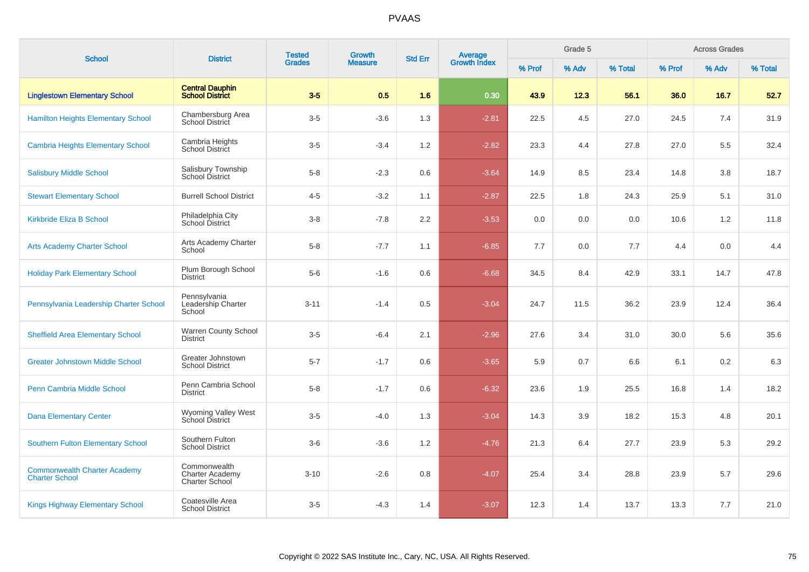| <b>School</b>                                                | <b>District</b>                                                 | <b>Tested</b><br><b>Growth</b> |                |                  | <b>Average</b><br>Growth Index<br><b>Std Err</b> |        | Grade 5 |         |        | <b>Across Grades</b> |         |
|--------------------------------------------------------------|-----------------------------------------------------------------|--------------------------------|----------------|------------------|--------------------------------------------------|--------|---------|---------|--------|----------------------|---------|
|                                                              |                                                                 | <b>Grades</b>                  | <b>Measure</b> |                  |                                                  | % Prof | % Adv   | % Total | % Prof | % Adv                | % Total |
| <b>Linglestown Elementary School</b>                         | <b>Central Dauphin</b><br><b>School District</b>                | $3-5$                          | 0.5            | 1.6              | 0.30                                             | 43.9   | 12.3    | 56.1    | 36.0   | 16.7                 | 52.7    |
| <b>Hamilton Heights Elementary School</b>                    | Chambersburg Area<br>School District                            | $3-5$                          | $-3.6$         | 1.3              | $-2.81$                                          | 22.5   | 4.5     | 27.0    | 24.5   | 7.4                  | 31.9    |
| <b>Cambria Heights Elementary School</b>                     | Cambria Heights<br><b>School District</b>                       | $3-5$                          | $-3.4$         | 1.2              | $-2.82$                                          | 23.3   | 4.4     | 27.8    | 27.0   | 5.5                  | 32.4    |
| <b>Salisbury Middle School</b>                               | Salisbury Township<br>School District                           | $5 - 8$                        | $-2.3$         | 0.6              | $-3.64$                                          | 14.9   | 8.5     | 23.4    | 14.8   | 3.8                  | 18.7    |
| <b>Stewart Elementary School</b>                             | <b>Burrell School District</b>                                  | $4 - 5$                        | $-3.2$         | 1.1              | $-2.87$                                          | 22.5   | 1.8     | 24.3    | 25.9   | 5.1                  | 31.0    |
| <b>Kirkbride Eliza B School</b>                              | Philadelphia City<br>School District                            | $3 - 8$                        | $-7.8$         | $2.2\phantom{0}$ | $-3.53$                                          | 0.0    | 0.0     | 0.0     | 10.6   | 1.2                  | 11.8    |
| <b>Arts Academy Charter School</b>                           | Arts Academy Charter<br>School                                  | $5 - 8$                        | $-7.7$         | 1.1              | $-6.85$                                          | 7.7    | 0.0     | 7.7     | 4.4    | 0.0                  | 4.4     |
| <b>Holiday Park Elementary School</b>                        | Plum Borough School<br>District                                 | $5-6$                          | $-1.6$         | 0.6              | $-6.68$                                          | 34.5   | 8.4     | 42.9    | 33.1   | 14.7                 | 47.8    |
| Pennsylvania Leadership Charter School                       | Pennsylvania<br>Leadership Charter<br>School                    | $3 - 11$                       | $-1.4$         | 0.5              | $-3.04$                                          | 24.7   | 11.5    | 36.2    | 23.9   | 12.4                 | 36.4    |
| <b>Sheffield Area Elementary School</b>                      | Warren County School<br>District                                | $3-5$                          | $-6.4$         | 2.1              | $-2.96$                                          | 27.6   | 3.4     | 31.0    | 30.0   | 5.6                  | 35.6    |
| <b>Greater Johnstown Middle School</b>                       | Greater Johnstown<br><b>School District</b>                     | $5 - 7$                        | $-1.7$         | 0.6              | $-3.65$                                          | 5.9    | 0.7     | 6.6     | 6.1    | 0.2                  | 6.3     |
| Penn Cambria Middle School                                   | Penn Cambria School<br><b>District</b>                          | $5 - 8$                        | $-1.7$         | 0.6              | $-6.32$                                          | 23.6   | 1.9     | 25.5    | 16.8   | 1.4                  | 18.2    |
| <b>Dana Elementary Center</b>                                | Wyoming Valley West<br>School District                          | $3-5$                          | $-4.0$         | 1.3              | $-3.04$                                          | 14.3   | 3.9     | 18.2    | 15.3   | 4.8                  | 20.1    |
| <b>Southern Fulton Elementary School</b>                     | Southern Fulton<br><b>School District</b>                       | $3-6$                          | $-3.6$         | 1.2              | $-4.76$                                          | 21.3   | 6.4     | 27.7    | 23.9   | 5.3                  | 29.2    |
| <b>Commonwealth Charter Academy</b><br><b>Charter School</b> | Commonwealth<br><b>Charter Academy</b><br><b>Charter School</b> | $3 - 10$                       | $-2.6$         | 0.8              | $-4.07$                                          | 25.4   | 3.4     | 28.8    | 23.9   | 5.7                  | 29.6    |
| <b>Kings Highway Elementary School</b>                       | Coatesville Area<br><b>School District</b>                      | $3-5$                          | $-4.3$         | 1.4              | $-3.07$                                          | 12.3   | 1.4     | 13.7    | 13.3   | 7.7                  | 21.0    |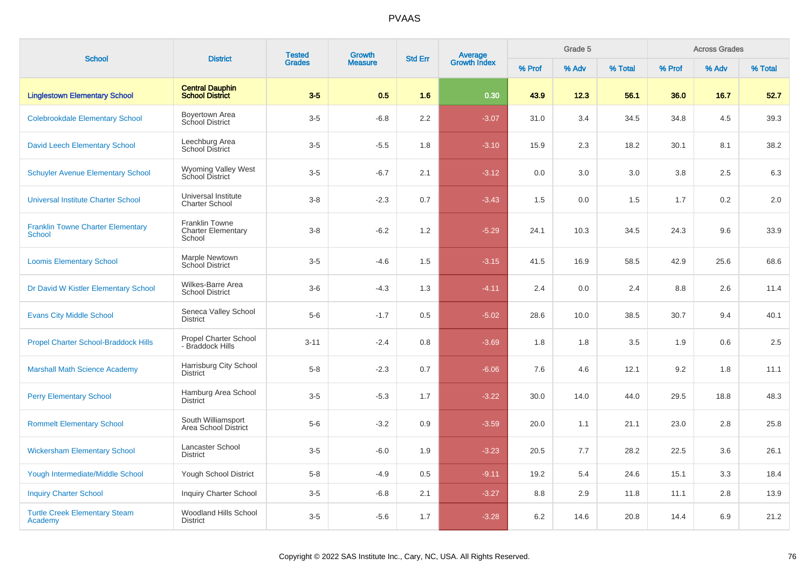|                                                           |                                                              | <b>Tested</b> |                | Growth<br><b>Std Err</b> |                                |        | Grade 5 |         |        | <b>Across Grades</b> |         |
|-----------------------------------------------------------|--------------------------------------------------------------|---------------|----------------|--------------------------|--------------------------------|--------|---------|---------|--------|----------------------|---------|
| <b>School</b>                                             | <b>District</b>                                              | <b>Grades</b> | <b>Measure</b> |                          | <b>Average</b><br>Growth Index | % Prof | % Adv   | % Total | % Prof | % Adv                | % Total |
| <b>Linglestown Elementary School</b>                      | <b>Central Dauphin</b><br><b>School District</b>             | $3-5$         | 0.5            | 1.6                      | 0.30                           | 43.9   | 12.3    | 56.1    | 36.0   | 16.7                 | 52.7    |
| <b>Colebrookdale Elementary School</b>                    | Boyertown Area<br>School District                            | $3-5$         | $-6.8$         | 2.2                      | $-3.07$                        | 31.0   | 3.4     | 34.5    | 34.8   | 4.5                  | 39.3    |
| <b>David Leech Elementary School</b>                      | Leechburg Area<br>School District                            | $3-5$         | $-5.5$         | 1.8                      | $-3.10$                        | 15.9   | 2.3     | 18.2    | 30.1   | 8.1                  | 38.2    |
| <b>Schuyler Avenue Elementary School</b>                  | Wyoming Valley West<br><b>School District</b>                | $3-5$         | $-6.7$         | 2.1                      | $-3.12$                        | 0.0    | 3.0     | 3.0     | 3.8    | 2.5                  | 6.3     |
| <b>Universal Institute Charter School</b>                 | Universal Institute<br><b>Charter School</b>                 | $3-8$         | $-2.3$         | 0.7                      | $-3.43$                        | 1.5    | 0.0     | 1.5     | 1.7    | 0.2                  | 2.0     |
| <b>Franklin Towne Charter Elementary</b><br><b>School</b> | <b>Franklin Towne</b><br><b>Charter Elementary</b><br>School | $3-8$         | $-6.2$         | 1.2                      | $-5.29$                        | 24.1   | 10.3    | 34.5    | 24.3   | 9.6                  | 33.9    |
| <b>Loomis Elementary School</b>                           | Marple Newtown<br>School District                            | $3-5$         | $-4.6$         | 1.5                      | $-3.15$                        | 41.5   | 16.9    | 58.5    | 42.9   | 25.6                 | 68.6    |
| Dr David W Kistler Elementary School                      | Wilkes-Barre Area<br><b>School District</b>                  | $3-6$         | $-4.3$         | 1.3                      | $-4.11$                        | 2.4    | 0.0     | 2.4     | 8.8    | 2.6                  | 11.4    |
| <b>Evans City Middle School</b>                           | Seneca Valley School<br><b>District</b>                      | $5-6$         | $-1.7$         | 0.5                      | $-5.02$                        | 28.6   | 10.0    | 38.5    | 30.7   | 9.4                  | 40.1    |
| <b>Propel Charter School-Braddock Hills</b>               | Propel Charter School<br>- Braddock Hills                    | $3 - 11$      | $-2.4$         | 0.8                      | $-3.69$                        | 1.8    | 1.8     | 3.5     | 1.9    | 0.6                  | 2.5     |
| <b>Marshall Math Science Academy</b>                      | Harrisburg City School<br><b>District</b>                    | $5 - 8$       | $-2.3$         | 0.7                      | $-6.06$                        | 7.6    | 4.6     | 12.1    | 9.2    | 1.8                  | 11.1    |
| <b>Perry Elementary School</b>                            | Hamburg Area School<br><b>District</b>                       | $3-5$         | $-5.3$         | 1.7                      | $-3.22$                        | 30.0   | 14.0    | 44.0    | 29.5   | 18.8                 | 48.3    |
| <b>Rommelt Elementary School</b>                          | South Williamsport<br>Area School District                   | $5-6$         | $-3.2$         | 0.9                      | $-3.59$                        | 20.0   | 1.1     | 21.1    | 23.0   | 2.8                  | 25.8    |
| <b>Wickersham Elementary School</b>                       | Lancaster School<br><b>District</b>                          | $3-5$         | $-6.0$         | 1.9                      | $-3.23$                        | 20.5   | 7.7     | 28.2    | 22.5   | 3.6                  | 26.1    |
| Yough Intermediate/Middle School                          | Yough School District                                        | $5-8$         | $-4.9$         | 0.5                      | $-9.11$                        | 19.2   | 5.4     | 24.6    | 15.1   | 3.3                  | 18.4    |
| <b>Inquiry Charter School</b>                             | <b>Inquiry Charter School</b>                                | $3-5$         | $-6.8$         | 2.1                      | $-3.27$                        | 8.8    | 2.9     | 11.8    | 11.1   | 2.8                  | 13.9    |
| <b>Turtle Creek Elementary Steam</b><br>Academy           | <b>Woodland Hills School</b><br><b>District</b>              | $3-5$         | $-5.6$         | 1.7                      | $-3.28$                        | 6.2    | 14.6    | 20.8    | 14.4   | 6.9                  | 21.2    |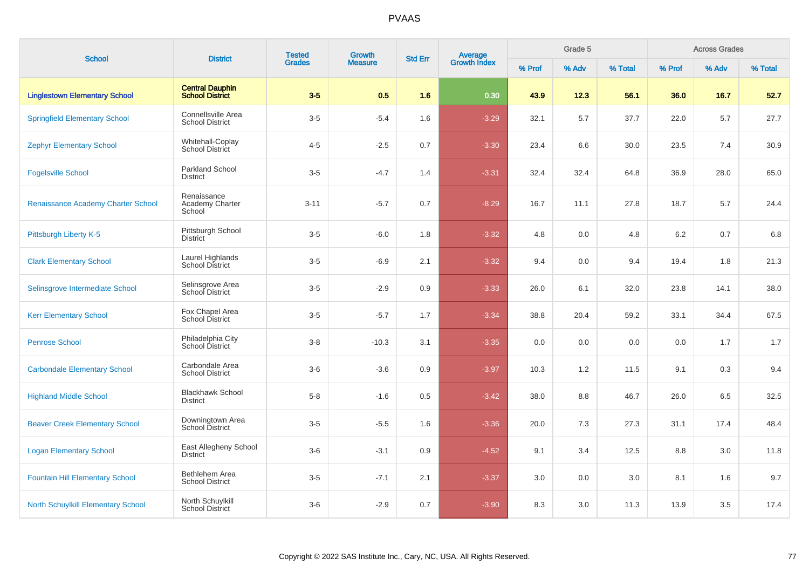| <b>School</b>                             | <b>District</b>                                  | <b>Tested</b><br>Growth | <b>Average</b><br>Growth Index<br><b>Std Err</b> |     | Grade 5 |        |       | <b>Across Grades</b> |        |       |         |
|-------------------------------------------|--------------------------------------------------|-------------------------|--------------------------------------------------|-----|---------|--------|-------|----------------------|--------|-------|---------|
|                                           |                                                  | <b>Grades</b>           | <b>Measure</b>                                   |     |         | % Prof | % Adv | % Total              | % Prof | % Adv | % Total |
| <b>Linglestown Elementary School</b>      | <b>Central Dauphin</b><br><b>School District</b> | $3-5$                   | 0.5                                              | 1.6 | 0.30    | 43.9   | 12.3  | 56.1                 | 36.0   | 16.7  | 52.7    |
| <b>Springfield Elementary School</b>      | Connellsville Area<br><b>School District</b>     | $3-5$                   | $-5.4$                                           | 1.6 | $-3.29$ | 32.1   | 5.7   | 37.7                 | 22.0   | 5.7   | 27.7    |
| <b>Zephyr Elementary School</b>           | Whitehall-Coplay<br>School District              | $4 - 5$                 | $-2.5$                                           | 0.7 | $-3.30$ | 23.4   | 6.6   | 30.0                 | 23.5   | 7.4   | 30.9    |
| <b>Fogelsville School</b>                 | <b>Parkland School</b><br><b>District</b>        | $3-5$                   | $-4.7$                                           | 1.4 | $-3.31$ | 32.4   | 32.4  | 64.8                 | 36.9   | 28.0  | 65.0    |
| Renaissance Academy Charter School        | Renaissance<br>Academy Charter<br>School         | $3 - 11$                | $-5.7$                                           | 0.7 | $-8.29$ | 16.7   | 11.1  | 27.8                 | 18.7   | 5.7   | 24.4    |
| Pittsburgh Liberty K-5                    | Pittsburgh School<br><b>District</b>             | $3-5$                   | $-6.0$                                           | 1.8 | $-3.32$ | 4.8    | 0.0   | 4.8                  | 6.2    | 0.7   | 6.8     |
| <b>Clark Elementary School</b>            | Laurel Highlands<br><b>School District</b>       | $3-5$                   | $-6.9$                                           | 2.1 | $-3.32$ | 9.4    | 0.0   | 9.4                  | 19.4   | 1.8   | 21.3    |
| Selinsgrove Intermediate School           | Selinsgrove Area<br>School District              | $3-5$                   | $-2.9$                                           | 0.9 | $-3.33$ | 26.0   | 6.1   | 32.0                 | 23.8   | 14.1  | 38.0    |
| <b>Kerr Elementary School</b>             | Fox Chapel Area<br>School District               | $3-5$                   | $-5.7$                                           | 1.7 | $-3.34$ | 38.8   | 20.4  | 59.2                 | 33.1   | 34.4  | 67.5    |
| <b>Penrose School</b>                     | Philadelphia City<br>School District             | $3 - 8$                 | $-10.3$                                          | 3.1 | $-3.35$ | 0.0    | 0.0   | 0.0                  | 0.0    | 1.7   | 1.7     |
| <b>Carbondale Elementary School</b>       | Carbondale Area<br><b>School District</b>        | $3-6$                   | $-3.6$                                           | 0.9 | $-3.97$ | 10.3   | 1.2   | 11.5                 | 9.1    | 0.3   | 9.4     |
| <b>Highland Middle School</b>             | <b>Blackhawk School</b><br><b>District</b>       | $5-8$                   | $-1.6$                                           | 0.5 | $-3.42$ | 38.0   | 8.8   | 46.7                 | 26.0   | 6.5   | 32.5    |
| <b>Beaver Creek Elementary School</b>     | Downingtown Area<br>School District              | $3-5$                   | $-5.5$                                           | 1.6 | $-3.36$ | 20.0   | 7.3   | 27.3                 | 31.1   | 17.4  | 48.4    |
| <b>Logan Elementary School</b>            | East Allegheny School<br><b>District</b>         | $3-6$                   | $-3.1$                                           | 0.9 | $-4.52$ | 9.1    | 3.4   | 12.5                 | 8.8    | 3.0   | 11.8    |
| <b>Fountain Hill Elementary School</b>    | Bethlehem Area<br><b>School District</b>         | $3-5$                   | $-7.1$                                           | 2.1 | $-3.37$ | 3.0    | 0.0   | 3.0                  | 8.1    | 1.6   | 9.7     |
| <b>North Schuylkill Elementary School</b> | North Schuylkill<br><b>School District</b>       | $3-6$                   | $-2.9$                                           | 0.7 | $-3.90$ | 8.3    | 3.0   | 11.3                 | 13.9   | 3.5   | 17.4    |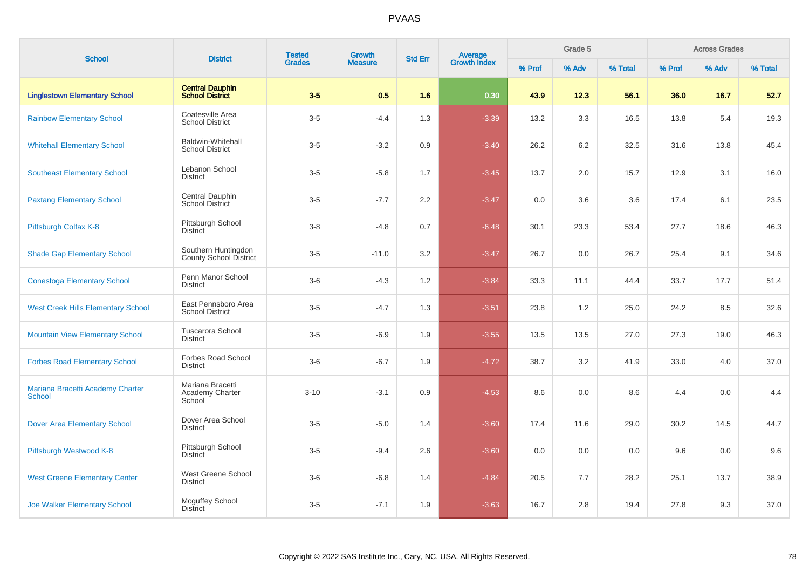| <b>School</b>                                     | <b>District</b>                                      | <b>Tested</b> | Growth         | <b>Std Err</b> |                                |        | Grade 5 |         |        | <b>Across Grades</b> |         |
|---------------------------------------------------|------------------------------------------------------|---------------|----------------|----------------|--------------------------------|--------|---------|---------|--------|----------------------|---------|
|                                                   |                                                      | <b>Grades</b> | <b>Measure</b> |                | <b>Average</b><br>Growth Index | % Prof | % Adv   | % Total | % Prof | % Adv                | % Total |
| <b>Linglestown Elementary School</b>              | <b>Central Dauphin</b><br><b>School District</b>     | $3-5$         | 0.5            | 1.6            | 0.30                           | 43.9   | 12.3    | 56.1    | 36.0   | 16.7                 | 52.7    |
| <b>Rainbow Elementary School</b>                  | Coatesville Area<br><b>School District</b>           | $3-5$         | $-4.4$         | 1.3            | $-3.39$                        | 13.2   | 3.3     | 16.5    | 13.8   | 5.4                  | 19.3    |
| <b>Whitehall Elementary School</b>                | <b>Baldwin-Whitehall</b><br><b>School District</b>   | $3-5$         | $-3.2$         | 0.9            | $-3.40$                        | 26.2   | 6.2     | 32.5    | 31.6   | 13.8                 | 45.4    |
| <b>Southeast Elementary School</b>                | Lebanon School<br><b>District</b>                    | $3-5$         | $-5.8$         | 1.7            | $-3.45$                        | 13.7   | 2.0     | 15.7    | 12.9   | 3.1                  | 16.0    |
| <b>Paxtang Elementary School</b>                  | Central Dauphin<br><b>School District</b>            | $3-5$         | $-7.7$         | 2.2            | $-3.47$                        | 0.0    | 3.6     | 3.6     | 17.4   | 6.1                  | 23.5    |
| Pittsburgh Colfax K-8                             | Pittsburgh School<br><b>District</b>                 | $3-8$         | $-4.8$         | 0.7            | $-6.48$                        | 30.1   | 23.3    | 53.4    | 27.7   | 18.6                 | 46.3    |
| <b>Shade Gap Elementary School</b>                | Southern Huntingdon<br><b>County School District</b> | $3-5$         | $-11.0$        | 3.2            | $-3.47$                        | 26.7   | 0.0     | 26.7    | 25.4   | 9.1                  | 34.6    |
| <b>Conestoga Elementary School</b>                | Penn Manor School<br><b>District</b>                 | $3-6$         | $-4.3$         | 1.2            | $-3.84$                        | 33.3   | 11.1    | 44.4    | 33.7   | 17.7                 | 51.4    |
| <b>West Creek Hills Elementary School</b>         | East Pennsboro Area<br><b>School District</b>        | $3-5$         | $-4.7$         | 1.3            | $-3.51$                        | 23.8   | 1.2     | 25.0    | 24.2   | 8.5                  | 32.6    |
| <b>Mountain View Elementary School</b>            | <b>Tuscarora School</b><br><b>District</b>           | $3-5$         | $-6.9$         | 1.9            | $-3.55$                        | 13.5   | 13.5    | 27.0    | 27.3   | 19.0                 | 46.3    |
| <b>Forbes Road Elementary School</b>              | Forbes Road School<br><b>District</b>                | $3-6$         | $-6.7$         | 1.9            | $-4.72$                        | 38.7   | 3.2     | 41.9    | 33.0   | 4.0                  | 37.0    |
| Mariana Bracetti Academy Charter<br><b>School</b> | Mariana Bracetti<br>Academy Charter<br>School        | $3 - 10$      | $-3.1$         | 0.9            | $-4.53$                        | 8.6    | 0.0     | 8.6     | 4.4    | 0.0                  | 4.4     |
| <b>Dover Area Elementary School</b>               | Dover Area School<br><b>District</b>                 | $3-5$         | $-5.0$         | 1.4            | $-3.60$                        | 17.4   | 11.6    | 29.0    | 30.2   | 14.5                 | 44.7    |
| Pittsburgh Westwood K-8                           | Pittsburgh School<br><b>District</b>                 | $3-5$         | $-9.4$         | 2.6            | $-3.60$                        | 0.0    | 0.0     | 0.0     | 9.6    | 0.0                  | 9.6     |
| <b>West Greene Elementary Center</b>              | West Greene School<br><b>District</b>                | $3-6$         | $-6.8$         | 1.4            | $-4.84$                        | 20.5   | 7.7     | 28.2    | 25.1   | 13.7                 | 38.9    |
| <b>Joe Walker Elementary School</b>               | Mcguffey School<br><b>District</b>                   | $3-5$         | $-7.1$         | 1.9            | $-3.63$                        | 16.7   | 2.8     | 19.4    | 27.8   | 9.3                  | 37.0    |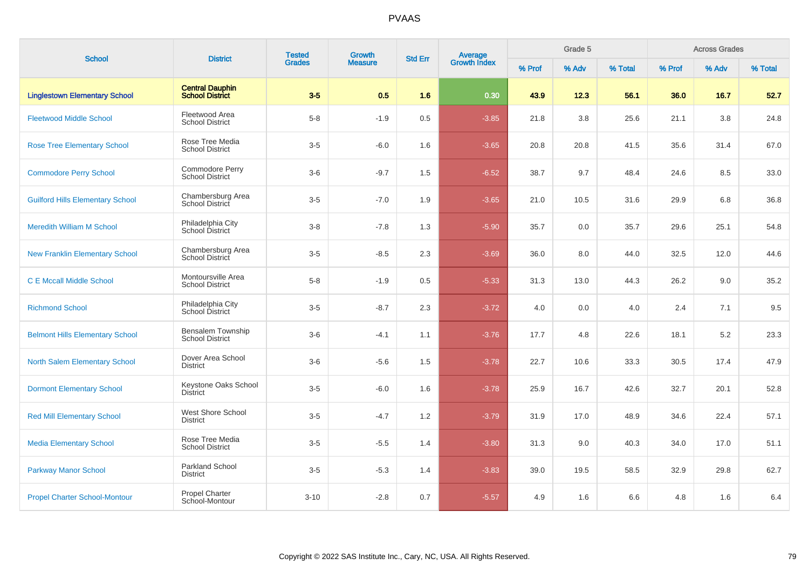| <b>School</b>                           | <b>District</b>                                    | <b>Tested</b> | Growth         | <b>Std Err</b> | Average<br>Growth Index |        | Grade 5 |         |        | <b>Across Grades</b> |         |
|-----------------------------------------|----------------------------------------------------|---------------|----------------|----------------|-------------------------|--------|---------|---------|--------|----------------------|---------|
|                                         |                                                    | <b>Grades</b> | <b>Measure</b> |                |                         | % Prof | % Adv   | % Total | % Prof | % Adv                | % Total |
| <b>Linglestown Elementary School</b>    | <b>Central Dauphin</b><br><b>School District</b>   | $3-5$         | 0.5            | 1.6            | 0.30                    | 43.9   | 12.3    | 56.1    | 36.0   | 16.7                 | 52.7    |
| <b>Fleetwood Middle School</b>          | Fleetwood Area<br><b>School District</b>           | $5-8$         | $-1.9$         | 0.5            | $-3.85$                 | 21.8   | 3.8     | 25.6    | 21.1   | 3.8                  | 24.8    |
| <b>Rose Tree Elementary School</b>      | Rose Tree Media<br><b>School District</b>          | $3-5$         | $-6.0$         | 1.6            | $-3.65$                 | 20.8   | 20.8    | 41.5    | 35.6   | 31.4                 | 67.0    |
| <b>Commodore Perry School</b>           | Commodore Perry<br><b>School District</b>          | $3-6$         | $-9.7$         | 1.5            | $-6.52$                 | 38.7   | 9.7     | 48.4    | 24.6   | 8.5                  | 33.0    |
| <b>Guilford Hills Elementary School</b> | Chambersburg Area<br>School District               | $3-5$         | $-7.0$         | 1.9            | $-3.65$                 | 21.0   | 10.5    | 31.6    | 29.9   | 6.8                  | 36.8    |
| <b>Meredith William M School</b>        | Philadelphia City<br>School District               | $3-8$         | $-7.8$         | 1.3            | $-5.90$                 | 35.7   | 0.0     | 35.7    | 29.6   | 25.1                 | 54.8    |
| <b>New Franklin Elementary School</b>   | Chambersburg Area<br>School District               | $3-5$         | $-8.5$         | 2.3            | $-3.69$                 | 36.0   | 8.0     | 44.0    | 32.5   | 12.0                 | 44.6    |
| <b>C E Mccall Middle School</b>         | Montoursville Area<br><b>School District</b>       | $5-8$         | $-1.9$         | 0.5            | $-5.33$                 | 31.3   | 13.0    | 44.3    | 26.2   | 9.0                  | 35.2    |
| <b>Richmond School</b>                  | Philadelphia City<br>School District               | $3-5$         | $-8.7$         | 2.3            | $-3.72$                 | 4.0    | 0.0     | 4.0     | 2.4    | 7.1                  | 9.5     |
| <b>Belmont Hills Elementary School</b>  | <b>Bensalem Township</b><br><b>School District</b> | $3-6$         | $-4.1$         | 1.1            | $-3.76$                 | 17.7   | 4.8     | 22.6    | 18.1   | 5.2                  | 23.3    |
| <b>North Salem Elementary School</b>    | Dover Area School<br><b>District</b>               | $3-6$         | $-5.6$         | 1.5            | $-3.78$                 | 22.7   | 10.6    | 33.3    | 30.5   | 17.4                 | 47.9    |
| <b>Dormont Elementary School</b>        | Keystone Oaks School<br><b>District</b>            | $3-5$         | $-6.0$         | 1.6            | $-3.78$                 | 25.9   | 16.7    | 42.6    | 32.7   | 20.1                 | 52.8    |
| <b>Red Mill Elementary School</b>       | West Shore School<br><b>District</b>               | $3-5$         | $-4.7$         | 1.2            | $-3.79$                 | 31.9   | 17.0    | 48.9    | 34.6   | 22.4                 | 57.1    |
| <b>Media Elementary School</b>          | Rose Tree Media<br><b>School District</b>          | $3-5$         | $-5.5$         | 1.4            | $-3.80$                 | 31.3   | 9.0     | 40.3    | 34.0   | 17.0                 | 51.1    |
| <b>Parkway Manor School</b>             | <b>Parkland School</b><br><b>District</b>          | $3-5$         | $-5.3$         | 1.4            | $-3.83$                 | 39.0   | 19.5    | 58.5    | 32.9   | 29.8                 | 62.7    |
| <b>Propel Charter School-Montour</b>    | Propel Charter<br>School-Montour                   | $3 - 10$      | $-2.8$         | 0.7            | $-5.57$                 | 4.9    | 1.6     | 6.6     | 4.8    | 1.6                  | 6.4     |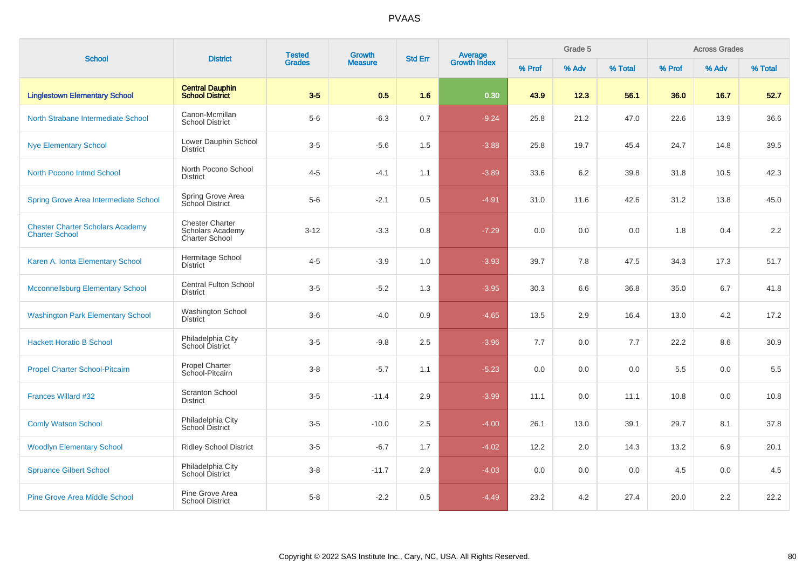| <b>School</b>                                                    | <b>District</b>                                                            | <b>Tested</b><br><b>Grades</b> | Growth         | <b>Std Err</b> |                         |        | Grade 5 |         |         | <b>Across Grades</b> |         |
|------------------------------------------------------------------|----------------------------------------------------------------------------|--------------------------------|----------------|----------------|-------------------------|--------|---------|---------|---------|----------------------|---------|
|                                                                  |                                                                            |                                | <b>Measure</b> |                | Average<br>Growth Index | % Prof | % Adv   | % Total | % Prof  | % Adv                | % Total |
| <b>Linglestown Elementary School</b>                             | <b>Central Dauphin</b><br><b>School District</b>                           | $3-5$                          | 0.5            | 1.6            | 0.30                    | 43.9   | 12.3    | 56.1    | 36.0    | 16.7                 | 52.7    |
| North Strabane Intermediate School                               | Canon-Mcmillan<br><b>School District</b>                                   | $5-6$                          | $-6.3$         | 0.7            | $-9.24$                 | 25.8   | 21.2    | 47.0    | 22.6    | 13.9                 | 36.6    |
| <b>Nye Elementary School</b>                                     | Lower Dauphin School<br><b>District</b>                                    | $3-5$                          | $-5.6$         | 1.5            | $-3.88$                 | 25.8   | 19.7    | 45.4    | 24.7    | 14.8                 | 39.5    |
| <b>North Pocono Intmd School</b>                                 | North Pocono School<br><b>District</b>                                     | $4 - 5$                        | $-4.1$         | 1.1            | $-3.89$                 | 33.6   | 6.2     | 39.8    | 31.8    | 10.5                 | 42.3    |
| <b>Spring Grove Area Intermediate School</b>                     | Spring Grove Area<br>School District                                       | $5-6$                          | $-2.1$         | 0.5            | $-4.91$                 | 31.0   | 11.6    | 42.6    | 31.2    | 13.8                 | 45.0    |
| <b>Chester Charter Scholars Academy</b><br><b>Charter School</b> | <b>Chester Charter</b><br><b>Scholars Academy</b><br><b>Charter School</b> | $3 - 12$                       | $-3.3$         | 0.8            | $-7.29$                 | 0.0    | 0.0     | 0.0     | 1.8     | 0.4                  | 2.2     |
| Karen A. Ionta Elementary School                                 | Hermitage School<br><b>District</b>                                        | $4 - 5$                        | $-3.9$         | 1.0            | $-3.93$                 | 39.7   | 7.8     | 47.5    | 34.3    | 17.3                 | 51.7    |
| <b>Mcconnellsburg Elementary School</b>                          | <b>Central Fulton School</b><br><b>District</b>                            | $3-5$                          | $-5.2$         | 1.3            | $-3.95$                 | 30.3   | 6.6     | 36.8    | 35.0    | 6.7                  | 41.8    |
| <b>Washington Park Elementary School</b>                         | Washington School<br><b>District</b>                                       | $3-6$                          | $-4.0$         | 0.9            | $-4.65$                 | 13.5   | 2.9     | 16.4    | 13.0    | 4.2                  | 17.2    |
| <b>Hackett Horatio B School</b>                                  | Philadelphia City<br><b>School District</b>                                | $3-5$                          | $-9.8$         | 2.5            | $-3.96$                 | 7.7    | 0.0     | 7.7     | 22.2    | 8.6                  | 30.9    |
| <b>Propel Charter School-Pitcairn</b>                            | <b>Propel Charter</b><br>School-Pitcairn                                   | $3-8$                          | $-5.7$         | 1.1            | $-5.23$                 | 0.0    | 0.0     | 0.0     | $5.5\,$ | 0.0                  | 5.5     |
| Frances Willard #32                                              | <b>Scranton School</b><br><b>District</b>                                  | $3-5$                          | $-11.4$        | 2.9            | $-3.99$                 | 11.1   | 0.0     | 11.1    | 10.8    | 0.0                  | 10.8    |
| <b>Comly Watson School</b>                                       | Philadelphia City<br>School District                                       | $3-5$                          | $-10.0$        | 2.5            | $-4.00$                 | 26.1   | 13.0    | 39.1    | 29.7    | 8.1                  | 37.8    |
| <b>Woodlyn Elementary School</b>                                 | <b>Ridley School District</b>                                              | $3-5$                          | $-6.7$         | 1.7            | $-4.02$                 | 12.2   | 2.0     | 14.3    | 13.2    | 6.9                  | 20.1    |
| <b>Spruance Gilbert School</b>                                   | Philadelphia City<br>School District                                       | $3-8$                          | $-11.7$        | 2.9            | $-4.03$                 | 0.0    | 0.0     | 0.0     | 4.5     | 0.0                  | 4.5     |
| <b>Pine Grove Area Middle School</b>                             | Pine Grove Area<br><b>School District</b>                                  | $5-8$                          | $-2.2$         | 0.5            | $-4.49$                 | 23.2   | 4.2     | 27.4    | 20.0    | 2.2                  | 22.2    |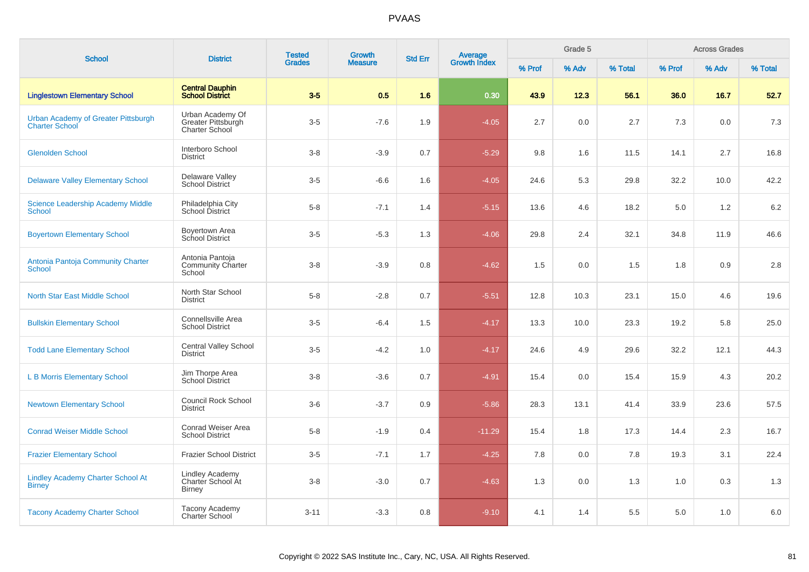| <b>School</b>                                                | <b>District</b>                                                 | <b>Tested</b> | <b>Growth</b>  | <b>Std Err</b> |                         |        | Grade 5 |         |        | <b>Across Grades</b> |         |
|--------------------------------------------------------------|-----------------------------------------------------------------|---------------|----------------|----------------|-------------------------|--------|---------|---------|--------|----------------------|---------|
|                                                              |                                                                 | <b>Grades</b> | <b>Measure</b> |                | Average<br>Growth Index | % Prof | % Adv   | % Total | % Prof | % Adv                | % Total |
| <b>Linglestown Elementary School</b>                         | <b>Central Dauphin</b><br><b>School District</b>                | $3-5$         | 0.5            | 1.6            | 0.30                    | 43.9   | 12.3    | 56.1    | 36.0   | 16.7                 | 52.7    |
| Urban Academy of Greater Pittsburgh<br><b>Charter School</b> | Urban Academy Of<br>Greater Pittsburgh<br><b>Charter School</b> | $3 - 5$       | $-7.6$         | 1.9            | $-4.05$                 | 2.7    | 0.0     | 2.7     | 7.3    | 0.0                  | 7.3     |
| <b>Glenolden School</b>                                      | Interboro School<br><b>District</b>                             | $3 - 8$       | $-3.9$         | 0.7            | $-5.29$                 | 9.8    | 1.6     | 11.5    | 14.1   | 2.7                  | 16.8    |
| <b>Delaware Valley Elementary School</b>                     | Delaware Valley<br><b>School District</b>                       | $3-5$         | $-6.6$         | 1.6            | $-4.05$                 | 24.6   | 5.3     | 29.8    | 32.2   | 10.0                 | 42.2    |
| <b>Science Leadership Academy Middle</b><br><b>School</b>    | Philadelphia City<br>School District                            | $5 - 8$       | $-7.1$         | 1.4            | $-5.15$                 | 13.6   | 4.6     | 18.2    | 5.0    | 1.2                  | 6.2     |
| <b>Boyertown Elementary School</b>                           | Boyertown Area<br>School District                               | $3-5$         | $-5.3$         | 1.3            | $-4.06$                 | 29.8   | 2.4     | 32.1    | 34.8   | 11.9                 | 46.6    |
| Antonia Pantoja Community Charter<br><b>School</b>           | Antonia Pantoja<br><b>Community Charter</b><br>School           | $3 - 8$       | $-3.9$         | 0.8            | $-4.62$                 | 1.5    | 0.0     | 1.5     | 1.8    | 0.9                  | 2.8     |
| <b>North Star East Middle School</b>                         | North Star School<br><b>District</b>                            | $5 - 8$       | $-2.8$         | 0.7            | $-5.51$                 | 12.8   | 10.3    | 23.1    | 15.0   | 4.6                  | 19.6    |
| <b>Bullskin Elementary School</b>                            | Connellsville Area<br><b>School District</b>                    | $3-5$         | $-6.4$         | 1.5            | $-4.17$                 | 13.3   | 10.0    | 23.3    | 19.2   | 5.8                  | 25.0    |
| <b>Todd Lane Elementary School</b>                           | <b>Central Valley School</b><br><b>District</b>                 | $3-5$         | $-4.2$         | 1.0            | $-4.17$                 | 24.6   | 4.9     | 29.6    | 32.2   | 12.1                 | 44.3    |
| <b>L B Morris Elementary School</b>                          | Jim Thorpe Area<br><b>School District</b>                       | $3 - 8$       | $-3.6$         | 0.7            | $-4.91$                 | 15.4   | 0.0     | 15.4    | 15.9   | 4.3                  | 20.2    |
| <b>Newtown Elementary School</b>                             | <b>Council Rock School</b><br><b>District</b>                   | $3-6$         | $-3.7$         | 0.9            | $-5.86$                 | 28.3   | 13.1    | 41.4    | 33.9   | 23.6                 | 57.5    |
| <b>Conrad Weiser Middle School</b>                           | Conrad Weiser Area<br><b>School District</b>                    | $5-8$         | $-1.9$         | 0.4            | $-11.29$                | 15.4   | 1.8     | 17.3    | 14.4   | 2.3                  | 16.7    |
| <b>Frazier Elementary School</b>                             | <b>Frazier School District</b>                                  | $3-5$         | $-7.1$         | 1.7            | $-4.25$                 | 7.8    | 0.0     | 7.8     | 19.3   | 3.1                  | 22.4    |
| <b>Lindley Academy Charter School At</b><br><b>Birney</b>    | <b>Lindley Academy</b><br>Charter School At<br><b>Birney</b>    | $3 - 8$       | $-3.0$         | 0.7            | $-4.63$                 | 1.3    | 0.0     | 1.3     | 1.0    | 0.3                  | 1.3     |
| <b>Tacony Academy Charter School</b>                         | Tacony Academy<br><b>Charter School</b>                         | $3 - 11$      | $-3.3$         | 0.8            | $-9.10$                 | 4.1    | 1.4     | 5.5     | 5.0    | 1.0                  | 6.0     |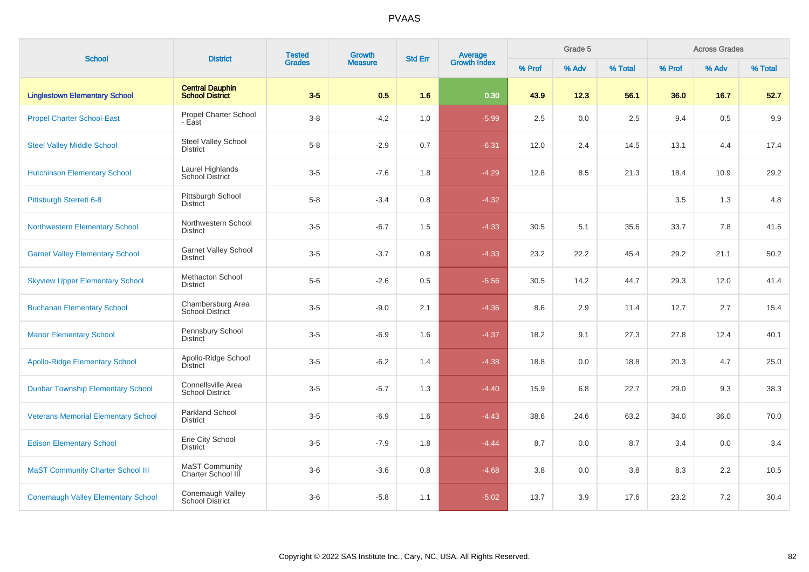| <b>School</b>                              | <b>District</b>                                  | <b>Tested</b><br><b>Grades</b> | Growth         | <b>Std Err</b> |                                |         | Grade 5 |         |         | <b>Across Grades</b> |         |
|--------------------------------------------|--------------------------------------------------|--------------------------------|----------------|----------------|--------------------------------|---------|---------|---------|---------|----------------------|---------|
|                                            |                                                  |                                | <b>Measure</b> |                | <b>Average</b><br>Growth Index | % Prof  | % Adv   | % Total | % Prof  | % Adv                | % Total |
| <b>Linglestown Elementary School</b>       | <b>Central Dauphin</b><br><b>School District</b> | $3-5$                          | 0.5            | 1.6            | 0.30                           | 43.9    | 12.3    | 56.1    | 36.0    | 16.7                 | 52.7    |
| <b>Propel Charter School-East</b>          | Propel Charter School<br>- East                  | $3-8$                          | $-4.2$         | 1.0            | $-5.99$                        | 2.5     | 0.0     | 2.5     | 9.4     | 0.5                  | 9.9     |
| <b>Steel Valley Middle School</b>          | Steel Valley School<br><b>District</b>           | $5-8$                          | $-2.9$         | 0.7            | $-6.31$                        | 12.0    | 2.4     | 14.5    | 13.1    | 4.4                  | 17.4    |
| <b>Hutchinson Elementary School</b>        | Laurel Highlands<br>School District              | $3-5$                          | $-7.6$         | 1.8            | $-4.29$                        | 12.8    | 8.5     | 21.3    | 18.4    | 10.9                 | 29.2    |
| Pittsburgh Sterrett 6-8                    | Pittsburgh School<br><b>District</b>             | $5-8$                          | $-3.4$         | 0.8            | $-4.32$                        |         |         |         | $3.5\,$ | 1.3                  | 4.8     |
| <b>Northwestern Elementary School</b>      | Northwestern School<br><b>District</b>           | $3-5$                          | $-6.7$         | 1.5            | $-4.33$                        | 30.5    | 5.1     | 35.6    | 33.7    | 7.8                  | 41.6    |
| <b>Garnet Valley Elementary School</b>     | Garnet Valley School<br><b>District</b>          | $3-5$                          | $-3.7$         | 0.8            | $-4.33$                        | 23.2    | 22.2    | 45.4    | 29.2    | 21.1                 | 50.2    |
| <b>Skyview Upper Elementary School</b>     | Methacton School<br><b>District</b>              | $5-6$                          | $-2.6$         | 0.5            | $-5.56$                        | 30.5    | 14.2    | 44.7    | 29.3    | 12.0                 | 41.4    |
| <b>Buchanan Elementary School</b>          | Chambersburg Area<br><b>School District</b>      | $3-5$                          | $-9.0$         | 2.1            | $-4.36$                        | 8.6     | 2.9     | 11.4    | 12.7    | 2.7                  | 15.4    |
| <b>Manor Elementary School</b>             | Pennsbury School<br><b>District</b>              | $3-5$                          | $-6.9$         | 1.6            | $-4.37$                        | 18.2    | 9.1     | 27.3    | 27.8    | 12.4                 | 40.1    |
| <b>Apollo-Ridge Elementary School</b>      | Apollo-Ridge School<br><b>District</b>           | $3-5$                          | $-6.2$         | 1.4            | $-4.38$                        | 18.8    | 0.0     | 18.8    | 20.3    | 4.7                  | 25.0    |
| <b>Dunbar Township Elementary School</b>   | Connellsville Area<br><b>School District</b>     | $3-5$                          | $-5.7$         | 1.3            | $-4.40$                        | 15.9    | 6.8     | 22.7    | 29.0    | 9.3                  | 38.3    |
| <b>Veterans Memorial Elementary School</b> | Parkland School<br><b>District</b>               | $3-5$                          | $-6.9$         | 1.6            | $-4.43$                        | 38.6    | 24.6    | 63.2    | 34.0    | 36.0                 | 70.0    |
| <b>Edison Elementary School</b>            | Erie City School<br><b>District</b>              | $3-5$                          | $-7.9$         | 1.8            | $-4.44$                        | 8.7     | 0.0     | 8.7     | 3.4     | 0.0                  | 3.4     |
| <b>MaST Community Charter School III</b>   | <b>MaST Community</b><br>Charter School III      | $3-6$                          | $-3.6$         | $0.8\,$        | $-4.68$                        | $3.8\,$ | 0.0     | 3.8     | 8.3     | 2.2                  | 10.5    |
| <b>Conemaugh Valley Elementary School</b>  | Conemaugh Valley<br>School District              | $3-6$                          | $-5.8$         | 1.1            | $-5.02$                        | 13.7    | 3.9     | 17.6    | 23.2    | 7.2                  | 30.4    |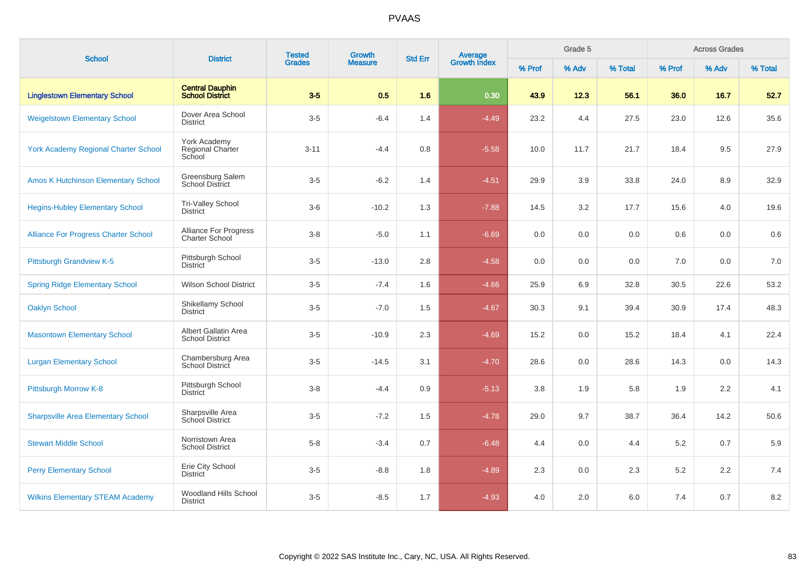| <b>School</b>                               | <b>District</b>                                       | <b>Tested</b> | Growth         | <b>Std Err</b> |                                |        | Grade 5 |         |         | <b>Across Grades</b> |         |
|---------------------------------------------|-------------------------------------------------------|---------------|----------------|----------------|--------------------------------|--------|---------|---------|---------|----------------------|---------|
|                                             |                                                       | <b>Grades</b> | <b>Measure</b> |                | <b>Average</b><br>Growth Index | % Prof | % Adv   | % Total | % Prof  | % Adv                | % Total |
| <b>Linglestown Elementary School</b>        | <b>Central Dauphin</b><br><b>School District</b>      | $3-5$         | 0.5            | 1.6            | 0.30                           | 43.9   | 12.3    | 56.1    | 36.0    | 16.7                 | 52.7    |
| <b>Weigelstown Elementary School</b>        | Dover Area School<br>District                         | $3-5$         | $-6.4$         | 1.4            | $-4.49$                        | 23.2   | 4.4     | 27.5    | 23.0    | 12.6                 | 35.6    |
| <b>York Academy Regional Charter School</b> | York Academy<br>Regional Charter<br>School            | $3 - 11$      | $-4.4$         | 0.8            | $-5.58$                        | 10.0   | 11.7    | 21.7    | 18.4    | 9.5                  | 27.9    |
| <b>Amos K Hutchinson Elementary School</b>  | Greensburg Salem<br><b>School District</b>            | $3-5$         | $-6.2$         | 1.4            | $-4.51$                        | 29.9   | 3.9     | 33.8    | 24.0    | 8.9                  | 32.9    |
| <b>Hegins-Hubley Elementary School</b>      | Tri-Valley School<br><b>District</b>                  | $3-6$         | $-10.2$        | 1.3            | $-7.88$                        | 14.5   | 3.2     | 17.7    | 15.6    | 4.0                  | 19.6    |
| <b>Alliance For Progress Charter School</b> | <b>Alliance For Progress</b><br><b>Charter School</b> | $3-8$         | $-5.0$         | 1.1            | $-6.69$                        | 0.0    | 0.0     | 0.0     | 0.6     | 0.0                  | 0.6     |
| <b>Pittsburgh Grandview K-5</b>             | Pittsburgh School<br><b>District</b>                  | $3-5$         | $-13.0$        | 2.8            | $-4.58$                        | 0.0    | 0.0     | 0.0     | 7.0     | 0.0                  | 7.0     |
| <b>Spring Ridge Elementary School</b>       | <b>Wilson School District</b>                         | $3-5$         | $-7.4$         | 1.6            | $-4.66$                        | 25.9   | 6.9     | 32.8    | 30.5    | 22.6                 | 53.2    |
| <b>Oaklyn School</b>                        | Shikellamy School<br>District                         | $3-5$         | $-7.0$         | 1.5            | $-4.67$                        | 30.3   | 9.1     | 39.4    | 30.9    | 17.4                 | 48.3    |
| <b>Masontown Elementary School</b>          | Albert Gallatin Area<br><b>School District</b>        | $3-5$         | $-10.9$        | 2.3            | $-4.69$                        | 15.2   | 0.0     | 15.2    | 18.4    | 4.1                  | 22.4    |
| <b>Lurgan Elementary School</b>             | Chambersburg Area<br><b>School District</b>           | $3-5$         | $-14.5$        | 3.1            | $-4.70$                        | 28.6   | 0.0     | 28.6    | 14.3    | 0.0                  | 14.3    |
| Pittsburgh Morrow K-8                       | Pittsburgh School<br><b>District</b>                  | $3 - 8$       | $-4.4$         | 0.9            | $-5.13$                        | 3.8    | 1.9     | 5.8     | 1.9     | 2.2                  | 4.1     |
| <b>Sharpsville Area Elementary School</b>   | Sharpsville Area<br>School District                   | $3-5$         | $-7.2$         | 1.5            | $-4.78$                        | 29.0   | 9.7     | 38.7    | 36.4    | 14.2                 | 50.6    |
| <b>Stewart Middle School</b>                | Norristown Area<br><b>School District</b>             | $5 - 8$       | $-3.4$         | 0.7            | $-6.48$                        | 4.4    | 0.0     | 4.4     | $5.2\,$ | 0.7                  | 5.9     |
| <b>Perry Elementary School</b>              | Erie City School<br><b>District</b>                   | $3-5$         | $-8.8$         | 1.8            | $-4.89$                        | 2.3    | 0.0     | 2.3     | $5.2\,$ | 2.2                  | 7.4     |
| <b>Wilkins Elementary STEAM Academy</b>     | Woodland Hills School<br><b>District</b>              | $3-5$         | $-8.5$         | 1.7            | $-4.93$                        | 4.0    | 2.0     | 6.0     | 7.4     | 0.7                  | 8.2     |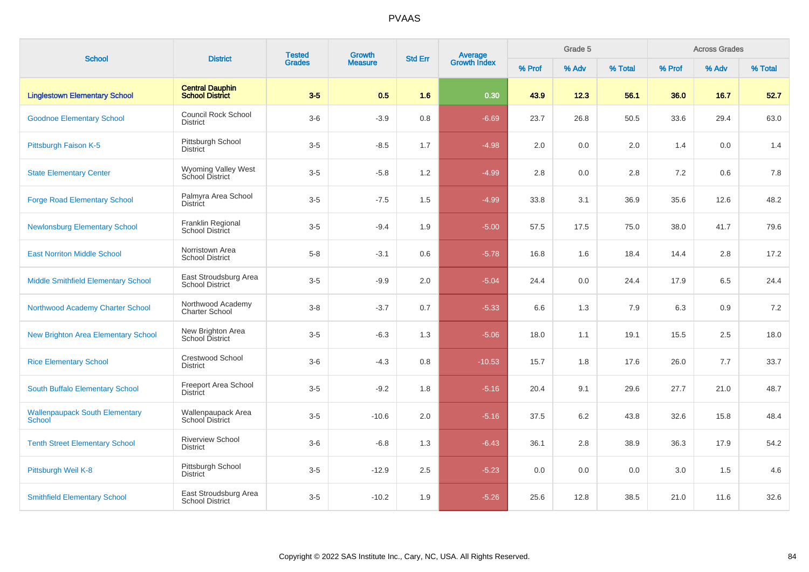| <b>School</b>                                   | <b>District</b>                                  | <b>Tested</b><br><b>Grades</b> | Growth         | <b>Std Err</b> |                                |        | Grade 5 |         |        | <b>Across Grades</b> |         |
|-------------------------------------------------|--------------------------------------------------|--------------------------------|----------------|----------------|--------------------------------|--------|---------|---------|--------|----------------------|---------|
|                                                 |                                                  |                                | <b>Measure</b> |                | <b>Average</b><br>Growth Index | % Prof | % Adv   | % Total | % Prof | % Adv                | % Total |
| <b>Linglestown Elementary School</b>            | <b>Central Dauphin</b><br><b>School District</b> | $3-5$                          | 0.5            | 1.6            | 0.30                           | 43.9   | 12.3    | 56.1    | 36.0   | 16.7                 | 52.7    |
| <b>Goodnoe Elementary School</b>                | <b>Council Rock School</b><br><b>District</b>    | $3-6$                          | $-3.9$         | 0.8            | $-6.69$                        | 23.7   | 26.8    | 50.5    | 33.6   | 29.4                 | 63.0    |
| Pittsburgh Faison K-5                           | Pittsburgh School<br><b>District</b>             | $3-5$                          | $-8.5$         | 1.7            | $-4.98$                        | 2.0    | 0.0     | 2.0     | 1.4    | 0.0                  | 1.4     |
| <b>State Elementary Center</b>                  | <b>Wyoming Valley West</b><br>School District    | $3-5$                          | $-5.8$         | 1.2            | $-4.99$                        | 2.8    | 0.0     | 2.8     | 7.2    | 0.6                  | 7.8     |
| <b>Forge Road Elementary School</b>             | Palmyra Area School<br>District                  | $3-5$                          | $-7.5$         | 1.5            | $-4.99$                        | 33.8   | 3.1     | 36.9    | 35.6   | 12.6                 | 48.2    |
| <b>Newlonsburg Elementary School</b>            | Franklin Regional<br><b>School District</b>      | $3-5$                          | $-9.4$         | 1.9            | $-5.00$                        | 57.5   | 17.5    | 75.0    | 38.0   | 41.7                 | 79.6    |
| <b>East Norriton Middle School</b>              | Norristown Area<br><b>School District</b>        | $5 - 8$                        | $-3.1$         | 0.6            | $-5.78$                        | 16.8   | 1.6     | 18.4    | 14.4   | 2.8                  | 17.2    |
| <b>Middle Smithfield Elementary School</b>      | East Stroudsburg Area<br><b>School District</b>  | $3-5$                          | $-9.9$         | 2.0            | $-5.04$                        | 24.4   | 0.0     | 24.4    | 17.9   | 6.5                  | 24.4    |
| Northwood Academy Charter School                | Northwood Academy<br><b>Charter School</b>       | $3 - 8$                        | $-3.7$         | 0.7            | $-5.33$                        | 6.6    | 1.3     | 7.9     | 6.3    | 0.9                  | 7.2     |
| New Brighton Area Elementary School             | New Brighton Area<br>School District             | $3-5$                          | $-6.3$         | 1.3            | $-5.06$                        | 18.0   | 1.1     | 19.1    | 15.5   | 2.5                  | 18.0    |
| <b>Rice Elementary School</b>                   | Crestwood School<br><b>District</b>              | $3-6$                          | $-4.3$         | 0.8            | $-10.53$                       | 15.7   | 1.8     | 17.6    | 26.0   | 7.7                  | 33.7    |
| South Buffalo Elementary School                 | Freeport Area School<br><b>District</b>          | $3-5$                          | $-9.2$         | 1.8            | $-5.16$                        | 20.4   | 9.1     | 29.6    | 27.7   | 21.0                 | 48.7    |
| <b>Wallenpaupack South Elementary</b><br>School | Wallenpaupack Area<br>School District            | $3-5$                          | $-10.6$        | 2.0            | $-5.16$                        | 37.5   | 6.2     | 43.8    | 32.6   | 15.8                 | 48.4    |
| <b>Tenth Street Elementary School</b>           | <b>Riverview School</b><br><b>District</b>       | $3-6$                          | $-6.8$         | 1.3            | $-6.43$                        | 36.1   | 2.8     | 38.9    | 36.3   | 17.9                 | 54.2    |
| Pittsburgh Weil K-8                             | Pittsburgh School<br>District                    | $3-5$                          | $-12.9$        | 2.5            | $-5.23$                        | 0.0    | 0.0     | 0.0     | 3.0    | 1.5                  | 4.6     |
| <b>Smithfield Elementary School</b>             | East Stroudsburg Area<br><b>School District</b>  | $3-5$                          | $-10.2$        | 1.9            | $-5.26$                        | 25.6   | 12.8    | 38.5    | 21.0   | 11.6                 | 32.6    |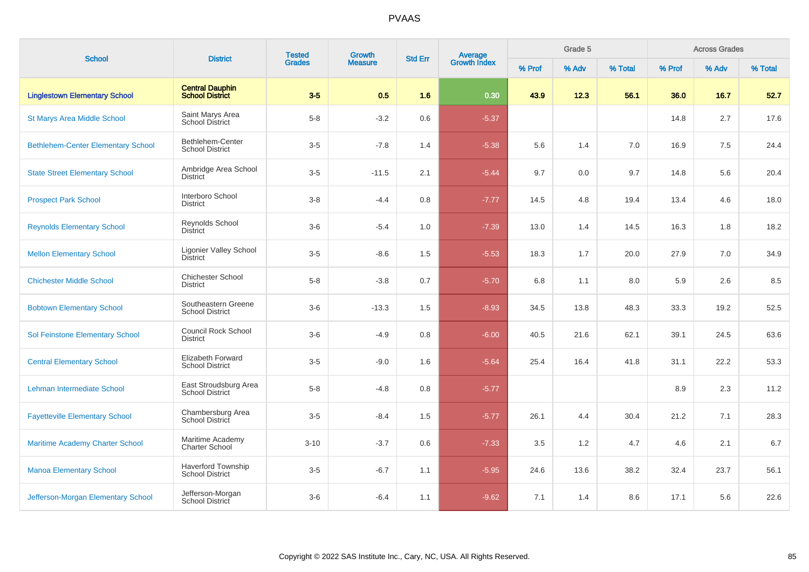| <b>School</b>                             | <b>District</b>                                     | <b>Tested</b> | Growth         | <b>Std Err</b> | Average<br>Growth Index |        | Grade 5 |         | <b>Across Grades</b> |       |         |  |
|-------------------------------------------|-----------------------------------------------------|---------------|----------------|----------------|-------------------------|--------|---------|---------|----------------------|-------|---------|--|
|                                           |                                                     | <b>Grades</b> | <b>Measure</b> |                |                         | % Prof | % Adv   | % Total | % Prof               | % Adv | % Total |  |
| <b>Linglestown Elementary School</b>      | <b>Central Dauphin</b><br><b>School District</b>    | $3-5$         | 0.5            | 1.6            | 0.30                    | 43.9   | 12.3    | 56.1    | 36.0                 | 16.7  | 52.7    |  |
| <b>St Marys Area Middle School</b>        | Saint Marys Area<br><b>School District</b>          | $5-8$         | $-3.2$         | 0.6            | $-5.37$                 |        |         |         | 14.8                 | 2.7   | 17.6    |  |
| <b>Bethlehem-Center Elementary School</b> | Bethlehem-Center<br><b>School District</b>          | $3-5$         | $-7.8$         | 1.4            | $-5.38$                 | 5.6    | 1.4     | 7.0     | 16.9                 | 7.5   | 24.4    |  |
| <b>State Street Elementary School</b>     | Ambridge Area School<br><b>District</b>             | $3-5$         | $-11.5$        | 2.1            | $-5.44$                 | 9.7    | 0.0     | 9.7     | 14.8                 | 5.6   | 20.4    |  |
| <b>Prospect Park School</b>               | Interboro School<br><b>District</b>                 | $3-8$         | $-4.4$         | 0.8            | $-7.77$                 | 14.5   | 4.8     | 19.4    | 13.4                 | 4.6   | 18.0    |  |
| <b>Reynolds Elementary School</b>         | Reynolds School<br><b>District</b>                  | $3-6$         | $-5.4$         | 1.0            | $-7.39$                 | 13.0   | 1.4     | 14.5    | 16.3                 | 1.8   | 18.2    |  |
| <b>Mellon Elementary School</b>           | Ligonier Valley School<br><b>District</b>           | $3-5$         | $-8.6$         | 1.5            | $-5.53$                 | 18.3   | 1.7     | 20.0    | 27.9                 | 7.0   | 34.9    |  |
| <b>Chichester Middle School</b>           | <b>Chichester School</b><br><b>District</b>         | $5-8$         | $-3.8$         | 0.7            | $-5.70$                 | 6.8    | 1.1     | 8.0     | 5.9                  | 2.6   | 8.5     |  |
| <b>Bobtown Elementary School</b>          | Southeastern Greene<br><b>School District</b>       | $3-6$         | $-13.3$        | 1.5            | $-8.93$                 | 34.5   | 13.8    | 48.3    | 33.3                 | 19.2  | 52.5    |  |
| Sol Feinstone Elementary School           | <b>Council Rock School</b><br><b>District</b>       | $3-6$         | $-4.9$         | 0.8            | $-6.00$                 | 40.5   | 21.6    | 62.1    | 39.1                 | 24.5  | 63.6    |  |
| <b>Central Elementary School</b>          | Elizabeth Forward<br><b>School District</b>         | $3-5$         | $-9.0$         | 1.6            | $-5.64$                 | 25.4   | 16.4    | 41.8    | 31.1                 | 22.2  | 53.3    |  |
| Lehman Intermediate School                | East Stroudsburg Area<br><b>School District</b>     | $5-8$         | $-4.8$         | 0.8            | $-5.77$                 |        |         |         | 8.9                  | 2.3   | 11.2    |  |
| <b>Fayetteville Elementary School</b>     | Chambersburg Area<br>School District                | $3-5$         | $-8.4$         | 1.5            | $-5.77$                 | 26.1   | 4.4     | 30.4    | 21.2                 | 7.1   | 28.3    |  |
| <b>Maritime Academy Charter School</b>    | Maritime Academy<br><b>Charter School</b>           | $3 - 10$      | $-3.7$         | 0.6            | $-7.33$                 | 3.5    | 1.2     | 4.7     | 4.6                  | 2.1   | 6.7     |  |
| <b>Manoa Elementary School</b>            | <b>Haverford Township</b><br><b>School District</b> | $3-5$         | $-6.7$         | 1.1            | $-5.95$                 | 24.6   | 13.6    | 38.2    | 32.4                 | 23.7  | 56.1    |  |
| Jefferson-Morgan Elementary School        | Jefferson-Morgan<br>School District                 | $3-6$         | $-6.4$         | 1.1            | $-9.62$                 | 7.1    | 1.4     | 8.6     | 17.1                 | 5.6   | 22.6    |  |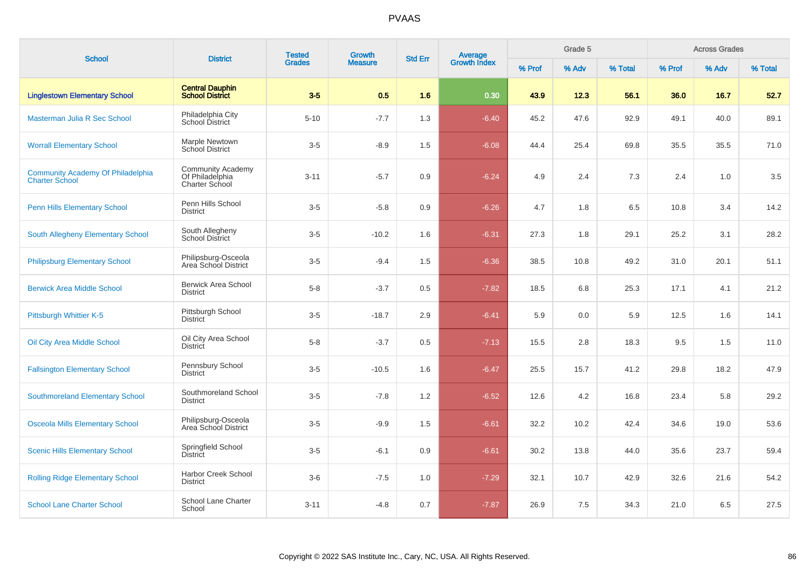| <b>School</b>                                                     | <b>District</b>                                                      | <b>Tested</b> | Growth         | <b>Std Err</b> |                                |        | Grade 5 |         | <b>Across Grades</b> |       |         |  |
|-------------------------------------------------------------------|----------------------------------------------------------------------|---------------|----------------|----------------|--------------------------------|--------|---------|---------|----------------------|-------|---------|--|
|                                                                   |                                                                      | <b>Grades</b> | <b>Measure</b> |                | <b>Average</b><br>Growth Index | % Prof | % Adv   | % Total | % Prof               | % Adv | % Total |  |
| <b>Linglestown Elementary School</b>                              | <b>Central Dauphin</b><br><b>School District</b>                     | $3 - 5$       | 0.5            | 1.6            | 0.30                           | 43.9   | 12.3    | 56.1    | 36.0                 | 16.7  | 52.7    |  |
| Masterman Julia R Sec School                                      | Philadelphia City<br>School District                                 | $5 - 10$      | $-7.7$         | 1.3            | $-6.40$                        | 45.2   | 47.6    | 92.9    | 49.1                 | 40.0  | 89.1    |  |
| <b>Worrall Elementary School</b>                                  | Marple Newtown<br>School District                                    | $3-5$         | $-8.9$         | 1.5            | $-6.08$                        | 44.4   | 25.4    | 69.8    | 35.5                 | 35.5  | 71.0    |  |
| <b>Community Academy Of Philadelphia</b><br><b>Charter School</b> | <b>Community Academy</b><br>Of Philadelphia<br><b>Charter School</b> | $3 - 11$      | $-5.7$         | 0.9            | $-6.24$                        | 4.9    | 2.4     | 7.3     | 2.4                  | 1.0   | 3.5     |  |
| <b>Penn Hills Elementary School</b>                               | Penn Hills School<br><b>District</b>                                 | $3-5$         | $-5.8$         | 0.9            | $-6.26$                        | 4.7    | 1.8     | 6.5     | 10.8                 | 3.4   | 14.2    |  |
| <b>South Allegheny Elementary School</b>                          | South Allegheny<br><b>School District</b>                            | $3-5$         | $-10.2$        | 1.6            | $-6.31$                        | 27.3   | 1.8     | 29.1    | 25.2                 | 3.1   | 28.2    |  |
| <b>Philipsburg Elementary School</b>                              | Philipsburg-Osceola<br>Area School District                          | $3-5$         | $-9.4$         | 1.5            | $-6.36$                        | 38.5   | 10.8    | 49.2    | 31.0                 | 20.1  | 51.1    |  |
| <b>Berwick Area Middle School</b>                                 | <b>Berwick Area School</b><br><b>District</b>                        | $5-8$         | $-3.7$         | 0.5            | $-7.82$                        | 18.5   | 6.8     | 25.3    | 17.1                 | 4.1   | 21.2    |  |
| Pittsburgh Whittier K-5                                           | Pittsburgh School<br><b>District</b>                                 | $3-5$         | $-18.7$        | 2.9            | $-6.41$                        | 5.9    | 0.0     | 5.9     | 12.5                 | 1.6   | 14.1    |  |
| Oil City Area Middle School                                       | Oil City Area School<br><b>District</b>                              | $5-8$         | $-3.7$         | 0.5            | $-7.13$                        | 15.5   | 2.8     | 18.3    | 9.5                  | 1.5   | 11.0    |  |
| <b>Fallsington Elementary School</b>                              | Pennsbury School<br><b>District</b>                                  | $3-5$         | $-10.5$        | 1.6            | $-6.47$                        | 25.5   | 15.7    | 41.2    | 29.8                 | 18.2  | 47.9    |  |
| <b>Southmoreland Elementary School</b>                            | Southmoreland School<br><b>District</b>                              | $3-5$         | $-7.8$         | 1.2            | $-6.52$                        | 12.6   | 4.2     | 16.8    | 23.4                 | 5.8   | 29.2    |  |
| <b>Osceola Mills Elementary School</b>                            | Philipsburg-Osceola<br>Area School District                          | $3-5$         | $-9.9$         | 1.5            | $-6.61$                        | 32.2   | 10.2    | 42.4    | 34.6                 | 19.0  | 53.6    |  |
| <b>Scenic Hills Elementary School</b>                             | Springfield School<br><b>District</b>                                | $3-5$         | $-6.1$         | 0.9            | $-6.61$                        | 30.2   | 13.8    | 44.0    | 35.6                 | 23.7  | 59.4    |  |
| <b>Rolling Ridge Elementary School</b>                            | <b>Harbor Creek School</b><br><b>District</b>                        | $3-6$         | $-7.5$         | 1.0            | $-7.29$                        | 32.1   | 10.7    | 42.9    | 32.6                 | 21.6  | 54.2    |  |
| <b>School Lane Charter School</b>                                 | School Lane Charter<br>School                                        | $3 - 11$      | $-4.8$         | 0.7            | $-7.87$                        | 26.9   | 7.5     | 34.3    | 21.0                 | 6.5   | 27.5    |  |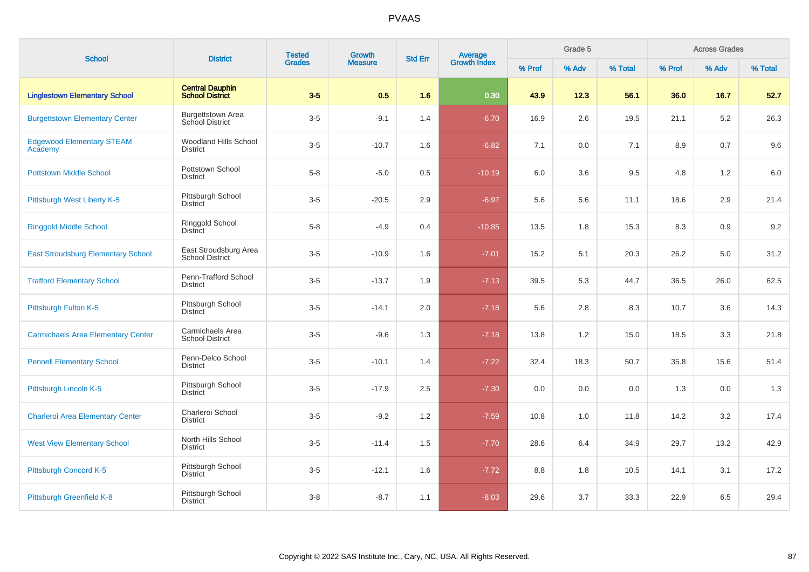| <b>School</b>                               | <b>District</b>                                    | <b>Tested</b> | Growth         | <b>Std Err</b> | <b>Average</b><br>Growth Index |        | Grade 5 |         | <b>Across Grades</b> |       |         |  |
|---------------------------------------------|----------------------------------------------------|---------------|----------------|----------------|--------------------------------|--------|---------|---------|----------------------|-------|---------|--|
|                                             |                                                    | <b>Grades</b> | <b>Measure</b> |                |                                | % Prof | % Adv   | % Total | % Prof               | % Adv | % Total |  |
| <b>Linglestown Elementary School</b>        | <b>Central Dauphin</b><br><b>School District</b>   | $3-5$         | 0.5            | 1.6            | 0.30                           | 43.9   | 12.3    | 56.1    | 36.0                 | 16.7  | 52.7    |  |
| <b>Burgettstown Elementary Center</b>       | <b>Burgettstown Area</b><br><b>School District</b> | $3-5$         | $-9.1$         | 1.4            | $-6.70$                        | 16.9   | 2.6     | 19.5    | 21.1                 | 5.2   | 26.3    |  |
| <b>Edgewood Elementary STEAM</b><br>Academy | <b>Woodland Hills School</b><br><b>District</b>    | $3-5$         | $-10.7$        | 1.6            | $-6.82$                        | 7.1    | 0.0     | 7.1     | 8.9                  | 0.7   | 9.6     |  |
| <b>Pottstown Middle School</b>              | Pottstown School<br><b>District</b>                | $5 - 8$       | $-5.0$         | 0.5            | $-10.19$                       | 6.0    | 3.6     | 9.5     | 4.8                  | 1.2   | 6.0     |  |
| Pittsburgh West Liberty K-5                 | Pittsburgh School<br><b>District</b>               | $3-5$         | $-20.5$        | 2.9            | $-6.97$                        | 5.6    | 5.6     | 11.1    | 18.6                 | 2.9   | 21.4    |  |
| <b>Ringgold Middle School</b>               | Ringgold School<br>District                        | $5 - 8$       | $-4.9$         | 0.4            | $-10.85$                       | 13.5   | 1.8     | 15.3    | 8.3                  | 0.9   | 9.2     |  |
| <b>East Stroudsburg Elementary School</b>   | East Stroudsburg Area<br><b>School District</b>    | $3-5$         | $-10.9$        | 1.6            | $-7.01$                        | 15.2   | 5.1     | 20.3    | 26.2                 | 5.0   | 31.2    |  |
| <b>Trafford Elementary School</b>           | Penn-Trafford School<br><b>District</b>            | $3-5$         | $-13.7$        | 1.9            | $-7.13$                        | 39.5   | 5.3     | 44.7    | 36.5                 | 26.0  | 62.5    |  |
| Pittsburgh Fulton K-5                       | Pittsburgh School<br><b>District</b>               | $3-5$         | $-14.1$        | 2.0            | $-7.18$                        | 5.6    | 2.8     | 8.3     | 10.7                 | 3.6   | 14.3    |  |
| <b>Carmichaels Area Elementary Center</b>   | Carmichaels Area<br><b>School District</b>         | $3-5$         | $-9.6$         | 1.3            | $-7.18$                        | 13.8   | 1.2     | 15.0    | 18.5                 | 3.3   | 21.8    |  |
| <b>Pennell Elementary School</b>            | Penn-Delco School<br><b>District</b>               | $3-5$         | $-10.1$        | 1.4            | $-7.22$                        | 32.4   | 18.3    | 50.7    | 35.8                 | 15.6  | 51.4    |  |
| Pittsburgh Lincoln K-5                      | Pittsburgh School<br><b>District</b>               | $3-5$         | $-17.9$        | 2.5            | $-7.30$                        | 0.0    | 0.0     | 0.0     | 1.3                  | 0.0   | 1.3     |  |
| <b>Charleroi Area Elementary Center</b>     | Charleroi School<br><b>District</b>                | $3-5$         | $-9.2$         | 1.2            | $-7.59$                        | 10.8   | 1.0     | 11.8    | 14.2                 | 3.2   | 17.4    |  |
| <b>West View Elementary School</b>          | North Hills School<br><b>District</b>              | $3-5$         | $-11.4$        | 1.5            | $-7.70$                        | 28.6   | 6.4     | 34.9    | 29.7                 | 13.2  | 42.9    |  |
| Pittsburgh Concord K-5                      | Pittsburgh School<br><b>District</b>               | $3-5$         | $-12.1$        | 1.6            | $-7.72$                        | 8.8    | 1.8     | 10.5    | 14.1                 | 3.1   | 17.2    |  |
| Pittsburgh Greenfield K-8                   | Pittsburgh School<br><b>District</b>               | $3 - 8$       | $-8.7$         | 1.1            | $-8.03$                        | 29.6   | 3.7     | 33.3    | 22.9                 | 6.5   | 29.4    |  |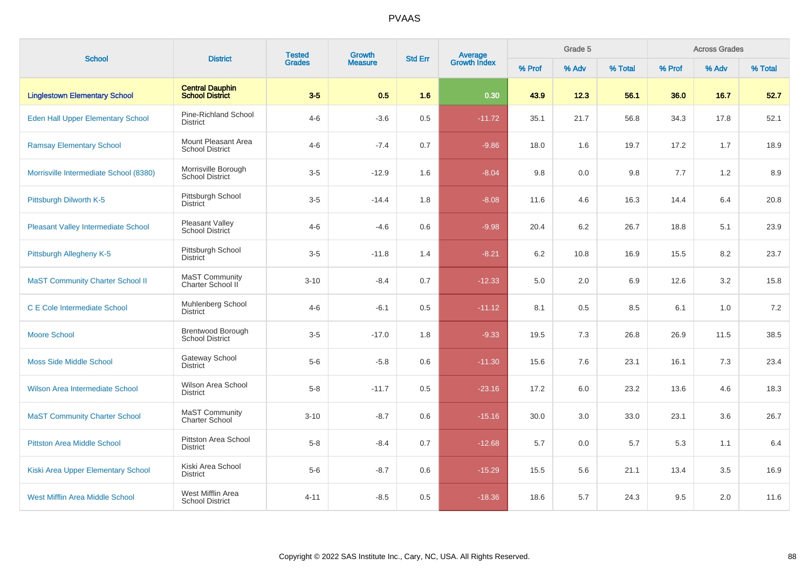| <b>School</b>                              | <b>District</b>                                    | <b>Tested</b> | Growth         | <b>Std Err</b> | Average<br>Growth Index |        | Grade 5 |         | <b>Across Grades</b> |       |         |  |
|--------------------------------------------|----------------------------------------------------|---------------|----------------|----------------|-------------------------|--------|---------|---------|----------------------|-------|---------|--|
|                                            |                                                    | <b>Grades</b> | <b>Measure</b> |                |                         | % Prof | % Adv   | % Total | % Prof               | % Adv | % Total |  |
| <b>Linglestown Elementary School</b>       | <b>Central Dauphin</b><br><b>School District</b>   | $3-5$         | 0.5            | 1.6            | 0.30                    | 43.9   | 12.3    | 56.1    | 36.0                 | 16.7  | 52.7    |  |
| Eden Hall Upper Elementary School          | Pine-Richland School<br><b>District</b>            | $4 - 6$       | $-3.6$         | 0.5            | $-11.72$                | 35.1   | 21.7    | 56.8    | 34.3                 | 17.8  | 52.1    |  |
| <b>Ramsay Elementary School</b>            | Mount Pleasant Area<br><b>School District</b>      | $4 - 6$       | $-7.4$         | 0.7            | $-9.86$                 | 18.0   | 1.6     | 19.7    | 17.2                 | 1.7   | 18.9    |  |
| Morrisville Intermediate School (8380)     | Morrisville Borough<br><b>School District</b>      | $3-5$         | $-12.9$        | 1.6            | $-8.04$                 | 9.8    | 0.0     | 9.8     | 7.7                  | 1.2   | 8.9     |  |
| Pittsburgh Dilworth K-5                    | Pittsburgh School<br><b>District</b>               | $3-5$         | $-14.4$        | 1.8            | $-8.08$                 | 11.6   | 4.6     | 16.3    | 14.4                 | 6.4   | 20.8    |  |
| <b>Pleasant Valley Intermediate School</b> | Pleasant Valley<br>School District                 | $4 - 6$       | $-4.6$         | 0.6            | $-9.98$                 | 20.4   | 6.2     | 26.7    | 18.8                 | 5.1   | 23.9    |  |
| Pittsburgh Allegheny K-5                   | Pittsburgh School<br><b>District</b>               | $3-5$         | $-11.8$        | 1.4            | $-8.21$                 | 6.2    | 10.8    | 16.9    | 15.5                 | 8.2   | 23.7    |  |
| <b>MaST Community Charter School II</b>    | MaST Community<br>Charter School II                | $3 - 10$      | $-8.4$         | 0.7            | $-12.33$                | 5.0    | 2.0     | 6.9     | 12.6                 | 3.2   | 15.8    |  |
| <b>C E Cole Intermediate School</b>        | Muhlenberg School<br><b>District</b>               | $4 - 6$       | $-6.1$         | 0.5            | $-11.12$                | 8.1    | 0.5     | 8.5     | 6.1                  | 1.0   | 7.2     |  |
| <b>Moore School</b>                        | <b>Brentwood Borough</b><br><b>School District</b> | $3-5$         | $-17.0$        | 1.8            | $-9.33$                 | 19.5   | 7.3     | 26.8    | 26.9                 | 11.5  | 38.5    |  |
| <b>Moss Side Middle School</b>             | <b>Gateway School</b><br><b>District</b>           | $5-6$         | $-5.8$         | 0.6            | $-11.30$                | 15.6   | 7.6     | 23.1    | 16.1                 | 7.3   | 23.4    |  |
| Wilson Area Intermediate School            | Wilson Area School<br><b>District</b>              | $5 - 8$       | $-11.7$        | 0.5            | $-23.16$                | 17.2   | 6.0     | 23.2    | 13.6                 | 4.6   | 18.3    |  |
| <b>MaST Community Charter School</b>       | MaST Community<br><b>Charter School</b>            | $3 - 10$      | $-8.7$         | 0.6            | $-15.16$                | 30.0   | 3.0     | 33.0    | 23.1                 | 3.6   | 26.7    |  |
| <b>Pittston Area Middle School</b>         | Pittston Area School<br><b>District</b>            | $5-8$         | $-8.4$         | 0.7            | $-12.68$                | 5.7    | 0.0     | 5.7     | 5.3                  | 1.1   | 6.4     |  |
| Kiski Area Upper Elementary School         | Kiski Area School<br><b>District</b>               | $5-6$         | $-8.7$         | 0.6            | $-15.29$                | 15.5   | 5.6     | 21.1    | 13.4                 | 3.5   | 16.9    |  |
| <b>West Mifflin Area Middle School</b>     | West Mifflin Area<br><b>School District</b>        | $4 - 11$      | $-8.5$         | 0.5            | $-18.36$                | 18.6   | 5.7     | 24.3    | 9.5                  | 2.0   | 11.6    |  |